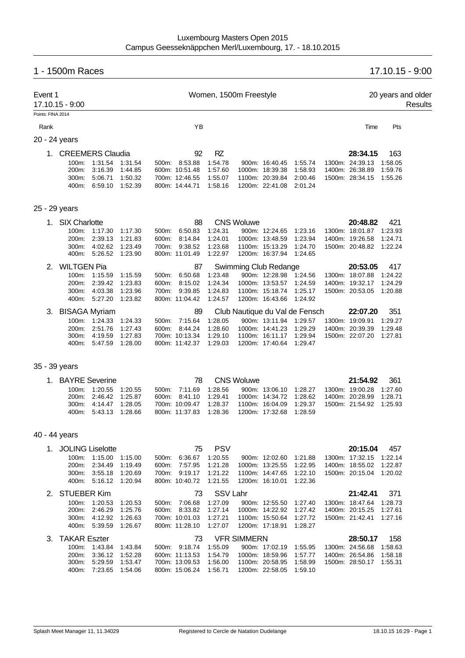# 1 - 1500m Races 17.10.15 - 9:00

| Event 1           | 17.10.15 - 9:00                       |                                           |                               |                |                                                    | Women, 1500m Freestyle          |                    |                                                       |                                |                                                |                           | 20 years and older<br>Results |
|-------------------|---------------------------------------|-------------------------------------------|-------------------------------|----------------|----------------------------------------------------|---------------------------------|--------------------|-------------------------------------------------------|--------------------------------|------------------------------------------------|---------------------------|-------------------------------|
| Points: FINA 2014 |                                       |                                           |                               |                |                                                    |                                 |                    |                                                       |                                |                                                |                           |                               |
| Rank              |                                       |                                           |                               |                | YB                                                 |                                 |                    |                                                       |                                | Time                                           | Pts                       |                               |
| 20 - 24 years     |                                       |                                           |                               |                |                                                    |                                 |                    |                                                       |                                |                                                |                           |                               |
|                   | 1. CREEMERS Claudia<br>100m:<br>200m: | 1:31.54<br>3:16.39                        | 1:31.54<br>1:44.85            |                | 92<br>500m: 8:53.88<br>600m: 10:51.48              | <b>RZ</b><br>1:54.78<br>1:57.60 |                    | 900m: 16:40.45<br>1000m: 18:39.38                     | 1:55.74<br>1:58.93             | 28:34.15<br>1300m: 24:39.13<br>1400m: 26:38.89 | 163<br>1:58.05<br>1:59.76 |                               |
|                   | 300m:<br>400m:                        | 5:06.71<br>6:59.10                        | 1:50.32<br>1:52.39            |                | 700m: 12:46.55<br>800m: 14:44.71                   | 1:55.07<br>1:58.16              |                    | 1100m: 20:39.84<br>1200m: 22:41.08                    | 2:00.46<br>2:01.24             | 1500m: 28:34.15                                | 1:55.26                   |                               |
| 25 - 29 years     |                                       |                                           |                               |                |                                                    |                                 |                    |                                                       |                                |                                                |                           |                               |
| 1.                | <b>SIX Charlotte</b>                  |                                           |                               |                | 88                                                 |                                 | <b>CNS Woluwe</b>  |                                                       |                                | 20:48.82                                       | 421                       |                               |
|                   | 100m:<br>200m:                        | 1:17.30<br>2:39.13                        | 1:17.30<br>1.21.83            | 500m:          | 6:50.83<br>8:14.84                                 | 1:24.31<br>1:24.01              |                    | 900m: 12:24.65<br>1000m: 13:48.59                     | 1:23.16<br>1:23.94             | 1300m: 18:01.87<br>1400m: 19:26.58             | 1:23.93                   |                               |
|                   | 300m:<br>400m:                        | 4:02.62<br>5:26.52                        | 1:23.49<br>1.23.90            | 600m:<br>700m: | 9:38.52<br>800m: 11:01.49                          | 1:23.68<br>1:22.97              |                    | 1100m: 15:13.29<br>1200m: 16:37.94                    | 1:24.70<br>1:24.65             | 1500m: 20:48.82                                | 1:24.71<br>1:22.24        |                               |
| 2.                | <b>WILTGEN Pia</b>                    |                                           |                               |                | 87                                                 |                                 |                    | Swimming Club Redange                                 |                                | 20:53.05                                       | 417                       |                               |
|                   | 100m:<br>200m:                        | 1:15.59<br>2:39.42                        | 1:15.59<br>1:23.83            | 600m:          | 500m: 6:50.68<br>8:15.02                           | 1:23.48<br>1:24.34              |                    | 900m: 12:28.98 1:24.56<br>1000m: 13:53.57             | 1:24.59                        | 1300m: 18:07.88<br>1400m: 19:32.17             | 1:24.22<br>1:24.29        |                               |
|                   | 300m.                                 | 4:03.38<br>400m: 5:27.20                  | 1.23.96<br>1:23.82            | 700m:          | 9:39.85<br>800m: 11:04.42                          | 1:24.83<br>1:24.57              |                    | 1100m: 15:18.74<br>1200m: 16:43.66                    | 1:25.17<br>1:24.92             | 1500m: 20:53.05                                | 1:20.88                   |                               |
|                   | 3. BISAGA Myriam                      |                                           |                               |                | 89                                                 |                                 |                    |                                                       | Club Nautique du Val de Fensch | 22:07.20                                       | 351                       |                               |
|                   | 100m:<br>200m:                        | 1:24.33<br>2:51.76                        | 1.24.33<br>1.27.43            | 500m:<br>600m: | 7:15.64<br>8:44.24                                 | 1:28.05<br>1:28.60              |                    | 900m: 13:11.94<br>1000m: 14:41.23                     | 1:29.57<br>1:29.29             | 1300m: 19:09.91<br>1400m: 20:39.39             | 1:29.27<br>1:29.48        |                               |
|                   | 300m:<br>400m:                        | 4:19.59<br>5:47.59                        | 1:27.83<br>1:28.00            |                | 700m: 10:13.34<br>800m: 11:42.37                   | 1:29.10<br>1:29.03              |                    | 1100m: 16:11.17 1:29.94<br>1200m: 17:40.64            | 1.29.47                        | 1500m: 22:07.20                                | 1:27.81                   |                               |
| 35 - 39 years     |                                       |                                           |                               |                |                                                    |                                 |                    |                                                       |                                |                                                |                           |                               |
| 1.                | <b>BAYRE</b> Severine                 |                                           |                               |                | 78                                                 |                                 | <b>CNS Woluwe</b>  |                                                       |                                | 21:54.92                                       | 361                       |                               |
|                   | 100m:                                 | 1:20.55                                   | 1:20.55                       |                | 500m: 7:11.69                                      | 1:28.56                         |                    | 900m: 13:06.10                                        | 1:28.27                        | 1300m: 19:00.28                                | 1:27.60                   |                               |
|                   | 200 <sub>m</sub> :                    | 2:46.42                                   | 1:25.87                       |                | 600m: 8:41.10                                      | 1:29.41                         |                    | 1000m: 14:34.72                                       | 1:28.62                        | 1400m: 20:28.99                                | 1.28.71                   |                               |
|                   | 300m:<br>400m:                        | 4:14.47<br>5:43.13                        | 1:28.05<br>1:28.66            |                | 700m: 10:09.47<br>800m: 11:37.83                   | 1:28.37<br>1:28.36              |                    | 1100m: 16:04.09<br>1200m: 17:32.68                    | 1.29.37<br>1:28.59             | 1500m: 21:54.92                                | 1:25.93                   |                               |
| 40 - 44 years     |                                       |                                           |                               |                |                                                    |                                 |                    |                                                       |                                |                                                |                           |                               |
|                   | 1. JOLING Liselotte                   |                                           |                               |                | 75                                                 | <b>PSV</b>                      |                    |                                                       |                                | 20:15.04                                       | 457                       |                               |
|                   |                                       | 100m: 1:15.00                             | 1:15.00                       | 500m:          | 6:36.67                                            | 1:20.55                         |                    | 900m: 12:02.60 1:21.88                                |                                | 1300m: 17:32.15 1:22.14                        |                           |                               |
|                   | 200m:<br>300m:                        | 2:34.49<br>3:55.18                        | 1:19.49<br>1:20.69            |                | 600m: 7:57.95<br>700m: 9:19.17                     | 1:21.28<br>1:21.22              |                    | 1000m: 13:25.55<br>1100m: 14:47.65                    | 1:22.95<br>1:22.10             | 1400m: 18:55.02<br>1500m: 20:15.04 1:20.02     | 1:22.87                   |                               |
|                   |                                       | 400m: 5:16.12                             | 1:20.94                       |                | 800m: 10:40.72                                     | 1:21.55                         |                    | 1200m: 16:10.01                                       | 1:22.36                        |                                                |                           |                               |
| 2.                | <b>STUEBER Kim</b>                    |                                           |                               |                | 73                                                 | SSV Lahr                        |                    |                                                       |                                | 21:42.41                                       | 371                       |                               |
|                   |                                       | 100m: 1:20.53                             | 1:20.53                       |                | 500m: 7:06.68                                      | 1:27.09                         |                    | 900m: 12:55.50                                        | 1:27.40                        | 1300m: 18:47.64                                | 1.28.73                   |                               |
|                   | 300m:                                 | 200m: 2:46.29<br>4:12.92                  | 1:25.76<br>1:26.63            |                | 600m: 8:33.82<br>700m: 10:01.03                    | 1:27.14<br>1:27.21              |                    | 1000m: 14:22.92<br>1100m: 15:50.64                    | 1:27.42<br>1:27.72             | 1400m: 20:15.25<br>1500m: 21:42.41 1:27.16     | 1:27.61                   |                               |
|                   |                                       | 400m: 5:39.59                             | 1:26.67                       |                | 800m: 11:28.10                                     | 1:27.07                         |                    | 1200m: 17:18.91                                       | 1:28.27                        |                                                |                           |                               |
| 3.                | <b>TAKAR Eszter</b>                   |                                           |                               |                | 73                                                 |                                 | <b>VFR SIMMERN</b> |                                                       |                                | 28:50.17                                       | 158                       |                               |
|                   |                                       | 100m: 1:43.84                             | 1:43.84                       |                | 500m: 9:18.74                                      | 1:55.09                         |                    | 900m: 17:02.19                                        | 1:55.95                        | 1300m: 24:56.68                                | 1:58.63                   |                               |
|                   | 200m:                                 | 3:36.12<br>300m: 5:29.59<br>400m: 7:23.65 | 1:52.28<br>1:53.47<br>1:54.06 |                | 600m: 11:13.53<br>700m: 13:09.53<br>800m: 15:06.24 | 1:54.79<br>1:56.00<br>1:56.71   |                    | 1000m: 18:59.96<br>1100m: 20:58.95<br>1200m: 22:58.05 | 1:57.77<br>1:58.99<br>1:59.10  | 1400m: 26:54.86<br>1500m: 28:50.17 1:55.31     | 1:58.18                   |                               |
|                   |                                       |                                           |                               |                |                                                    |                                 |                    |                                                       |                                |                                                |                           |                               |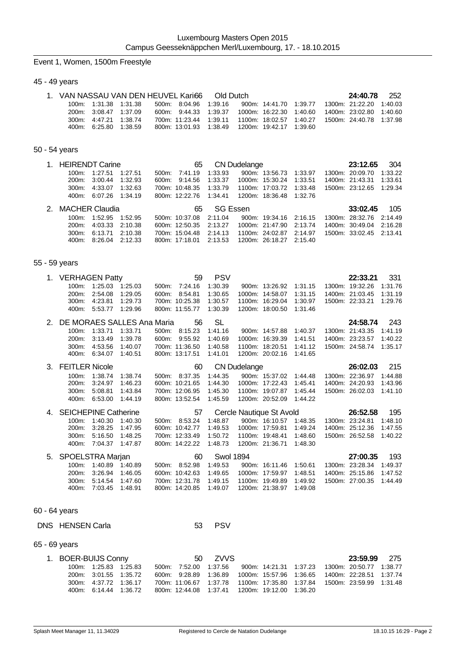#### Event 1, Women, 1500m Freestyle

#### 45 - 49 years

| 1. VAN NASSAU VAN DEN HEUVEL Kari66 Old Dutch |                       |  |                                                   |  |  | 24:40.78                                                                    | 252 |
|-----------------------------------------------|-----------------------|--|---------------------------------------------------|--|--|-----------------------------------------------------------------------------|-----|
|                                               | 100m: 1:31.38 1:31.38 |  | 500m: 8:04.96 1:39.16                             |  |  | 900m: 14:41.70  1:39.77  1300m: 21:22.20  1:40.03                           |     |
|                                               | 200m: 3:08.47 1:37.09 |  |                                                   |  |  | 600m: 9:44.33 1:39.37 1000m: 16:22.30 1:40.60 1400m: 23:02.80 1:40.60       |     |
|                                               | 300m: 4:47.21 1:38.74 |  |                                                   |  |  | 700m: 11:23.44  1:39.11  1100m: 18:02.57  1:40.27  1500m: 24:40.78  1:37.98 |     |
|                                               | 400m: 6:25.80 1:38.59 |  | 800m: 13:01.93  1:38.49  1200m: 19:42.17  1:39.60 |  |  |                                                                             |     |

#### 50 - 54 years

| 1. HEIRENDT Carine <b>Carries COM CON</b> CN Dudelange |                       |  |                                                   |             |  |  | 23:12.65 304                                                                |  |
|--------------------------------------------------------|-----------------------|--|---------------------------------------------------|-------------|--|--|-----------------------------------------------------------------------------|--|
|                                                        | 100m: 1:27.51 1:27.51 |  |                                                   |             |  |  | 500m: 7:41.19  1:33.93  900m: 13:56.73  1:33.97  1300m: 20:09.70  1:33.22   |  |
|                                                        | 200m: 3:00.44 1:32.93 |  | 600m: 9:14.56  1:33.37  1000m: 15:30.24  1:33.51  |             |  |  | 1400m: 21:43.31 1:33.61                                                     |  |
|                                                        | 300m: 4:33.07 1:32.63 |  |                                                   |             |  |  | 700m: 10:48.35  1:33.79  1100m: 17:03.72  1:33.48  1500m: 23:12.65  1:29.34 |  |
|                                                        | 400m: 6:07.26 1:34.19 |  | 800m: 12:22.76  1:34.41  1200m: 18:36.48  1:32.76 |             |  |  |                                                                             |  |
| 2. MACHER Claudia                                      |                       |  |                                                   | 65 SG Essen |  |  | <b>33:02.45</b> 105                                                         |  |
|                                                        | 100m: 1:52.95 1:52.95 |  |                                                   |             |  |  | 500m: 10:37.08  2:11.04  900m: 19:34.16  2:16.15  1300m: 28:32.76  2:14.49  |  |
|                                                        | 200m: 4:03.33 2:10.38 |  |                                                   |             |  |  | 600m: 12:50.35  2:13.27  1000m: 21:47.90  2:13.74  1400m: 30:49.04  2:16.28 |  |

400m: 8:26.04 2:12.33 800m: 17:18.01 2:13.53 1200m: 26:18.27 2:15.40

300m: 6:13.71 2:10.38 700m: 15:04.48 2:14.13 1100m: 24:02.87 2:14.97 1500m: 33:02.45 2:13.41

#### 55 - 59 years

| 1. | <b>VERHAGEN Patty</b>       |         |         |       | 59             | <b>PSV</b> |                     |                                            |         | 22:33.21        | 331     |
|----|-----------------------------|---------|---------|-------|----------------|------------|---------------------|--------------------------------------------|---------|-----------------|---------|
|    | 100m:                       | 1:25.03 | 1.25.03 | 500m: | 7:24.16        | 1:30.39    |                     | 900m: 13:26.92                             | 1:31.15 | 1300m: 19:32.26 | 1:31.76 |
|    | 200m:                       | 2:54.08 | 1:29.05 | 600m: | 8:54.81        | 1:30.65    |                     | 1000m: 14:58.07                            | 1:31.15 | 1400m: 21:03.45 | 1:31.19 |
|    | 300m.                       | 4:23.81 | 1:29.73 |       | 700m: 10:25.38 | 1:30.57    |                     | 1100m: 16:29.04                            | 1:30.97 | 1500m: 22:33.21 | 1:29.76 |
|    | 400m:                       | 5:53.77 | 1:29.96 |       | 800m: 11:55.77 | 1:30.39    |                     | 1200m: 18:00.50                            | 1:31.46 |                 |         |
| 2. | DE MORAES SALLES Ana Maria  |         |         |       | 56             | SL         |                     |                                            |         | 24:58.74        | 243     |
|    | 100m:                       | 1:33.71 | 1:33.71 | 500m: | 8:15.23        | 1:41.16    |                     | 900m: 14:57.88                             | 1:40.37 | 1300m: 21:43.35 | 1:41.19 |
|    | 200m:                       | 3:13.49 | 1:39.78 | 600m: | 9:55.92        | 1:40.69    |                     | 1000m: 16:39.39                            | 1:41.51 | 1400m: 23:23.57 | 1:40.22 |
|    | 300m:                       | 4:53.56 | 1:40.07 |       | 700m: 11:36.50 | 1:40.58    |                     | 1100m: 18:20.51                            | 1:41.12 | 1500m: 24:58.74 | 1:35.17 |
|    | 400m:                       | 6:34.07 | 1:40.51 |       | 800m: 13:17.51 | 1:41.01    |                     | 1200m: 20:02.16                            | 1:41.65 |                 |         |
| 3. | <b>FEITLER Nicole</b>       |         |         |       | 60             |            | <b>CN Dudelange</b> |                                            |         | 26:02.03        | 215     |
|    |                             |         |         |       |                |            |                     |                                            |         |                 |         |
|    | 100m:                       | 1:38.74 | 1:38.74 | 500m: | 8:37.35        | 1:44.35    |                     | 900m: 15:37.02                             | 1:44.48 | 1300m: 22:36.97 | 1:44.88 |
|    | 200m:                       | 3:24.97 | 1:46.23 |       | 600m: 10:21.65 | 1:44.30    |                     | 1000m: 17:22.43                            | 1:45.41 | 1400m: 24:20.93 | 1:43.96 |
|    | 300m:                       | 5:08.81 | 1:43.84 |       | 700m: 12:06.95 | 1:45.30    |                     | 1100m: 19:07.87                            | 1:45.44 | 1500m: 26:02.03 | 1:41.10 |
|    | 400m:                       | 6:53.00 | 1:44.19 |       | 800m: 13:52.54 | 1:45.59    |                     | 1200m: 20:52.09                            | 1:44.22 |                 |         |
| 4. | <b>SEICHEPINE Catherine</b> |         |         |       | 57             |            |                     |                                            |         | 26:52.58        | 195     |
|    | 100m:                       | 1:40.30 | 1:40.30 | 500m: | 8:53.24        | 1:48.87    |                     | Cercle Nautique St Avold<br>900m: 16:10.57 | 1:48.35 | 1300m: 23:24.81 | 1:48.10 |
|    | 200m:                       | 3:28.25 | 1:47.95 |       | 600m: 10:42.77 | 1:49.53    |                     | 1000m: 17:59.81                            | 1:49.24 | 1400m: 25:12.36 | 1:47.55 |
|    | 300m.                       | 5:16.50 | 1:48.25 |       | 700m: 12:33.49 | 1:50.72    |                     | 1100m: 19:48.41                            | 1:48.60 | 1500m: 26:52.58 | 1:40.22 |

| 5. SPOELSTRA Marjan |                       |  |                                                   | 60 Swol 1894 |  |  | <b>27:00.35</b> 193                                                         |  |
|---------------------|-----------------------|--|---------------------------------------------------|--------------|--|--|-----------------------------------------------------------------------------|--|
|                     | 100m: 1:40.89 1:40.89 |  | 500m: 8:52.98 1:49.53                             |              |  |  | 900m: 16.11.46  1.50.61  1300m: 23.28.34  1.49.37                           |  |
|                     | 200m: 3:26.94 1:46.05 |  |                                                   |              |  |  | 600m: 10.42.63 1.49.65 1000m: 17.59.97 1.48.51 1400m: 25.15.86 1.47.52      |  |
|                     | 300m: 5:14.54 1:47.60 |  |                                                   |              |  |  | 700m: 12:31.78  1:49.15  1100m: 19:49.89  1:49.92  1500m: 27:00.35  1:44.49 |  |
|                     | 400m: 7:03.45 1:48.91 |  | 800m: 14:20.85  1:49.07  1200m: 21:38.97  1:49.08 |              |  |  |                                                                             |  |

#### 60 - 64 years

### DNS HENSEN Carla 53 PSV

#### 65 - 69 years

| 1. BOER-BUIJS Conny |                       |  |                       | 50 ZVVS                                           |  |  | <b>23:59.99</b> 275                                                         |  |
|---------------------|-----------------------|--|-----------------------|---------------------------------------------------|--|--|-----------------------------------------------------------------------------|--|
|                     | 100m: 1:25.83 1:25.83 |  | 500m: 7:52.00 1:37.56 |                                                   |  |  | 900m: 14:21.31  1:37.23  1300m: 20:50.77  1:38.77                           |  |
|                     | 200m: 3:01.55 1:35.72 |  |                       |                                                   |  |  | 600m: 9:28.89 1:36.89 1000m: 15:57.96 1:36.65 1400m: 22:28.51 1:37.74       |  |
|                     | 300m: 4:37.72 1:36.17 |  |                       |                                                   |  |  | 700m: 11:06.67  1:37.78  1100m: 17:35.80  1:37.84  1500m: 23:59.99  1:31.48 |  |
|                     | 400m: 6:14.44 1:36.72 |  |                       | 800m: 12:44.08  1:37.41  1200m: 19:12.00  1:36.20 |  |  |                                                                             |  |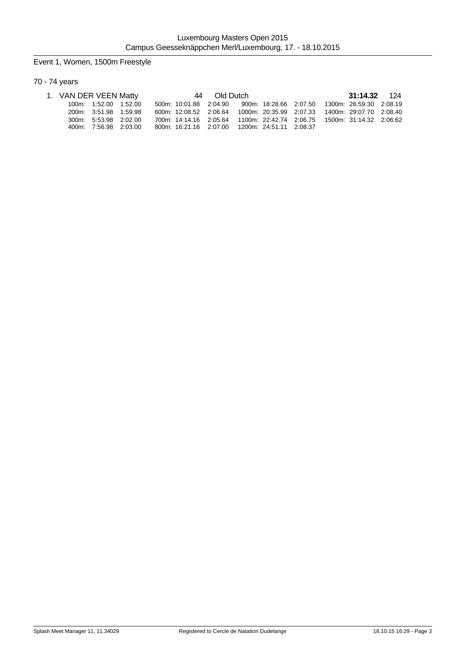# Event 1, Women, 1500m Freestyle

# 70 - 74 years

| 1. VAN DER VEEN Matty |                       |  |                                                | 44 Old Dutch |  |  | 31:14.32 124                                                                |  |
|-----------------------|-----------------------|--|------------------------------------------------|--------------|--|--|-----------------------------------------------------------------------------|--|
|                       | 100m: 1:52.00 1:52.00 |  |                                                |              |  |  | 500m: 10:01.88  2:04.90  900m: 18:28.66  2:07.50  1300m: 26:59.30  2:08.19  |  |
|                       | 200m: 3:51.98 1:59.98 |  |                                                |              |  |  | 600m: 12:08.52  2:06.64  1000m: 20:35.99  2:07.33  1400m: 29:07.70  2:08.40 |  |
|                       | 300m: 5.53.98 2.02.00 |  |                                                |              |  |  | 700m: 14:14.16  2:05.64  1100m: 22:42.74  2:06.75  1500m: 31:14.32  2:06.62 |  |
|                       | 400m: 7:56.98 2:03.00 |  | 800m: 16:21.16 2:07.00 1200m: 24:51.11 2:08.37 |              |  |  |                                                                             |  |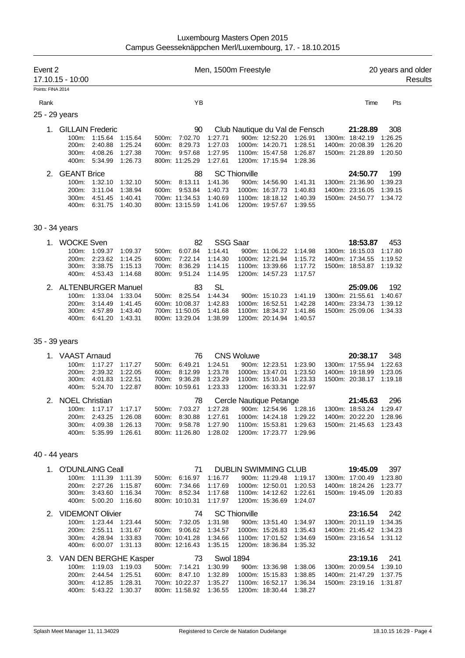| Event 2           | 17.10.15 - 10:00                                       |                                                                            |                                          |                                  |                                                                     | Men, 1500m Freestyle                     |                      |                                                                                         |                                                      |                                                                   |                                      | 20 years and older<br>Results |
|-------------------|--------------------------------------------------------|----------------------------------------------------------------------------|------------------------------------------|----------------------------------|---------------------------------------------------------------------|------------------------------------------|----------------------|-----------------------------------------------------------------------------------------|------------------------------------------------------|-------------------------------------------------------------------|--------------------------------------|-------------------------------|
| Points: FINA 2014 |                                                        |                                                                            |                                          |                                  |                                                                     |                                          |                      |                                                                                         |                                                      |                                                                   |                                      |                               |
| Rank              |                                                        |                                                                            |                                          |                                  | YB                                                                  |                                          |                      |                                                                                         |                                                      | Time                                                              | Pts                                  |                               |
|                   | 25 - 29 years                                          |                                                                            |                                          |                                  |                                                                     |                                          |                      |                                                                                         |                                                      |                                                                   |                                      |                               |
| 1.                | <b>GILLAIN Frederic</b><br>100m:<br>200m:              | 1:15.64<br>2:40.88                                                         | 1.15.64<br>1:25.24                       | 500m:<br>600m:                   | 90<br>7:02.70<br>8:29.73                                            | 1:27.71<br>1:27.03                       |                      | 900m: 12:52.20<br>1000m: 14:20.71                                                       | Club Nautique du Val de Fensch<br>1:26.91<br>1:28.51 | 21:28.89<br>1300m: 18:42.19<br>1400m: 20:08.39                    | 308<br>1:26.25<br>1:26.20            |                               |
|                   | 300m:<br>400m:                                         | 4:08.26<br>5:34.99                                                         | 1:27.38<br>1:26.73                       | 700m:                            | 9:57.68<br>800m: 11:25.29                                           | 1:27.95<br>1:27.61                       |                      | 1100m: 15:47.58<br>1200m: 17:15.94                                                      | 1:26.87<br>1:28.36                                   | 1500m: 21:28.89                                                   | 1:20.50                              |                               |
| 2.                | <b>GEANT Brice</b><br>100m:<br>200m:<br>300m:<br>400m: | 1:32.10<br>3:11.04<br>4.51.45<br>6:31.75                                   | 1:32.10<br>1:38.94<br>1:40.41<br>1:40.30 | 500m.<br>600m:                   | 88<br>8:13.11<br>9:53.84<br>700m: 11:34.53<br>800m: 13:15.59        | 1:41.36<br>1:40.73<br>1:40.69<br>1:41.06 | <b>SC Thionville</b> | 900m: 14:56.90<br>1000m: 16:37.73<br>1100m: 18:18.12<br>1200m: 19:57.67                 | 1:41.31<br>1:40.83<br>1:40.39<br>1:39.55             | 24:50.77<br>1300m: 21:36.90<br>1400m: 23:16.05<br>1500m: 24:50.77 | 199<br>1:39.23<br>1:39.15<br>1:34.72 |                               |
|                   | 30 - 34 years                                          |                                                                            |                                          |                                  |                                                                     |                                          |                      |                                                                                         |                                                      |                                                                   |                                      |                               |
|                   | 1. WOCKE Sven                                          |                                                                            |                                          |                                  | 82                                                                  | <b>SSG Saar</b>                          |                      |                                                                                         |                                                      | 18:53.87                                                          | 453                                  |                               |
|                   | 100m:<br>200m:<br>300m:<br>400m:                       | 1:09.37<br>2:23.62<br>3:38.75<br>4:53.43                                   | 1:09.37<br>1:14.25<br>1:15.13<br>1:14.68 | 500m:<br>600m:<br>700m:<br>800m: | 6:07.84<br>7:22.14<br>8:36.29<br>9.51.24                            | 1:14.41<br>1:14.30<br>1:14.15<br>1:14.95 |                      | 900m: 11:06.22<br>1000m: 12:21.94<br>1100m: 13:39.66<br>1200m: 14:57.23                 | 1:14.98<br>1:15.72<br>1:17.72<br>1:17.57             | 1300m: 16:15.03<br>1400m: 17:34.55<br>1500m: 18:53.87             | 1:17.80<br>1:19.52<br>1:19.32        |                               |
| 2.                | <b>ALTENBURGER Manuel</b>                              |                                                                            |                                          |                                  | 83                                                                  | <b>SL</b>                                |                      |                                                                                         |                                                      | 25:09.06                                                          | 192                                  |                               |
|                   | 100m:<br>200m:<br>300m:<br>400m:                       | 1:33.04<br>3:14.49<br>4:57.89<br>6:41.20                                   | 1:33.04<br>1:41.45<br>1:43.40<br>1:43.31 |                                  | 500m: 8:25.54<br>600m: 10:08.37<br>700m: 11:50.05<br>800m: 13:29.04 | 1:44.34<br>1:42.83<br>1:41.68<br>1:38.99 |                      | 900m: 15:10.23<br>1000m: 16:52.51<br>1100m: 18:34.37<br>1200m: 20:14.94                 | 1:41.19<br>1:42.28<br>1:41.86<br>1:40.57             | 1300m: 21:55.61<br>1400m: 23:34.73<br>1500m: 25:09.06             | 1:40.67<br>1:39.12<br>1:34.33        |                               |
|                   | 35 - 39 years                                          |                                                                            |                                          |                                  |                                                                     |                                          |                      |                                                                                         |                                                      |                                                                   |                                      |                               |
|                   | <b>VAAST Arnaud</b>                                    |                                                                            |                                          |                                  | 76                                                                  |                                          | <b>CNS Woluwe</b>    |                                                                                         |                                                      | 20:38.17                                                          | 348                                  |                               |
|                   | 100m:                                                  | 1:17.27                                                                    | 1:17.27                                  | 500m.                            | 6:49.21                                                             | 1:24.51                                  |                      | 900m: 12:23.51                                                                          | 1:23.90                                              | 1300m: 17:55.94                                                   | 1:22.63                              |                               |
|                   | $200m$ :<br>300m:<br>400m:                             | 2:39.32<br>4:01.83<br>5:24.70                                              | 1:22.05<br>1:22.51<br>1:22.87            | 600m:<br>700m:                   | 8:12.99<br>9:36.28<br>800m: 10:59.61                                | 1:23.78<br>1:23.29<br>1:23.33            |                      | 1000m: 13:47.01<br>1100m: 15:10.34<br>1200m: 16:33.31                                   | 1:23.50<br>1:23.33<br>1:22.97                        | 1400m: 19:18.99<br>1500m: 20:38.17                                | 1:23.05<br>1:19.18                   |                               |
|                   | 2. NOEL Christian                                      |                                                                            |                                          |                                  | 78                                                                  |                                          |                      | Cercle Nautique Petange                                                                 |                                                      | 21:45.63                                                          | 296                                  |                               |
|                   | 100m:                                                  | 1:17.17                                                                    | 1:17.17                                  |                                  | 500m: 7:03.27                                                       | 1:27.28                                  |                      | 900m: 12:54.96                                                                          | 1:28.16                                              | 1300m: 18:53.24 1:29.47                                           |                                      |                               |
|                   | 200m:                                                  | 2:43.25<br>300m: 4:09.38<br>400m: 5:35.99 1:26.61                          | 1:26.08<br>1:26.13                       | 600m:                            | 8:30.88<br>700m: 9:58.78<br>800m: 11:26.80                          | 1:27.61<br>1:27.90<br>1:28.02            |                      | 1000m: 14:24.18<br>1100m: 15:53.81<br>1200m: 17:23.77                                   | 1:29.22<br>1:29.63<br>1:29.96                        | 1400m: 20:22.20 1:28.96<br>1500m: 21:45.63 1:23.43                |                                      |                               |
|                   | 40 - 44 years                                          |                                                                            |                                          |                                  |                                                                     |                                          |                      |                                                                                         |                                                      |                                                                   |                                      |                               |
|                   | 1. O'DUNLAING Ceall                                    |                                                                            |                                          |                                  | 71                                                                  |                                          |                      | <b>DUBLIN SWIMMING CLUB</b>                                                             |                                                      | 19:45.09                                                          | 397                                  |                               |
|                   | 200m:                                                  | 100m: 1:11.39 1:11.39<br>2:27.26<br>300m: 3:43.60 1:16.34<br>400m: 5:00.20 | 1:15.87<br>1:16.60                       | 500m:                            | 6:16.97<br>600m: 7:34.66<br>700m: 8:52.34<br>800m: 10:10.31         | 1:16.77<br>1:17.69<br>1:17.68<br>1:17.97 |                      | 900m: 11:29.48 1:19.17<br>1000m: 12:50.01<br>1100m: 14:12.62 1:22.61<br>1200m: 15:36.69 | 1:20.53<br>1:24.07                                   | 1300m: 17:00.49<br>1400m: 18:24.26<br>1500m: 19:45.09 1:20.83     | 1:23.80<br>1:23.77                   |                               |
|                   | 2. VIDEMONT Olivier                                    |                                                                            |                                          |                                  | 74                                                                  |                                          | <b>SC Thionville</b> |                                                                                         |                                                      | 23:16.54                                                          | 242                                  |                               |
|                   |                                                        | 100m: 1:23.44 1:23.44                                                      |                                          | 500m:                            | 7:32.05                                                             | 1:31.98                                  |                      | 900m: 13:51.40                                                                          | 1:34.97                                              | 1300m: 20:11.19 1:34.35                                           |                                      |                               |
|                   |                                                        | 200m: 2:55.11<br>300m: 4:28.94<br>400m: 6:00.07 1:31.13                    | 1:31.67<br>1:33.83                       |                                  | 600m: 9:06.62<br>700m: 10:41.28<br>800m: 12:16.43                   | 1:34.57<br>1:34.66<br>1:35.15            |                      | 1000m: 15:26.83<br>1100m: 17:01.52<br>1200m: 18:36.84                                   | 1:35.43<br>1:34.69<br>1:35.32                        | 1400m: 21:45.42 1:34.23<br>1500m: 23:16.54 1:31.12                |                                      |                               |
|                   | 3. VAN DEN BERGHE Kasper                               |                                                                            |                                          |                                  | 73                                                                  | <b>Swol 1894</b>                         |                      |                                                                                         |                                                      | 23:19.16                                                          | 241                                  |                               |
|                   |                                                        | 100m: 1:19.03 1:19.03                                                      |                                          |                                  | 500m: 7:14.21 1:30.99                                               |                                          |                      | 900m: 13:36.98 1:38.06                                                                  |                                                      | 1300m: 20:09.54 1:39.10                                           |                                      |                               |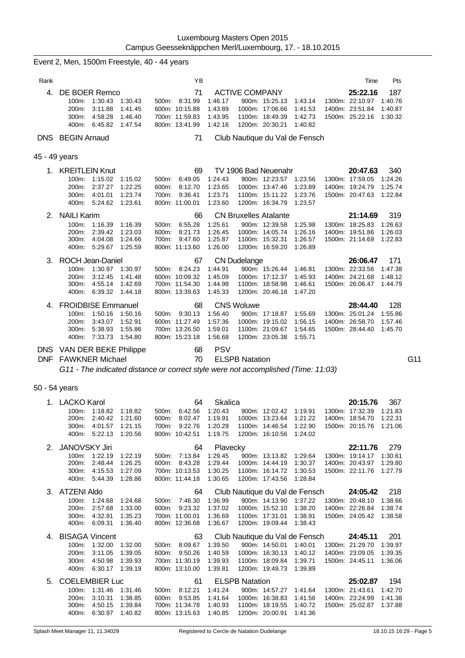|               | Event 2, Men, 1500m Freestyle, 40 - 44 years                                                          |                                                                                                                 |                                     |                                                            |                                                                                                                           |                        |                                          |                                                                           |                                      |     |
|---------------|-------------------------------------------------------------------------------------------------------|-----------------------------------------------------------------------------------------------------------------|-------------------------------------|------------------------------------------------------------|---------------------------------------------------------------------------------------------------------------------------|------------------------|------------------------------------------|---------------------------------------------------------------------------|--------------------------------------|-----|
| Rank          |                                                                                                       |                                                                                                                 | YB                                  |                                                            |                                                                                                                           |                        |                                          | Time                                                                      | Pts                                  |     |
| 4.            | DE BOER Remco<br>100m:<br>1:30.43<br>200m:<br>3:11.88<br>300m: 4:58.28<br>6:45.82<br>400m:            | 500m: 8:31.99<br>1:30.43<br>600m: 10:15.88<br>1:41.45<br>1:46.40<br>700m: 11:59.83<br>800m: 13:41.99<br>1:47.54 | 71                                  | 1:46.17<br>1:43.89<br>1:43.95<br>1:42.16                   | <b>ACTIVE COMPANY</b><br>900m: 15:25.13<br>1000m: 17:06.66<br>1100m: 18:49.39<br>1200m: 20:30.21                          |                        | 1:43.14<br>1:41.53<br>1:42.73<br>1:40.82 | 25:22.16<br>1300m: 22:10.97<br>1400m: 23:51.84<br>1500m: 25:22.16         | 187<br>1:40.76<br>1:40.87<br>1:30.32 |     |
|               | <b>DNS</b> BEGIN Arnaud                                                                               |                                                                                                                 | 71                                  |                                                            | Club Nautique du Val de Fensch                                                                                            |                        |                                          |                                                                           |                                      |     |
| 45 - 49 years |                                                                                                       |                                                                                                                 |                                     |                                                            |                                                                                                                           |                        |                                          |                                                                           |                                      |     |
|               | 1. KREITLEIN Knut<br>100m:<br>1:15.02<br>2:37.27<br>200m:<br>4:01.01<br>300m:<br>400m: 5:24.62        | 1:15.02<br>500m:<br>1:22.25<br>600m:<br>1:23.74<br>700m:<br>1:23.61<br>800m: 11:00.01                           | 69<br>6:49.05<br>8:12.70<br>9:36.41 | 1:24.43<br>1:23.65<br>1:23.71<br>1:23.60                   | TV 1906 Bad Neuenahr<br>900m: 12:23.57<br>1000m: 13:47.46<br>1100m: 15:11.22<br>1200m: 16:34.79                           |                        | 1.23.56<br>1:23.89<br>1:23.76<br>1:23.57 | 20:47.63<br>1300m: 17:59.05<br>1400m: 19:24.79<br>1500m: 20:47.63         | 340<br>1:24.26<br>1.25.74<br>1:22.84 |     |
| $2^{\circ}$   | <b>NAILI Karim</b><br>$100m$ :<br>1:16.39                                                             | 500m: 6:55.28<br>1:16.39                                                                                        | 66                                  | 1:25.61                                                    | <b>CN Bruxelles Atalante</b><br>900m: 12:39.58                                                                            |                        | 1.25.98                                  | 21:14.69<br>1300m: 18:25.83                                               | 319<br>1:26.63                       |     |
|               | 2:39.42<br>200m:<br>300m:<br>4:04.08<br>400m: 5:29.67                                                 | 1:23.03<br>600m:<br>1:24.66<br>700m:<br>1:25.59<br>800m: 11:13.60                                               | 8:21.73<br>9:47.60                  | 1:26.45<br>1:25.87<br>1:26.00                              | 1000m: 14:05.74<br>1100m: 15:32.31<br>1200m: 16:59.20                                                                     |                        | 1:26.16<br>1:26.57<br>1:26.89            | 1400m: 19:51.86<br>1500m: 21:14.69                                        | 1:26.03<br>1:22.83                   |     |
| 3.            | <b>ROCH Jean-Daniel</b><br>1:30.97<br>100m:<br>200m:<br>3:12.45<br>4:55.14<br>300m:<br>400m: 6:39.32  | 500m: 8:24.23<br>1:30.97<br>1:41.48<br>600m: 10:09.32<br>1:42.69<br>700m: 11:54.30<br>800m: 13:39.63<br>1:44.18 | 67                                  | 1:44.91<br>1:45.09<br>1:44.98<br>1:45.33                   | <b>CN Dudelange</b><br>900m: 15:26.44<br>1000m: 17:12.37<br>1100m: 18:58.98<br>1200m: 20:46.18                            |                        | 1:46.81<br>1.45.93<br>1:46.61<br>1:47.20 | 26:06.47<br>1300m: 22:33.56<br>1400m: 24:21.68<br>1500m: 26:06.47         | 171<br>1:47.38<br>1:48.12<br>1:44.79 |     |
|               | 4. FROIDBISE Emmanuel<br>1:50.16<br>100m:<br>3:43.07<br>200m:<br>5:38.93<br>300m:<br>7:33.73<br>400m: | 500m: 9:30.13<br>1:50.16<br>1:52.91<br>600m: 11:27.49<br>1:55.86<br>700m: 13:26.50<br>1:54.80<br>800m: 15:23.18 | 68                                  | 1:56.40<br>1:57.36<br>1:59.01<br>1:56.68                   | <b>CNS Woluwe</b><br>900m: 17:18.87<br>1000m: 19:15.02<br>1100m: 21:09.67<br>1200m: 23:05.38                              |                        | 1:55.69<br>1:56.15<br>1:54.65<br>1:55.71 | 28:44.40<br>1300m: 25:01.24<br>1400m: 26:58.70<br>1500m: 28:44.40         | 128<br>1:55.86<br>1:57.46<br>1:45.70 |     |
| <b>DNF</b>    | DNS VAN DER BEKE Philippe<br><b>FAWKNER Michael</b>                                                   |                                                                                                                 | 68<br>70                            | <b>PSV</b>                                                 | <b>ELSPB Natation</b>                                                                                                     |                        |                                          |                                                                           |                                      | G11 |
|               | G11 - The indicated distance or correct style were not accomplished (Time: 11:03)                     |                                                                                                                 |                                     |                                                            |                                                                                                                           |                        |                                          |                                                                           |                                      |     |
| 50 - 54 years |                                                                                                       |                                                                                                                 |                                     |                                                            |                                                                                                                           |                        |                                          |                                                                           |                                      |     |
|               | 1. LACKO Karol<br>100m: 1:18.82<br>200m:<br>2:40.42<br>300m: 4:01.57<br>400m: 5:22.13                 | 500m: 6:42.56<br>1:18.82<br>1:21.60<br>600m: 8:02.47<br>1:21.15<br>700m: 9:22.76<br>800m: 10:42.51<br>1:20.56   | 64                                  | <b>Skalica</b><br>1:20.43<br>1:19.91<br>1:20.29<br>1:19.75 | 900m: 12:02.42<br>1000m: 13:23.64<br>1100m: 14:46.54<br>1200m: 16:10.56                                                   |                        | 1:19.91<br>1:21.22<br>1:22.90<br>1:24.02 | 20:15.76<br>1300m: 17:32.39<br>1400m: 18:54.70<br>1500m: 20:15.76         | 367<br>1:21.83<br>1:22.31<br>1:21.06 |     |
| 2.            | <b>JANOVSKY Jiri</b><br>100m: 1:22.19<br>200m: 2:48.44<br>300m: 4:15.53<br>400m: 5:44.39              | 1:22.19<br>500m: 7:13.84<br>1:26.25<br>600m: 8:43.28<br>1:27.09<br>700m: 10:13.53<br>800m: 11:44.18<br>1:28.86  | 64                                  | Plavecky<br>1:29.45<br>1:29.44<br>1:30.25<br>1:30.65       | 900m: 13:13.82<br>1000m: 14:44.19<br>1100m: 16:14.72<br>1200m: 17:43.56                                                   |                        | 1.29.64<br>1:30.37<br>1:30.53<br>1:28.84 | 22:11.76<br>1300m: 19:14.17 1:30.61<br>1400m: 20:43.97<br>1500m: 22:11.76 | 279<br>1:29.80<br>1:27.79            |     |
|               | 3. ATZENI Aldo<br>100m: 1:24.68<br>200m: 2:57.68<br>300m:<br>4:32.91<br>400m: 6:09.31                 | 500m: 7:46.30<br>1:24.68<br>1:33.00<br>600m: 9:23.32<br>700m: 11:00.01<br>1:35.23<br>800m: 12:36.68<br>1:36.40  | 64                                  | 1:36.99<br>1:37.02<br>1:36.69<br>1:36.67                   | Club Nautique du Val de Fensch<br>900m: 14:13.90 1:37.22<br>1000m: 15:52.10<br>1100m: 17:31.01<br>1200m: 19:09.44 1:38.43 |                        | 1:38.20<br>1:38.91                       | 24:05.42<br>1300m: 20:48.10<br>1400m: 22:26.84<br>1500m: 24:05.42         | 218<br>1:38.66<br>1:38.74<br>1:38.58 |     |
|               | 4. BISAGA Vincent<br>100m:<br>1:32.00<br>3:11.05<br>200m:<br>4:50.98<br>300m:<br>400m: 6:30.17        | 500m: 8:09.67<br>1:32.00<br>1:39.05<br>600m: 9:50.26<br>1:39.93<br>700m: 11:30.19<br>1:39.19<br>800m: 13:10.00  | 63                                  | 1:39.50<br>1:40.59<br>1:39.93<br>1:39.81                   | Club Nautique du Val de Fensch<br>900m: 14:50.01<br>1000m: 16:30.13<br>1100m: 18:09.84<br>1200m: 19:49.73                 |                        | 1:40.01<br>1:40.12<br>1:39.71<br>1:39.89 | 24:45.11<br>1300m: 21:29.70<br>1400m: 23:09.05<br>1500m: 24:45.11         | 201<br>1:39.97<br>1:39.35<br>1:36.06 |     |
| 5.            | <b>COELEMBIER Luc</b><br>100m: 1:31.46<br>200m: 3:10.31<br>300m: 4:50.15<br>400m: 6:30.97             | 1:31.46<br>500m: 8:12.21<br>1:38.85<br>600m: 9:53.85<br>1:39.84<br>700m: 11:34.78<br>800m: 13:15.63<br>1:40.82  | 61                                  | 1:41.24<br>1:41.64<br>1:40.93<br>1:40.85                   | <b>ELSPB Natation</b><br>1000m: 16:38.83<br>1100m: 18:19.55<br>1200m: 20:00.91                                            | 900m: 14:57.27 1:41.64 | 1:41.56<br>1:40.72<br>1:41.36            | 25:02.87<br>1300m: 21:43.61<br>1400m: 23:24.99<br>1500m: 25:02.87         | 194<br>1:42.70<br>1:41.38<br>1:37.88 |     |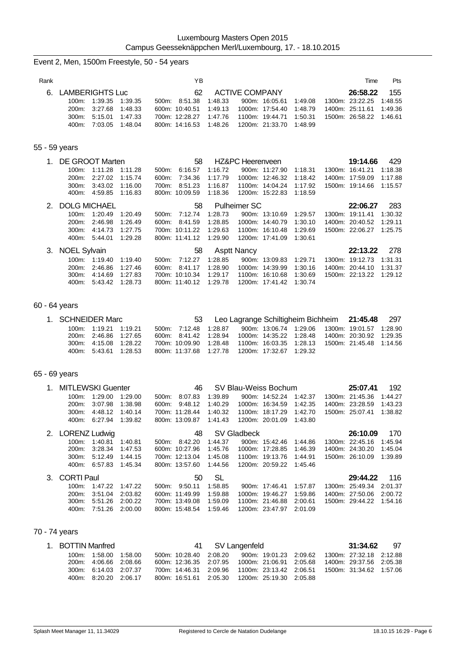# Event 2, Men, 1500m Freestyle, 50 - 54 years Rank **Rank Time Pts Proposed and Proposed Area** Time Pts and Proposed and Proposed and Proposed and Proposed and Proposed and Proposed and Proposed and Proposed and Proposed and Proposed and Proposed and Proposed and Pro 6. LAMBERIGHTS Luc 62 ACTIVE COMPANY **26:58.22** 155 100m: 1:39.35<br>100m: 1:39.35 1:39.35<br>200m: 3:27.68 1:48.33 200m: 3:27.68 1:48.33 600m: 10:40.51 1:49.13 1000m: 17:54.40 1:48.79 1400m: 25:11.61 1:49.36 700m: 12:28.27 1:47.76 1100m: 19:44.71 1:50.31 400m: 7:03.05 1:48.04 800m: 14:16.53 1:48.26 1200m: 21:33.70 1:48.99 55 - 59 years 1. DE GROOT Marten 58 HZ&PC Heerenveen **19:14.66** 429 900m: 11:27.90 1:18.31 1300m: 16:41.21 1:18.38 200m: 2:27.02 1:15.74 600m: 7:34.36 1:17.79 1000m: 12:46.32 1:18.42 1400m: 17:59.09 1:17.88 300m: 3:43.02 1:16.00 700m: 8:51.23 1:16.87 1100m: 14:04.24 1:17.92 1500m: 19:14.66 1:15.57 400m: 4:59.85 1:16.83 800m: 10:09.59 1:18.36 1200m: 15:22.83 1:18.59 2. DOLG MICHAEL 58 Pulheimer SC **22:06.27** 283 500m: 7:12.74 1:28.73 900m: 13:10.69 1:29.57 200m: 2:46.98 1:26.49 600m: 8:41.59 1:28.85 1000m: 14:40.79 1:30.10 1400m: 20:40.52 1:29.11 300m: 4:14.73 1:27.75 700m: 10:11.22 1:29.63 1100m: 16:10.48 1:29.69 1500m: 22:06.27 1:25.75 400m: 5:44.01 1:29.28 800m: 11:41.12 1:29.90 1200m: 17:41.09 1:30.61 3. NOEL Sylvain 58 Asptt Nancy **22:13.22** 278 100m: 1:19.40 1:19.40 500m: 7:12.27 1:28.85 900m: 13:09.83 1:29.71 1300m: 19:12.73 1:31.31 200m: 2:46.86 1:27.46 600m: 8:41.17 1:28.90 1000m: 14:39.99 1:30.16 1400m: 20:44.10 1:31.37 300m: 4:14.69 1:27.83 700m: 10:10.34 1:29.17 1100m: 16:10.68 1:30.69 1500m: 22:13.22 1:29.12 400m: 5:43.42 1:28.73 800m: 11:40.12 1:29.78 1200m: 17:41.42 1:30.74

#### 60 - 64 years

| 1. SCHNEIDER Marc |                       |  | 53                                                |  |  | Leo Lagrange Schiltigheim Bichheim 21:45.48 297                             |  |
|-------------------|-----------------------|--|---------------------------------------------------|--|--|-----------------------------------------------------------------------------|--|
|                   | 100m: 1:19.21 1:19.21 |  | 500m: 7:12.48 1:28.87                             |  |  | 900m: 13:06.74 1:29.06 1300m: 19:01.57 1:28.90                              |  |
|                   | 200m: 2:46.86 1:27.65 |  |                                                   |  |  | 600m: 8.41.42 1.28.94 1000m: 14:35.22 1.28.48 1400m: 20:30.92 1.29.35       |  |
|                   | 300m: 4:15.08 1:28.22 |  |                                                   |  |  | 700m: 10:09.90  1:28.48  1100m: 16:03.35  1:28.13  1500m: 21:45.48  1:14.56 |  |
|                   | 400m: 5:43.61 1:28.53 |  | 800m: 11:37.68  1:27.78  1200m: 17:32.67  1:29.32 |  |  |                                                                             |  |

#### 65 - 69 years

| $1_{-}$ | MITLEWSKI Guenter |         |         |          | 46             |         |             | SV Blau-Weiss Bochum |         | 25:07.41        | 192     |
|---------|-------------------|---------|---------|----------|----------------|---------|-------------|----------------------|---------|-----------------|---------|
|         | $100m$ :          | 1:29.00 | 1:29.00 | $500m$ : | 8:07.83        | 1:39.89 |             | 900m: 14:52.24       | 1:42.37 | 1300m: 21:45.36 | 1:44.27 |
|         | 200m:             | 3:07.98 | 1:38.98 | 600m:    | 9:48.12        | 1:40.29 |             | 1000m: 16:34.59      | 1:42.35 | 1400m: 23:28.59 | 1:43.23 |
|         | $300m$ :          | 4:48.12 | 1:40.14 |          | 700m: 11:28.44 | 1:40.32 |             | 1100m: 18:17.29      | 1:42.70 | 1500m: 25:07.41 | 1:38.82 |
|         | 400m:             | 6:27.94 | 1:39.82 |          | 800m: 13:09.87 | 1:41.43 |             | 1200m: 20:01.09      | 1:43.80 |                 |         |
|         | 2. LORENZ Ludwig  |         |         |          | 48             |         | SV Gladbeck |                      |         | 26:10.09        | 170     |
|         | $100m$ :          | 1:40.81 | 1:40.81 | 500m:    | 8:42.20        | 1:44.37 |             | 900m: 15:42.46       | 1:44.86 | 1300m: 22:45.16 | 1:45.94 |
|         | 200m:             | 3:28.34 | 1:47.53 |          | 600m: 10:27.96 | 1:45.76 |             | 1000m: 17:28.85      | 1:46.39 | 1400m: 24:30.20 | 1:45.04 |
|         | $300m$ :          | 5:12.49 | 1:44.15 |          | 700m: 12:13.04 | 1:45.08 |             | 1100m: 19:13.76      | 1:44.91 | 1500m: 26:10.09 | 1:39.89 |
|         | 400m:             | 6:57.83 | 1:45.34 |          | 800m: 13:57.60 | 1:44.56 |             | 1200m: 20:59.22      | 1:45.46 |                 |         |
|         | 3. CORTI Paul     |         |         |          | 50             | SL      |             |                      |         | 29:44.22        | 116     |
|         | $100m$ :          | 1:47.22 | 1:47.22 | 500m:    | 9:50.11        | 1:58.85 |             | 900m: 17:46.41       | 1:57.87 | 1300m: 25:49.34 | 2:01.37 |
|         | 200m:             | 3:51.04 | 2:03.82 |          | 600m: 11:49.99 | 1:59.88 |             | 1000m: 19:46.27      | 1:59.86 | 1400m: 27:50.06 | 2:00.72 |
|         | 300m:             | 5:51.26 | 2:00.22 |          | 700m: 13:49.08 | 1:59.09 |             | 1100m: 21:46.88      | 2:00.61 | 1500m: 29:44.22 | 1:54.16 |

300m: 5:51.26 2:00.22 700m: 13:49.08 1:59.09 1100m: 21:46.88 2:00.61<br>400m: 7:51.26 2:00.00 800m: 15:48.54 1:59.46 1200m: 23:47.97 2:01.09

#### 70 - 74 years

| 1. BOTTIN Manfred |                       |  |                                                   | 41 SV Langenfeld |  | <b>31:34.62</b> 97                                                          |  |
|-------------------|-----------------------|--|---------------------------------------------------|------------------|--|-----------------------------------------------------------------------------|--|
|                   | 100m: 1:58.00 1:58.00 |  | 500m: 10:28.40 2:08.20                            |                  |  | 900m: 19:01.23 2:09.62 1300m: 27:32.18 2:12.88                              |  |
|                   | 200m: 4:06.66 2:08.66 |  |                                                   |                  |  | 600m: 12:36.35 2:07.95 1000m: 21:06.91 2:05.68 1400m: 29:37.56 2:05.38      |  |
|                   | 300m: 6:14.03 2:07.37 |  |                                                   |                  |  | 700m: 14.46.31  2:09.96  1100m: 23:13.42  2:06.51  1500m: 31:34.62  1:57.06 |  |
|                   | 400m: 8:20.20 2:06.17 |  | 800m: 16:51.61  2:05.30  1200m: 25:19.30  2:05.88 |                  |  |                                                                             |  |

800m: 15:48.54 1:59.46 1200m: 23:47.97 2:01.09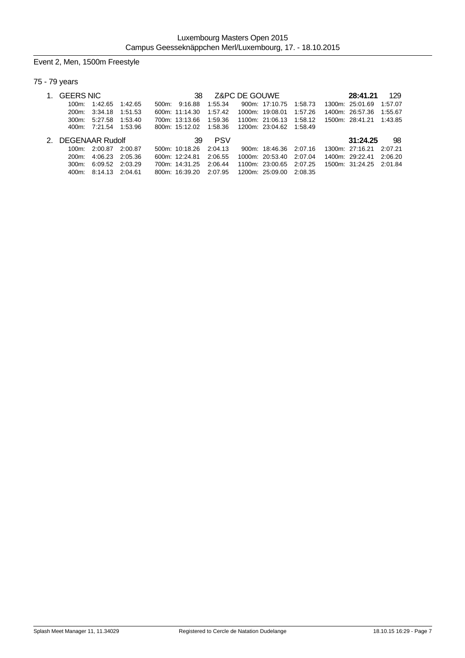# Event 2, Men, 1500m Freestyle

# 75 - 79 years

| <b>GEERS NIC</b>   |               |         |       | 38             |            | Z&PC DE GOUWE |                         |         | 28:41.21                | 129     |
|--------------------|---------------|---------|-------|----------------|------------|---------------|-------------------------|---------|-------------------------|---------|
| 100m:              | 1:42.65       | 1:42.65 | 500m. | 9:16.88        | 1:55.34    |               | 900m: 17:10.75          | 1:58.73 | 1300m: 25:01.69         | 1:57.07 |
| 200m               | 3:34.18       | 1:51.53 |       | 600m: 11:14.30 | 1:57.42    |               | 1000m: 19:08.01         | 1:57.26 | 1400m: 26.57.36         | 1:55.67 |
| 300m               | 5:27.58       | 1:53.40 |       | 700m: 13:13.66 | 1:59.36    |               | 1100m: 21:06.13         | 1:58.12 | 1500m: 28:41.21 1:43.85 |         |
|                    | 400m: 7:21.54 | 1:53.96 |       | 800m: 15:12.02 | 1:58.36    |               | 1200m: 23:04.62 1:58.49 |         |                         |         |
| 2. DEGENAAR Rudolf |               |         |       | 39             | <b>PSV</b> |               |                         |         | 31:24.25                | 98      |
| 100m.              | 2:00.87       | 2:00.87 |       | 500m: 10:18.26 | 2:04.13    |               | 900m: 18:46.36 2:07.16  |         | 1300m: 27:16.21         | 2:07.21 |
| 200m               | 4:06.23       | 2:05.36 |       | 600m: 12.24.81 | 2:06.55    |               | 1000m: 20:53.40         | 2:07.04 | 1400m: 29:22.41         | 2:06.20 |
| $300m$ :           | 6:09.52       | 2:03.29 |       | 700m: 14:31.25 | 2:06.44    |               | 1100m: 23:00.65         | 2:07.25 | 1500m: 31:24.25         | 2:01.84 |
| 400m.              | 8:14.13       | 2:04.61 |       | 800m: 16:39.20 | 2:07.95    |               | 1200m: 25:09.00         | 2:08.35 |                         |         |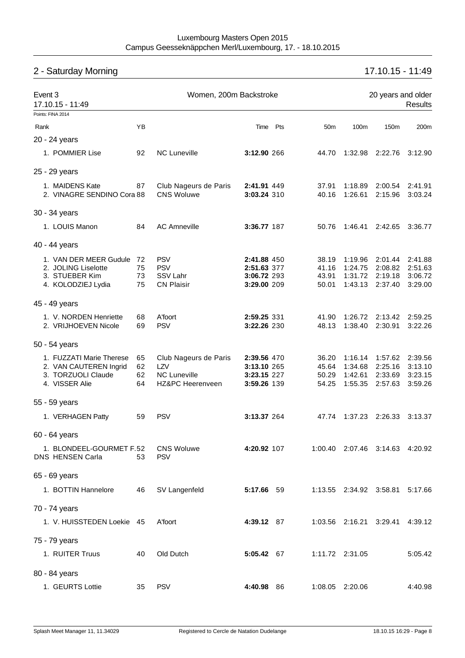# 2 - Saturday Morning 17.10.15 - 11:49

| Event 3<br>17.10.15 - 11:49                                                                | Women, 200m Backstroke |                                                                         |                                                          |  |                                  | 20 years and older<br><b>Results</b>     |                                          |                                          |  |
|--------------------------------------------------------------------------------------------|------------------------|-------------------------------------------------------------------------|----------------------------------------------------------|--|----------------------------------|------------------------------------------|------------------------------------------|------------------------------------------|--|
| Points: FINA 2014                                                                          |                        |                                                                         |                                                          |  |                                  |                                          |                                          |                                          |  |
| Rank                                                                                       | YB                     |                                                                         | Time Pts                                                 |  | 50 <sub>m</sub>                  | 100m                                     | 150m                                     | 200m                                     |  |
| 20 - 24 years                                                                              |                        |                                                                         |                                                          |  |                                  |                                          |                                          |                                          |  |
| 1. POMMIER Lise                                                                            | 92                     | <b>NC Luneville</b>                                                     | 3:12.90 266                                              |  | 44.70                            |                                          | 1:32.98 2:22.76                          | 3:12.90                                  |  |
| 25 - 29 years                                                                              |                        |                                                                         |                                                          |  |                                  |                                          |                                          |                                          |  |
| 1. MAIDENS Kate<br>2. VINAGRE SENDINO Cora 88                                              | 87                     | Club Nageurs de Paris<br><b>CNS Woluwe</b>                              | 2:41.91 449<br>3:03.24 310                               |  | 37.91<br>40.16                   | 1:18.89<br>1:26.61                       | 2:00.54<br>2:15.96                       | 2:41.91<br>3:03.24                       |  |
| 30 - 34 years                                                                              |                        |                                                                         |                                                          |  |                                  |                                          |                                          |                                          |  |
| 1. LOUIS Manon                                                                             | 84                     | <b>AC Amneville</b>                                                     | 3:36.77 187                                              |  | 50.76                            | 1:46.41                                  | 2:42.65                                  | 3:36.77                                  |  |
| 40 - 44 years                                                                              |                        |                                                                         |                                                          |  |                                  |                                          |                                          |                                          |  |
| 1. VAN DER MEER Gudule 72<br>2. JOLING Liselotte<br>3. STUEBER Kim<br>4. KOLODZIEJ Lydia   | 75<br>73<br>75         | <b>PSV</b><br><b>PSV</b><br>SSV Lahr<br><b>CN Plaisir</b>               | 2:41.88 450<br>2:51.63 377<br>3:06.72 293<br>3:29.00 209 |  | 38.19<br>41.16<br>43.91<br>50.01 | 1:19.96<br>1:24.75<br>1:31.72<br>1:43.13 | 2:01.44<br>2:08.82<br>2:19.18<br>2:37.40 | 2:41.88<br>2:51.63<br>3:06.72<br>3:29.00 |  |
| 45 - 49 years                                                                              |                        |                                                                         |                                                          |  |                                  |                                          |                                          |                                          |  |
| 1. V. NORDEN Henriette<br>2. VRIJHOEVEN Nicole                                             | 68<br>69               | A'foort<br><b>PSV</b>                                                   | 2:59.25 331<br>3:22.26 230                               |  | 41.90<br>48.13                   | 1:26.72<br>1:38.40                       | 2:13.42<br>2:30.91                       | 2:59.25<br>3:22.26                       |  |
| 50 - 54 years                                                                              |                        |                                                                         |                                                          |  |                                  |                                          |                                          |                                          |  |
| 1. FUZZATI Marie Therese<br>2. VAN CAUTEREN Ingrid<br>3. TORZUOLI Claude<br>4. VISSER Alie | 65<br>62<br>62<br>64   | Club Nageurs de Paris<br>LZV<br><b>NC Luneville</b><br>HZ&PC Heerenveen | 2:39.56 470<br>3:13.10 265<br>3:23.15 227<br>3:59.26 139 |  | 36.20<br>45.64<br>50.29<br>54.25 | 1:16.14<br>1:34.68<br>1:42.61<br>1:55.35 | 1:57.62<br>2:25.16<br>2:33.69<br>2:57.63 | 2:39.56<br>3:13.10<br>3:23.15<br>3:59.26 |  |
| 55 - 59 years                                                                              |                        |                                                                         |                                                          |  |                                  |                                          |                                          |                                          |  |
| 1. VERHAGEN Patty                                                                          | 59                     | <b>PSV</b>                                                              | 3:13.37 264                                              |  | 47.74                            | 1:37.23                                  | 2:26.33                                  | 3:13.37                                  |  |
| 60 - 64 years                                                                              |                        |                                                                         |                                                          |  |                                  |                                          |                                          |                                          |  |
| 1. BLONDEEL-GOURMET F.52<br>DNS HENSEN Carla                                               | 53                     | <b>CNS Woluwe</b><br><b>PSV</b>                                         | 4:20.92 107                                              |  |                                  |                                          | 1:00.40 2:07.46 3:14.63 4:20.92          |                                          |  |
| 65 - 69 years                                                                              |                        |                                                                         |                                                          |  |                                  |                                          |                                          |                                          |  |
| 1. BOTTIN Hannelore                                                                        | 46                     | SV Langenfeld                                                           | 5:17.66 59                                               |  |                                  | 1:13.55 2:34.92 3:58.81                  |                                          | 5:17.66                                  |  |
| 70 - 74 years                                                                              |                        |                                                                         |                                                          |  |                                  |                                          |                                          |                                          |  |
| 1. V. HUISSTEDEN Loekie 45                                                                 |                        | A'foort                                                                 | 4:39.12 87                                               |  |                                  | 1:03.56 2:16.21 3:29.41                  |                                          | 4:39.12                                  |  |
| 75 - 79 years                                                                              |                        |                                                                         |                                                          |  |                                  |                                          |                                          |                                          |  |
| 1. RUITER Truus                                                                            | 40                     | Old Dutch                                                               | 5:05.42 67                                               |  |                                  | 1:11.72 2:31.05                          |                                          | 5:05.42                                  |  |
| 80 - 84 years                                                                              |                        |                                                                         |                                                          |  |                                  |                                          |                                          |                                          |  |
| 1. GEURTS Lottie                                                                           | 35                     | <b>PSV</b>                                                              | 4:40.98 86                                               |  |                                  | 1:08.05 2:20.06                          |                                          | 4:40.98                                  |  |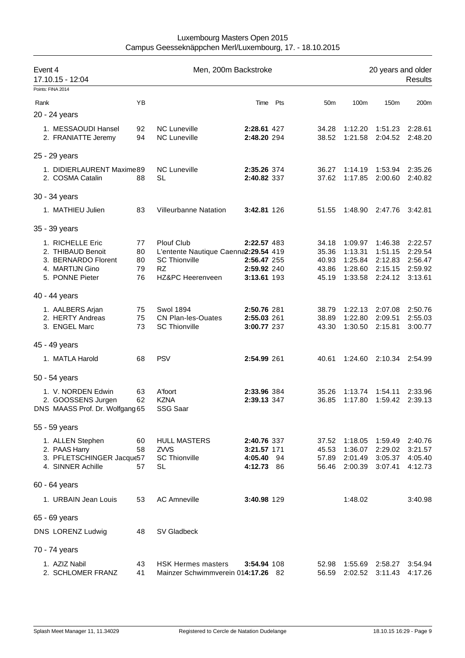| Event 4<br>17.10.15 - 12:04                                                                        |                            | Men, 200m Backstroke                                                                                        |                                                          |          |                                           |                                                     | 20 years and older                                  | <b>Results</b>                                      |
|----------------------------------------------------------------------------------------------------|----------------------------|-------------------------------------------------------------------------------------------------------------|----------------------------------------------------------|----------|-------------------------------------------|-----------------------------------------------------|-----------------------------------------------------|-----------------------------------------------------|
| Points: FINA 2014                                                                                  |                            |                                                                                                             |                                                          |          |                                           |                                                     |                                                     |                                                     |
| Rank                                                                                               | YB                         |                                                                                                             |                                                          | Time Pts | 50 <sub>m</sub>                           | 100m                                                | 150m                                                | 200m                                                |
| 20 - 24 years                                                                                      |                            |                                                                                                             |                                                          |          |                                           |                                                     |                                                     |                                                     |
| 1. MESSAOUDI Hansel<br>2. FRANIATTE Jeremy                                                         | 92<br>94                   | <b>NC Luneville</b><br><b>NC Luneville</b>                                                                  | 2:28.61 427<br>2:48.20 294                               |          | 34.28<br>38.52                            | 1:12.20<br>1:21.58                                  | 1:51.23<br>2:04.52                                  | 2:28.61<br>2:48.20                                  |
| 25 - 29 years                                                                                      |                            |                                                                                                             |                                                          |          |                                           |                                                     |                                                     |                                                     |
| 1. DIDIERLAURENT Maxime89<br>2. COSMA Catalin                                                      | 88                         | <b>NC Luneville</b><br><b>SL</b>                                                                            | 2:35.26 374<br>2:40.82 337                               |          | 36.27<br>37.62                            | 1:14.19<br>1:17.85                                  | 1:53.94<br>2:00.60                                  | 2:35.26<br>2:40.82                                  |
| 30 - 34 years                                                                                      |                            |                                                                                                             |                                                          |          |                                           |                                                     |                                                     |                                                     |
| 1. MATHIEU Julien                                                                                  | 83                         | <b>Villeurbanne Natation</b>                                                                                | 3:42.81 126                                              |          | 51.55                                     | 1:48.90                                             | 2:47.76                                             | 3:42.81                                             |
| 35 - 39 years                                                                                      |                            |                                                                                                             |                                                          |          |                                           |                                                     |                                                     |                                                     |
| 1. RICHELLE Eric<br>2. THIBAUD Benoit<br>3. BERNARDO Florent<br>4. MARTIJN Gino<br>5. PONNE Pieter | 77<br>80<br>80<br>79<br>76 | Plouf Club<br>L'entente Nautique Caenna2:29.54 419<br><b>SC Thionville</b><br><b>RZ</b><br>HZ&PC Heerenveen | 2:22.57 483<br>2:56.47 255<br>2:59.92 240<br>3:13.61 193 |          | 34.18<br>35.36<br>40.93<br>43.86<br>45.19 | 1:09.97<br>1:13.31<br>1:25.84<br>1:28.60<br>1:33.58 | 1:46.38<br>1:51.15<br>2:12.83<br>2:15.15<br>2:24.12 | 2:22.57<br>2:29.54<br>2:56.47<br>2:59.92<br>3:13.61 |
| 40 - 44 years                                                                                      |                            |                                                                                                             |                                                          |          |                                           |                                                     |                                                     |                                                     |
| 1. AALBERS Arjan<br>2. HERTY Andreas<br>3. ENGEL Marc                                              | 75<br>75<br>73             | <b>Swol 1894</b><br>CN Plan-les-Ouates<br><b>SC Thionville</b>                                              | 2:50.76 281<br>2:55.03 261<br>3:00.77 237                |          | 38.79<br>38.89<br>43.30                   | 1:22.13<br>1:22.80<br>1:30.50                       | 2:07.08<br>2:09.51<br>2:15.81                       | 2:50.76<br>2:55.03<br>3:00.77                       |
| 45 - 49 years                                                                                      |                            |                                                                                                             |                                                          |          |                                           |                                                     |                                                     |                                                     |
| 1. MATLA Harold                                                                                    | 68                         | <b>PSV</b>                                                                                                  | 2:54.99 261                                              |          | 40.61                                     | 1:24.60                                             | 2:10.34                                             | 2:54.99                                             |
| 50 - 54 years                                                                                      |                            |                                                                                                             |                                                          |          |                                           |                                                     |                                                     |                                                     |
| 1. V. NORDEN Edwin<br>2. GOOSSENS Jurgen<br>DNS MAASS Prof. Dr. Wolfgang 65                        | 63<br>62                   | A'foort<br><b>KZNA</b><br>SSG Saar                                                                          | 2:33.96 384<br>2:39.13 347                               |          | 35.26<br>36.85                            | 1:13.74<br>1:17.80                                  | 1:54.11<br>1:59.42                                  | 2:33.96<br>2:39.13                                  |
| 55 - 59 years                                                                                      |                            |                                                                                                             |                                                          |          |                                           |                                                     |                                                     |                                                     |
| 1. ALLEN Stephen<br>2. PAAS Harry<br>3. PFLETSCHINGER Jacque57<br>4. SINNER Achille                | 60<br>58<br>57             | <b>HULL MASTERS</b><br>ZVVS<br><b>SC Thionville</b><br>SL                                                   | 2:40.76 337<br>3:21.57 171<br>4:05.40 94<br>4:12.73 86   |          | 37.52<br>45.53<br>57.89<br>56.46          | 1:18.05<br>1:36.07<br>2:01.49<br>2:00.39            | 1:59.49<br>2:29.02<br>3:05.37<br>3:07.41            | 2:40.76<br>3:21.57<br>4:05.40<br>4:12.73            |
| 60 - 64 years                                                                                      |                            |                                                                                                             |                                                          |          |                                           |                                                     |                                                     |                                                     |
| 1. URBAIN Jean Louis                                                                               | 53                         | <b>AC Amneville</b>                                                                                         | 3:40.98 129                                              |          |                                           | 1:48.02                                             |                                                     | 3:40.98                                             |
| 65 - 69 years                                                                                      |                            |                                                                                                             |                                                          |          |                                           |                                                     |                                                     |                                                     |
| DNS LORENZ Ludwig                                                                                  | 48                         | SV Gladbeck                                                                                                 |                                                          |          |                                           |                                                     |                                                     |                                                     |
| 70 - 74 years                                                                                      |                            |                                                                                                             |                                                          |          |                                           |                                                     |                                                     |                                                     |
| 1. AZIZ Nabil<br>2. SCHLOMER FRANZ                                                                 | 43<br>41                   | <b>HSK Hermes masters</b><br>Mainzer Schwimmverein 014:17.26 82                                             | 3:54.94 108                                              |          | 52.98<br>56.59                            | 1:55.69<br>2:02.52                                  | 2:58.27<br>3:11.43                                  | 3:54.94<br>4:17.26                                  |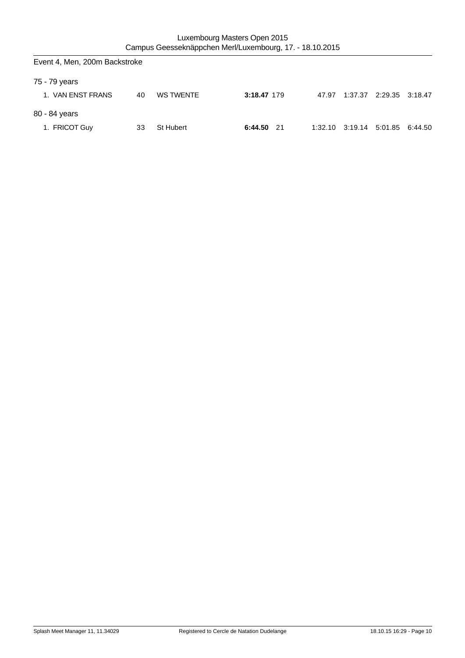| Event 4, Men, 200m Backstroke |    |                  |               |       |                                 |                         |  |
|-------------------------------|----|------------------|---------------|-------|---------------------------------|-------------------------|--|
| 75 - 79 years                 |    |                  |               |       |                                 |                         |  |
| 1. VAN ENST FRANS             | 40 | <b>WS TWENTE</b> | 3:18.47 179   | 47.97 |                                 | 1:37.37 2:29.35 3:18.47 |  |
| 80 - 84 years                 |    |                  |               |       |                                 |                         |  |
| 1. FRICOT Guy                 | 33 | St Hubert        | 6:44.50<br>21 |       | 1:32.10 3:19.14 5:01.85 6:44.50 |                         |  |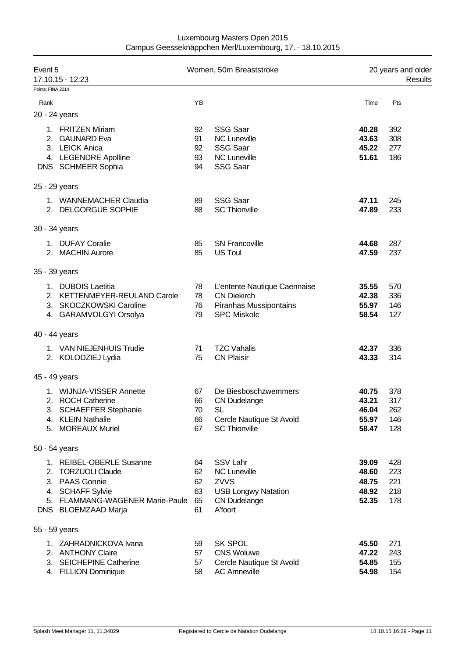| Event 5<br>17.10.15 - 12:23 |                                                                                                                                                |                                  | Women, 50m Breaststroke                                                                                               | 20 years and older<br>Results             |                                 |  |
|-----------------------------|------------------------------------------------------------------------------------------------------------------------------------------------|----------------------------------|-----------------------------------------------------------------------------------------------------------------------|-------------------------------------------|---------------------------------|--|
| Points: FINA 2014           |                                                                                                                                                |                                  |                                                                                                                       |                                           |                                 |  |
| Rank                        |                                                                                                                                                | YB                               |                                                                                                                       | Time                                      | Pts                             |  |
|                             | 20 - 24 years                                                                                                                                  |                                  |                                                                                                                       |                                           |                                 |  |
| 2.                          | 1. FRITZEN Miriam<br><b>GAUNARD Eva</b><br>3. LEICK Anica<br>4. LEGENDRE Apolline<br>DNS SCHMEER Sophia                                        | 92<br>91<br>92<br>93<br>94       | <b>SSG Saar</b><br><b>NC Luneville</b><br><b>SSG Saar</b><br><b>NC Luneville</b><br><b>SSG Saar</b>                   | 40.28<br>43.63<br>45.22<br>51.61          | 392<br>308<br>277<br>186        |  |
|                             | 25 - 29 years                                                                                                                                  |                                  |                                                                                                                       |                                           |                                 |  |
|                             | 1. WANNEMACHER Claudia<br>2. DELGORGUE SOPHIE                                                                                                  | 89<br>88                         | <b>SSG Saar</b><br><b>SC Thionville</b>                                                                               | 47.11<br>47.89                            | 245<br>233                      |  |
|                             | 30 - 34 years                                                                                                                                  |                                  |                                                                                                                       |                                           |                                 |  |
|                             | 1. DUFAY Coralie<br>2. MACHIN Aurore                                                                                                           | 85<br>85                         | <b>SN Francoville</b><br><b>US Toul</b>                                                                               | 44.68<br>47.59                            | 287<br>237                      |  |
|                             | 35 - 39 years                                                                                                                                  |                                  |                                                                                                                       |                                           |                                 |  |
| 2.                          | 1. DUBOIS Laetitia<br>KETTENMEYER-REULAND Carole<br>3. SKOCZKOWSKI Caroline<br>4. GARAMVOLGYI Orsolya                                          | 78<br>78<br>76<br>79             | L'entente Nautique Caennaise<br><b>CN Diekirch</b><br>Piranhas Mussipontains<br><b>SPC Miskolc</b>                    | 35.55<br>42.38<br>55.97<br>58.54          | 570<br>336<br>146<br>127        |  |
|                             | 40 - 44 years                                                                                                                                  |                                  |                                                                                                                       |                                           |                                 |  |
|                             | 1. VAN NIEJENHUIS Trudie<br>2. KOLODZIEJ Lydia                                                                                                 | 71<br>75                         | <b>TZC Vahalis</b><br><b>CN Plaisir</b>                                                                               | 42.37<br>43.33                            | 336<br>314                      |  |
|                             | 45 - 49 years                                                                                                                                  |                                  |                                                                                                                       |                                           |                                 |  |
| 3.                          | 1. WIJNJA-VISSER Annette<br>2. ROCH Catherine<br><b>SCHAEFFER Stephanie</b><br>4. KLEIN Nathalie<br>5. MOREAUX Muriel                          | 67<br>66<br>70<br>66<br>67       | De Biesboschzwemmers<br><b>CN Dudelange</b><br>SL<br>Cercle Nautique St Avold<br><b>SC Thionville</b>                 | 40.75<br>43.21<br>46.04<br>55.97<br>58.47 | 378<br>317<br>262<br>146<br>128 |  |
|                             | 50 - 54 years                                                                                                                                  |                                  |                                                                                                                       |                                           |                                 |  |
|                             | 1. REIBEL-OBERLE Susanne<br>2. TORZUOLI Claude<br>3. PAAS Gonnie<br>4. SCHAFF Sylvie<br>5. FLAMMANG-WAGENER Marie-Paule<br>DNS BLOEMZAAD Marja | 64<br>62<br>62<br>63<br>65<br>61 | <b>SSV Lahr</b><br><b>NC Luneville</b><br><b>ZVVS</b><br><b>USB Longwy Natation</b><br><b>CN Dudelange</b><br>A'foort | 39.09<br>48.60<br>48.75<br>48.92<br>52.35 | 428<br>223<br>221<br>218<br>178 |  |
|                             | 55 - 59 years                                                                                                                                  |                                  |                                                                                                                       |                                           |                                 |  |
|                             | 1. ZAHRADNICKOVA Ivana<br>2. ANTHONY Claire<br>3. SEICHEPINE Catherine<br>4. FILLION Dominique                                                 | 59<br>57<br>57<br>58             | <b>SK SPOL</b><br><b>CNS Woluwe</b><br>Cercle Nautique St Avold<br><b>AC Amneville</b>                                | 45.50<br>47.22<br>54.85<br>54.98          | 271<br>243<br>155<br>154        |  |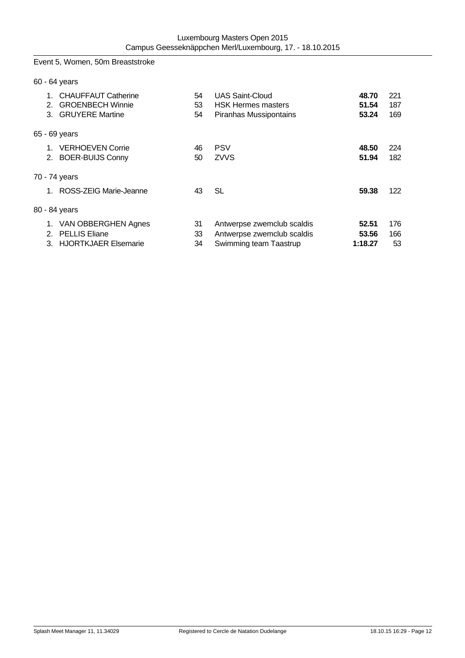# Event 5, Women, 50m Breaststroke

|                | 60 - 64 years                                                                   |                |                                                                                    |                           |                   |
|----------------|---------------------------------------------------------------------------------|----------------|------------------------------------------------------------------------------------|---------------------------|-------------------|
| 1.<br>2.<br>3. | <b>CHAUFFAUT Catherine</b><br><b>GROENBECH Winnie</b><br><b>GRUYERE Martine</b> | 54<br>53<br>54 | <b>UAS Saint-Cloud</b><br><b>HSK Hermes masters</b><br>Piranhas Mussipontains      | 48.70<br>51.54<br>53.24   | 221<br>187<br>169 |
|                | 65 - 69 years                                                                   |                |                                                                                    |                           |                   |
|                | 1. VERHOEVEN Corrie<br>2. BOER-BUIJS Conny                                      | 46<br>50       | <b>PSV</b><br><b>ZVVS</b>                                                          | 48.50<br>51.94            | 224<br>182        |
|                | 70 - 74 years                                                                   |                |                                                                                    |                           |                   |
| 1              | ROSS-ZEIG Marie-Jeanne                                                          | 43             | SL                                                                                 | 59.38                     | 122               |
|                | 80 - 84 years                                                                   |                |                                                                                    |                           |                   |
| 1.             | VAN OBBERGHEN Agnes<br>2. PELLIS Eliane<br>3. HJORTKJAER Elsemarie              | 31<br>33<br>34 | Antwerpse zwemclub scaldis<br>Antwerpse zwemclub scaldis<br>Swimming team Taastrup | 52.51<br>53.56<br>1:18.27 | 176<br>166<br>53  |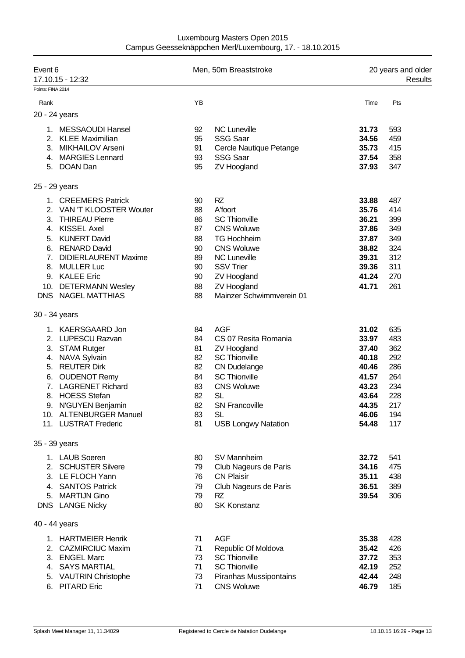| Luxembourg Masters Open 2015                             |
|----------------------------------------------------------|
| Campus Geesseknäppchen Merl/Luxembourg, 17. - 18.10.2015 |

| Event 6<br>Points: FINA 2014 | 17.10.15 - 12:32                         |          | Men, 50m Breaststroke                   |                | 20 years and older<br>Results |  |  |
|------------------------------|------------------------------------------|----------|-----------------------------------------|----------------|-------------------------------|--|--|
|                              |                                          | YB       |                                         |                |                               |  |  |
| Rank                         |                                          |          |                                         | Time           | Pts                           |  |  |
|                              | 20 - 24 years                            |          |                                         |                |                               |  |  |
|                              | 1. MESSAOUDI Hansel                      | 92       | <b>NC Luneville</b>                     | 31.73          | 593                           |  |  |
|                              | 2. KLEE Maximilian                       | 95       | <b>SSG Saar</b>                         | 34.56          | 459                           |  |  |
| 3.                           | <b>MIKHAILOV Arseni</b>                  | 91       | Cercle Nautique Petange                 | 35.73          | 415                           |  |  |
|                              | 4. MARGIES Lennard<br>5. DOAN Dan        | 93<br>95 | <b>SSG Saar</b>                         | 37.54          | 358                           |  |  |
|                              |                                          |          | <b>ZV Hoogland</b>                      | 37.93          | 347                           |  |  |
|                              | 25 - 29 years                            |          |                                         |                |                               |  |  |
| 1.                           | <b>CREEMERS Patrick</b>                  | 90       | RZ                                      | 33.88          | 487                           |  |  |
|                              | 2. VAN 'T KLOOSTER Wouter                | 88       | A'foort                                 | 35.76          | 414                           |  |  |
| 3.                           | <b>THIREAU Pierre</b>                    | 86       | <b>SC Thionville</b>                    | 36.21          | 399                           |  |  |
| 4.                           | <b>KISSEL Axel</b>                       | 87       | <b>CNS Woluwe</b>                       | 37.86          | 349                           |  |  |
| 5.                           | <b>KUNERT David</b>                      | 88       | <b>TG Hochheim</b>                      | 37.87          | 349                           |  |  |
|                              | 6. RENARD David                          | 90       | <b>CNS Woluwe</b>                       | 38.82          | 324                           |  |  |
|                              | 7. DIDIERLAURENT Maxime<br>8. MULLER Luc | 89<br>90 | <b>NC Luneville</b><br><b>SSV Trier</b> | 39.31<br>39.36 | 312<br>311                    |  |  |
|                              | 9. KALEE Eric                            | 90       | <b>ZV Hoogland</b>                      | 41.24          | 270                           |  |  |
|                              | 10. DETERMANN Wesley                     | 88       | <b>ZV Hoogland</b>                      | 41.71          | 261                           |  |  |
|                              | DNS NAGEL MATTHIAS                       | 88       | Mainzer Schwimmverein 01                |                |                               |  |  |
|                              | 30 - 34 years                            |          |                                         |                |                               |  |  |
|                              | 1. KAERSGAARD Jon                        | 84       | <b>AGF</b>                              | 31.02          | 635                           |  |  |
|                              | 2. LUPESCU Razvan                        | 84       | CS 07 Resita Romania                    | 33.97          | 483                           |  |  |
|                              | 3. STAM Rutger                           | 81       | <b>ZV Hoogland</b>                      | 37.40          | 362                           |  |  |
|                              | 4. NAVA Sylvain                          | 82       | <b>SC Thionville</b>                    | 40.18          | 292                           |  |  |
|                              | 5. REUTER Dirk                           | 82       | <b>CN Dudelange</b>                     | 40.46          | 286                           |  |  |
|                              | 6. OUDENOT Remy                          | 84       | <b>SC Thionville</b>                    | 41.57          | 264                           |  |  |
| 7.                           | <b>LAGRENET Richard</b>                  | 83       | <b>CNS Woluwe</b>                       | 43.23          | 234                           |  |  |
| 8.                           | <b>HOESS Stefan</b>                      | 82       | <b>SL</b>                               | 43.64          | 228                           |  |  |
| 9.                           | N'GUYEN Benjamin                         | 82       | <b>SN Francoville</b>                   | 44.35          | 217                           |  |  |
|                              | 10. ALTENBURGER Manuel                   | 83       | <b>SL</b>                               | 46.06          | 194                           |  |  |
|                              | 11. LUSTRAT Frederic                     | 81       | <b>USB Longwy Natation</b>              | 54.48          | 117                           |  |  |
|                              | 35 - 39 years                            |          |                                         |                |                               |  |  |
|                              | 1. LAUB Soeren                           | 80       | SV Mannheim                             | 32.72          | 541                           |  |  |
|                              | 2. SCHUSTER Silvere                      | 79       | Club Nageurs de Paris                   | 34.16          | 475                           |  |  |
|                              | 3. LE FLOCH Yann                         | 76       | <b>CN Plaisir</b>                       | 35.11          | 438                           |  |  |
|                              | 4. SANTOS Patrick                        | 79       | Club Nageurs de Paris                   | 36.51          | 389                           |  |  |
|                              | 5. MARTIJN Gino                          | 79       | RZ                                      | 39.54          | 306                           |  |  |
|                              | DNS LANGE Nicky                          | 80       | <b>SK Konstanz</b>                      |                |                               |  |  |
|                              | 40 - 44 years                            |          |                                         |                |                               |  |  |
|                              | 1. HARTMEIER Henrik                      | 71       | <b>AGF</b>                              | 35.38          | 428                           |  |  |
|                              | 2. CAZMIRCIUC Maxim                      | 71       | Republic Of Moldova                     | 35.42          | 426                           |  |  |
|                              | 3. ENGEL Marc                            | 73       | <b>SC Thionville</b>                    | 37.72          | 353                           |  |  |
|                              | 4. SAYS MARTIAL                          | 71       | <b>SC Thionville</b>                    | 42.19          | 252                           |  |  |
|                              | 5. VAUTRIN Christophe                    | 73       | Piranhas Mussipontains                  | 42.44          | 248                           |  |  |
|                              | 6. PITARD Eric                           | 71       | <b>CNS Woluwe</b>                       | 46.79          | 185                           |  |  |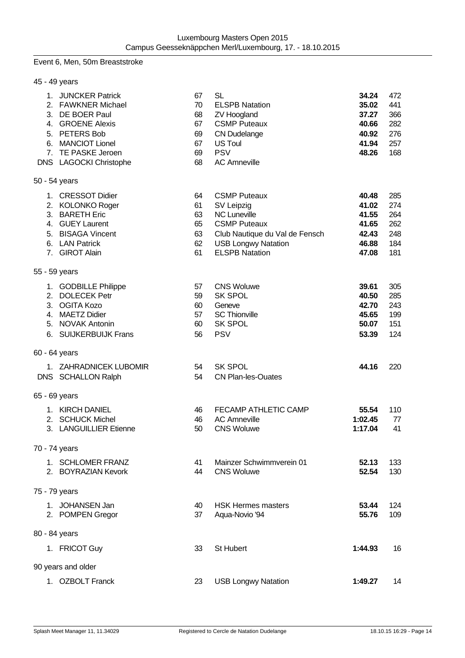#### Event 6, Men, 50m Breaststroke

| 45 - 49 years                                                                                                                                                         |                                              |                                                                                                                                                                          |                                                             |                                               |
|-----------------------------------------------------------------------------------------------------------------------------------------------------------------------|----------------------------------------------|--------------------------------------------------------------------------------------------------------------------------------------------------------------------------|-------------------------------------------------------------|-----------------------------------------------|
| 1. JUNCKER Patrick<br>2. FAWKNER Michael<br>3. DE BOER Paul<br>4. GROENE Alexis<br>5. PETERS Bob<br>6. MANCIOT Lionel<br>7. TE PASKE Jeroen<br>DNS LAGOCKI Christophe | 67<br>70<br>68<br>67<br>69<br>67<br>69<br>68 | <b>SL</b><br><b>ELSPB Natation</b><br><b>ZV Hoogland</b><br><b>CSMP Puteaux</b><br><b>CN Dudelange</b><br><b>US Toul</b><br><b>PSV</b><br><b>AC Amneville</b>            | 34.24<br>35.02<br>37.27<br>40.66<br>40.92<br>41.94<br>48.26 | 472<br>441<br>366<br>282<br>276<br>257<br>168 |
| 50 - 54 years                                                                                                                                                         |                                              |                                                                                                                                                                          |                                                             |                                               |
| 1. CRESSOT Didier<br>2. KOLONKO Roger<br>3. BARETH Eric<br>4. GUEY Laurent<br>5. BISAGA Vincent<br>6. LAN Patrick<br>7. GIROT Alain                                   | 64<br>61<br>63<br>65<br>63<br>62<br>61       | <b>CSMP Puteaux</b><br>SV Leipzig<br><b>NC Luneville</b><br><b>CSMP Puteaux</b><br>Club Nautique du Val de Fensch<br><b>USB Longwy Natation</b><br><b>ELSPB Natation</b> | 40.48<br>41.02<br>41.55<br>41.65<br>42.43<br>46.88<br>47.08 | 285<br>274<br>264<br>262<br>248<br>184<br>181 |
| 55 - 59 years                                                                                                                                                         |                                              |                                                                                                                                                                          |                                                             |                                               |
| 1. GODBILLE Philippe<br>2. DOLECEK Petr<br>3. OGITA Kozo<br>4. MAETZ Didier<br>5. NOVAK Antonin<br>6. SUIJKERBUIJK Frans                                              | 57<br>59<br>60<br>57<br>60<br>56             | <b>CNS Woluwe</b><br><b>SK SPOL</b><br>Geneve<br><b>SC Thionville</b><br><b>SK SPOL</b><br><b>PSV</b>                                                                    | 39.61<br>40.50<br>42.70<br>45.65<br>50.07<br>53.39          | 305<br>285<br>243<br>199<br>151<br>124        |
| 60 - 64 years                                                                                                                                                         |                                              |                                                                                                                                                                          |                                                             |                                               |
| 1. ZAHRADNICEK LUBOMIR<br>DNS SCHALLON Ralph                                                                                                                          | 54<br>54                                     | <b>SK SPOL</b><br><b>CN Plan-les-Ouates</b>                                                                                                                              | 44.16                                                       | 220                                           |
| 65 - 69 years                                                                                                                                                         |                                              |                                                                                                                                                                          |                                                             |                                               |
| 1. KIRCH DANIEL<br>2. SCHUCK Michel<br>3. LANGUILLIER Etienne                                                                                                         | 46<br>46<br>50                               | <b>FECAMP ATHLETIC CAMP</b><br><b>AC Amneville</b><br><b>CNS Woluwe</b>                                                                                                  | 55.54<br>1:02.45<br>1:17.04                                 | 110<br>77<br>41                               |
| 70 - 74 years                                                                                                                                                         |                                              |                                                                                                                                                                          |                                                             |                                               |
| 1. SCHLOMER FRANZ<br>2. BOYRAZIAN Kevork                                                                                                                              | 41<br>44                                     | Mainzer Schwimmverein 01<br><b>CNS Woluwe</b>                                                                                                                            | 52.13<br>52.54                                              | 133<br>130                                    |
| 75 - 79 years                                                                                                                                                         |                                              |                                                                                                                                                                          |                                                             |                                               |
| 1. JOHANSEN Jan<br>2. POMPEN Gregor                                                                                                                                   | 40<br>37                                     | <b>HSK Hermes masters</b><br>Aqua-Novio '94                                                                                                                              | 53.44<br>55.76                                              | 124<br>109                                    |
| 80 - 84 years                                                                                                                                                         |                                              |                                                                                                                                                                          |                                                             |                                               |
| 1. FRICOT Guy                                                                                                                                                         | 33                                           | St Hubert                                                                                                                                                                | 1:44.93                                                     | 16                                            |
| 90 years and older                                                                                                                                                    |                                              |                                                                                                                                                                          |                                                             |                                               |
| 1. OZBOLT Franck                                                                                                                                                      | 23                                           | <b>USB Longwy Natation</b>                                                                                                                                               | 1:49.27                                                     | 14                                            |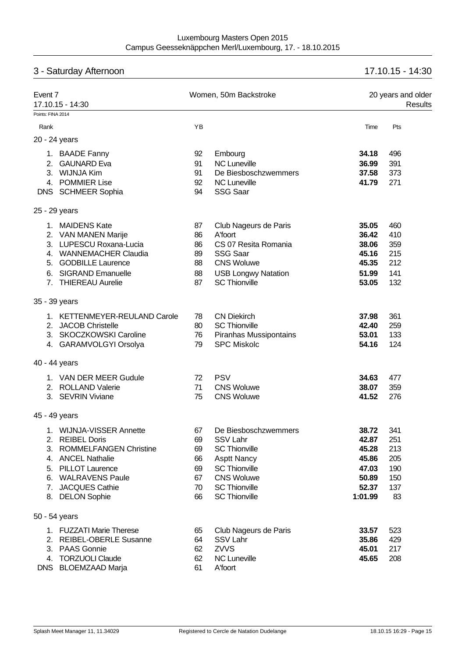# 3 - Saturday Afternoon 17.10.15 - 14:30

| Event 7<br>17.10.15 - 14:30                                                                                                                                                           |                                              | Women, 50m Backstroke                                                                                                                                                              |                                                                        | 20 years and older<br><b>Results</b>                |  |  |
|---------------------------------------------------------------------------------------------------------------------------------------------------------------------------------------|----------------------------------------------|------------------------------------------------------------------------------------------------------------------------------------------------------------------------------------|------------------------------------------------------------------------|-----------------------------------------------------|--|--|
| Points: FINA 2014                                                                                                                                                                     |                                              |                                                                                                                                                                                    |                                                                        |                                                     |  |  |
| Rank                                                                                                                                                                                  | YB                                           |                                                                                                                                                                                    | Time                                                                   | Pts                                                 |  |  |
| 20 - 24 years                                                                                                                                                                         |                                              |                                                                                                                                                                                    |                                                                        |                                                     |  |  |
| 1. BAADE Fanny<br><b>GAUNARD Eva</b><br>2.<br>3. WIJNJA Kim<br>4. POMMIER Lise<br>DNS SCHMEER Sophia                                                                                  | 92<br>91<br>91<br>92<br>94                   | Embourg<br><b>NC Luneville</b><br>De Biesboschzwemmers<br><b>NC Luneville</b><br><b>SSG Saar</b>                                                                                   | 34.18<br>36.99<br>37.58<br>41.79                                       | 496<br>391<br>373<br>271                            |  |  |
| 25 - 29 years                                                                                                                                                                         |                                              |                                                                                                                                                                                    |                                                                        |                                                     |  |  |
| 1. MAIDENS Kate<br>2. VAN MANEN Marije<br>3. LUPESCU Roxana-Lucia<br>4. WANNEMACHER Claudia<br>5. GODBILLE Laurence<br>6. SIGRAND Emanuelle<br>7. THIEREAU Aurelie                    | 87<br>86<br>86<br>89<br>88<br>88<br>87       | Club Nageurs de Paris<br>A'foort<br>CS 07 Resita Romania<br><b>SSG Saar</b><br><b>CNS Woluwe</b><br><b>USB Longwy Natation</b><br><b>SC Thionville</b>                             | 35.05<br>36.42<br>38.06<br>45.16<br>45.35<br>51.99<br>53.05            | 460<br>410<br>359<br>215<br>212<br>141<br>132       |  |  |
| 35 - 39 years                                                                                                                                                                         |                                              |                                                                                                                                                                                    |                                                                        |                                                     |  |  |
| 1. KETTENMEYER-REULAND Carole<br>2. JACOB Christelle<br>3. SKOCZKOWSKI Caroline<br>4. GARAMVOLGYI Orsolya                                                                             | 78<br>80<br>76<br>79                         | <b>CN Diekirch</b><br><b>SC Thionville</b><br>Piranhas Mussipontains<br><b>SPC Miskolc</b>                                                                                         | 37.98<br>42.40<br>53.01<br>54.16                                       | 361<br>259<br>133<br>124                            |  |  |
| 40 - 44 years                                                                                                                                                                         |                                              |                                                                                                                                                                                    |                                                                        |                                                     |  |  |
| 1. VAN DER MEER Gudule<br>2. ROLLAND Valerie<br>3. SEVRIN Viviane                                                                                                                     | 72<br>71<br>75                               | <b>PSV</b><br><b>CNS Woluwe</b><br><b>CNS Woluwe</b>                                                                                                                               | 34.63<br>38.07<br>41.52                                                | 477<br>359<br>276                                   |  |  |
| 45 - 49 years                                                                                                                                                                         |                                              |                                                                                                                                                                                    |                                                                        |                                                     |  |  |
| <b>WIJNJA-VISSER Annette</b><br>2. REIBEL Doris<br>3. ROMMELFANGEN Christine<br>4. ANCEL Nathalie<br>5. PILLOT Laurence<br>6. WALRAVENS Paule<br>7. JACQUES Cathie<br>8. DELON Sophie | 67<br>69<br>69<br>66<br>69<br>67<br>70<br>66 | De Biesboschzwemmers<br><b>SSV Lahr</b><br><b>SC Thionville</b><br><b>Asptt Nancy</b><br><b>SC Thionville</b><br><b>CNS Woluwe</b><br><b>SC Thionville</b><br><b>SC Thionville</b> | 38.72<br>42.87<br>45.28<br>45.86<br>47.03<br>50.89<br>52.37<br>1:01.99 | 341<br>251<br>213<br>205<br>190<br>150<br>137<br>83 |  |  |
| 50 - 54 years                                                                                                                                                                         |                                              |                                                                                                                                                                                    |                                                                        |                                                     |  |  |
| 1. FUZZATI Marie Therese<br>2. REIBEL-OBERLE Susanne<br>3. PAAS Gonnie<br>4. TORZUOLI Claude<br>DNS BLOEMZAAD Marja                                                                   | 65<br>64<br>62<br>62<br>61                   | Club Nageurs de Paris<br>SSV Lahr<br><b>ZVVS</b><br><b>NC Luneville</b><br>A'foort                                                                                                 | 33.57<br>35.86<br>45.01<br>45.65                                       | 523<br>429<br>217<br>208                            |  |  |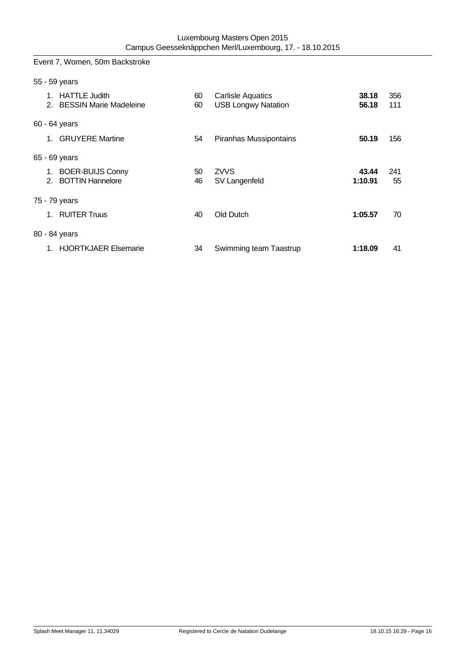Event 7, Women, 50m Backstroke

|                | 55 - 59 years                                                    |          |                                                        |                  |            |
|----------------|------------------------------------------------------------------|----------|--------------------------------------------------------|------------------|------------|
|                | 1. HATTLE Judith<br>2. BESSIN Marie Madeleine                    | 60<br>60 | <b>Carlisle Aquatics</b><br><b>USB Longwy Natation</b> | 38.18<br>56.18   | 356<br>111 |
|                | 60 - 64 years                                                    |          |                                                        |                  |            |
| $\mathbf 1$ .  | <b>GRUYERE Martine</b>                                           | 54       | Piranhas Mussipontains                                 | 50.19            | 156        |
|                | 65 - 69 years                                                    |          |                                                        |                  |            |
|                | 1. BOER-BUIJS Conny<br><b>BOTTIN Hannelore</b><br>2 <sup>1</sup> | 50<br>46 | <b>ZVVS</b><br>SV Langenfeld                           | 43.44<br>1:10.91 | 241<br>55  |
|                | 75 - 79 years                                                    |          |                                                        |                  |            |
| 1 <sub>1</sub> | <b>RUITER Truus</b>                                              | 40       | Old Dutch                                              | 1:05.57          | 70         |
|                | 80 - 84 years                                                    |          |                                                        |                  |            |
|                | 1. HJORTKJAER Elsemarie                                          | 34       | Swimming team Taastrup                                 | 1:18.09          | 41         |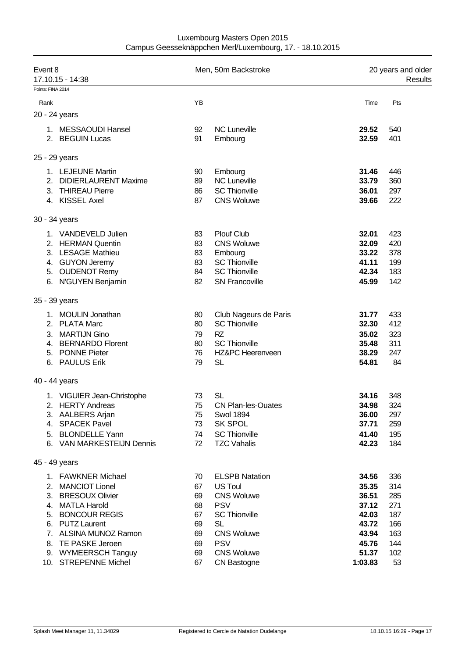| Luxembourg Masters Open 2015                             |
|----------------------------------------------------------|
| Campus Geesseknäppchen Merl/Luxembourg, 17. - 18.10.2015 |

| Event 8<br>17.10.15 - 14:38                                                                                                                                               |                                              | Men, 50m Backstroke                                                                                                                                | 20 years and older<br>Results                                        |                                                      |  |
|---------------------------------------------------------------------------------------------------------------------------------------------------------------------------|----------------------------------------------|----------------------------------------------------------------------------------------------------------------------------------------------------|----------------------------------------------------------------------|------------------------------------------------------|--|
| Points: FINA 2014                                                                                                                                                         |                                              |                                                                                                                                                    |                                                                      |                                                      |  |
| Rank                                                                                                                                                                      | ΥB                                           |                                                                                                                                                    | Time                                                                 | Pts                                                  |  |
| 20 - 24 years                                                                                                                                                             |                                              |                                                                                                                                                    |                                                                      |                                                      |  |
| 1. MESSAOUDI Hansel<br>2. BEGUIN Lucas                                                                                                                                    | 92<br>91                                     | <b>NC Luneville</b><br>Embourg                                                                                                                     | 29.52<br>32.59                                                       | 540<br>401                                           |  |
| 25 - 29 years                                                                                                                                                             |                                              |                                                                                                                                                    |                                                                      |                                                      |  |
| 1. LEJEUNE Martin<br>2.<br><b>DIDIERLAURENT Maxime</b><br>3. THIREAU Pierre<br>4. KISSEL Axel                                                                             | 90<br>89<br>86<br>87                         | Embourg<br><b>NC Luneville</b><br><b>SC Thionville</b><br><b>CNS Woluwe</b>                                                                        | 31.46<br>33.79<br>36.01<br>39.66                                     | 446<br>360<br>297<br>222                             |  |
| 30 - 34 years                                                                                                                                                             |                                              |                                                                                                                                                    |                                                                      |                                                      |  |
| 1. VANDEVELD Julien<br>2. HERMAN Quentin<br>3. LESAGE Mathieu<br>4. GUYON Jeremy<br>5. OUDENOT Remy<br>6. N'GUYEN Benjamin                                                | 83<br>83<br>83<br>83<br>84<br>82             | <b>Plouf Club</b><br><b>CNS Woluwe</b><br>Embourg<br><b>SC Thionville</b><br><b>SC Thionville</b><br><b>SN Francoville</b>                         | 32.01<br>32.09<br>33.22<br>41.11<br>42.34<br>45.99                   | 423<br>420<br>378<br>199<br>183<br>142               |  |
| 35 - 39 years                                                                                                                                                             |                                              |                                                                                                                                                    |                                                                      |                                                      |  |
| 1. MOULIN Jonathan<br>2. PLATA Marc<br><b>MARTIJN Gino</b><br>3.<br>4. BERNARDO Florent<br>5. PONNE Pieter<br>6. PAULUS Erik                                              | 80<br>80<br>79<br>80<br>76<br>79             | Club Nageurs de Paris<br><b>SC Thionville</b><br><b>RZ</b><br><b>SC Thionville</b><br>HZ&PC Heerenveen<br>SL                                       | 31.77<br>32.30<br>35.02<br>35.48<br>38.29<br>54.81                   | 433<br>412<br>323<br>311<br>247<br>84                |  |
| 40 - 44 years                                                                                                                                                             |                                              |                                                                                                                                                    |                                                                      |                                                      |  |
| 1. VIGUIER Jean-Christophe<br>2. HERTY Andreas<br>3. AALBERS Arjan<br>4. SPACEK Pavel<br>5. BLONDELLE Yann<br>6. VAN MARKESTEIJN Dennis                                   | 73<br>75<br>75<br>73<br>74<br>72             | SL<br><b>CN Plan-les-Ouates</b><br><b>Swol 1894</b><br><b>SK SPOL</b><br><b>SC Thionville</b><br><b>TZC Vahalis</b>                                | 34.16<br>34.98<br>36.00<br>37.71<br>41.40<br>42.23                   | 348<br>324<br>297<br>259<br>195<br>184               |  |
| 45 - 49 years                                                                                                                                                             |                                              |                                                                                                                                                    |                                                                      |                                                      |  |
| 1. FAWKNER Michael<br>2. MANCIOT Lionel<br>3. BRESOUX Olivier<br>4. MATLA Harold<br>5. BONCOUR REGIS<br>6. PUTZ Laurent<br>7. ALSINA MUNOZ Ramon<br>TE PASKE Jeroen<br>8. | 70<br>67<br>69<br>68<br>67<br>69<br>69<br>69 | <b>ELSPB Natation</b><br><b>US Toul</b><br><b>CNS Woluwe</b><br><b>PSV</b><br><b>SC Thionville</b><br><b>SL</b><br><b>CNS Woluwe</b><br><b>PSV</b> | 34.56<br>35.35<br>36.51<br>37.12<br>42.03<br>43.72<br>43.94<br>45.76 | 336<br>314<br>285<br>271<br>187<br>166<br>163<br>144 |  |
| 9. WYMEERSCH Tanguy<br><b>STREPENNE Michel</b><br>10.                                                                                                                     | 69<br>67                                     | <b>CNS Woluwe</b><br><b>CN Bastogne</b>                                                                                                            | 51.37<br>1:03.83                                                     | 102<br>53                                            |  |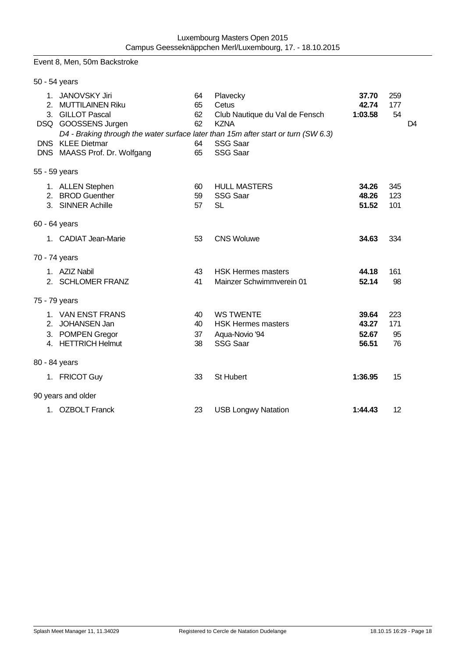#### Event 8, Men, 50m Backstroke

| 50 - 54 years |                                                                                                                                                                                                                                     |                                  |                                                                                                          |                                  |                                    |
|---------------|-------------------------------------------------------------------------------------------------------------------------------------------------------------------------------------------------------------------------------------|----------------------------------|----------------------------------------------------------------------------------------------------------|----------------------------------|------------------------------------|
|               | 1. JANOVSKY Jiri<br>2. MUTTILAINEN Riku<br>3. GILLOT Pascal<br>DSQ GOOSSENS Jurgen<br>D4 - Braking through the water surface later than 15m after start or turn (SW 6.3)<br><b>DNS</b> KLEE Dietmar<br>DNS MAASS Prof. Dr. Wolfgang | 64<br>65<br>62<br>62<br>64<br>65 | Plavecky<br>Cetus<br>Club Nautique du Val de Fensch<br><b>KZNA</b><br><b>SSG Saar</b><br><b>SSG Saar</b> | 37.70<br>42.74<br>1:03.58        | 259<br>177<br>54<br>D <sub>4</sub> |
| 55 - 59 years |                                                                                                                                                                                                                                     |                                  |                                                                                                          |                                  |                                    |
|               | 1. ALLEN Stephen<br>2. BROD Guenther<br>3. SINNER Achille                                                                                                                                                                           | 60<br>59<br>57                   | <b>HULL MASTERS</b><br><b>SSG Saar</b><br><b>SL</b>                                                      | 34.26<br>48.26<br>51.52          | 345<br>123<br>101                  |
| 60 - 64 years |                                                                                                                                                                                                                                     |                                  |                                                                                                          |                                  |                                    |
|               | 1. CADIAT Jean-Marie                                                                                                                                                                                                                | 53                               | <b>CNS Woluwe</b>                                                                                        | 34.63                            | 334                                |
| 70 - 74 years |                                                                                                                                                                                                                                     |                                  |                                                                                                          |                                  |                                    |
|               | 1. AZIZ Nabil<br>2. SCHLOMER FRANZ                                                                                                                                                                                                  | 43<br>41                         | <b>HSK Hermes masters</b><br>Mainzer Schwimmverein 01                                                    | 44.18<br>52.14                   | 161<br>98                          |
| 75 - 79 years |                                                                                                                                                                                                                                     |                                  |                                                                                                          |                                  |                                    |
|               | 1. VAN ENST FRANS<br>2. JOHANSEN Jan<br>3. POMPEN Gregor<br>4. HETTRICH Helmut                                                                                                                                                      | 40<br>40<br>37<br>38             | <b>WS TWENTE</b><br><b>HSK Hermes masters</b><br>Aqua-Novio '94<br><b>SSG Saar</b>                       | 39.64<br>43.27<br>52.67<br>56.51 | 223<br>171<br>95<br>76             |
| 80 - 84 years |                                                                                                                                                                                                                                     |                                  |                                                                                                          |                                  |                                    |
|               | 1. FRICOT Guy                                                                                                                                                                                                                       | 33                               | <b>St Hubert</b>                                                                                         | 1:36.95                          | 15                                 |
|               | 90 years and older                                                                                                                                                                                                                  |                                  |                                                                                                          |                                  |                                    |
|               | 1. OZBOLT Franck                                                                                                                                                                                                                    | 23                               | <b>USB Longwy Natation</b>                                                                               | 1:44.43                          | 12                                 |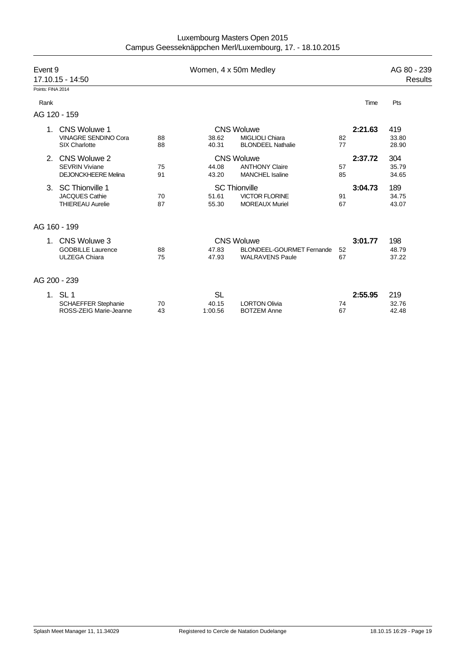| Luxembourg Masters Open 2015                             |  |
|----------------------------------------------------------|--|
| Campus Geesseknäppchen Merl/Luxembourg, 17. - 18.10.2015 |  |

| Event 9           | 17.10.15 - 14:50                                                    |          | Women, 4 x 50m Medley         |                                                                                 |          |         | AG 80 - 239<br>Results |
|-------------------|---------------------------------------------------------------------|----------|-------------------------------|---------------------------------------------------------------------------------|----------|---------|------------------------|
| Points: FINA 2014 |                                                                     |          |                               |                                                                                 |          |         |                        |
| Rank              |                                                                     |          |                               |                                                                                 |          | Time    | Pts                    |
| AG 120 - 159      |                                                                     |          |                               |                                                                                 |          |         |                        |
|                   | CNS Woluwe 1<br><b>VINAGRE SENDINO Cora</b><br><b>SIX Charlotte</b> | 88<br>88 | 38.62<br>40.31                | <b>CNS Woluwe</b><br><b>MIGLIOLI Chiara</b><br><b>BLONDEEL Nathalie</b>         | 82<br>77 | 2:21.63 | 419<br>33.80<br>28.90  |
| 2.                | CNS Woluwe 2<br><b>SEVRIN Viviane</b><br><b>DEJONCKHEERE Melina</b> | 75<br>91 | 44.08<br>43.20                | <b>CNS Woluwe</b><br><b>ANTHONY Claire</b><br><b>MANCHEL Isaline</b>            | 57<br>85 | 2:37.72 | 304<br>35.79<br>34.65  |
| 3.                | SC Thionville 1<br>JACQUES Cathie<br><b>THIEREAU Aurelie</b>        | 70<br>87 | 51.61<br>55.30                | <b>SC Thionville</b><br><b>VICTOR FLORINE</b><br><b>MOREAUX Muriel</b>          | 91<br>67 | 3:04.73 | 189<br>34.75<br>43.07  |
| AG 160 - 199      |                                                                     |          |                               |                                                                                 |          |         |                        |
|                   | CNS Woluwe 3<br><b>GODBILLE Laurence</b><br><b>ULZEGA Chiara</b>    | 88<br>75 | 47.83<br>47.93                | <b>CNS Woluwe</b><br><b>BLONDEEL-GOURMET Fernande</b><br><b>WALRAVENS Paule</b> | 52<br>67 | 3:01.77 | 198<br>48.79<br>37.22  |
| AG 200 - 239      |                                                                     |          |                               |                                                                                 |          |         |                        |
|                   | 1. SL 1<br><b>SCHAEFFER Stephanie</b><br>ROSS-ZEIG Marie-Jeanne     | 70<br>43 | <b>SL</b><br>40.15<br>1:00.56 | <b>LORTON Olivia</b><br><b>BOTZEM Anne</b>                                      | 74<br>67 | 2:55.95 | 219<br>32.76<br>42.48  |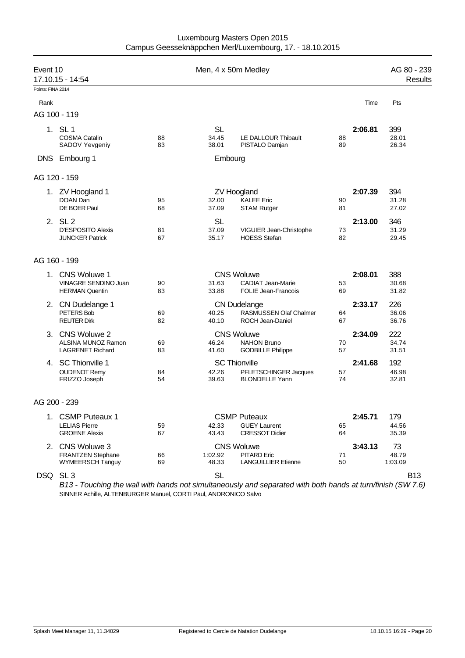| Luxembourg Masters Open 2015                             |  |
|----------------------------------------------------------|--|
| Campus Geesseknäppchen Merl/Luxembourg, 17. - 18.10.2015 |  |

| Event 10          | 17.10.15 - 14:54                                                        |          | Men, 4 x 50m Medley         |                                                                          |          |         | AG 80 - 239<br><b>Results</b> |
|-------------------|-------------------------------------------------------------------------|----------|-----------------------------|--------------------------------------------------------------------------|----------|---------|-------------------------------|
| Points: FINA 2014 |                                                                         |          |                             |                                                                          |          |         |                               |
| Rank              |                                                                         |          |                             |                                                                          |          | Time    | Pts                           |
|                   | AG 100 - 119                                                            |          |                             |                                                                          |          |         |                               |
|                   | 1. SL 1<br><b>COSMA Catalin</b><br>SADOV Yevgeniy                       | 88<br>83 | <b>SL</b><br>34.45<br>38.01 | LE DALLOUR Thibault<br>PISTALO Damjan                                    | 88<br>89 | 2:06.81 | 399<br>28.01<br>26.34         |
| <b>DNS</b>        | Embourg 1                                                               |          | Embourg                     |                                                                          |          |         |                               |
|                   | AG 120 - 159                                                            |          |                             |                                                                          |          |         |                               |
|                   | 1. ZV Hoogland 1<br>DOAN Dan<br>DE BOER Paul                            | 95<br>68 | 32.00<br>37.09              | <b>ZV Hoogland</b><br><b>KALEE</b> Eric<br><b>STAM Rutger</b>            | 90<br>81 | 2:07.39 | 394<br>31.28<br>27.02         |
|                   | 2. SL 2<br><b>D'ESPOSITO Alexis</b><br><b>JUNCKER Patrick</b>           | 81<br>67 | <b>SL</b><br>37.09<br>35.17 | VIGUIER Jean-Christophe<br><b>HOESS Stefan</b>                           | 73<br>82 | 2:13.00 | 346<br>31.29<br>29.45         |
|                   | AG 160 - 199                                                            |          |                             |                                                                          |          |         |                               |
|                   | 1. CNS Woluwe 1<br><b>VINAGRE SENDINO Juan</b><br><b>HERMAN Quentin</b> | 90<br>83 | 31.63<br>33.88              | <b>CNS Woluwe</b><br><b>CADIAT Jean-Marie</b><br>FOLIE Jean-Francois     | 53<br>69 | 2:08.01 | 388<br>30.68<br>31.82         |
|                   | 2. CN Dudelange 1<br>PETERS Bob<br><b>REUTER Dirk</b>                   | 69<br>82 | 40.25<br>40.10              | <b>CN Dudelange</b><br>RASMUSSEN Olaf Chalmer<br><b>ROCH Jean-Daniel</b> | 64<br>67 | 2:33.17 | 226<br>36.06<br>36.76         |
| 3.                | CNS Woluwe 2<br>ALSINA MUNOZ Ramon<br><b>LAGRENET Richard</b>           | 69<br>83 | 46.24<br>41.60              | <b>CNS Woluwe</b><br><b>NAHON Bruno</b><br><b>GODBILLE Philippe</b>      | 70<br>57 | 2:34.09 | 222<br>34.74<br>31.51         |
|                   | 4. SC Thionville 1<br><b>OUDENOT Remy</b><br>FRIZZO Joseph              | 84<br>54 | 42.26<br>39.63              | <b>SC Thionville</b><br>PFLETSCHINGER Jacques<br><b>BLONDELLE Yann</b>   | 57<br>74 | 2:41.68 | 192<br>46.98<br>32.81         |
|                   | AG 200 - 239                                                            |          |                             |                                                                          |          |         |                               |
|                   | 1. CSMP Puteaux 1<br><b>LELIAS Pierre</b><br><b>GROENE Alexis</b>       | 59<br>67 | 42.33<br>43.43              | <b>CSMP Puteaux</b><br><b>GUEY Laurent</b><br><b>CRESSOT Didier</b>      | 65<br>64 | 2:45.71 | 179<br>44.56<br>35.39         |
|                   | 2. CNS Woluwe 3<br><b>FRANTZEN Stephane</b><br><b>WYMEERSCH Tanguy</b>  | 66<br>69 | 1:02.92<br>48.33            | <b>CNS Woluwe</b><br><b>PITARD Eric</b><br><b>LANGUILLIER Etienne</b>    | 71<br>50 | 3:43.13 | 73<br>48.79<br>1:03.09        |
|                   | DSQ SL3                                                                 |          | <b>SL</b>                   |                                                                          |          |         | <b>B13</b>                    |

*B13 - Touching the wall with hands not simultaneously and separated with both hands at turn/finish (SW 7.6)* SINNER Achille, ALTENBURGER Manuel, CORTI Paul, ANDRONICO Salvo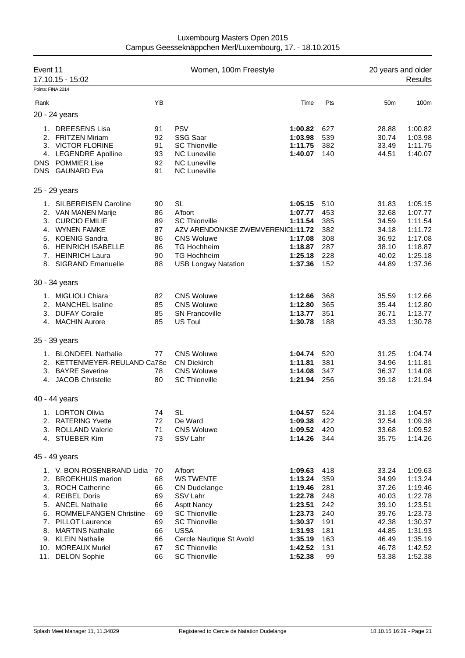| Event 11          | 17.10.15 - 15:02                                                                                                                                                                                              |                                                    | Women, 100m Freestyle                                                                                                                                                            |                                                                                                 |                                                             | 20 years and older                                                            | <b>Results</b>                                                                                  |
|-------------------|---------------------------------------------------------------------------------------------------------------------------------------------------------------------------------------------------------------|----------------------------------------------------|----------------------------------------------------------------------------------------------------------------------------------------------------------------------------------|-------------------------------------------------------------------------------------------------|-------------------------------------------------------------|-------------------------------------------------------------------------------|-------------------------------------------------------------------------------------------------|
| Points: FINA 2014 |                                                                                                                                                                                                               |                                                    |                                                                                                                                                                                  |                                                                                                 |                                                             |                                                                               |                                                                                                 |
| Rank              |                                                                                                                                                                                                               | YB                                                 |                                                                                                                                                                                  | Time                                                                                            | Pts                                                         | 50 <sub>m</sub>                                                               | 100m                                                                                            |
|                   | 20 - 24 years                                                                                                                                                                                                 |                                                    |                                                                                                                                                                                  |                                                                                                 |                                                             |                                                                               |                                                                                                 |
| <b>DNS</b><br>DNS | 1. DREESENS Lisa<br>2. FRITZEN Miriam<br>3. VICTOR FLORINE<br>4. LEGENDRE Apolline<br><b>POMMIER Lise</b><br><b>GAUNARD Eva</b>                                                                               | 91<br>92<br>91<br>93<br>92<br>91                   | <b>PSV</b><br><b>SSG Saar</b><br><b>SC Thionville</b><br><b>NC Luneville</b><br><b>NC Luneville</b><br><b>NC Luneville</b>                                                       | 1:00.82<br>1:03.98<br>1:11.75<br>1:40.07                                                        | 627<br>539<br>382<br>140                                    | 28.88<br>30.74<br>33.49<br>44.51                                              | 1:00.82<br>1:03.98<br>1:11.75<br>1:40.07                                                        |
|                   | 25 - 29 years                                                                                                                                                                                                 |                                                    |                                                                                                                                                                                  |                                                                                                 |                                                             |                                                                               |                                                                                                 |
| 1.<br>3.<br>8.    | <b>SILBEREISEN Caroline</b><br>2. VAN MANEN Marije<br><b>CURCIO EMILIE</b><br>4. WYNEN FAMKE<br>5. KOENIG Sandra<br>6. HEINRICH ISABELLE<br>7. HEINRICH Laura<br><b>SIGRAND Emanuelle</b>                     | 90<br>86<br>89<br>87<br>86<br>86<br>90<br>88       | <b>SL</b><br>A'foort<br><b>SC Thionville</b><br>AZV ARENDONKSE ZWEMVERENIC1:11.72<br><b>CNS Woluwe</b><br><b>TG Hochheim</b><br><b>TG Hochheim</b><br><b>USB Longwy Natation</b> | 1:05.15<br>1:07.77<br>1:11.54<br>1:17.08<br>1:18.87<br>1:25.18<br>1:37.36                       | 510<br>453<br>385<br>382<br>308<br>287<br>228<br>152        | 31.83<br>32.68<br>34.59<br>34.18<br>36.92<br>38.10<br>40.02<br>44.89          | 1:05.15<br>1:07.77<br>1:11.54<br>1:11.72<br>1:17.08<br>1:18.87<br>1:25.18<br>1:37.36            |
|                   | 30 - 34 years                                                                                                                                                                                                 |                                                    |                                                                                                                                                                                  |                                                                                                 |                                                             |                                                                               |                                                                                                 |
|                   | 1. MIGLIOLI Chiara<br>2. MANCHEL Isaline<br>3. DUFAY Coralie<br>4. MACHIN Aurore                                                                                                                              | 82<br>85<br>85<br>85                               | <b>CNS Woluwe</b><br><b>CNS Woluwe</b><br><b>SN Francoville</b><br>US Toul                                                                                                       | 1:12.66<br>1:12.80<br>1:13.77<br>1:30.78                                                        | 368<br>365<br>351<br>188                                    | 35.59<br>35.44<br>36.71<br>43.33                                              | 1:12.66<br>1:12.80<br>1:13.77<br>1:30.78                                                        |
|                   | 35 - 39 years                                                                                                                                                                                                 |                                                    |                                                                                                                                                                                  |                                                                                                 |                                                             |                                                                               |                                                                                                 |
|                   | 1. BLONDEEL Nathalie<br>2. KETTENMEYER-REULAND Ca78e<br>3. BAYRE Severine<br>4. JACOB Christelle                                                                                                              | 77<br>78<br>80                                     | <b>CNS Woluwe</b><br><b>CN Diekirch</b><br><b>CNS Woluwe</b><br><b>SC Thionville</b>                                                                                             | 1:04.74<br>1:11.81<br>1:14.08<br>1:21.94                                                        | 520<br>381<br>347<br>256                                    | 31.25<br>34.96<br>36.37<br>39.18                                              | 1:04.74<br>1:11.81<br>1:14.08<br>1:21.94                                                        |
|                   | 40 - 44 years                                                                                                                                                                                                 |                                                    |                                                                                                                                                                                  |                                                                                                 |                                                             |                                                                               |                                                                                                 |
| 1.                | <b>LORTON Olivia</b><br>2. RATERING Yvette<br>3. ROLLAND Valerie<br>4. STUEBER Kim                                                                                                                            | 74<br>72<br>71<br>73                               | SL<br>De Ward<br><b>CNS Woluwe</b><br>SSV Lahr                                                                                                                                   | 1:04.57<br>1:09.38<br>1:09.52<br>1:14.26                                                        | 524<br>422<br>420<br>344                                    | 31.18<br>32.54<br>33.68<br>35.75                                              | 1:04.57<br>1:09.38<br>1:09.52<br>1:14.26                                                        |
|                   | 45 - 49 years                                                                                                                                                                                                 |                                                    |                                                                                                                                                                                  |                                                                                                 |                                                             |                                                                               |                                                                                                 |
|                   | 1. V. BON-ROSENBRAND Lidia<br>2. BROEKHUIS marion<br>3. ROCH Catherine<br>4. REIBEL Doris<br>5. ANCEL Nathalie<br>6. ROMMELFANGEN Christine<br>7. PILLOT Laurence<br>8. MARTINS Nathalie<br>9. KLEIN Nathalie | 70<br>68<br>66<br>69<br>66<br>69<br>69<br>66<br>66 | A'foort<br><b>WS TWENTE</b><br><b>CN Dudelange</b><br>SSV Lahr<br><b>Asptt Nancy</b><br><b>SC Thionville</b><br><b>SC Thionville</b><br><b>USSA</b><br>Cercle Nautique St Avold  | 1:09.63<br>1:13.24<br>1:19.46<br>1:22.78<br>1:23.51<br>1:23.73<br>1:30.37<br>1:31.93<br>1:35.19 | 418<br>359<br>281<br>248<br>242<br>240<br>191<br>181<br>163 | 33.24<br>34.99<br>37.26<br>40.03<br>39.10<br>39.76<br>42.38<br>44.85<br>46.49 | 1:09.63<br>1:13.24<br>1:19.46<br>1:22.78<br>1:23.51<br>1:23.73<br>1:30.37<br>1:31.93<br>1:35.19 |
| 10.               | <b>MOREAUX Muriel</b><br>11. DELON Sophie                                                                                                                                                                     | 67<br>66                                           | <b>SC Thionville</b><br><b>SC Thionville</b>                                                                                                                                     | 1:42.52<br>1:52.38                                                                              | 131<br>99                                                   | 46.78<br>53.38                                                                | 1:42.52<br>1:52.38                                                                              |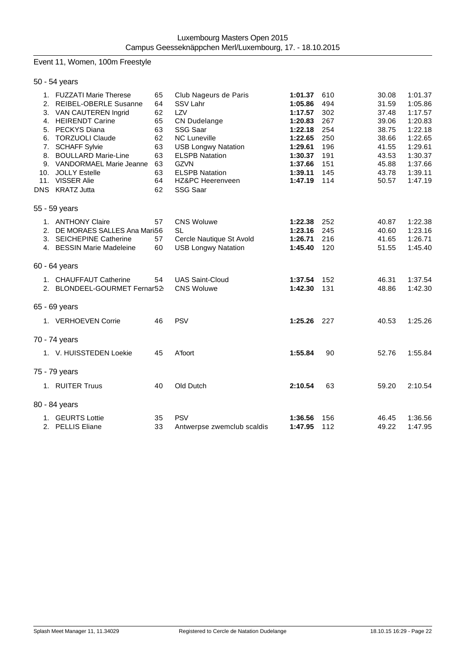# Event 11, Women, 100m Freestyle

| 50 - 54 years                                                                                                                                                                                                                                                                        |                                                                      |                                                                                                                                                                                                                                          |                                                                                                                       |                                                                           |                                                                                                 |                                                                                                                       |
|--------------------------------------------------------------------------------------------------------------------------------------------------------------------------------------------------------------------------------------------------------------------------------------|----------------------------------------------------------------------|------------------------------------------------------------------------------------------------------------------------------------------------------------------------------------------------------------------------------------------|-----------------------------------------------------------------------------------------------------------------------|---------------------------------------------------------------------------|-------------------------------------------------------------------------------------------------|-----------------------------------------------------------------------------------------------------------------------|
| 1. FUZZATI Marie Therese<br>2. REIBEL-OBERLE Susanne<br>3. VAN CAUTEREN Ingrid<br>4. HEIRENDT Carine<br>5. PECKYS Diana<br>6. TORZUOLI Claude<br>7. SCHAFF Sylvie<br>8. BOULLARD Marie-Line<br>9. VANDORMAEL Marie Jeanne<br>10. JOLLY Estelle<br>11. VISSER Alie<br>DNS KRATZ Jutta | 65<br>64<br>62<br>65<br>63<br>62<br>63<br>63<br>63<br>63<br>64<br>62 | Club Nageurs de Paris<br>SSV Lahr<br>LZV<br><b>CN Dudelange</b><br>SSG Saar<br><b>NC Luneville</b><br><b>USB Longwy Natation</b><br><b>ELSPB Natation</b><br><b>GZVN</b><br><b>ELSPB Natation</b><br>HZ&PC Heerenveen<br><b>SSG Saar</b> | 1:01.37<br>1:05.86<br>1:17.57<br>1:20.83<br>1:22.18<br>1:22.65<br>1:29.61<br>1:30.37<br>1:37.66<br>1:39.11<br>1:47.19 | 610<br>494<br>302<br>267<br>254<br>250<br>196<br>191<br>151<br>145<br>114 | 30.08<br>31.59<br>37.48<br>39.06<br>38.75<br>38.66<br>41.55<br>43.53<br>45.88<br>43.78<br>50.57 | 1:01.37<br>1:05.86<br>1:17.57<br>1:20.83<br>1:22.18<br>1:22.65<br>1:29.61<br>1:30.37<br>1:37.66<br>1:39.11<br>1:47.19 |
| 55 - 59 years                                                                                                                                                                                                                                                                        |                                                                      |                                                                                                                                                                                                                                          |                                                                                                                       |                                                                           |                                                                                                 |                                                                                                                       |
| 1. ANTHONY Claire<br>2. DE MORAES SALLES Ana Mari56<br>3. SEICHEPINE Catherine<br>4. BESSIN Marie Madeleine                                                                                                                                                                          | 57<br>57<br>60                                                       | <b>CNS Woluwe</b><br><b>SL</b><br>Cercle Nautique St Avold<br><b>USB Longwy Natation</b>                                                                                                                                                 | 1:22.38<br>1:23.16<br>1:26.71<br>1:45.40                                                                              | 252<br>245<br>216<br>120                                                  | 40.87<br>40.60<br>41.65<br>51.55                                                                | 1:22.38<br>1:23.16<br>1:26.71<br>1:45.40                                                                              |
| 60 - 64 years                                                                                                                                                                                                                                                                        |                                                                      |                                                                                                                                                                                                                                          |                                                                                                                       |                                                                           |                                                                                                 |                                                                                                                       |
| 1. CHAUFFAUT Catherine<br>2. BLONDEEL-GOURMET Fernar52                                                                                                                                                                                                                               | 54                                                                   | <b>UAS Saint-Cloud</b><br><b>CNS Woluwe</b>                                                                                                                                                                                              | 1:37.54<br>1:42.30                                                                                                    | 152<br>131                                                                | 46.31<br>48.86                                                                                  | 1:37.54<br>1:42.30                                                                                                    |
| 65 - 69 years                                                                                                                                                                                                                                                                        |                                                                      |                                                                                                                                                                                                                                          |                                                                                                                       |                                                                           |                                                                                                 |                                                                                                                       |
| 1. VERHOEVEN Corrie                                                                                                                                                                                                                                                                  | 46                                                                   | <b>PSV</b>                                                                                                                                                                                                                               | 1:25.26 227                                                                                                           |                                                                           | 40.53                                                                                           | 1:25.26                                                                                                               |
| 70 - 74 years                                                                                                                                                                                                                                                                        |                                                                      |                                                                                                                                                                                                                                          |                                                                                                                       |                                                                           |                                                                                                 |                                                                                                                       |
| 1. V. HUISSTEDEN Loekie                                                                                                                                                                                                                                                              | 45                                                                   | A'foort                                                                                                                                                                                                                                  | 1:55.84                                                                                                               | 90                                                                        | 52.76                                                                                           | 1:55.84                                                                                                               |
| 75 - 79 years                                                                                                                                                                                                                                                                        |                                                                      |                                                                                                                                                                                                                                          |                                                                                                                       |                                                                           |                                                                                                 |                                                                                                                       |
| 1. RUITER Truus                                                                                                                                                                                                                                                                      | 40                                                                   | Old Dutch                                                                                                                                                                                                                                | 2:10.54                                                                                                               | 63                                                                        | 59.20                                                                                           | 2:10.54                                                                                                               |
| 80 - 84 years                                                                                                                                                                                                                                                                        |                                                                      |                                                                                                                                                                                                                                          |                                                                                                                       |                                                                           |                                                                                                 |                                                                                                                       |
| 1. GEURTS Lottie<br>2. PELLIS Eliane                                                                                                                                                                                                                                                 | 35<br>33                                                             | <b>PSV</b><br>Antwerpse zwemclub scaldis                                                                                                                                                                                                 | 1:36.56<br>1:47.95                                                                                                    | 156<br>112                                                                | 46.45<br>49.22                                                                                  | 1:36.56<br>1:47.95                                                                                                    |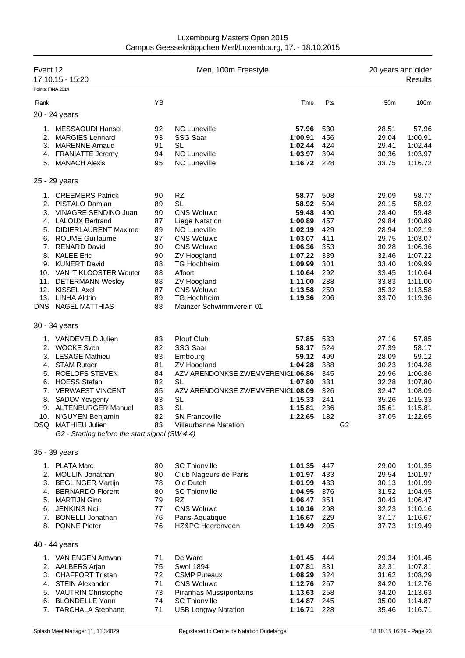| Luxembourg Masters Open 2015                             |
|----------------------------------------------------------|
| Campus Geesseknäppchen Merl/Luxembourg, 17. - 18.10.2015 |

| Event 12          | 17.10.15 - 15:20                               |    | Men, 100m Freestyle               |         |     | 20 years and older | Results |
|-------------------|------------------------------------------------|----|-----------------------------------|---------|-----|--------------------|---------|
| Points: FINA 2014 |                                                |    |                                   |         |     |                    |         |
| Rank              |                                                | YB |                                   | Time    | Pts | 50 <sub>m</sub>    | 100m    |
|                   | 20 - 24 years                                  |    |                                   |         |     |                    |         |
| 1.                | <b>MESSAOUDI Hansel</b>                        | 92 | <b>NC Luneville</b>               | 57.96   | 530 | 28.51              | 57.96   |
| 2.                | <b>MARGIES Lennard</b>                         | 93 | <b>SSG Saar</b>                   | 1:00.91 | 456 | 29.04              | 1:00.91 |
| 3.                | <b>MARENNE Arnaud</b>                          | 91 | SL                                | 1:02.44 | 424 | 29.41              | 1:02.44 |
|                   | 4. FRANIATTE Jeremy                            | 94 | <b>NC Luneville</b>               | 1:03.97 | 394 | 30.36              | 1:03.97 |
| 5.                | <b>MANACH Alexis</b>                           | 95 | <b>NC Luneville</b>               | 1:16.72 | 228 | 33.75              | 1:16.72 |
|                   | 25 - 29 years                                  |    |                                   |         |     |                    |         |
| 1.                | <b>CREEMERS Patrick</b>                        | 90 | <b>RZ</b>                         | 58.77   | 508 | 29.09              | 58.77   |
| 2.                | PISTALO Damjan                                 | 89 | <b>SL</b>                         | 58.92   | 504 | 29.15              | 58.92   |
| 3.                | VINAGRE SENDINO Juan                           | 90 | <b>CNS Woluwe</b>                 | 59.48   | 490 | 28.40              | 59.48   |
| 4.                | <b>LALOUX Bertrand</b>                         | 87 | Liege Natation                    | 1:00.89 | 457 | 29.84              | 1:00.89 |
| 5.                | <b>DIDIERLAURENT Maxime</b>                    | 89 | <b>NC Luneville</b>               | 1:02.19 | 429 | 28.94              | 1:02.19 |
|                   | 6. ROUME Guillaume                             | 87 | <b>CNS Woluwe</b>                 | 1:03.07 | 411 | 29.75              | 1:03.07 |
| 7.                | <b>RENARD David</b>                            | 90 | <b>CNS Woluwe</b>                 | 1:06.36 | 353 | 30.28              | 1:06.36 |
|                   | 8. KALEE Eric                                  | 90 | ZV Hoogland                       | 1:07.22 | 339 | 32.46              | 1:07.22 |
|                   | 9. KUNERT David                                | 88 | <b>TG Hochheim</b>                | 1:09.99 | 301 | 33.40              | 1:09.99 |
|                   | 10. VAN 'T KLOOSTER Wouter                     | 88 | A'foort                           | 1:10.64 | 292 | 33.45              | 1:10.64 |
| 11.               | <b>DETERMANN Wesley</b>                        | 88 | ZV Hoogland                       | 1:11.00 | 288 | 33.83              | 1:11.00 |
| 12.               | <b>KISSEL Axel</b>                             | 87 | <b>CNS Woluwe</b>                 | 1:13.58 | 259 | 35.32              | 1:13.58 |
| 13.               | <b>LINHA Aldrin</b>                            | 89 | <b>TG Hochheim</b>                | 1:19.36 | 206 | 33.70              | 1:19.36 |
| <b>DNS</b>        | NAGEL MATTHIAS                                 | 88 | Mainzer Schwimmverein 01          |         |     |                    |         |
|                   | 30 - 34 years                                  |    |                                   |         |     |                    |         |
|                   | 1. VANDEVELD Julien                            | 83 | <b>Plouf Club</b>                 | 57.85   | 533 | 27.16              | 57.85   |
| 2.                | <b>WOCKE Sven</b>                              | 82 | <b>SSG Saar</b>                   | 58.17   | 524 | 27.39              | 58.17   |
|                   | 3. LESAGE Mathieu                              | 83 | Embourg                           | 59.12   | 499 | 28.09              | 59.12   |
| 4.                | <b>STAM Rutger</b>                             | 81 | ZV Hoogland                       | 1:04.28 | 388 | 30.23              | 1:04.28 |
| 5.                | <b>ROELOFS STEVEN</b>                          | 84 | AZV ARENDONKSE ZWEMVERENIC1:06.86 |         | 345 | 29.96              | 1:06.86 |
| 6.                | <b>HOESS Stefan</b>                            | 82 | <b>SL</b>                         | 1:07.80 | 331 | 32.28              | 1:07.80 |
| 7.                | <b>VERWAEST VINCENT</b>                        | 85 | AZV ARENDONKSE ZWEMVERENIC1:08.09 |         | 326 | 32.47              | 1:08.09 |
| 8.                | SADOV Yevgeniy                                 | 83 | <b>SL</b>                         | 1:15.33 | 241 | 35.26              | 1:15.33 |
| 9.                | <b>ALTENBURGER Manuel</b>                      | 83 | <b>SL</b>                         | 1:15.81 | 236 | 35.61              | 1:15.81 |
|                   | 10. N'GUYEN Benjamin                           | 82 | <b>SN Francoville</b>             | 1:22.65 | 182 | 37.05              | 1:22.65 |
|                   | DSQ MATHIEU Julien                             | 83 | <b>Villeurbanne Natation</b>      |         |     | G <sub>2</sub>     |         |
|                   | G2 - Starting before the start signal (SW 4.4) |    |                                   |         |     |                    |         |
|                   | 35 - 39 years                                  |    |                                   |         |     |                    |         |
|                   | 1. PLATA Marc                                  | 80 | <b>SC Thionville</b>              | 1:01.35 | 447 | 29.00              | 1:01.35 |
| 2.                | <b>MOULIN Jonathan</b>                         | 80 | Club Nageurs de Paris             | 1:01.97 | 433 | 29.54              | 1:01.97 |
| 3.                | <b>BEGLINGER Martijn</b>                       | 78 | Old Dutch                         | 1:01.99 | 433 | 30.13              | 1:01.99 |
| 4.                | <b>BERNARDO Florent</b>                        | 80 | <b>SC Thionville</b>              | 1:04.95 | 376 | 31.52              | 1:04.95 |
| 5.                | <b>MARTIJN Gino</b>                            | 79 | <b>RZ</b>                         | 1:06.47 | 351 | 30.43              | 1:06.47 |
| 6.                | JENKINS Neil                                   | 77 | <b>CNS Woluwe</b>                 | 1:10.16 | 298 | 32.23              | 1:10.16 |
|                   | 7. BONELLI Jonathan                            | 76 | Paris-Aquatique                   | 1:16.67 | 229 | 37.17              | 1:16.67 |
|                   | 8. PONNE Pieter                                | 76 | HZ&PC Heerenveen                  | 1:19.49 | 205 | 37.73              | 1:19.49 |
|                   | 40 - 44 years                                  |    |                                   |         |     |                    |         |
|                   | 1. VAN ENGEN Antwan                            | 71 | De Ward                           | 1:01.45 | 444 | 29.34              | 1:01.45 |
|                   | 2. AALBERS Arjan                               | 75 | <b>Swol 1894</b>                  | 1:07.81 | 331 | 32.31              | 1:07.81 |
| 3.                | <b>CHAFFORT Tristan</b>                        | 72 | <b>CSMP Puteaux</b>               | 1:08.29 | 324 | 31.62              | 1:08.29 |
| 4.                | <b>STEIN Alexander</b>                         | 71 | <b>CNS Woluwe</b>                 | 1:12.76 | 267 | 34.20              | 1:12.76 |
| 5.                | <b>VAUTRIN Christophe</b>                      | 73 | <b>Piranhas Mussipontains</b>     | 1:13.63 | 258 | 34.20              | 1:13.63 |
| 6.                | <b>BLONDELLE Yann</b>                          | 74 | <b>SC Thionville</b>              | 1:14.87 | 245 | 35.00              | 1:14.87 |
|                   | 7. TARCHALA Stephane                           | 71 | <b>USB Longwy Natation</b>        | 1:16.71 | 228 | 35.46              | 1:16.71 |
|                   |                                                |    |                                   |         |     |                    |         |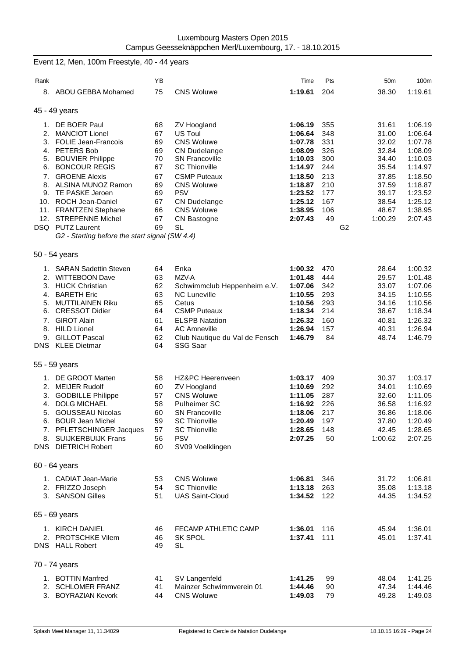|      | Event 12, Men, 100m Freestyle, 40 - 44 years   |          |                                                |                    |            |                 |         |
|------|------------------------------------------------|----------|------------------------------------------------|--------------------|------------|-----------------|---------|
| Rank |                                                | ΥB       |                                                | Time               | Pts        | 50 <sub>m</sub> | 100m    |
| 8.   | ABOU GEBBA Mohamed                             | 75       | <b>CNS Woluwe</b>                              | 1:19.61            | 204        | 38.30           | 1:19.61 |
|      | 45 - 49 years                                  |          |                                                |                    |            |                 |         |
| 1.   | DE BOER Paul                                   | 68       | ZV Hoogland                                    | 1:06.19            | 355        | 31.61           | 1:06.19 |
| 2.   | <b>MANCIOT Lionel</b>                          | 67       | US Toul                                        | 1:06.64            | 348        | 31.00           | 1:06.64 |
|      | 3. FOLIE Jean-Francois                         | 69       | <b>CNS Woluwe</b>                              | 1:07.78            | 331        | 32.02           | 1:07.78 |
|      | 4. PETERS Bob                                  | 69       | <b>CN Dudelange</b>                            | 1:08.09            | 326        | 32.84           | 1:08.09 |
|      | 5. BOUVIER Philippe                            | 70       | <b>SN Francoville</b>                          | 1:10.03            | 300        | 34.40           | 1:10.03 |
| 6.   | <b>BONCOUR REGIS</b>                           | 67       | <b>SC Thionville</b>                           | 1:14.97            | 244        | 35.54           | 1:14.97 |
| 7.   | <b>GROENE Alexis</b>                           | 67       | <b>CSMP Puteaux</b>                            | 1:18.50            | 213        | 37.85           | 1:18.50 |
| 8.   | ALSINA MUNOZ Ramon                             | 69       | <b>CNS Woluwe</b>                              | 1:18.87            | 210        | 37.59           | 1:18.87 |
| 9.   | TE PASKE Jeroen                                | 69       | <b>PSV</b>                                     | 1:23.52            | 177        | 39.17           | 1:23.52 |
|      | 10. ROCH Jean-Daniel                           | 67       | <b>CN Dudelange</b>                            | 1:25.12            | 167        | 38.54           | 1:25.12 |
|      | 11. FRANTZEN Stephane                          | 66       | <b>CNS Woluwe</b>                              | 1:38.95            | 106        | 48.67           | 1:38.95 |
| 12.  | <b>STREPENNE Michel</b>                        | 67       | CN Bastogne                                    | 2:07.43            | 49         | 1:00.29         | 2:07.43 |
|      | DSQ PUTZ Laurent                               | 69       | <b>SL</b>                                      |                    |            | G <sub>2</sub>  |         |
|      | G2 - Starting before the start signal (SW 4.4) |          |                                                |                    |            |                 |         |
|      | 50 - 54 years                                  |          |                                                |                    |            |                 |         |
|      | 1. SARAN Sadettin Steven                       | 64       | Enka                                           | 1:00.32            | 470        | 28.64           | 1:00.32 |
|      | 2. WITTEBOON Dave                              | 63       | MZV-A                                          | 1:01.48            | 444        | 29.57           | 1:01.48 |
| 3.   | <b>HUCK Christian</b>                          | 62       | Schwimmclub Heppenheim e.V.                    | 1:07.06            | 342        | 33.07           | 1:07.06 |
|      | 4. BARETH Eric                                 | 63       | <b>NC Luneville</b>                            | 1:10.55            | 293        | 34.15           | 1:10.55 |
| 5.   | <b>MUTTILAINEN Riku</b>                        | 65       | Cetus                                          | 1:10.56            | 293        | 34.16           | 1:10.56 |
| 6.   | <b>CRESSOT Didier</b>                          | 64       | <b>CSMP Puteaux</b>                            | 1:18.34            | 214        | 38.67           | 1:18.34 |
| 7.   | <b>GIROT Alain</b>                             | 61       | <b>ELSPB Natation</b>                          | 1:26.32            | 160        | 40.81           | 1:26.32 |
| 8.   | <b>HILD Lionel</b>                             | 64       | <b>AC Amneville</b>                            | 1:26.94            | 157        | 40.31           | 1:26.94 |
| 9.   | <b>GILLOT Pascal</b>                           | 62       | Club Nautique du Val de Fensch                 | 1:46.79            | 84         | 48.74           | 1:46.79 |
|      | DNS KLEE Dietmar                               | 64       | SSG Saar                                       |                    |            |                 |         |
|      | 55 - 59 years                                  |          |                                                |                    |            |                 |         |
| 1.   | DE GROOT Marten                                | 58       | HZ&PC Heerenveen                               | 1:03.17            | 409        | 30.37           | 1:03.17 |
| 2.   | <b>MEIJER Rudolf</b>                           | 60       | ZV Hoogland                                    | 1:10.69            | 292        | 34.01           | 1:10.69 |
| 3.   | <b>GODBILLE Philippe</b>                       | 57       | <b>CNS Woluwe</b>                              | 1:11.05            | 287        | 32.60           | 1:11.05 |
| 4.   | DOLG MICHAEL                                   | 58       | <b>Pulheimer SC</b>                            | 1:16.92            | 226        | 36.58           | 1:16.92 |
|      | 5. GOUSSEAU Nicolas                            | 60       | <b>SN Francoville</b>                          | 1:18.06            | 217        | 36.86           | 1:18.06 |
|      | 6. BOUR Jean Michel                            | 59       | <b>SC Thionville</b>                           | 1:20.49            | 197        | 37.80           | 1:20.49 |
|      | 7. PFLETSCHINGER Jacques                       | 57       | <b>SC Thionville</b>                           | 1:28.65            | 148        | 42.45           | 1:28.65 |
|      | 8. SUIJKERBUIJK Frans                          | 56       | <b>PSV</b>                                     | 2:07.25            | 50         | 1:00.62         | 2:07.25 |
|      | <b>DNS</b> DIETRICH Robert                     | 60       | SV09 Voelklingen                               |                    |            |                 |         |
|      | 60 - 64 years                                  |          |                                                |                    |            |                 |         |
|      |                                                |          |                                                |                    |            |                 |         |
|      | 1. CADIAT Jean-Marie                           | 53       | <b>CNS Woluwe</b>                              | 1:06.81            | 346        | 31.72           | 1:06.81 |
|      | 2. FRIZZO Joseph<br>3. SANSON Gilles           | 54<br>51 | <b>SC Thionville</b><br><b>UAS Saint-Cloud</b> | 1:13.18<br>1:34.52 | 263<br>122 | 35.08           | 1:13.18 |
|      |                                                |          |                                                |                    |            | 44.35           | 1:34.52 |
|      | 65 - 69 years                                  |          |                                                |                    |            |                 |         |
|      | 1. KIRCH DANIEL                                | 46       | FECAMP ATHLETIC CAMP                           | 1:36.01            | 116        | 45.94           | 1:36.01 |
|      | 2. PROTSCHKE Vilem                             | 46       | <b>SK SPOL</b>                                 | 1:37.41            | 111        | 45.01           | 1:37.41 |
|      | DNS HALL Robert                                | 49       | SL                                             |                    |            |                 |         |
|      | 70 - 74 years                                  |          |                                                |                    |            |                 |         |
|      | 1. BOTTIN Manfred                              | 41       | SV Langenfeld                                  | 1:41.25            | 99         | 48.04           | 1:41.25 |
|      | 2. SCHLOMER FRANZ                              | 41       | Mainzer Schwimmverein 01                       | 1:44.46            | 90         | 47.34           | 1:44.46 |
|      | 3. BOYRAZIAN Kevork                            | 44       | <b>CNS Woluwe</b>                              | 1:49.03            | 79         | 49.28           | 1:49.03 |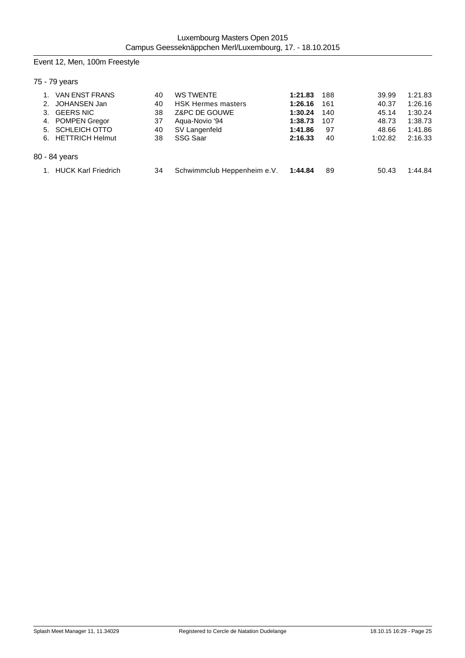# Event 12, Men, 100m Freestyle

# 75 - 79 years

| 3. | <b>VAN ENST FRANS</b><br>JOHANSEN Jan<br><b>GEERS NIC</b><br>4. POMPEN Gregor<br>5. SCHLEICH OTTO<br>6. HETTRICH Helmut | 40<br>40<br>38<br>37<br>40<br>38 | <b>WS TWENTE</b><br><b>HSK Hermes masters</b><br>Z&PC DE GOUWE<br>Agua-Novio '94<br>SV Langenfeld<br>SSG Saar | 1:21.83<br>1:26.16<br>1:30.24<br>1:38.73<br>1:41.86<br>2:16.33 | 188<br>161<br>140<br>107<br>97<br>40 | 39.99<br>40.37<br>45.14<br>48.73<br>48.66<br>1:02.82 | 1:21.83<br>1:26.16<br>1:30.24<br>1:38.73<br>1:41.86<br>2:16.33 |
|----|-------------------------------------------------------------------------------------------------------------------------|----------------------------------|---------------------------------------------------------------------------------------------------------------|----------------------------------------------------------------|--------------------------------------|------------------------------------------------------|----------------------------------------------------------------|
|    | 80 - 84 years                                                                                                           |                                  |                                                                                                               |                                                                |                                      |                                                      |                                                                |
|    | <b>HUCK Karl Friedrich</b>                                                                                              | 34                               | Schwimmclub Heppenheim e.V.                                                                                   | 1:44.84                                                        | 89                                   | 50.43                                                | 1:44.84                                                        |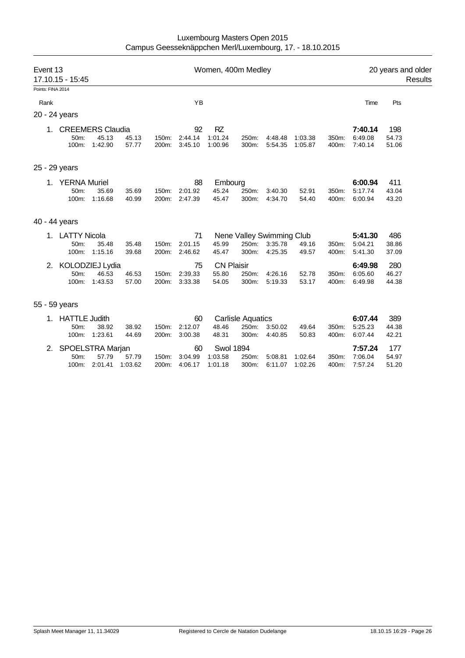| Event 13          | 17.10.15 - 15:45    |                  |                |                |                    | Women, 400m Medley |                          |                           |                    |                | 20 years and older<br>Results |                |  |
|-------------------|---------------------|------------------|----------------|----------------|--------------------|--------------------|--------------------------|---------------------------|--------------------|----------------|-------------------------------|----------------|--|
| Points: FINA 2014 |                     |                  |                |                |                    |                    |                          |                           |                    |                |                               |                |  |
| Rank              |                     |                  |                |                | YB                 |                    |                          |                           |                    |                | Time                          | Pts            |  |
|                   | 20 - 24 years       |                  |                |                |                    |                    |                          |                           |                    |                |                               |                |  |
|                   | 1. CREEMERS Claudia |                  |                |                | 92                 | RZ                 |                          |                           |                    |                | 7:40.14                       | 198            |  |
|                   | 50m:<br>$100m$ :    | 45.13<br>1:42.90 | 45.13<br>57.77 | 150m:<br>200m: | 2:44.14<br>3:45.10 | 1:01.24<br>1:00.96 | 250m:<br>300m:           | 4:48.48<br>5:54.35        | 1:03.38<br>1:05.87 | 350m:<br>400m: | 6:49.08<br>7:40.14            | 54.73<br>51.06 |  |
|                   | 25 - 29 years       |                  |                |                |                    |                    |                          |                           |                    |                |                               |                |  |
|                   | 1. YERNA Muriel     |                  |                |                | 88                 | Embourg            |                          |                           |                    |                | 6:00.94                       | 411            |  |
|                   | 50m:                | 35.69            | 35.69          | 150m:          | 2:01.92            | 45.24              | 250m:                    | 3:40.30                   | 52.91              | 350m:          | 5:17.74                       | 43.04          |  |
|                   | 100m:               | 1:16.68          | 40.99          | 200m:          | 2:47.39            | 45.47              | 300m:                    | 4:34.70                   | 54.40              | 400m:          | 6:00.94                       | 43.20          |  |
|                   | 40 - 44 years       |                  |                |                |                    |                    |                          |                           |                    |                |                               |                |  |
|                   | 1. LATTY Nicola     |                  |                |                | 71                 |                    |                          | Nene Valley Swimming Club |                    |                | 5:41.30                       | 486            |  |
|                   | 50m:                | 35.48            | 35.48          | 150m:          | 2:01.15            | 45.99              | 250m:                    | 3:35.78                   | 49.16              | 350m:          | 5:04.21                       | 38.86          |  |
|                   | 100m:               | 1:15.16          | 39.68          | 200m:          | 2:46.62            | 45.47              | 300m:                    | 4:25.35                   | 49.57              | 400m:          | 5:41.30                       | 37.09          |  |
|                   | 2. KOLODZIEJ Lydia  |                  |                |                | 75                 | <b>CN Plaisir</b>  |                          |                           |                    |                | 6:49.98                       | 280            |  |
|                   | 50m:                | 46.53            | 46.53          | 150m:          | 2:39.33            | 55.80              | 250m:                    | 4:26.16                   | 52.78              | 350m:          | 6:05.60                       | 46.27          |  |
|                   | 100m:               | 1:43.53          | 57.00          | 200m:          | 3:33.38            | 54.05              | 300m:                    | 5:19.33                   | 53.17              | 400m:          | 6.49.98                       | 44.38          |  |
|                   | 55 - 59 years       |                  |                |                |                    |                    |                          |                           |                    |                |                               |                |  |
|                   | 1. HATTLE Judith    |                  |                |                | 60                 |                    | <b>Carlisle Aquatics</b> |                           |                    |                | 6:07.44                       | 389            |  |
|                   | 50m:                | 38.92            | 38.92          | 150m:          | 2:12.07            | 48.46              | 250m:                    | 3:50.02                   | 49.64              | 350m:          | 5:25.23                       | 44.38          |  |
|                   | 100m:               | 1:23.61          | 44.69          | 200m:          | 3:00.38            | 48.31              | 300m:                    | 4:40.85                   | 50.83              | 400m:          | 6:07.44                       | 42.21          |  |
|                   | 2. SPOELSTRA Marjan |                  |                |                | 60                 | <b>Swol 1894</b>   |                          |                           |                    |                | 7:57.24                       | 177            |  |
|                   | 50m:                | 57.79            | 57.79          | 150m:          | 3:04.99            | 1:03.58            | 250m:                    | 5:08.81                   | 1:02.64            | 350m:          | 7:06.04                       | 54.97          |  |
|                   | 100m:               | 2:01.41          | 1:03.62        | 200m:          | 4:06.17            | 1:01.18            | 300m:                    | 6:11.07                   | 1:02.26            | 400m:          | 7:57.24                       | 51.20          |  |
|                   |                     |                  |                |                |                    |                    |                          |                           |                    |                |                               |                |  |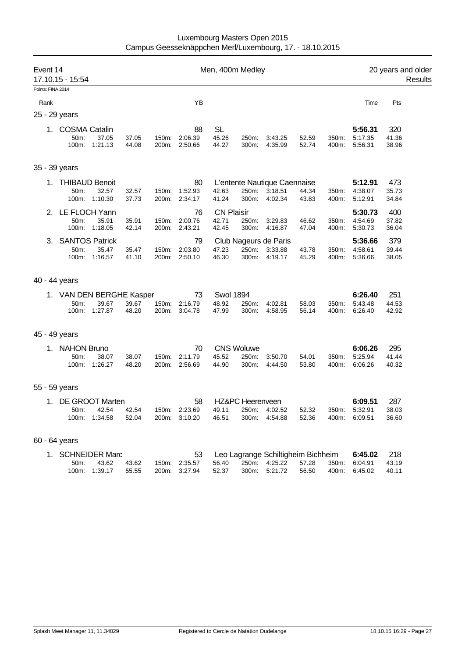| Men, 400m Medley<br>Event 14<br>17.10.15 - 15:54 |                                           |                                                  |                |                |                                      |                                     |                                     | 20 years and older                                             | Results        |                |                                     |                       |  |
|--------------------------------------------------|-------------------------------------------|--------------------------------------------------|----------------|----------------|--------------------------------------|-------------------------------------|-------------------------------------|----------------------------------------------------------------|----------------|----------------|-------------------------------------|-----------------------|--|
| Points: FINA 2014                                |                                           |                                                  |                |                |                                      |                                     |                                     |                                                                |                |                |                                     |                       |  |
| Rank                                             |                                           |                                                  |                |                | YB                                   |                                     |                                     |                                                                |                |                | Time                                | Pts                   |  |
|                                                  | 25 - 29 years                             |                                                  |                |                |                                      |                                     |                                     |                                                                |                |                |                                     |                       |  |
|                                                  | 1. COSMA Catalin<br>50m:<br>100m:         | 37.05<br>1:21.13                                 | 37.05<br>44.08 | 150m:<br>200m: | 88<br>2:06.39<br>2:50.66             | <b>SL</b><br>45.26<br>44.27         | 250m:<br>300m:                      | 3:43.25<br>4:35.99                                             | 52.59<br>52.74 | 350m:<br>400m: | 5:56.31<br>5:17.35<br>5:56.31       | 320<br>41.36<br>38.96 |  |
|                                                  | 35 - 39 years                             |                                                  |                |                |                                      |                                     |                                     |                                                                |                |                |                                     |                       |  |
|                                                  | 1. THIBAUD Benoit<br>50m:<br>100m:        | 32.57<br>1:10.30                                 | 32.57<br>37.73 | 150m:<br>200m: | 80<br>1:52.93<br>2:34.17             | 42.63<br>41.24                      | 250m:<br>300m:                      | L'entente Nautique Caennaise<br>3:18.51<br>4:02.34             | 44.34<br>43.83 | 350m:<br>400m: | 5:12.91<br>4:38.07<br>5:12.91       | 473<br>35.73<br>34.84 |  |
| 2.                                               | 50m:<br>100m:                             | LE FLOCH Yann<br>35.91<br>1:18.05                | 35.91<br>42.14 | 150m:<br>200m: | 76<br>2:00.76<br>2:43.21             | <b>CN Plaisir</b><br>42.71<br>42.45 | 250m:<br>300m:                      | 3:29.83<br>4:16.87                                             | 46.62<br>47.04 | 350m:<br>400m: | 5:30.73<br>4:54.69<br>5:30.73       | 400<br>37.82<br>36.04 |  |
| 3.                                               | 50m:<br>100m:                             | <b>SANTOS Patrick</b><br>35.47<br>1:16.57        | 35.47<br>41.10 | 150m:          | 79<br>2:03.80<br>200m: 2:50.10       | 47.23<br>46.30                      | 250m:<br>300m:                      | Club Nageurs de Paris<br>3:33.88<br>4:19.17                    | 43.78<br>45.29 | 350m:<br>400m: | 5:36.66<br>4:58.61<br>5:36.66       | 379<br>39.44<br>38.05 |  |
|                                                  | 40 - 44 years                             |                                                  |                |                |                                      |                                     |                                     |                                                                |                |                |                                     |                       |  |
|                                                  | 1. VAN DEN BERGHE Kasper<br>50m:<br>100m: | 39.67<br>1:27.87                                 | 39.67<br>48.20 | 150m:<br>200m: | 73<br>2:16.79<br>3:04.78             | <b>Swol 1894</b><br>48.92<br>47.99  | 250m:<br>300m:                      | 4:02.81<br>4:58.95                                             | 58.03<br>56.14 | 350m:<br>400m: | 6:26.40<br>5:43.48<br>6:26.40       | 251<br>44.53<br>42.92 |  |
|                                                  | 45 - 49 years                             |                                                  |                |                |                                      |                                     |                                     |                                                                |                |                |                                     |                       |  |
|                                                  | <b>NAHON Bruno</b><br>50m:<br>100m:       | 38.07<br>1:26.27                                 | 38.07<br>48.20 | 150m:<br>200m: | 70<br>2:11.79<br>2:56.69             | 45.52<br>44.90                      | <b>CNS Woluwe</b><br>250m:<br>300m: | 3:50.70<br>4:44.50                                             | 54.01<br>53.80 | 350m:<br>400m: | 6:06.26<br>5:25.94<br>6:06.26       | 295<br>41.44<br>40.32 |  |
|                                                  | 55 - 59 years                             |                                                  |                |                |                                      |                                     |                                     |                                                                |                |                |                                     |                       |  |
|                                                  | 50m:                                      | <b>DE GROOT Marten</b><br>42.54<br>100m: 1:34.58 | 42.54<br>52.04 | 150m:          | 58<br>2:23.69<br>200m: 3:10.20       | 49.11<br>46.51                      | HZ&PC Heerenveen<br>250m:<br>300m:  | 4:02.52<br>4:54.88                                             | 52.32<br>52.36 | 350m:          | 6:09.51<br>5:32.91<br>400m: 6:09.51 | 287<br>38.03<br>36.60 |  |
|                                                  | 60 - 64 years                             |                                                  |                |                |                                      |                                     |                                     |                                                                |                |                |                                     |                       |  |
|                                                  | 1.<br>$50m$ :<br>100m:                    | <b>SCHNEIDER Marc</b><br>43.62<br>1:39.17        | 43.62<br>55.55 |                | 53<br>150m: 2:35.57<br>200m: 3:27.94 | 56.40<br>52.37                      | 300m:                               | Leo Lagrange Schiltigheim Bichheim<br>250m: 4:25.22<br>5:21.72 | 57.28<br>56.50 | 350m:<br>400m: | 6:45.02<br>6:04.91<br>6:45.02       | 218<br>43.19<br>40.11 |  |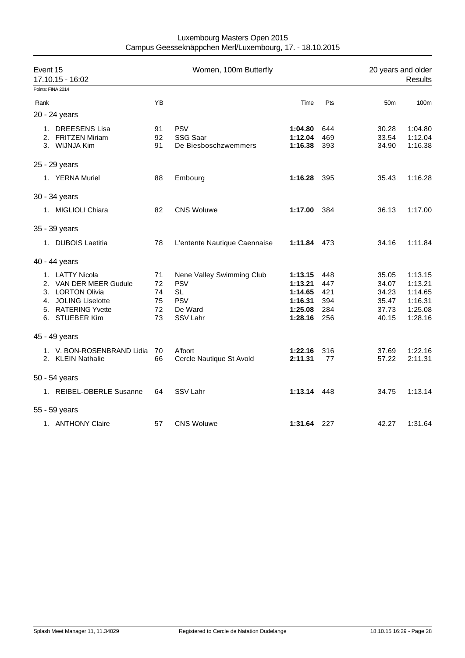| Event 15<br>17.10.15 - 16:02 |                                                                                                                              |                                  | Women, 100m Butterfly                                                                     |                                                                | 20 years and older<br><b>Results</b>   |                                                    |                                                                |
|------------------------------|------------------------------------------------------------------------------------------------------------------------------|----------------------------------|-------------------------------------------------------------------------------------------|----------------------------------------------------------------|----------------------------------------|----------------------------------------------------|----------------------------------------------------------------|
|                              | Points: FINA 2014                                                                                                            |                                  |                                                                                           |                                                                |                                        |                                                    |                                                                |
| Rank                         |                                                                                                                              | YB                               |                                                                                           | Time                                                           | Pts                                    | 50 <sub>m</sub>                                    | 100m                                                           |
|                              | 20 - 24 years                                                                                                                |                                  |                                                                                           |                                                                |                                        |                                                    |                                                                |
|                              | 1. DREESENS Lisa<br>2. FRITZEN Miriam<br>3. WIJNJA Kim                                                                       | 91<br>92<br>91                   | <b>PSV</b><br>SSG Saar<br>De Biesboschzwemmers                                            | 1:04.80<br>1:12.04<br>1:16.38                                  | 644<br>469<br>393                      | 30.28<br>33.54<br>34.90                            | 1:04.80<br>1:12.04<br>1:16.38                                  |
|                              | 25 - 29 years                                                                                                                |                                  |                                                                                           |                                                                |                                        |                                                    |                                                                |
|                              | 1. YERNA Muriel                                                                                                              | 88                               | Embourg                                                                                   | 1:16.28                                                        | - 395                                  | 35.43                                              | 1:16.28                                                        |
|                              | 30 - 34 years                                                                                                                |                                  |                                                                                           |                                                                |                                        |                                                    |                                                                |
|                              | 1. MIGLIOLI Chiara                                                                                                           | 82                               | <b>CNS Woluwe</b>                                                                         | 1:17.00                                                        | 384                                    | 36.13                                              | 1:17.00                                                        |
|                              | 35 - 39 years                                                                                                                |                                  |                                                                                           |                                                                |                                        |                                                    |                                                                |
|                              | 1. DUBOIS Laetitia                                                                                                           | 78                               | L'entente Nautique Caennaise                                                              | 1:11.84 473                                                    |                                        | 34.16                                              | 1:11.84                                                        |
|                              | 40 - 44 years                                                                                                                |                                  |                                                                                           |                                                                |                                        |                                                    |                                                                |
|                              | 1. LATTY Nicola<br>2. VAN DER MEER Gudule<br>3. LORTON Olivia<br>4. JOLING Liselotte<br>5. RATERING Yvette<br>6. STUEBER Kim | 71<br>72<br>74<br>75<br>72<br>73 | Nene Valley Swimming Club<br><b>PSV</b><br><b>SL</b><br><b>PSV</b><br>De Ward<br>SSV Lahr | 1:13.15<br>1:13.21<br>1:14.65<br>1:16.31<br>1:25.08<br>1:28.16 | 448<br>447<br>421<br>394<br>284<br>256 | 35.05<br>34.07<br>34.23<br>35.47<br>37.73<br>40.15 | 1:13.15<br>1:13.21<br>1:14.65<br>1:16.31<br>1:25.08<br>1:28.16 |
|                              | 45 - 49 years                                                                                                                |                                  |                                                                                           |                                                                |                                        |                                                    |                                                                |
|                              | 1. V. BON-ROSENBRAND Lidia 70<br>2. KLEIN Nathalie                                                                           | 66                               | A'foort<br>Cercle Nautique St Avold                                                       | 1:22.16<br>2:11.31                                             | 316<br>77                              | 37.69<br>57.22                                     | 1:22.16<br>2:11.31                                             |
|                              | 50 - 54 years                                                                                                                |                                  |                                                                                           |                                                                |                                        |                                                    |                                                                |
|                              | 1. REIBEL-OBERLE Susanne                                                                                                     | 64                               | SSV Lahr                                                                                  | 1:13.14 448                                                    |                                        | 34.75                                              | 1:13.14                                                        |
|                              | 55 - 59 years                                                                                                                |                                  |                                                                                           |                                                                |                                        |                                                    |                                                                |
|                              | 1. ANTHONY Claire                                                                                                            | 57                               | <b>CNS Woluwe</b>                                                                         | 1:31.64 227                                                    |                                        | 42.27                                              | 1:31.64                                                        |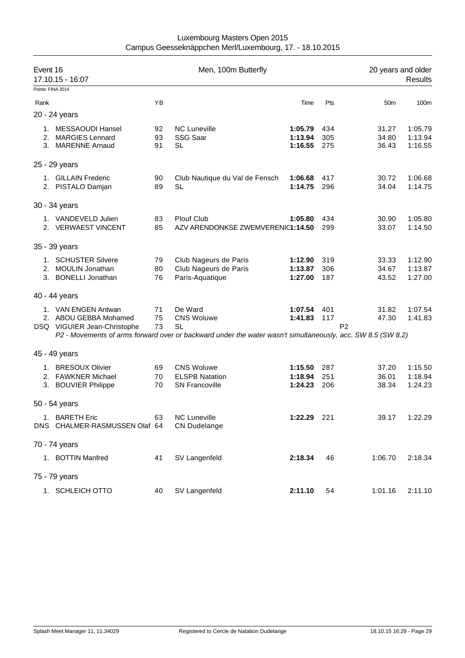| Luxembourg Masters Open 2015                             |
|----------------------------------------------------------|
| Campus Geesseknäppchen Merl/Luxembourg, 17. - 18.10.2015 |

| Event 16 | 17.10.15 - 16:07              |    | Men, 100m Butterfly                                                                                                      |             | 20 years and older<br><b>Results</b> |                 |         |
|----------|-------------------------------|----|--------------------------------------------------------------------------------------------------------------------------|-------------|--------------------------------------|-----------------|---------|
|          | Points: FINA 2014             |    |                                                                                                                          |             |                                      |                 |         |
| Rank     |                               | YB |                                                                                                                          | Time        | Pts                                  | 50 <sub>m</sub> | 100m    |
|          | 20 - 24 years                 |    |                                                                                                                          |             |                                      |                 |         |
|          | 1. MESSAOUDI Hansel           | 92 | <b>NC Luneville</b>                                                                                                      | 1:05.79     | 434                                  | 31.27           | 1:05.79 |
|          | 2. MARGIES Lennard            | 93 | SSG Saar                                                                                                                 | 1:13.94     | 305                                  | 34.80           | 1:13.94 |
|          | 3. MARENNE Arnaud             | 91 | SL                                                                                                                       | 1:16.55     | 275                                  | 36.43           | 1:16.55 |
|          | 25 - 29 years                 |    |                                                                                                                          |             |                                      |                 |         |
|          | 1. GILLAIN Frederic           | 90 | Club Nautique du Val de Fensch                                                                                           | 1:06.68     | 417                                  | 30.72           | 1:06.68 |
|          | 2. PISTALO Damjan             | 89 | <b>SL</b>                                                                                                                | 1:14.75     | 296                                  | 34.04           | 1:14.75 |
|          | 30 - 34 years                 |    |                                                                                                                          |             |                                      |                 |         |
|          | 1. VANDEVELD Julien           | 83 | Plouf Club                                                                                                               | 1:05.80     | 434                                  | 30.90           | 1:05.80 |
|          | 2. VERWAEST VINCENT           | 85 | AZV ARENDONKSE ZWEMVERENIC1:14.50                                                                                        |             | 299                                  | 33.07           | 1:14.50 |
|          | 35 - 39 years                 |    |                                                                                                                          |             |                                      |                 |         |
|          | 1. SCHUSTER Silvere           | 79 | Club Nageurs de Paris                                                                                                    | 1:12.90     | 319                                  | 33.33           | 1:12.90 |
|          | 2. MOULIN Jonathan            | 80 | Club Nageurs de Paris                                                                                                    | 1:13.87     | 306                                  | 34.67           | 1:13.87 |
|          | 3. BONELLI Jonathan           | 76 | Paris-Aquatique                                                                                                          | 1:27.00     | 187                                  | 43.52           | 1:27.00 |
|          | 40 - 44 years                 |    |                                                                                                                          |             |                                      |                 |         |
|          | 1. VAN ENGEN Antwan           | 71 | De Ward                                                                                                                  | 1:07.54     | 401                                  | 31.82           | 1:07.54 |
|          | 2. ABOU GEBBA Mohamed         | 75 | <b>CNS Woluwe</b>                                                                                                        | 1:41.83     | 117                                  | 47.30           | 1:41.83 |
|          | DSQ VIGUIER Jean-Christophe   | 73 | <b>SL</b><br>P2 - Movements of arms forward over or backward under the water wasn't simultaneously, acc. SW 8.5 (SW 8.2) |             |                                      | P <sub>2</sub>  |         |
|          |                               |    |                                                                                                                          |             |                                      |                 |         |
|          | 45 - 49 years                 |    |                                                                                                                          |             |                                      |                 |         |
|          | 1. BRESOUX Olivier            | 69 | <b>CNS Woluwe</b>                                                                                                        | 1:15.50     | 287                                  | 37.20           | 1:15.50 |
|          | 2. FAWKNER Michael            | 70 | <b>ELSPB Natation</b>                                                                                                    | 1:18.94     | 251                                  | 36.01           | 1:18.94 |
|          | 3. BOUVIER Philippe           | 70 | <b>SN Francoville</b>                                                                                                    | 1:24.23     | 206                                  | 38.34           | 1:24.23 |
|          | 50 - 54 years                 |    |                                                                                                                          |             |                                      |                 |         |
|          | 1. BARETH Eric                | 63 | <b>NC Luneville</b>                                                                                                      | 1:22.29 221 |                                      | 39.17           | 1:22.29 |
|          | DNS CHALMER-RASMUSSEN Olaf 64 |    | <b>CN Dudelange</b>                                                                                                      |             |                                      |                 |         |
|          | 70 - 74 years                 |    |                                                                                                                          |             |                                      |                 |         |
|          | 1. BOTTIN Manfred             | 41 | SV Langenfeld                                                                                                            | 2:18.34     | 46                                   | 1:06.70         | 2:18.34 |
|          | 75 - 79 years                 |    |                                                                                                                          |             |                                      |                 |         |
|          | 1. SCHLEICH OTTO              | 40 | SV Langenfeld                                                                                                            | 2:11.10     | 54                                   | 1:01.16         | 2:11.10 |
|          |                               |    |                                                                                                                          |             |                                      |                 |         |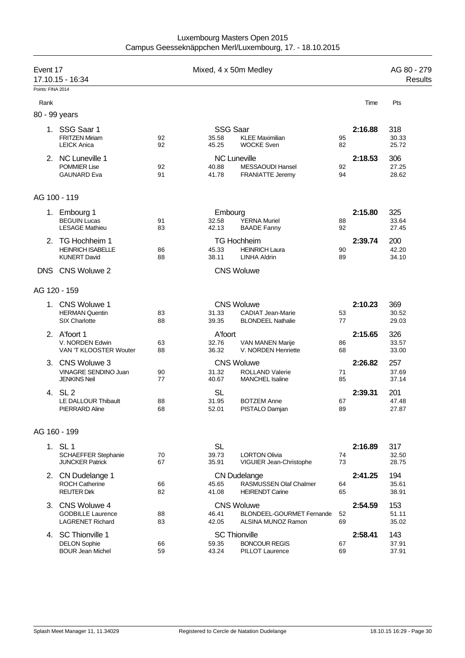| Event 17          | 17.10.15 - 16:34                                                       |          | Mixed, 4 x 50m Medley             |                                                                                |          |         | AG 80 - 279<br><b>Results</b> |
|-------------------|------------------------------------------------------------------------|----------|-----------------------------------|--------------------------------------------------------------------------------|----------|---------|-------------------------------|
| Points: FINA 2014 |                                                                        |          |                                   |                                                                                |          |         |                               |
| Rank              |                                                                        |          |                                   |                                                                                |          | Time    | Pts                           |
| 80 - 99 years     |                                                                        |          |                                   |                                                                                |          |         |                               |
|                   | 1. SSG Saar 1<br><b>FRITZEN Miriam</b><br><b>LEICK Anica</b>           | 92<br>92 | <b>SSG Saar</b><br>35.58<br>45.25 | <b>KLEE Maximilian</b><br><b>WOCKE Sven</b>                                    | 95<br>82 | 2:16.88 | 318<br>30.33<br>25.72         |
|                   | 2. NC Luneville 1<br><b>POMMIER Lise</b><br><b>GAUNARD Eva</b>         | 92<br>91 | 40.88<br>41.78                    | <b>NC Luneville</b><br>MESSAOUDI Hansel<br>FRANIATTE Jeremy                    | 92<br>94 | 2:18.53 | 306<br>27.25<br>28.62         |
|                   | AG 100 - 119                                                           |          |                                   |                                                                                |          |         |                               |
|                   | 1. Embourg 1<br><b>BEGUIN Lucas</b><br><b>LESAGE Mathieu</b>           | 91<br>83 | Embourg<br>32.58<br>42.13         | <b>YERNA Muriel</b><br><b>BAADE Fanny</b>                                      | 88<br>92 | 2:15.80 | 325<br>33.64<br>27.45         |
|                   | 2. TG Hochheim 1<br><b>HEINRICH ISABELLE</b><br><b>KUNERT David</b>    | 86<br>88 | 45.33<br>38.11                    | <b>TG Hochheim</b><br><b>HEINRICH Laura</b><br><b>LINHA Aldrin</b>             | 90<br>89 | 2:39.74 | 200<br>42.20<br>34.10         |
| DNS.              | CNS Woluwe 2                                                           |          |                                   | <b>CNS Woluwe</b>                                                              |          |         |                               |
|                   | AG 120 - 159                                                           |          |                                   |                                                                                |          |         |                               |
|                   | 1. CNS Woluwe 1<br><b>HERMAN Quentin</b><br><b>SIX Charlotte</b>       | 83<br>88 | 31.33<br>39.35                    | <b>CNS Woluwe</b><br><b>CADIAT Jean-Marie</b><br><b>BLONDEEL Nathalie</b>      | 53<br>77 | 2:10.23 | 369<br>30.52<br>29.03         |
|                   | 2. A'foort 1<br>V. NORDEN Edwin<br>VAN 'T KLOOSTER Wouter              | 63<br>88 | A'foort<br>32.76<br>36.32         | VAN MANEN Marije<br>V. NORDEN Henriette                                        | 86<br>68 | 2:15.65 | 326<br>33.57<br>33.00         |
| 3.                | CNS Woluwe 3<br><b>VINAGRE SENDINO Juan</b><br>JENKINS Neil            | 90<br>77 | 31.32<br>40.67                    | <b>CNS Woluwe</b><br><b>ROLLAND Valerie</b><br><b>MANCHEL Isaline</b>          | 71<br>85 | 2:26.82 | 257<br>37.69<br>37.14         |
|                   | 4. SL 2<br><b>LE DALLOUR Thibault</b><br>PIERRARD Aline                | 88<br>68 | <b>SL</b><br>31.95<br>52.01       | <b>BOTZEM Anne</b><br>PISTALO Damjan                                           | 67<br>89 | 2:39.31 | 201<br>47.48<br>27.87         |
|                   | AG 160 - 199                                                           |          |                                   |                                                                                |          |         |                               |
|                   | 1. SL 1<br><b>SCHAEFFER Stephanie</b><br><b>JUNCKER Patrick</b>        | 70<br>67 | <b>SL</b><br>39.73<br>35.91       | <b>LORTON Olivia</b><br>VIGUIER Jean-Christophe                                | 74<br>73 | 2:16.89 | 317<br>32.50<br>28.75         |
|                   | 2. CN Dudelange 1<br><b>ROCH Catherine</b><br><b>REUTER Dirk</b>       | 66<br>82 | 45.65<br>41.08                    | <b>CN Dudelange</b><br><b>RASMUSSEN Olaf Chalmer</b><br><b>HEIRENDT Carine</b> | 64<br>65 | 2:41.25 | 194<br>35.61<br>38.91         |
|                   | 3. CNS Woluwe 4<br><b>GODBILLE Laurence</b><br><b>LAGRENET Richard</b> | 88<br>83 | 46.41<br>42.05                    | <b>CNS Woluwe</b><br><b>BLONDEEL-GOURMET Fernande</b><br>ALSINA MUNOZ Ramon    | 52<br>69 | 2:54.59 | 153<br>51.11<br>35.02         |
|                   | 4. SC Thionville 1<br><b>DELON Sophie</b><br><b>BOUR Jean Michel</b>   | 66<br>59 | 59.35<br>43.24                    | <b>SC Thionville</b><br><b>BONCOUR REGIS</b><br>PILLOT Laurence                | 67<br>69 | 2:58.41 | 143<br>37.91<br>37.91         |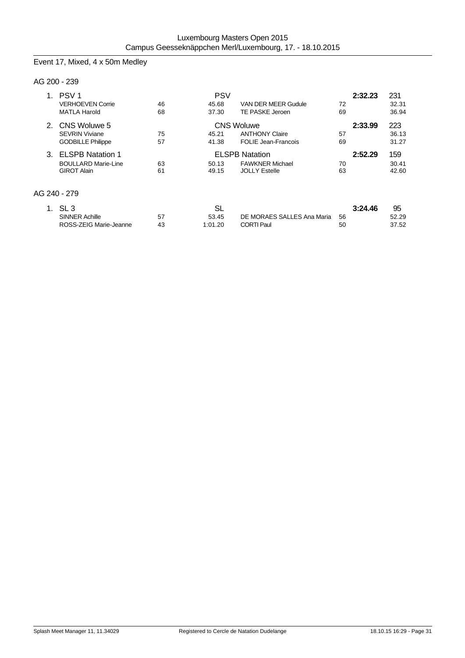# Event 17, Mixed, 4 x 50m Medley

### AG 200 - 239

| PSV <sub>1</sub>           |    | 2:32.23 | 231                        |    |         |       |
|----------------------------|----|---------|----------------------------|----|---------|-------|
| <b>VERHOEVEN Corrie</b>    | 46 | 45.68   | VAN DER MEER Gudule        | 72 |         | 32.31 |
| <b>MATLA Harold</b>        | 68 | 37.30   | TE PASKE Jeroen            | 69 |         | 36.94 |
| 2. CNS Woluwe 5            |    |         | <b>CNS Woluwe</b>          |    | 2:33.99 | 223   |
| <b>SEVRIN Viviane</b>      | 75 | 45.21   | <b>ANTHONY Claire</b>      | 57 |         | 36.13 |
| <b>GODBILLE Philippe</b>   | 57 | 41.38   | <b>FOLIE Jean-Francois</b> | 69 |         | 31.27 |
| 3. ELSPB Natation 1        |    |         | <b>ELSPB Natation</b>      |    | 2:52.29 | 159   |
| <b>BOULLARD Marie-Line</b> | 63 | 50.13   | <b>FAWKNER Michael</b>     | 70 |         | 30.41 |
| <b>GIROT Alain</b>         | 61 | 49.15   | <b>JOLLY Estelle</b>       | 63 |         | 42.60 |
| AG 240 - 279               |    |         |                            |    |         |       |
|                            |    |         |                            |    |         |       |
| 1 $\,$ SI 3                |    | SI.     |                            |    | 3:24.46 | 95    |

| SL 3                   |    | ื่อ∟    |                            | 3:24.46 | 95    |
|------------------------|----|---------|----------------------------|---------|-------|
| <b>SINNER Achille</b>  | 57 | 53.45   | DE MORAES SALLES Ana Maria | 56      | 52.29 |
| ROSS-ZEIG Marie-Jeanne | 43 | 1:01.20 | <b>CORTI Paul</b>          | 50      | 37.52 |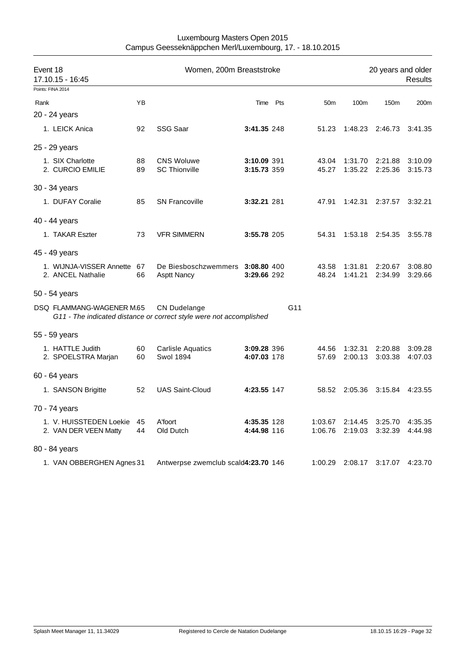| Event 18<br>17.10.15 - 16:45                  |          | Women, 200m Breaststroke                                                                   | 20 years and older<br><b>Results</b> |                 |                    |                    |                    |
|-----------------------------------------------|----------|--------------------------------------------------------------------------------------------|--------------------------------------|-----------------|--------------------|--------------------|--------------------|
| Points: FINA 2014                             |          |                                                                                            |                                      |                 |                    |                    |                    |
| Rank                                          | ΥB       |                                                                                            | Time Pts                             | 50 <sub>m</sub> | 100m               | 150m               | 200m               |
| 20 - 24 years                                 |          |                                                                                            |                                      |                 |                    |                    |                    |
| 1. LEICK Anica                                | 92       | <b>SSG Saar</b>                                                                            | 3:41.35 248                          | 51.23           | 1:48.23            | 2:46.73            | 3:41.35            |
| 25 - 29 years                                 |          |                                                                                            |                                      |                 |                    |                    |                    |
| 1. SIX Charlotte                              | 88       | <b>CNS Woluwe</b>                                                                          | 3:10.09 391                          | 43.04           | 1:31.70            | 2:21.88            | 3:10.09            |
| 2. CURCIO EMILIE                              | 89       | <b>SC Thionville</b>                                                                       | 3:15.73 359                          | 45.27           | 1:35.22            | 2:25.36            | 3:15.73            |
| 30 - 34 years                                 |          |                                                                                            |                                      |                 |                    |                    |                    |
| 1. DUFAY Coralie                              | 85       | <b>SN Francoville</b>                                                                      | 3:32.21 281                          | 47.91           | 1:42.31            | 2:37.57            | 3:32.21            |
| 40 - 44 years                                 |          |                                                                                            |                                      |                 |                    |                    |                    |
| 1. TAKAR Eszter                               | 73       | <b>VFR SIMMERN</b>                                                                         | 3:55.78 205                          | 54.31           |                    | 1:53.18 2:54.35    | 3:55.78            |
| 45 - 49 years                                 |          |                                                                                            |                                      |                 |                    |                    |                    |
| 1. WIJNJA-VISSER Annette<br>2. ANCEL Nathalie | 67<br>66 | De Biesboschzwemmers 3:08.80 400<br><b>Asptt Nancy</b>                                     | 3:29.66 292                          | 43.58<br>48.24  | 1:31.81<br>1:41.21 | 2:20.67<br>2:34.99 | 3:08.80<br>3:29.66 |
| 50 - 54 years                                 |          |                                                                                            |                                      |                 |                    |                    |                    |
| DSQ FLAMMANG-WAGENER M.65                     |          | <b>CN Dudelange</b><br>G11 - The indicated distance or correct style were not accomplished |                                      | G11             |                    |                    |                    |
| 55 - 59 years                                 |          |                                                                                            |                                      |                 |                    |                    |                    |
| 1. HATTLE Judith                              | 60       | <b>Carlisle Aquatics</b>                                                                   | 3:09.28 396                          | 44.56           | 1:32.31            | 2:20.88            | 3:09.28            |
| 2. SPOELSTRA Marjan                           | 60       | <b>Swol 1894</b>                                                                           | 4:07.03 178                          | 57.69           | 2:00.13            | 3:03.38            | 4:07.03            |
| 60 - 64 years                                 |          |                                                                                            |                                      |                 |                    |                    |                    |
| 1. SANSON Brigitte                            | 52       | <b>UAS Saint-Cloud</b>                                                                     | 4:23.55 147                          | 58.52           | 2:05.36            | 3:15.84            | 4:23.55            |
| 70 - 74 years                                 |          |                                                                                            |                                      |                 |                    |                    |                    |
| 1. V. HUISSTEDEN Loekie 45                    |          | A'foort                                                                                    | 4:35.35 128                          | 1:03.67         |                    | 2:14.45 3:25.70    | 4:35.35            |
| 2. VAN DER VEEN Matty                         | 44       | Old Dutch                                                                                  | 4:44.98 116                          | 1:06.76         | 2:19.03            | 3:32.39            | 4:44.98            |
| 80 - 84 years                                 |          |                                                                                            |                                      |                 |                    |                    |                    |
| 1. VAN OBBERGHEN Agnes 31                     |          | Antwerpse zwemclub scald4:23.70 146                                                        |                                      | 1:00.29         | 2:08.17            | 3:17.07            | 4:23.70            |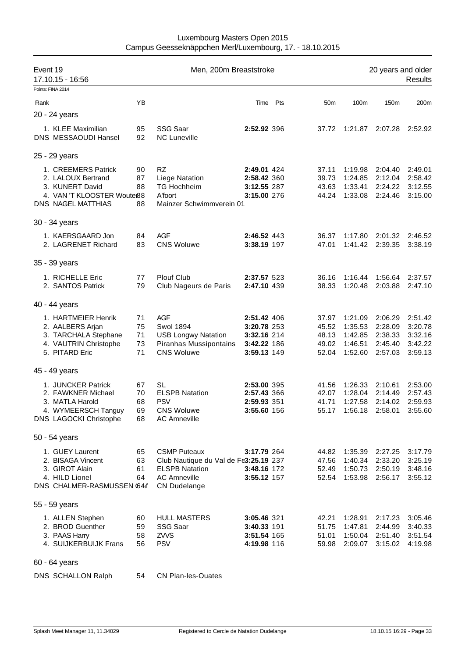| Event 19<br>17.10.15 - 16:56<br>Points: FINA 2014 |                                                                                                                   |                            | Men, 200m Breaststroke                                                                                                              |                                                                         |          | 20 years and older<br><b>Results</b>      |                                                        |                                                     |                                                     |  |
|---------------------------------------------------|-------------------------------------------------------------------------------------------------------------------|----------------------------|-------------------------------------------------------------------------------------------------------------------------------------|-------------------------------------------------------------------------|----------|-------------------------------------------|--------------------------------------------------------|-----------------------------------------------------|-----------------------------------------------------|--|
|                                                   |                                                                                                                   |                            |                                                                                                                                     |                                                                         |          |                                           |                                                        |                                                     |                                                     |  |
| Rank                                              |                                                                                                                   | YB                         |                                                                                                                                     |                                                                         | Time Pts | 50 <sub>m</sub>                           | 100m                                                   | 150m                                                | 200m                                                |  |
|                                                   | 20 - 24 years                                                                                                     |                            |                                                                                                                                     |                                                                         |          |                                           |                                                        |                                                     |                                                     |  |
|                                                   | 1. KLEE Maximilian<br>DNS MESSAOUDI Hansel                                                                        | 95<br>92                   | SSG Saar<br><b>NC Luneville</b>                                                                                                     | 2:52.92 396                                                             |          | 37.72                                     | 1:21.87                                                | 2:07.28                                             | 2:52.92                                             |  |
|                                                   | 25 - 29 years                                                                                                     |                            |                                                                                                                                     |                                                                         |          |                                           |                                                        |                                                     |                                                     |  |
|                                                   | 1. CREEMERS Patrick<br>2. LALOUX Bertrand<br>3. KUNERT David<br>4. VAN 'T KLOOSTER Woute 88<br>DNS NAGEL MATTHIAS | 90<br>87<br>88<br>88       | RZ.<br>Liege Natation<br><b>TG Hochheim</b><br>A'foort<br>Mainzer Schwimmverein 01                                                  | 2:49.01 424<br>2:58.42 360<br>3:12.55 287<br>3:15.00 276                |          | 37.11<br>39.73<br>43.63<br>44.24          | 1:19.98<br>1:24.85<br>1:33.41<br>1:33.08               | 2:04.40<br>2:12.04<br>2:24.22<br>2:24.46            | 2:49.01<br>2:58.42<br>3:12.55<br>3:15.00            |  |
|                                                   | 30 - 34 years                                                                                                     |                            |                                                                                                                                     |                                                                         |          |                                           |                                                        |                                                     |                                                     |  |
|                                                   | 1. KAERSGAARD Jon<br>2. LAGRENET Richard                                                                          | 84<br>83                   | <b>AGF</b><br><b>CNS Woluwe</b>                                                                                                     | 2:46.52 443<br>3:38.19 197                                              |          | 36.37<br>47.01                            | 1:17.80<br>1:41.42                                     | 2:01.32<br>2:39.35                                  | 2:46.52<br>3:38.19                                  |  |
|                                                   | 35 - 39 years                                                                                                     |                            |                                                                                                                                     |                                                                         |          |                                           |                                                        |                                                     |                                                     |  |
|                                                   | 1. RICHELLE Eric<br>2. SANTOS Patrick                                                                             | 77<br>79                   | Plouf Club<br>Club Nageurs de Paris                                                                                                 | 2:37.57 523<br>2:47.10 439                                              |          | 36.16<br>38.33                            | 1:16.44<br>1:20.48                                     | 1:56.64<br>2:03.88                                  | 2:37.57<br>2:47.10                                  |  |
|                                                   | 40 - 44 years                                                                                                     |                            |                                                                                                                                     |                                                                         |          |                                           |                                                        |                                                     |                                                     |  |
|                                                   | 1. HARTMEIER Henrik<br>2. AALBERS Arjan<br>3. TARCHALA Stephane<br>4. VAUTRIN Christophe<br>5. PITARD Eric        | 71<br>75<br>71<br>73<br>71 | <b>AGF</b><br><b>Swol 1894</b><br><b>USB Longwy Natation</b><br><b>Piranhas Mussipontains</b><br><b>CNS Woluwe</b>                  | 2:51.42 406<br>3:20.78 253<br>3:32.16 214<br>3:42.22 186<br>3:59.13 149 |          | 37.97<br>45.52<br>48.13<br>49.02<br>52.04 | 1:21.09<br>1:35.53<br>1:42.85<br>1:46.51<br>1:52.60    | 2:06.29<br>2:28.09<br>2:38.33<br>2:45.40<br>2:57.03 | 2:51.42<br>3:20.78<br>3:32.16<br>3:42.22<br>3:59.13 |  |
|                                                   | 45 - 49 years                                                                                                     |                            |                                                                                                                                     |                                                                         |          |                                           |                                                        |                                                     |                                                     |  |
|                                                   | 1. JUNCKER Patrick<br>2. FAWKNER Michael<br>3. MATLA Harold<br>4. WYMEERSCH Tanguy<br>DNS LAGOCKI Christophe      | 67<br>70<br>68<br>69<br>68 | SL<br><b>ELSPB Natation</b><br><b>PSV</b><br><b>CNS Woluwe</b><br><b>AC Amneville</b>                                               | 2:53.00 395<br>2:57.43 366<br>2:59.93 351<br>3:55.60 156                |          | 41.56<br>42.07<br>41.71                   | 1:26.33<br>1:28.04<br>1:27.58<br>55.17 1:56.18 2:58.01 | 2:10.61<br>2:14.49<br>2:14.02                       | 2:53.00<br>2:57.43<br>2:59.93<br>3:55.60            |  |
|                                                   | 50 - 54 years                                                                                                     |                            |                                                                                                                                     |                                                                         |          |                                           |                                                        |                                                     |                                                     |  |
|                                                   | 1. GUEY Laurent<br>2. BISAGA Vincent<br>3. GIROT Alain<br>4. HILD Lionel<br>DNS CHALMER-RASMUSSEN (64tf           | 65<br>63<br>61<br>64       | <b>CSMP Puteaux</b><br>Club Nautique du Val de Fe3:25.19 237<br><b>ELSPB Natation</b><br><b>AC Amneville</b><br><b>CN Dudelange</b> | 3:17.79 264<br>3:48.16 172<br>3:55.12 157                               |          | 44.82<br>47.56<br>52.49<br>52.54          | 1:35.39<br>1:40.34<br>1:50.73<br>1:53.98               | 2:27.25<br>2:33.20<br>2:50.19<br>2:56.17            | 3:17.79<br>3:25.19<br>3:48.16<br>3:55.12            |  |
|                                                   | 55 - 59 years                                                                                                     |                            |                                                                                                                                     |                                                                         |          |                                           |                                                        |                                                     |                                                     |  |
|                                                   | 1. ALLEN Stephen<br>2. BROD Guenther<br>3. PAAS Harry<br>4. SUIJKERBUIJK Frans                                    | 60<br>59<br>58<br>56       | <b>HULL MASTERS</b><br>SSG Saar<br>ZVVS<br><b>PSV</b>                                                                               | 3:05.46 321<br>3:40.33 191<br>3:51.54 165<br>4:19.98 116                |          | 42.21<br>51.75<br>51.01<br>59.98          | 1:28.91<br>1:47.81<br>1:50.04<br>2:09.07               | 2:17.23<br>2:44.99<br>2:51.40<br>3:15.02            | 3:05.46<br>3:40.33<br>3:51.54<br>4:19.98            |  |
|                                                   | 60 - 64 years                                                                                                     |                            |                                                                                                                                     |                                                                         |          |                                           |                                                        |                                                     |                                                     |  |

DNS SCHALLON Ralph 54 CN Plan-les-Ouates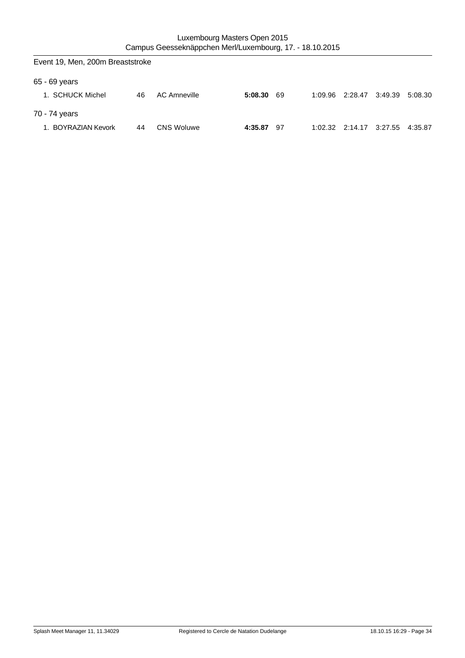| Event 19, Men, 200m Breaststroke |    |                   |         |      |  |                 |                         |         |  |  |
|----------------------------------|----|-------------------|---------|------|--|-----------------|-------------------------|---------|--|--|
| 65 - 69 years                    |    |                   |         |      |  |                 |                         |         |  |  |
| 1. SCHUCK Michel                 | 46 | AC Amneville      | 5:08.30 | -69  |  | 1:09.96 2:28.47 | 3:49.39                 | 5:08.30 |  |  |
| 70 - 74 years                    |    |                   |         |      |  |                 |                         |         |  |  |
| 1. BOYRAZIAN Kevork              | 44 | <b>CNS Woluwe</b> | 4:35.87 | - 97 |  |                 | 1:02.32 2:14.17 3:27.55 | 4:35.87 |  |  |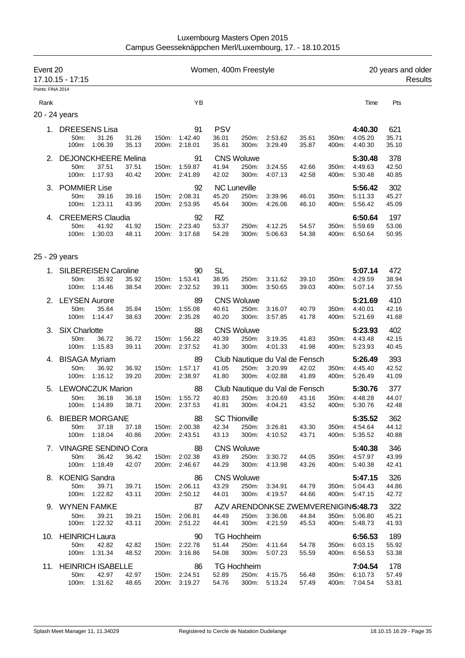| Event 20          | 17.10.15 - 17:15             |                            |                |                |                                | Women, 400m Freestyle |                            |                                     |                |                |                    | 20 years and older<br>Results |
|-------------------|------------------------------|----------------------------|----------------|----------------|--------------------------------|-----------------------|----------------------------|-------------------------------------|----------------|----------------|--------------------|-------------------------------|
| Points: FINA 2014 |                              |                            |                |                |                                |                       |                            |                                     |                |                |                    |                               |
| Rank              |                              |                            |                |                | YB                             |                       |                            |                                     |                |                | Time               | Pts                           |
| 20 - 24 years     |                              |                            |                |                |                                |                       |                            |                                     |                |                |                    |                               |
|                   | 1. DREESENS Lisa             |                            |                |                | 91                             | <b>PSV</b>            |                            |                                     |                |                | 4:40.30            | 621                           |
|                   | 50m:<br>100m:                | 31.26<br>1:06.39           | 31.26<br>35.13 | 150m:<br>200m: | 1:42.40<br>2:18.01             | 36.01<br>35.61        | 250m:<br>300m:             | 2:53.62<br>3:29.49                  | 35.61<br>35.87 | 350m:<br>400m: | 4:05.20<br>4:40.30 | 35.71<br>35.10                |
| 2.                |                              | <b>DEJONCKHEERE Melina</b> |                |                | 91                             |                       | <b>CNS Woluwe</b>          |                                     |                |                | 5:30.48            | 378                           |
|                   | 50m:                         | 37.51                      | 37.51          | 150m:          | 1:59.87                        | 41.94                 | 250m:                      | 3:24.55                             | 42.66          | 350m:          | 4:49.63            | 42.50                         |
|                   | 100m:                        | 1:17.93                    | 40.42          | 200m:          | 2:41.89                        | 42.02                 | 300m:                      | 4:07.13                             | 42.58          | 400m:          | 5:30.48            | 40.85                         |
| З.                | POMMIER Lise                 |                            |                |                | 92                             |                       | <b>NC Luneville</b>        |                                     |                |                | 5:56.42            | 302                           |
|                   | 50m:<br>100m:                | 39.16<br>1:23.11           | 39.16<br>43.95 | 150m:<br>200m: | 2:08.31<br>2:53.95             | 45.20<br>45.64        | 250m:<br>300m:             | 3:39.96<br>4:26.06                  | 46.01<br>46.10 | 350m:<br>400m: | 5:11.33<br>5:56.42 | 45.27<br>45.09                |
| 4.                |                              | <b>CREEMERS Claudia</b>    |                |                | 92                             | <b>RZ</b>             |                            |                                     |                |                | 6:50.64            | 197                           |
|                   | 50m:                         | 41.92                      | 41.92          | 150m:          | 2:23.40                        | 53.37                 | 250m:                      | 4:12.25                             | 54.57          | 350m:          | 5:59.69            | 53.06                         |
|                   | 100m:                        | 1:30.03                    | 48.11          | 200m:          | 3:17.68                        | 54.28                 | 300m:                      | 5:06.63                             | 54.38          | 400m:          | 6:50.64            | 50.95                         |
| 25 - 29 years     |                              |                            |                |                |                                |                       |                            |                                     |                |                |                    |                               |
|                   |                              | 1. SILBEREISEN Caroline    |                |                | 90                             | <b>SL</b>             |                            |                                     |                |                | 5:07.14            | 472                           |
|                   | 50m:                         | 35.92                      | 35.92          | 150m:          | 1:53.41                        | 38.95                 | 250m:                      | 3:11.62                             | 39.10          | 350m:          | 4:29.59            | 38.94                         |
|                   | 100m:                        | 1:14.46                    | 38.54          | 200m:          | 2:32.52                        | 39.11                 | 300m:                      | 3:50.65                             | 39.03          | 400m:          | 5:07.14            | 37.55                         |
|                   | 2. LEYSEN Aurore             |                            |                |                | 89                             |                       | <b>CNS Woluwe</b>          |                                     |                |                | 5:21.69            | 410                           |
|                   | 50m:<br>100m:                | 35.84<br>1:14.47           | 35.84<br>38.63 | 150m:<br>200m: | 1:55.08<br>2:35.28             | 40.61<br>40.20        | 250m:<br>300m:             | 3:16.07<br>3:57.85                  | 40.79<br>41.78 | 350m:<br>400m: | 4:40.01<br>5:21.69 | 42.16<br>41.68                |
|                   |                              |                            |                |                |                                |                       |                            |                                     |                |                |                    |                               |
| 3.                | <b>SIX Charlotte</b><br>50m: | 36.72                      | 36.72          | 150m:          | 88<br>1:56.22                  | 40.39                 | <b>CNS Woluwe</b><br>250m: | 3:19.35                             | 41.83          | 350m:          | 5:23.93<br>4:43.48 | 402<br>42.15                  |
|                   | 100m:                        | 1:15.83                    | 39.11          | 200m:          | 2:37.52                        | 41.30                 | 300m:                      | 4:01.33                             | 41.98          | 400m:          | 5:23.93            | 40.45                         |
| 4.                | <b>BISAGA Myriam</b>         |                            |                |                | 89                             |                       |                            | Club Nautique du Val de Fensch      |                |                | 5:26.49            | 393                           |
|                   | 50m:                         | 36.92                      | 36.92          | 150m:          | 1:57.17                        | 41.05                 | 250m:                      | 3:20.99                             | 42.02          | 350m:          | 4:45.40            | 42.52                         |
|                   | 100m:                        | 1:16.12                    | 39.20          | 200m:          | 2:38.97                        | 41.80                 | 300m:                      | 4:02.88                             | 41.89          | 400m:          | 5:26.49            | 41.09                         |
| 5.                |                              | <b>LEWONCZUK Marion</b>    |                |                | 88                             |                       |                            | Club Nautique du Val de Fensch      |                |                | 5:30.76            | 377                           |
|                   | 50m:<br>100m:                | 36.18<br>1:14.89           | 36.18<br>38.71 | 150m:<br>200m: | 1:55.72<br>2:37.53             | 40.83<br>41.81        | 250m:<br>300m:             | 3:20.69<br>4:04.21                  | 43.16<br>43.52 | 350m:<br>400m: | 4:48.28<br>5:30.76 | 44.07<br>42.48                |
|                   |                              | 6. BIEBER MORGANE          |                |                | 88                             |                       | <b>SC Thionville</b>       |                                     |                |                | 5:35.52            | 362                           |
|                   | 50m:                         | 37.18                      | 37.18          |                | 150m: 2:00.38                  | 42.34                 | 250m:                      | 3:26.81                             | 43.30          | 350m.          | 4:54.64            | 44.12                         |
|                   | 100m:                        | 1:18.04                    | 40.86          |                | 200m: 2:43.51                  | 43.13                 | 300m:                      | 4:10.52                             | 43.71          | 400m:          | 5:35.52            | 40.88                         |
|                   |                              | 7. VINAGRE SENDINO Cora    |                |                | 88                             |                       | <b>CNS Woluwe</b>          |                                     |                |                | 5:40.38            | 346                           |
|                   | 50m:                         | 36.42<br>100m: 1:18.49     | 36.42<br>42.07 |                | 150m: 2:02.38<br>200m: 2:46.67 | 43.89<br>44.29        | 250m:<br>300m:             | 3:30.72<br>4:13.98                  | 44.05<br>43.26 | 350m:<br>400m: | 4:57.97<br>5:40.38 | 43.99<br>42.41                |
|                   |                              |                            |                |                |                                |                       |                            |                                     |                |                |                    |                               |
|                   | 8. KOENIG Sandra<br>50m:     | 39.71                      | 39.71          | 150m:          | 86<br>2:06.11                  | 43.29                 | <b>CNS Woluwe</b><br>250m: | 3:34.91                             | 44.79          | 350m:          | 5:47.15<br>5:04.43 | 326<br>44.86                  |
|                   | 100m:                        | 1:22.82                    | 43.11          |                | 200m: 2:50.12                  | 44.01                 | 300m:                      | 4:19.57                             | 44.66          | 400m:          | 5:47.15            | 42.72                         |
|                   | 9. WYNEN FAMKE               |                            |                |                | 87                             |                       |                            | AZV ARENDONKSE ZWEMVERENIGIN5:48.73 |                |                |                    | 322                           |
|                   | 50m:                         | 39.21                      | 39.21          |                | 150m: 2:06.81                  | 44.49                 | 250m:                      | 3:36.06                             | 44.84          | 350m:          | 5:06.80            | 45.21                         |
|                   | 100m:                        | 1:22.32                    | 43.11          |                | 200m: 2:51.22                  | 44.41                 | 300m:                      | 4:21.59                             | 45.53          | 400m:          | 5:48.73            | 41.93                         |
|                   | 10. HEINRICH Laura           |                            |                |                | 90                             |                       | <b>TG Hochheim</b>         |                                     |                |                | 6:56.53            | 189                           |
|                   | 50m:                         | 42.82<br>100m: 1:31.34     | 42.82<br>48.52 |                | 150m: 2:22.78<br>200m: 3:16.86 | 51.44<br>54.08        | 250m:<br>300m:             | 4:11.64<br>5:07.23                  | 54.78<br>55.59 | 350m:<br>400m: | 6:03.15<br>6:56.53 | 55.92<br>53.38                |
|                   |                              | 11. HEINRICH ISABELLE      |                |                | 86                             |                       | <b>TG Hochheim</b>         |                                     |                |                | 7:04.54            | 178                           |
|                   | 50m:                         | 42.97                      | 42.97          |                | 150m: 2:24.51                  | 52.89                 | 250m:                      | 4:15.75                             | 56.48          | 350m:          | 6:10.73            | 57.49                         |
|                   | 100m:                        | 1:31.62                    | 48.65          | 200m:          | 3:19.27                        | 54.76                 | 300m:                      | 5:13.24                             | 57.49          | 400m:          | 7:04.54            | 53.81                         |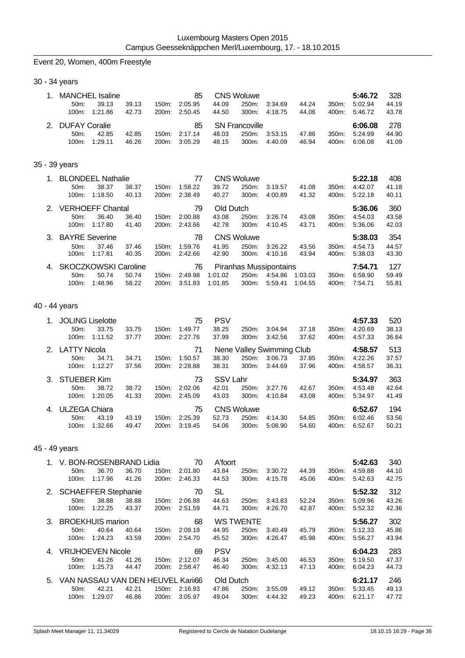# Event 20, Women, 400m Freestyle

30 - 34 years

| <b>MANCHEL Isaline</b><br>$50m$ :<br>100m: | 39.13<br>1:21.86 | 39.13<br>42.73 | 150m:<br>200m: | 85<br>2:05.95<br>2:50.45 | 44.09<br>44.50 | <b>CNS Woluwe</b><br>250m:<br>300m:        | 3:34.69<br>4:18.75 | 44.24<br>44.06 | $350m$ :<br>400m: | 5:46.72<br>5:02.94<br>5:46.72 | 328<br>44.19<br>43.78 |
|--------------------------------------------|------------------|----------------|----------------|--------------------------|----------------|--------------------------------------------|--------------------|----------------|-------------------|-------------------------------|-----------------------|
| 2. DUFAY Coralie<br>$50m$ :<br>100m:       | 42.85<br>1:29.11 | 42.85<br>46.26 | 150m:<br>200m: | 85<br>2:17.14<br>3:05.29 | 48.03<br>48.15 | <b>SN Francoville</b><br>250m:<br>$300m$ : | 3:53.15<br>4:40.09 | 47.86<br>46.94 | $350m$ :<br>400m: | 6:06.08<br>5:24.99<br>6:06.08 | 278<br>44.90<br>41.09 |

# 35 - 39 years

|                |                       | <b>BLONDEEL Nathalie</b>    |       |                    | 77      |         | <b>CNS Woluwe</b> | 5:22.18                | 408     |          |         |       |
|----------------|-----------------------|-----------------------------|-------|--------------------|---------|---------|-------------------|------------------------|---------|----------|---------|-------|
|                | 50m                   | 38.37                       | 38.37 | $150m$ :           | 1:58.22 | 39.72   | 250m:             | 3:19.57                | 41.08   | $350m$ : | 4:42.07 | 41.18 |
|                | $100m$ :              | 1:18.50                     | 40.13 | 200 <sub>m</sub> : | 2:38.49 | 40.27   | 300m:             | 4:00.89                | 41.32   | 400m:    | 5:22.18 | 40.11 |
| 2 <sup>1</sup> |                       | <b>VERHOEFF Chantal</b>     | 79    | Old Dutch          |         |         |                   |                        | 5:36.06 | 360      |         |       |
|                | $50m$ :               | 36.40                       | 36.40 | $150m$ :           | 2:00.88 | 43.08   | 250m:             | 3:26.74                | 43.08   | 350m:    | 4:54.03 | 43.58 |
|                | $100m$ :              | 1:17.80                     | 41.40 | $200m$ :           | 2:43.66 | 42.78   | $300m$ :          | 4:10.45                | 43.71   | 400m:    | 5:36.06 | 42.03 |
| 3.             | <b>BAYRE Severine</b> |                             |       |                    | 78      |         | <b>CNS Woluwe</b> |                        |         |          | 5:38.03 | 354   |
|                |                       |                             |       |                    |         |         |                   |                        |         |          |         |       |
|                | 50m                   | 37.46                       | 37.46 | $150m$ :           | 1:59.76 | 41.95   | 250m:             | 3:26.22                | 43.56   | 350m:    | 4:54.73 | 44.57 |
|                | $100m$ :              | 1:17.81                     | 40.35 | $200m$ :           | 2:42.66 | 42.90   | 300m:             | 4:10.16                | 43.94   | 400m:    | 5:38.03 | 43.30 |
| 4.             |                       | <b>SKOCZKOWSKI Caroline</b> |       |                    | 76      |         |                   | Piranhas Mussipontains |         |          | 7:54.71 | 127   |
|                | $50m$ :               | 50.74                       | 50.74 | $150m$ :           | 2:49.98 | 1:01.02 | 250m:             | 4:54.86                | 1:03.03 | 350m:    | 6:58.90 | 59.49 |

# 40 - 44 years

| 1. |                    | <b>JOLING Liselotte</b> |       |                    | 75                              | <b>PSV</b> |                   |         |       |          | 4:57.33 | 520   |
|----|--------------------|-------------------------|-------|--------------------|---------------------------------|------------|-------------------|---------|-------|----------|---------|-------|
|    | $50m$ :            | 33.75                   | 33.75 | $150m$ :           | 1:49.77                         | 38.25      | 250m:             | 3:04.94 | 37.18 | 350m:    | 4:20.69 | 38.13 |
|    | $100m$ :           | 1:11.52                 | 37.77 | 200m:              | 2:27.76                         | 37.99      | $300m$ :          | 3:42.56 | 37.62 | 400m:    | 4:57.33 | 36.64 |
|    | 2. LATTY Nicola    |                         |       |                    | 71<br>Nene Valley Swimming Club |            |                   |         |       |          |         | 513   |
|    | $50m$ :            | 34.71                   | 34.71 | $150m$ :           | 1:50.57                         | 38.30      | 250m:             | 3:06.73 | 37.85 | $350m$ : | 4:22.26 | 37.57 |
|    | $100m$ :           | 1:12.27                 | 37.56 | 200 <sub>m</sub> : | 2:28.88                         | 38.31      | $300m$ :          | 3:44.69 | 37.96 | 400m:    | 4:58.57 | 36.31 |
| 3. | <b>STUEBER Kim</b> |                         |       |                    | 73                              | SSV Lahr   |                   |         |       |          | 5:34.97 | 363   |
|    | $50m$ :            | 38.72                   | 38.72 | $150m$ :           | 2:02.06                         | 42.01      | 250m:             | 3:27.76 | 42.67 | 350m:    | 4:53.48 | 42.64 |
|    | $100m$ :           | 1:20.05                 | 41.33 | 200 <sub>m</sub> : | 2:45.09                         | 43.03      | 300m:             | 4:10.84 | 43.08 | 400m:    | 5:34.97 | 41.49 |
| 4. | ULZEGA Chiara      |                         |       |                    | 75                              |            | <b>CNS Woluwe</b> |         |       |          | 6:52.67 | 194   |
|    | $50m$ :            | 43.19                   | 43.19 | $150m$ :           | 2:25.39                         | 52.73      | 250m:             | 4:14.30 | 54.85 | 350m:    | 6:02.46 | 53.56 |
|    | 100m:              | 1:32.66                 | 49.47 | 200m:              | 3:19.45                         | 54.06      | 300m:             | 5:08.90 | 54.60 | 400m:    | 6:52.67 | 50.21 |

### 45 - 49 years

|    |                                  | V. BON-ROSENBRAND Lidia  |       |                    | 70      | A'foort          |          |         |         |          | 5:42.63 | 340   |
|----|----------------------------------|--------------------------|-------|--------------------|---------|------------------|----------|---------|---------|----------|---------|-------|
|    | $50m$ :                          | 36.70                    | 36.70 | 150m:              | 2:01.80 | 43.84            | 250m:    | 3.30.72 | 44.39   | 350m:    | 4:59.88 | 44.10 |
|    | 100m:                            | 1:17.96                  | 41.26 | 200m:              | 2:46.33 | 44.53            | 300m:    | 4:15.78 | 45.06   | 400m:    | 5:42.63 | 42.75 |
|    | 2. SCHAEFFER Stephanie           |                          |       |                    | 70      | SL               |          |         |         |          | 5:52.32 | 312   |
|    | 50m:                             | 38.88                    | 38.88 | 150m:              | 2:06.88 | 44.63            | 250m:    | 3:43.83 | 52.24   | 350m:    | 5:09.96 | 43.26 |
|    | 100m:                            | 1:22.25                  | 43.37 | 200m:              | 2:51.59 | 44.71            | 300m:    | 4:26.70 | 42.87   | 400m:    | 5:52.32 | 42.36 |
| 3. | <b>BROEKHUIS marion</b>          |                          |       | 68                 |         | <b>WS TWENTE</b> |          |         |         | 5:56.27  | 302     |       |
|    | $50m$ :                          | 40.64                    | 40.64 | 150m:              | 2:09.18 | 44.95            | 250m:    | 3:40.49 | 45.79   | 350m:    | 5:12.33 | 45.86 |
|    | 100m:                            | 1:24.23                  | 43.59 | 200m:              | 2:54.70 | 45.52            | $300m$ : | 4:26.47 | 45.98   | 400m:    | 5:56.27 | 43.94 |
| 4. |                                  | <b>VRIJHOEVEN Nicole</b> | 69    | <b>PSV</b>         |         |                  |          |         | 6:04.23 | 283      |         |       |
|    | 50m                              | 41.26                    | 41.26 | 150m:              | 2:12.07 | 46.34            | 250m:    | 3:45.00 | 46.53   | 350m:    | 5:19.50 | 47.37 |
|    | $100m$ :                         | 1:25.73                  | 44.47 | 200 <sub>m</sub> : | 2:58.47 | 46.40            | 300m:    | 4:32.13 | 47.13   | 400m:    | 6:04.23 | 44.73 |
| 5. | VAN NASSAU VAN DEN HEUVEL Kari66 |                          |       |                    |         | Old Dutch        |          |         |         |          | 6:21.17 | 246   |
|    | $50m$ :                          | 42.21                    | 42.21 | 150m:              | 2:16.93 | 47.86            | 250m:    | 3:55.09 | 49.12   | $350m$ : | 5:33.45 | 49.13 |
|    | 100m:                            | 1:29.07                  | 46.86 | 200m:              | 3:05.97 | 49.04            | $300m$ : | 4:44.32 | 49.23   | 400m:    | 6:21.17 | 47.72 |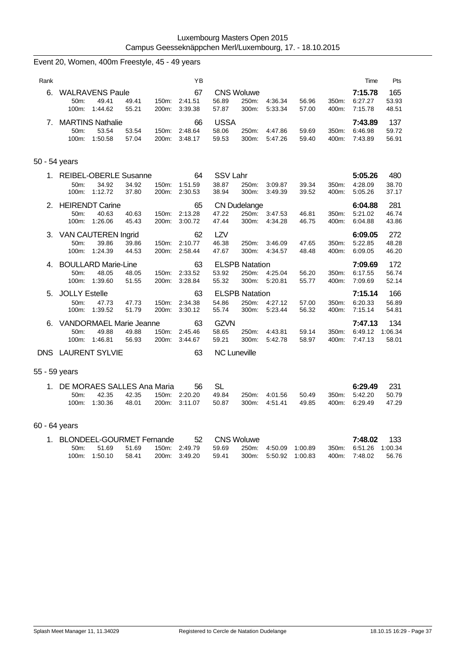|               | Event 20, Women, 400m Freestyle, 45 - 49 years      |                  |                |                |                          |                                         |                |                    |                    |                |                               |                         |
|---------------|-----------------------------------------------------|------------------|----------------|----------------|--------------------------|-----------------------------------------|----------------|--------------------|--------------------|----------------|-------------------------------|-------------------------|
| Rank          |                                                     |                  |                |                | YB                       |                                         |                |                    |                    |                | Time                          | Pts                     |
| 6.            | <b>WALRAVENS Paule</b><br>50m:<br>100m:             | 49.41<br>1:44.62 | 49.41<br>55.21 | 150m:<br>200m: | 67<br>2:41.51<br>3:39.38 | <b>CNS Woluwe</b><br>56.89<br>57.87     | 250m:<br>300m: | 4:36.34<br>5:33.34 | 56.96<br>57.00     | 350m:<br>400m: | 7:15.78<br>6:27.27<br>7:15.78 | 165<br>53.93<br>48.51   |
| 7.            | <b>MARTINS Nathalie</b><br>50m:<br>100m:            | 53.54<br>1:50.58 | 53.54<br>57.04 | 150m:<br>200m: | 66<br>2:48.64<br>3:48.17 | <b>USSA</b><br>58.06<br>59.53           | 250m:<br>300m: | 4:47.86<br>5:47.26 | 59.69<br>59.40     | 350m:<br>400m: | 7:43.89<br>6:46.98<br>7:43.89 | 137<br>59.72<br>56.91   |
| 50 - 54 years |                                                     |                  |                |                |                          |                                         |                |                    |                    |                |                               |                         |
| 1.            | <b>REIBEL-OBERLE Susanne</b><br>50m:<br>100m:       | 34.92<br>1:12.72 | 34.92<br>37.80 | 150m:<br>200m: | 64<br>1:51.59<br>2:30.53 | SSV Lahr<br>38.87<br>38.94              | 250m:<br>300m: | 3:09.87<br>3:49.39 | 39.34<br>39.52     | 350m:<br>400m: | 5:05.26<br>4:28.09<br>5:05.26 | 480<br>38.70<br>37.17   |
| 2.            | <b>HEIRENDT Carine</b><br>50m:<br>100m:             | 40.63<br>1:26.06 | 40.63<br>45.43 | 150m:<br>200m: | 65<br>2:13.28<br>3:00.72 | <b>CN Dudelange</b><br>47.22<br>47.44   | 250m:<br>300m: | 3:47.53<br>4:34.28 | 46.81<br>46.75     | 350m:<br>400m: | 6:04.88<br>5:21.02<br>6:04.88 | 281<br>46.74<br>43.86   |
| 3.            | <b>VAN CAUTEREN Ingrid</b><br>50m:<br>$100m$ :      | 39.86<br>1:24.39 | 39.86<br>44.53 | 150m:<br>200m: | 62<br>2:10.77<br>2:58.44 | LZV<br>46.38<br>47.67                   | 250m:<br>300m: | 3:46.09<br>4:34.57 | 47.65<br>48.48     | 350m:<br>400m: | 6:09.05<br>5:22.85<br>6:09.05 | 272<br>48.28<br>46.20   |
| 4.            | <b>BOULLARD Marie-Line</b><br>50m:<br>100m: 1:39.60 | 48.05            | 48.05<br>51.55 | 150m:<br>200m: | 63<br>2:33.52<br>3:28.84 | <b>ELSPB Natation</b><br>53.92<br>55.32 | 250m:<br>300m: | 4:25.04<br>5:20.81 | 56.20<br>55.77     | 350m:<br>400m: | 7:09.69<br>6:17.55<br>7:09.69 | 172<br>56.74<br>52.14   |
| 5.            | <b>JOLLY Estelle</b><br>50m:<br>100m:               | 47.73<br>1:39.52 | 47.73<br>51.79 | 150m:<br>200m: | 63<br>2:34.38<br>3:30.12 | <b>ELSPB Natation</b><br>54.86<br>55.74 | 250m:<br>300m: | 4:27.12<br>5:23.44 | 57.00<br>56.32     | 350m:<br>400m: | 7:15.14<br>6:20.33<br>7:15.14 | 166<br>56.89<br>54.81   |
| 6.            | <b>VANDORMAEL Marie Jeanne</b><br>50m:<br>100m:     | 49.88<br>1:46.81 | 49.88<br>56.93 | 150m:<br>200m: | 63<br>2:45.46<br>3:44.67 | <b>GZVN</b><br>58.65<br>59.21           | 250m:<br>300m: | 4:43.81<br>5:42.78 | 59.14<br>58.97     | 350m:<br>400m: | 7:47.13<br>6:49.12<br>7:47.13 | 134<br>1:06.34<br>58.01 |
|               | DNS LAURENT SYLVIE                                  |                  |                |                | 63                       | <b>NC Luneville</b>                     |                |                    |                    |                |                               |                         |
| 55 - 59 years |                                                     |                  |                |                |                          |                                         |                |                    |                    |                |                               |                         |
|               | 1. DE MORAES SALLES Ana Maria<br>50m:<br>100m:      | 42.35<br>1:30.36 | 42.35<br>48.01 | 150m:<br>200m: | 56<br>2:20.20<br>3:11.07 | <b>SL</b><br>49.84<br>50.87             | 250m:<br>300m: | 4:01.56<br>4.51.41 | 50.49<br>49.85     | 350m:<br>400m: | 6:29.49<br>5:42.20<br>6:29.49 | 231<br>50.79<br>47.29   |
| 60 - 64 years |                                                     |                  |                |                |                          |                                         |                |                    |                    |                |                               |                         |
| 1.            | <b>BLONDEEL-GOURMET Fernande</b><br>50m:<br>100m:   | 51.69<br>1:50.10 | 51.69<br>58.41 | 150m:<br>200m: | 52<br>2:49.79<br>3:49.20 | <b>CNS Woluwe</b><br>59.69<br>59.41     | 250m:<br>300m: | 4:50.09<br>5:50.92 | 1:00.89<br>1:00.83 | 350m:<br>400m: | 7:48.02<br>6:51.26<br>7:48.02 | 133<br>1:00.34<br>56.76 |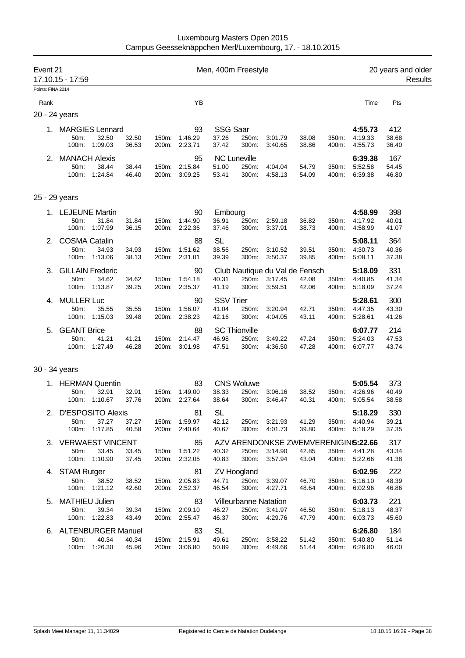| Event 21          | 17.10.15 - 17:59                           |                                             |                         |                |                                                       | Men, 400m Freestyle                |                                                         |                                                           |                         | 20 years and older      |                                          |                                |  |  |
|-------------------|--------------------------------------------|---------------------------------------------|-------------------------|----------------|-------------------------------------------------------|------------------------------------|---------------------------------------------------------|-----------------------------------------------------------|-------------------------|-------------------------|------------------------------------------|--------------------------------|--|--|
| Points: FINA 2014 |                                            |                                             |                         |                |                                                       |                                    |                                                         |                                                           |                         |                         |                                          |                                |  |  |
| Rank              |                                            |                                             |                         |                | YB                                                    |                                    |                                                         |                                                           |                         |                         | Time                                     | Pts                            |  |  |
|                   | 20 - 24 years                              |                                             |                         |                |                                                       |                                    |                                                         |                                                           |                         |                         |                                          |                                |  |  |
| 1.                | <b>MARGIES Lennard</b><br>50m:<br>100m:    | 32.50<br>1:09.03                            | 32.50<br>36.53          | 150m:          | 93<br>1:46.29<br>200m: 2:23.71                        | <b>SSG Saar</b><br>37.26<br>37.42  | 250m:<br>300m:                                          | 3:01.79<br>3:40.65                                        | 38.08<br>38.86          | 350m:<br>400m:          | 4:55.73<br>4:19.33<br>4:55.73            | 412<br>38.68<br>36.40          |  |  |
| 2.                | <b>MANACH Alexis</b><br>50m:<br>100m:      | 38.44<br>1:24.84                            | 38.44<br>46.40          | 150m:<br>200m: | 95<br>2:15.84<br>3:09.25                              | 51.00<br>53.41                     | <b>NC Luneville</b><br>250m:<br>300m:                   | 4:04.04<br>4:58.13                                        | 54.79<br>54.09          | 350m:<br>400m:          | 6:39.38<br>5:52.58<br>6:39.38            | 167<br>54.45<br>46.80          |  |  |
|                   | 25 - 29 years                              |                                             |                         |                |                                                       |                                    |                                                         |                                                           |                         |                         |                                          |                                |  |  |
|                   | 1. LEJEUNE Martin<br>50m:<br>100m:         | 31.84<br>1:07.99                            | 31.84<br>36.15          | 150m:<br>200m: | 90<br>1:44.90<br>2:22.36                              | Embourg<br>36.91<br>37.46          | 250m:<br>300m:                                          | 2:59.18<br>3:37.91                                        | 36.82<br>38.73          | 350m:<br>400m:          | 4:58.99<br>4:17.92<br>4:58.99            | 398<br>40.01<br>41.07          |  |  |
| 2.                | <b>COSMA Catalin</b><br>50m:<br>100m:      | 34.93<br>1:13.06                            | 34.93<br>38.13          | 150m:          | 88<br>1:51.62<br>200m: 2:31.01                        | <b>SL</b><br>38.56<br>39.39        | 250m:<br>300m:                                          | 3:10.52<br>3:50.37                                        | 39.51<br>39.85          | 350m:<br>400m:          | 5:08.11<br>4:30.73<br>5:08.11            | 364<br>40.36<br>37.38          |  |  |
| З.                | 50m:<br>100m:                              | <b>GILLAIN Frederic</b><br>34.62<br>1:13.87 | 34.62<br>39.25          | 150m:          | 90<br>1:54.18<br>200m: 2:35.37                        | 40.31<br>41.19                     | 250m:<br>300m:                                          | Club Nautique du Val de Fensch<br>3:17.45<br>3:59.51      | 42.08<br>42.06          | 350m:<br>400m:          | 5:18.09<br>4:40.85<br>5:18.09            | 331<br>41.34<br>37.24          |  |  |
| 4.                | <b>MULLER Luc</b><br>50m:<br>100m:         | 35.55<br>1:15.03                            | 35.55<br>39.48          | 150m:          | 90<br>1:56.07<br>200m: 2:38.23                        | <b>SSV Trier</b><br>41.04<br>42.16 | 250m:<br>300m:                                          | 3:20.94<br>4:04.05                                        | 42.71<br>43.11          | 350m:<br>400m:          | 5:28.61<br>4:47.35<br>5:28.61            | 300<br>43.30<br>41.26          |  |  |
| 5.                | <b>GEANT Brice</b><br>50m:<br>100m:        | 41.21<br>1:27.49                            | 41.21<br>46.28          | 150m:<br>200m: | 88<br>2:14.47<br>3:01.98                              | 46.98<br>47.51                     | <b>SC Thionville</b><br>250m:<br>300m:                  | 3:49.22<br>4:36.50                                        | 47.24<br>47.28          | 350m:<br>400m:          | 6:07.77<br>5:24.03<br>6:07.77            | 214<br>47.53<br>43.74          |  |  |
|                   | 30 - 34 years                              |                                             |                         |                |                                                       |                                    |                                                         |                                                           |                         |                         |                                          |                                |  |  |
|                   | 1. HERMAN Quentin<br>50m:<br>100m:         | 32.91<br>1:10.67                            | 32.91<br>37.76          | 150m:          | 83<br>1:49.00<br>200m: 2:27.64                        | 38.33<br>38.64                     | <b>CNS Woluwe</b><br>250m:<br>300m:                     | 3:06.16<br>3:46.47                                        | 38.52<br>40.31          | 350m:<br>400m:          | 5:05.54<br>4:26.96<br>5:05.54            | 373<br>40.49<br>38.58          |  |  |
|                   | 2. D'ESPOSITO Alexis<br>50m:<br>100m:      | 37.27<br>1:17.85                            | 37.27<br>40.58          |                | 81<br>150m: 1:59.97<br>200m: 2:40.64                  | <b>SL</b><br>42.12<br>40.67        | 250m:<br>300m:                                          | 3:21.93<br>4:01.73                                        | 41.29<br>39.80          | 400m:                   | 5:18.29<br>350m: 4:40.94<br>5:18.29      | 330<br>39.21<br>37.35          |  |  |
|                   | 3. VERWAEST VINCENT<br>50m:                | 33.45<br>100m: 1:10.90                      | 33.45<br>37.45          |                | 85<br>150m: 1:51.22<br>200m: 2:32.05                  | 40.32<br>40.83                     | 250m:<br>300m:                                          | AZV ARENDONKSE ZWEMVERENIGIN5:22.66<br>3:14.90<br>3:57.94 | 42.85<br>43.04          | 400m:                   | 350m: 4:41.28<br>5:22.66                 | 317<br>43.34<br>41.38          |  |  |
|                   | 4. STAM Rutger<br>50m:                     | 38.52                                       | 38.52                   |                | 81<br>150m: 2:05.83                                   | 44.71                              | <b>ZV Hoogland</b><br>250m:                             | 3:39.07                                                   | 46.70                   | 350m:                   | 6:02.96<br>5:16.10                       | 222<br>48.39                   |  |  |
| 5.                | <b>MATHIEU Julien</b><br>50m:              | 100m: 1:21.12<br>39.34<br>100m: 1:22.83     | 42.60<br>39.34<br>43.49 |                | 200m: 2:52.37<br>83<br>150m: 2:09.10<br>200m: 2:55.47 | 46.54<br>46.27<br>46.37            | 300m:<br><b>Villeurbanne Natation</b><br>250m:<br>300m: | 4:27.71<br>3:41.97<br>4:29.76                             | 48.64<br>46.50<br>47.79 | 400m:<br>350m:<br>400m: | 6:02.96<br>6:03.73<br>5:18.13<br>6:03.73 | 46.86<br>221<br>48.37<br>45.60 |  |  |
| 6.                | <b>ALTENBURGER Manuel</b><br>50m:<br>100m: | 40.34<br>1:26.30                            | 40.34<br>45.96          |                | 83<br>150m: 2:15.91<br>200m: 3:06.80                  | <b>SL</b><br>49.61<br>50.89        | 250m:<br>300m:                                          | 3:58.22<br>4:49.66                                        | 51.42<br>51.44          | 350m:<br>400m:          | 6:26.80<br>5:40.80<br>6:26.80            | 184<br>51.14<br>46.00          |  |  |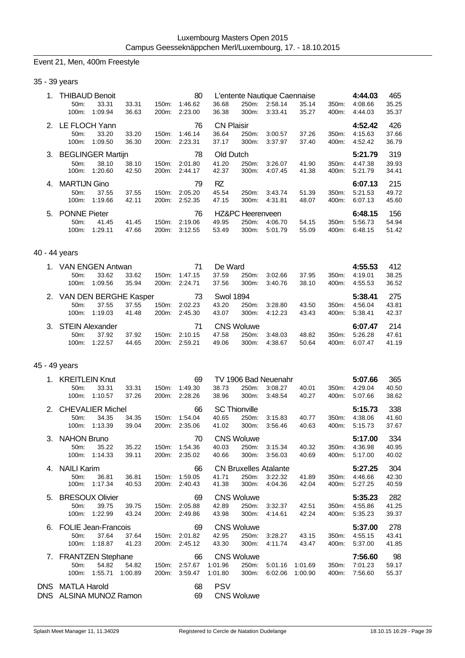### Event 21, Men, 400m Freestyle

| 1.            | <b>THIBAUD Benoit</b><br>50m:<br>33.31<br>100m:<br>1:09.94   | 33.31<br>36.63   | 150m:          | 80<br>1:46.62<br>200m: 2:23.00       | 36.68<br>36.38                      | 300m:                                  | L'entente Nautique Caennaise<br>250m: 2:58.14<br>3:33.41 | 35.14<br>35.27     | 350m:<br>400m: | 4:44.03<br>4:08.66<br>4:44.03 | 465<br>35.25<br>35.37 |
|---------------|--------------------------------------------------------------|------------------|----------------|--------------------------------------|-------------------------------------|----------------------------------------|----------------------------------------------------------|--------------------|----------------|-------------------------------|-----------------------|
|               | 2. LE FLOCH Yann<br>50m:<br>33.20<br>1:09.50<br>100m:        | 33.20<br>36.30   | 150m:<br>200m: | 76<br>1:46.14<br>2:23.31             | <b>CN Plaisir</b><br>36.64<br>37.17 | 250m:<br>300m:                         | 3:00.57<br>3:37.97                                       | 37.26<br>37.40     | 350m:<br>400m: | 4:52.42<br>4:15.63<br>4:52.42 | 426<br>37.66<br>36.79 |
|               | 3. BEGLINGER Martijn<br>50m:<br>38.10<br>100m:<br>1:20.60    | 38.10<br>42.50   | 150m:<br>200m: | 78<br>2:01.80<br>2:44.17             | Old Dutch<br>41.20<br>42.37         | 250m:<br>300m:                         | 3:26.07<br>4:07.45                                       | 41.90<br>41.38     | 350m:<br>400m: | 5:21.79<br>4:47.38<br>5:21.79 | 319<br>39.93<br>34.41 |
| 4.            | <b>MARTIJN Gino</b><br>50m:<br>37.55<br>100m: 1:19.66        | 37.55<br>42.11   | 150m:          | 79<br>2:05.20<br>200m: 2:52.35       | <b>RZ</b><br>45.54<br>47.15         | 250m:<br>300m:                         | 3:43.74<br>4:31.81                                       | 51.39<br>48.07     | 350m:<br>400m: | 6:07.13<br>5:21.53<br>6:07.13 | 215<br>49.72<br>45.60 |
| 5.            | <b>PONNE Pieter</b><br>50m:<br>41.45<br>100m: 1:29.11        | 41.45<br>47.66   | 150m:<br>200m: | 76<br>2:19.06<br>3:12.55             | 49.95<br>53.49                      | HZ&PC Heerenveen<br>250m:<br>300m:     | 4:06.70<br>5:01.79                                       | 54.15<br>55.09     | 350m:<br>400m: | 6:48.15<br>5:56.73<br>6:48.15 | 156<br>54.94<br>51.42 |
| 40 - 44 years |                                                              |                  |                |                                      |                                     |                                        |                                                          |                    |                |                               |                       |
|               | 1. VAN ENGEN Antwan<br>33.62<br>50m:<br>100m:<br>1:09.56     | 33.62<br>35.94   | 150m:<br>200m: | 71<br>1:47.15<br>2:24.71             | De Ward<br>37.59<br>37.56           | 250m:<br>300m:                         | 3:02.66<br>3:40.76                                       | 37.95<br>38.10     | 350m:<br>400m: | 4:55.53<br>4:19.01<br>4:55.53 | 412<br>38.25<br>36.52 |
|               | 2. VAN DEN BERGHE Kasper<br>37.55<br>50m:<br>100m: 1:19.03   | 37.55<br>41.48   | 150m:          | 73<br>2:02.23<br>200m: 2:45.30       | <b>Swol 1894</b><br>43.20<br>43.07  | 250m:<br>300m:                         | 3:28.80<br>4:12.23                                       | 43.50<br>43.43     | 350m:<br>400m: | 5:38.41<br>4:56.04<br>5:38.41 | 275<br>43.81<br>42.37 |
| 3.            | <b>STEIN Alexander</b><br>37.92<br>50m:<br>100m: 1:22.57     | 37.92<br>44.65   | 150m:<br>200m: | 71<br>2:10.15<br>2:59.21             | 47.58<br>49.06                      | <b>CNS Woluwe</b><br>250m:<br>300m:    | 3:48.03<br>4:38.67                                       | 48.82<br>50.64     | 350m:<br>400m: | 6:07.47<br>5:26.28<br>6:07.47 | 214<br>47.61<br>41.19 |
| 45 - 49 years |                                                              |                  |                |                                      |                                     |                                        |                                                          |                    |                |                               |                       |
|               | 1. KREITLEIN Knut<br>33.31<br>50m:<br>100m:<br>1:10.57       | 33.31<br>37.26   | 150m:<br>200m: | 69<br>1:49.30<br>2:28.26             | 38.73<br>38.96                      | 250m:<br>300m:                         | TV 1906 Bad Neuenahr<br>3:08.27<br>3:48.54               | 40.01<br>40.27     | 350m:<br>400m: | 5:07.66<br>4:29.04<br>5:07.66 | 365<br>40.50<br>38.62 |
| 2.            | <b>CHEVALIER Michel</b><br>34.35<br>50m:<br>100m: 1:13.39    | 34.35<br>39.04   | 150m:<br>200m: | 66<br>1:54.04<br>2:35.06             | 40.65<br>41.02                      | <b>SC Thionville</b><br>250m:<br>300m: | 3:15.83<br>3:56.46                                       | 40.77<br>40.63     | 350m:<br>400m: | 5:15.73<br>4:38.06<br>5:15.73 | 338<br>41.60<br>37.67 |
| 3.            | <b>NAHON Bruno</b><br>35.22<br>50m:<br>100m:<br>1:14.33      | 35.22<br>39.11   | 150m:<br>200m: | 70<br>1:54.36<br>2:35.02             | 40.03<br>40.66                      | <b>CNS Woluwe</b><br>250m:<br>300m:    | 3:15.34<br>3:56.03                                       | 40.32<br>40.69     | 350m:<br>400m: | 5:17.00<br>4:36.98<br>5:17.00 | 334<br>40.95<br>40.02 |
| 4.            | <b>NAILI Karim</b><br>50m:<br>36.81<br>1:17.34<br>100m:      | 36.81<br>40.53   | 150m:<br>200m: | 66<br>1:59.05<br>2:40.43             | 41.71<br>41.38                      | 250m:<br>300m:                         | <b>CN Bruxelles Atalante</b><br>3:22.32<br>4:04.36       | 41.89<br>42.04     | 350m:<br>400m: | 5:27.25<br>4:46.66<br>5:27.25 | 304<br>42.30<br>40.59 |
| 5.            | <b>BRESOUX Olivier</b><br>50m:<br>39.75<br>1:22.99<br>100m:  | 39.75<br>43.24   | 150m:<br>200m: | 69<br>2:05.88<br>2:49.86             | 42.89<br>43.98                      | <b>CNS Woluwe</b><br>250m:<br>300m:    | 3:32.37<br>4:14.61                                       | 42.51<br>42.24     | 350m:<br>400m: | 5:35.23<br>4:55.86<br>5:35.23 | 282<br>41.25<br>39.37 |
| 6.            | <b>FOLIE Jean-Francois</b><br>50m:<br>37.64<br>100m: 1:18.87 | 37.64<br>41.23   |                | 69<br>150m: 2:01.82<br>200m: 2:45.12 | 42.95<br>43.30                      | <b>CNS Woluwe</b><br>250m:<br>300m:    | 3:28.27<br>4:11.74                                       | 43.15<br>43.47     | 350m:<br>400m: | 5:37.00<br>4:55.15<br>5:37.00 | 278<br>43.41<br>41.85 |
|               | 7. FRANTZEN Stephane<br>54.82<br>50m:<br>100m: 1:55.71       | 54.82<br>1:00.89 | 150m:<br>200m: | 66<br>2:57.67<br>3:59.47             | 1:01.96<br>1:01.80                  | <b>CNS Woluwe</b><br>250m:<br>300m:    | 5:01.16<br>6:02.06                                       | 1:01.69<br>1:00.90 | 350m:<br>400m: | 7:56.60<br>7:01.23<br>7:56.60 | 98<br>59.17<br>55.37  |
|               | DNS MATLA Harold<br>DNS ALSINA MUNOZ Ramon                   |                  |                | 68<br>69                             | <b>PSV</b>                          | <b>CNS Woluwe</b>                      |                                                          |                    |                |                               |                       |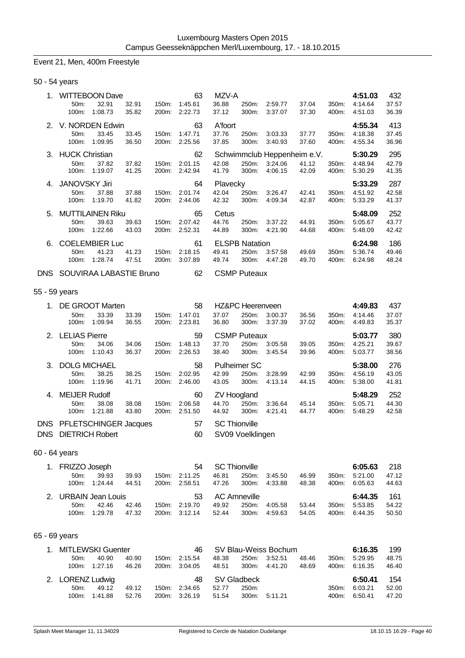## Event 21, Men, 400m Freestyle

| 50 - 54 years |  |
|---------------|--|
|---------------|--|

|            |                         | <b>WITTEBOON Dave</b> |       |       | 63      | MZV-A    |                       |         |                             |       | 4:51.03 | 432   |
|------------|-------------------------|-----------------------|-------|-------|---------|----------|-----------------------|---------|-----------------------------|-------|---------|-------|
|            | 50m:                    | 32.91                 | 32.91 | 150m: | 1:45.61 | 36.88    | 250m:                 | 2:59.77 | 37.04                       | 350m: | 4:14.64 | 37.57 |
|            | 100m:                   | 1:08.73               | 35.82 | 200m: | 2:22.73 | 37.12    | 300m:                 | 3:37.07 | 37.30                       | 400m: | 4:51.03 | 36.39 |
|            | 2. V. NORDEN Edwin      |                       |       |       | 63      | A'foort  |                       |         |                             |       | 4:55.34 | 413   |
|            | 50m:                    | 33.45                 | 33.45 | 150m: | 1:47.71 | 37.76    | 250m:                 | 3:03.33 | 37.77                       | 350m: | 4:18.38 | 37.45 |
|            | 100m:                   | 1:09.95               | 36.50 | 200m: | 2:25.56 | 37.85    | 300m:                 | 3:40.93 | 37.60                       | 400m: | 4:55.34 | 36.96 |
|            | 3. HUCK Christian       |                       |       |       | 62      |          |                       |         | Schwimmclub Heppenheim e.V. |       | 5:30.29 | 295   |
|            | 50m:                    | 37.82                 | 37.82 | 150m: | 2:01.15 | 42.08    | 250m:                 | 3:24.06 | 41.12                       | 350m: | 4:48.94 | 42.79 |
|            | 100m:                   | 1:19.07               | 41.25 | 200m: | 2:42.94 | 41.79    | 300m:                 | 4:06.15 | 42.09                       | 400m: | 5:30.29 | 41.35 |
| $4_{-}$    | <b>JANOVSKY Jiri</b>    |                       |       |       | 64      | Plavecky |                       |         |                             |       | 5:33.29 | 287   |
|            | 50m:                    | 37.88                 | 37.88 | 150m: | 2:01.74 | 42.04    | 250m:                 | 3:26.47 | 42.41                       | 350m: | 4:51.92 | 42.58 |
|            | 100m:                   | 1:19.70               | 41.82 | 200m: | 2:44.06 | 42.32    | 300m:                 | 4:09.34 | 42.87                       | 400m: | 5:33.29 | 41.37 |
| 5.         | <b>MUTTILAINEN Riku</b> |                       |       |       | 65      | Cetus    |                       |         |                             |       | 5:48.09 | 252   |
|            | 50m:                    | 39.63                 | 39.63 | 150m: | 2:07.42 | 44.76    | 250m:                 | 3:37.22 | 44.91                       | 350m: | 5:05.67 | 43.77 |
|            | 100m:                   | 1:22.66               | 43.03 | 200m: | 2:52.31 | 44.89    | 300m:                 | 4:21.90 | 44.68                       | 400m: | 5:48.09 | 42.42 |
| 6.         |                         | <b>COELEMBIER Luc</b> |       |       | 61      |          | <b>ELSPB Natation</b> |         |                             |       | 6:24.98 | 186   |
|            | 50 <sub>m</sub> :       | 41.23                 | 41.23 | 150m: | 2:18.15 | 49.41    | 250m:                 | 3:57.58 | 49.69                       | 350m: | 5:36.74 | 49.46 |
|            | 100m:                   | 1:28.74               | 47.51 | 200m: | 3:07.89 | 49.74    | 300m:                 | 4:47.28 | 49.70                       | 400m: | 6:24.98 | 48.24 |
| <b>DNS</b> | SOUVIRAA LABASTIE Bruno |                       |       |       | 62      |          | <b>CSMP Puteaux</b>   |         |                             |       |         |       |

## 55 - 59 years

|      |                        | DE GROOT Marten       |       |                    | 58      |                      | HZ&PC Heerenveen    |         |       |          | 4:49.83 | 437   |
|------|------------------------|-----------------------|-------|--------------------|---------|----------------------|---------------------|---------|-------|----------|---------|-------|
|      | 50m                    | 33.39                 | 33.39 | $150m$ :           | 1:47.01 | 37.07                | 250m:               | 3:00.37 | 36.56 | $350m$ : | 4:14.46 | 37.07 |
|      | 100m:                  | 1:09.94               | 36.55 | 200m:              | 2:23.81 | 36.80                | 300m:               | 3:37.39 | 37.02 | 400m:    | 4:49.83 | 35.37 |
|      | 2. LELIAS Pierre       |                       |       |                    | 59      |                      | <b>CSMP Puteaux</b> |         |       |          | 5:03.77 | 380   |
|      | $50m$ :                | 34.06                 | 34.06 | $150m$ :           | 1:48.13 | 37.70                | 250m:               | 3:05.58 | 39.05 | 350m:    | 4:25.21 | 39.67 |
|      | 100m:                  | 1:10.43               | 36.37 | 200m:              | 2:26.53 | 38.40                | 300m:               | 3:45.54 | 39.96 | 400m:    | 5:03.77 | 38.56 |
| 3.   | <b>DOLG MICHAEL</b>    |                       |       |                    | 58      |                      | <b>Pulheimer SC</b> |         |       |          | 5:38.00 | 276   |
|      | 50 <sub>m</sub>        | 38.25                 | 38.25 | 150m:              | 2:02.95 | 42.99                | 250m:               | 3:28.99 | 42.99 | 350m:    | 4:56.19 | 43.05 |
|      | 100m:                  | 1:19.96               | 41.71 | 200 <sub>m</sub> : | 2:46.00 | 43.05                | 300m:               | 4:13.14 | 44.15 | 400m:    | 5:38.00 | 41.81 |
| 4.   | <b>MEIJER Rudolf</b>   |                       |       |                    | 60      |                      | <b>ZV Hoogland</b>  |         |       |          | 5:48.29 | 252   |
|      | 50 <sub>m</sub>        | 38.08                 | 38.08 | $150m$ :           | 2:06.58 | 44.70                | 250m:               | 3:36.64 | 45.14 | 350m:    | 5:05.71 | 44.30 |
|      | 100m:                  | 1:21.88               | 43.80 | $200m$ :           | 2:51.50 | 44.92                | 300m:               | 4:21.41 | 44.77 | 400m:    | 5:48.29 | 42.58 |
| DNS. |                        | PFLETSCHINGER Jacques |       |                    | 57      | <b>SC Thionville</b> |                     |         |       |          |         |       |
| DNS. | <b>DIETRICH Robert</b> |                       |       |                    | 60      |                      | SV09 Voelklingen    |         |       |          |         |       |
|      |                        |                       |       |                    |         |                      |                     |         |       |          |         |       |

## 60 - 64 years

| 1. FRIZZO Joseph     |               |       |       | 54            | SC Thionville |              |         |       |       | 6:05.63 | 218   |
|----------------------|---------------|-------|-------|---------------|---------------|--------------|---------|-------|-------|---------|-------|
| $50m$ :              | 39.93         | 39.93 | 150m: | 2:11.25       | 46.81         | 250m:        | 3:45.50 | 46.99 | 350m: | 5:21.00 | 47.12 |
|                      | 100m: 1:24.44 | 44.51 |       | 200m: 2:58.51 | 47.26         | 300m:        | 4:33.88 | 48.38 | 400m: | 6:05.63 | 44.63 |
|                      |               |       |       |               |               |              |         |       |       |         |       |
| 2. URBAIN Jean Louis |               |       |       | -53           |               | AC Amneville |         |       |       | 6:44.35 | - 161 |
| $50m$ :              | 42.46         | 42.46 |       | 150m: 2:19.70 | 49.92         | 250m:        | 4:05.58 | 53.44 | 350m. | 5:53.85 | 54.22 |

## 65 - 69 years

| 1. MITLEWSKI Guenter |         |       |       | 46            |       |             | SV Blau-Weiss Bochum |       |          | 6:16.35 | 199   |
|----------------------|---------|-------|-------|---------------|-------|-------------|----------------------|-------|----------|---------|-------|
| 50 <sub>m</sub> :    | 40.90   | 40.90 | 150m: | 2:15.54       | 48.38 | 250m:       | 3:52.51              | 48.46 | 350m:    | 5:29.95 | 48.75 |
| 100m:                | 1:27.16 | 46.26 |       | 200m: 3:04.05 | 48.51 | 300m:       | 4:41.20              | 48.69 | 400m:    | 6:16.35 | 46.40 |
|                      |         |       |       |               |       |             |                      |       |          |         |       |
| 2. LORENZ Ludwig     |         |       |       | 48            |       | SV Gladbeck |                      |       |          | 6:50.41 | 154   |
| 50m                  | 49.12   | 49.12 | 150m: | 2:34.65       | 52.77 | 250m:       |                      |       | $350m$ : | 6:03.21 | 52.00 |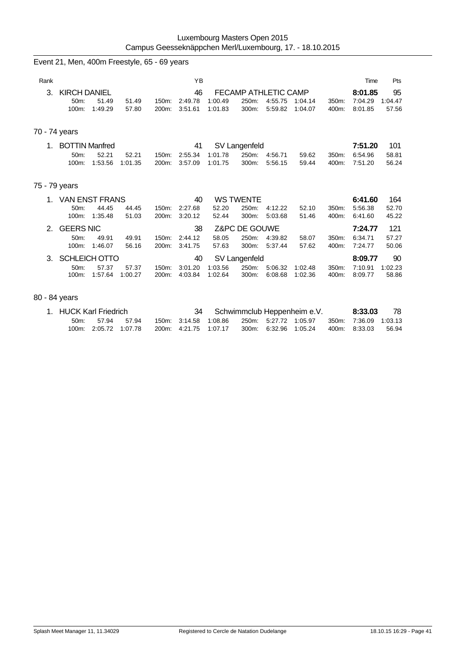|      | Event 21, Men, 400m Freestyle, 65 - 69 years               |                  |                |                          |                    |                                        |                    |                             |                |                               |                        |
|------|------------------------------------------------------------|------------------|----------------|--------------------------|--------------------|----------------------------------------|--------------------|-----------------------------|----------------|-------------------------------|------------------------|
| Rank |                                                            |                  |                | YB                       |                    |                                        |                    |                             |                | Time                          | Pts                    |
| 3.   | <b>KIRCH DANIEL</b><br>51.49<br>50m:<br>1:49.29<br>100m:   | 51.49<br>57.80   | 150m:<br>200m: | 46<br>2:49.78<br>3:51.61 | 1:00.49<br>1:01.83 | FECAMP ATHLETIC CAMP<br>250m:<br>300m: | 4:55.75<br>5:59.82 | 1:04.14<br>1:04.07          | 350m:<br>400m: | 8:01.85<br>7:04.29<br>8:01.85 | 95<br>1:04.47<br>57.56 |
|      | 70 - 74 years                                              |                  |                |                          |                    |                                        |                    |                             |                |                               |                        |
| 1.   | <b>BOTTIN Manfred</b><br>52.21<br>50m:<br>1:53.56<br>100m: | 52.21<br>1:01.35 | 150m:<br>200m: | 41<br>2:55.34<br>3:57.09 | 1:01.78<br>1:01.75 | SV Langenfeld<br>250m:<br>300m:        | 4:56.71<br>5:56.15 | 59.62<br>59.44              | 350m:<br>400m: | 7:51.20<br>6:54.96<br>7:51.20 | 101<br>58.81<br>56.24  |
|      | 75 - 79 years                                              |                  |                |                          |                    |                                        |                    |                             |                |                               |                        |
| 1.   | VAN ENST FRANS<br>50m:<br>44.45<br>1:35.48<br>100m:        | 44.45<br>51.03   | 150m:<br>200m: | 40<br>2:27.68<br>3:20.12 | 52.20<br>52.44     | <b>WS TWENTE</b><br>250m:<br>300m:     | 4:12.22<br>5:03.68 | 52.10<br>51.46              | 350m:<br>400m: | 6:41.60<br>5:56.38<br>6:41.60 | 164<br>52.70<br>45.22  |
| 2.   | <b>GEERS NIC</b><br>50m:<br>49.91<br>1:46.07<br>100m:      | 49.91<br>56.16   | 150m:<br>200m: | 38<br>2:44.12<br>3:41.75 | 58.05<br>57.63     | Z&PC DE GOUWE<br>250m:<br>300m:        | 4:39.82<br>5:37.44 | 58.07<br>57.62              | 350m:<br>400m: | 7:24.77<br>6:34.71<br>7:24.77 | 121<br>57.27<br>50.06  |
| 3.   | <b>SCHLEICH OTTO</b><br>50m:<br>57.37<br>1:57.64<br>100m:  | 57.37<br>1:00.27 | 150m:<br>200m: | 40<br>3:01.20<br>4:03.84 | 1:03.56<br>1:02.64 | SV Langenfeld<br>250m:<br>300m:        | 5:06.32<br>6:08.68 | 1:02.48<br>1:02.36          | 350m:<br>400m: | 8:09.77<br>7:10.91<br>8:09.77 | 90<br>1:02.23<br>58.86 |
|      | 80 - 84 years                                              |                  |                |                          |                    |                                        |                    |                             |                |                               |                        |
| 1.   | <b>HUCK Karl Friedrich</b>                                 |                  |                | 34                       |                    |                                        |                    | Schwimmclub Heppenheim e.V. |                | 8:33.03                       | 78                     |

| 1. HUCK Karl Friedrich |                       |  |                       |                       |                       | Schwimmclub Heppenheim e.V. | 8:33.03               | 78      |
|------------------------|-----------------------|--|-----------------------|-----------------------|-----------------------|-----------------------------|-----------------------|---------|
|                        | 50m: 57.94 57.94      |  | 150m: 3:14.58 1:08.86 | 250m: 5:27.72 1:05.97 |                       |                             | 350m: 7:36.09 1:03.13 |         |
|                        | 100m. 2:05.72 1:07.78 |  | 200m: 4:21.75 1:07.17 |                       | 300m: 6:32.96 1:05.24 |                             | 400m: 8:33.03         | - 56.94 |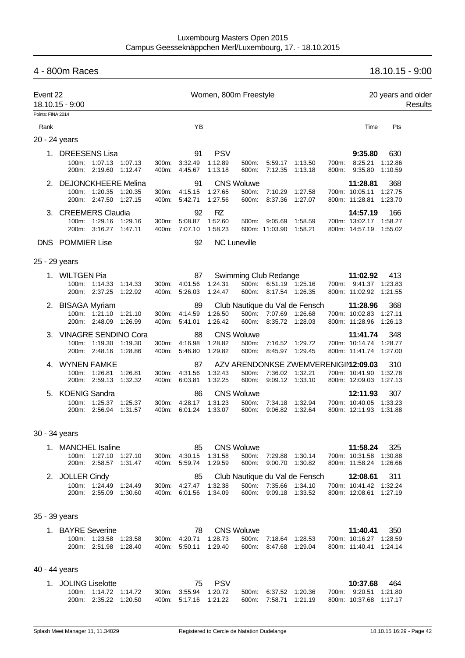# 4 - 800m Races 18.10.15 - 9:00 Event 22 **Event 22** Women, 800m Freestyle 20 years and older 18.10.15 - 9:00 Results Points: FINA 2014 Rank Time Pts 20 - 24 years 1. DREESENS Lisa 91 PSV **9:35.80** 630 100m: 1:07.13 1:07.13 300m: 3:32.49 1:12.89 500m: 5:59.17 1:13.50 700m: 8:25.21 1:12.86 200m: 2:19.60 1:12.47 400m: 4:45.67 1:13.18 600m: 7:12.35 1:13.18 800m: 9:35.80 1:10.59 2. DEJONCKHEERE Melina 91 CNS Woluwe **11:28.81** 368 700m: 10:05.11 1:27.75 200m: 2:47.50 1:27.15 400m: 5:42.71 1:27.56 600m: 8:37.36 1:27.07 800m: 11:28.81 1:23.70 3. CREEMERS Claudia 92 RZ **14:57.19** 166 100m: 1:29.16 1:29.16 300m: 5:08.87 1:52.60 500m: 9:05.69 1:58.59 700m: 13:02.17 1:58.27 200m: 3:16.27 1:47.11 400m: 7:07.10 1:58.23 600m: 11:03.90 1:58.21 800m: 14:57.19 1:55.02 DNS POMMIER Lise 92 NC Luneville 25 - 29 years 1. WILTGEN Pia 87 Swimming Club Redange **11:02.92** 413 100m: 1:14.33 1:14.33 300m: 4:01.56 1:24.31 500m: 6:51.19 1:25.16 700m: 9:41.37 1:23.83 200m: 2:37.25 1:22.92 400m: 5:26.03 1:24.47 600m: 8:17.54 1:26.35 800m: 11:02.92 1:21.55 2. BISAGA Myriam 89 Club Nautique du Val de Fensch **11:28.96** 368 100m: 1:21.10 1:21.10 300m: 4:14.59 1:26.50 500m: 7:07.69 1:26.68<br>200m: 2:48.09 1:26.99 400m: 5:41.01 1:26.42 600m: 8:35.72 1:28.03 200m: 2:48.09 1:26.99 400m: 5:41.01 1:26.42 600m: 8:35.72 1:28.03 800m: 11:28.96 1:26.13 3. VINAGRE SENDINO Cora 88 CNS Woluwe **11:41.74** 348 100m: 1:19.30 1:19.30 300m: 4:16.98 1:28.82 500m: 7:16.52 1:29.72 700m: 10:14.74 1:28.77 200m: 2:48.16 1:28.86 400m: 5:46.80 1:29.82 600m: 8:45.97 1:29.45 800m: 11:41.74 1:27.00 4. WYNEN FAMKE 87 AZV ARENDONKSE ZWEMVERENIGING**12:09.03** 310 100m: 1:26.81 1:26.81 300m: 4:31.56 1:32.43 500m: 7:36.02 1:32.21 700m: 10:41.90 1:32.78 200m: 2:59.13 1:32.32 400m: 6:03.81 1:32.25 600m: 9:09.12 1:33.10 800m: 12:09.03 1:27.13 5. KOENIG Sandra 86 CNS Woluwe **12:11.93** 307 100m: 1:25.37 1:25.37 300m: 4:28.17 1:31.23 500m: 7:34.18 1:32.94 700m: 10:40.05 1:33.23 200m: 2:56.94 1:31.57 400m: 6:01.24 1:33.07 600m: 9:06.82 1:32.64 800m: 12:11.93 1:31.88 30 - 34 years 1. MANCHEL Isaline 85 CNS Woluwe **11:58.24** 325 100m: 1:27.10 1:27.10 300m: 4:30.15 1:31.58 500m: 7:29.88 1:30.14 700m: 10:31.58 1:30.88

|                 | 200m: 2:58.57 1:31.47 |  | 400m. 5:59.74 1:29.59 |  | 600m: 9:00.70 1:30.82             | 800m: 11:58.24 1:26.66 |  |
|-----------------|-----------------------|--|-----------------------|--|-----------------------------------|------------------------|--|
| 2. JOLLER Cindy |                       |  |                       |  | 85 Club Nautique du Val de Fensch | <b>12:08.61</b> 311    |  |
|                 | 100m: 1:24.49 1:24.49 |  | 300m: 4:27.47 1:32.38 |  | 500m: 7:35.66 1:34.10             | 700m: 10:41.42 1:32.24 |  |
|                 | 200m: 2:55.09 1:30.60 |  | 400m: 6:01.56 1:34.09 |  | 600m: 9:09.18 1:33.52             | 800m: 12:08.61 1:27.19 |  |
|                 |                       |  |                       |  |                                   |                        |  |

#### 35 - 39 years

| 1. BAYRE Severine |                       |  |                       | 78 CNS Woluwe         |                       |  | 11:40.41               | - 350 |
|-------------------|-----------------------|--|-----------------------|-----------------------|-----------------------|--|------------------------|-------|
|                   | 100m: 1:23.58 1:23.58 |  | 300m: 4:20.71 1:28.73 | 500m: 7:18.64 1:28.53 |                       |  | 700m: 10:16.27 1:28.59 |       |
|                   | 200m: 2:51.98 1:28.40 |  | 400m: 5:50.11 1:29.40 |                       | 600m: 8:47.68 1:29.04 |  | 800m: 11:40.41 1:24.14 |       |

#### 40 - 44 years

| 1. JOLING Liselotte |                       |  |                       | 75 P.S.V |                       |  | 10:37.68               | 464 |
|---------------------|-----------------------|--|-----------------------|----------|-----------------------|--|------------------------|-----|
|                     | 100m: 1:14.72 1:14.72 |  | 300m: 3:55.94 1:20.72 |          | 500m: 6:37.52 1:20.36 |  | 700m: 9:20.51 1:21.80  |     |
|                     | 200m: 2:35.22 1:20.50 |  | 400m: 5:17.16 1:21.22 |          | 600m: 7:58.71 1:21.19 |  | 800m: 10:37.68 1:17.17 |     |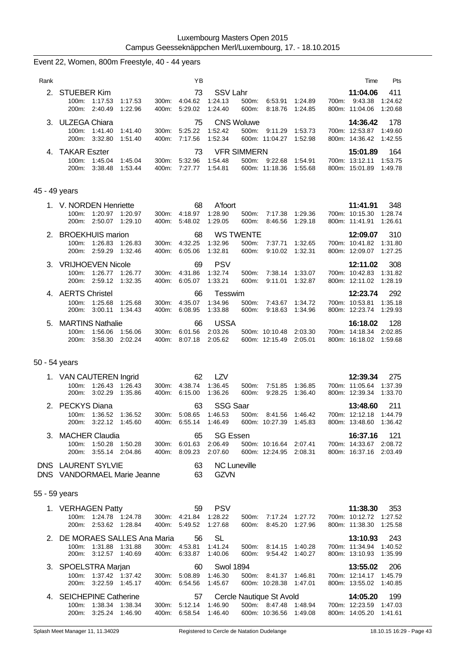|               | Event 22, Women, 800m Freestyle, 40 - 44 years                                           |                |                                              |                                       |                                    |                                                  |                    |       |                                                              |                           |
|---------------|------------------------------------------------------------------------------------------|----------------|----------------------------------------------|---------------------------------------|------------------------------------|--------------------------------------------------|--------------------|-------|--------------------------------------------------------------|---------------------------|
| Rank          |                                                                                          |                | YB                                           |                                       |                                    |                                                  |                    |       | Time                                                         | Pts                       |
| 2.            | <b>STUEBER Kim</b><br>100m: 1:17.53<br>1:17.53<br>200m:<br>2:40.49<br>1:22.96            | 300m:<br>400m: | 73<br>4:04.62<br>5:29.02                     | <b>SSV Lahr</b><br>1:24.13<br>1:24.40 | 500m:<br>600m:                     | 6:53.91<br>8:18.76                               | 1:24.89<br>1:24.85 | 700m: | 11:04.06<br>9:43.38<br>800m: 11:04.06                        | 411<br>1:24.62<br>1:20.68 |
| З.            | <b>ULZEGA Chiara</b><br>100m:<br>1:41.40<br>1:41.40<br>200m:<br>3:32.80<br>1.51.40       | 300m:<br>400m: | 75<br>5:25.22<br>7:17.56                     | 1:52.42<br>1:52.34                    | <b>CNS Woluwe</b><br>500m:         | 9:11.29<br>600m: 11:04.27                        | 1:53.73<br>1:52.98 |       | 14:36.42<br>700m: 12:53.87<br>800m: 14:36.42                 | 178<br>1:49.60<br>1:42.55 |
| 4.            | <b>TAKAR Eszter</b><br>100m:<br>1:45.04<br>1:45.04<br>200m:<br>3:38.48<br>1:53.44        | 300m:<br>400m: | 73<br>5:32.96<br>7:27.77                     | 1:54.48<br>1:54.81                    | <b>VFR SIMMERN</b><br>500m:        | 9:22.68<br>600m: 11:18.36                        | 1:54.91<br>1:55.68 |       | 15:01.89<br>700m: 13:12.11<br>800m: 15:01.89                 | 164<br>1:53.75<br>1:49.78 |
| 45 - 49 years |                                                                                          |                |                                              |                                       |                                    |                                                  |                    |       |                                                              |                           |
|               | 1. V. NORDEN Henriette<br>1:20.97<br>100m:<br>1:20.97<br>2:50.07<br>1:29.10<br>200m:     | 300m:<br>400m: | 68<br>4:18.97<br>5:48.02                     | A'foort<br>1:28.90<br>1:29.05         | 500m:<br>600m:                     | 7:17.38<br>8:46.56                               | 1:29.36<br>1:29.18 |       | 11:41.91<br>700m: 10:15.30<br>800m: 11:41.91                 | 348<br>1.28.74<br>1:26.61 |
| 2.            | <b>BROEKHUIS marion</b><br>1:26.83<br>100m:<br>1:26.83<br>200m:<br>2:59.29<br>1:32.46    | 300m:<br>400m: | 68<br>4:32.25<br>6:05.06                     | 1:32.96<br>1:32.81                    | <b>WS TWENTE</b><br>500m:<br>600m: | 7:37.71<br>9:10.02                               | 1:32.65<br>1:32.31 |       | 12:09.07<br>700m: 10:41.82<br>800m: 12:09.07                 | 310<br>1:31.80<br>1:27.25 |
| З.            | <b>VRIJHOEVEN Nicole</b><br>1:26.77<br>1:26.77<br>100m:<br>200m:<br>2:59.12<br>1:32.35   | 300m:<br>400m: | 69<br>4:31.86<br>6:05.07                     | <b>PSV</b><br>1:32.74<br>1:33.21      | 500m:<br>600m:                     | 7:38.14<br>9:11.01                               | 1:33.07<br>1:32.87 |       | 12:11.02<br>700m: 10:42.83<br>800m: 12:11.02                 | 308<br>1:31.82<br>1:28.19 |
|               | 4. AERTS Christel<br>100m:<br>1:25.68<br>1.25.68<br>200m:<br>3:00.11<br>1.34.43          | 300m:<br>400m: | 66<br>4:35.07<br>6.08.95                     | Tesswim<br>1:34.96<br>1:33.88         | 500m:<br>600m:                     | 7:43.67<br>9:18.63                               | 1:34.72<br>1:34.96 |       | 12:23.74<br>700m: 10:53.81<br>800m: 12:23.74                 | 292<br>1:35.18<br>1:29.93 |
| 5.            | <b>MARTINS Nathalie</b><br>1:56.06<br>100m:<br>1:56.06<br>3:58.30<br>2:02.24<br>200m:    | 300m:<br>400m: | 66<br>6:01.56<br>8:07.18                     | <b>USSA</b><br>2:03.26<br>2:05.62     |                                    | 500m: 10:10.48<br>600m: 12:15.49                 | 2:03.30<br>2:05.01 |       | 16:18.02<br>700m: 14:18.34<br>800m: 16:18.02                 | 128<br>2:02.85<br>1:59.68 |
| 50 - 54 years |                                                                                          |                |                                              |                                       |                                    |                                                  |                    |       |                                                              |                           |
| 1.            | <b>VAN CAUTEREN Ingrid</b><br>1.26.43<br>1.26.43<br>100m:<br>3:02.29<br>1.35.86<br>200m: | 300m:<br>400m: | 62<br>4:38.74<br>6:15.00                     | LZV<br>1:36.45<br>1:36.26             | 500m:<br>600m:                     | 7:51.85<br>9:28.25                               | 1:36.85<br>1:36.40 |       | 12:39.34<br>700m: 11:05.64<br>800m: 12:39.34                 | 275<br>1:37.39<br>1:33.70 |
|               | 2. PECKYS Diana<br>100m: 1:36.52 1:36.52<br>200m: 3:22.12 1:45.60                        |                | 63<br>300m: 5:08.65 1:46.53<br>400m: 6:55.14 | 1:46.49                               | <b>SSG Saar</b>                    | 500m: 8:41.56<br>600m: 10:27.39 1:45.83          | 1:46.42            |       | 13:48.60<br>700m: 12:12.18 1:44.79<br>800m: 13:48.60         | 211<br>1:36.42            |
|               | 3. MACHER Claudia<br>100m: 1:50.28<br>1:50.28<br>200m:<br>3:55.14 2:04.86                | 300m:          | 65<br>6:01.63<br>400m: 8:09.23               | 2:06.49<br>2:07.60                    | <b>SG Essen</b>                    | 500m: 10:16.64 2:07.41<br>600m: 12:24.95 2:08.31 |                    |       | 16:37.16<br>700m: 14:33.67 2:08.72<br>800m: 16:37.16 2:03.49 | 121                       |
|               | DNS LAURENT SYLVIE<br>DNS VANDORMAEL Marie Jeanne                                        |                | 63<br>63                                     | <b>GZVN</b>                           | <b>NC Luneville</b>                |                                                  |                    |       |                                                              |                           |
| 55 - 59 years |                                                                                          |                |                                              |                                       |                                    |                                                  |                    |       |                                                              |                           |
|               | 1. VERHAGEN Patty<br>100m: 1:24.78 1:24.78<br>200m: 2:53.62 1:28.84                      |                | 59<br>300m: 4:21.84 1:28.22<br>400m: 5:49.52 | <b>PSV</b><br>1:27.68                 | 600m:                              | 500m: 7:17.24 1:27.72<br>8:45.20                 | 1:27.96            |       | 11:38.30<br>700m: 10:12.72 1:27.52<br>800m: 11:38.30         | 353<br>1:25.58            |
|               | 2. DE MORAES SALLES Ana Maria<br>100m: 1:31.88<br>1:31.88<br>200m: 3:12.57 1:40.69       |                | 56<br>300m: 4:53.81<br>400m: 6:33.87         | <b>SL</b><br>1:41.24<br>1:40.06       | 600m:                              | 500m: 8:14.15 1:40.28<br>9:54.42 1:40.27         |                    |       | 13:10.93<br>700m: 11:34.94<br>800m: 13:10.93                 | 243<br>1:40.52<br>1:35.99 |
|               | 3. SPOELSTRA Marjan<br>100m: 1:37.42 1:37.42<br>200m: 3:22.59 1:45.17                    | 300m:          | 60<br>5:08.89<br>400m: 6:54.56               | 1:46.30<br>1:45.67                    | <b>Swol 1894</b>                   | 500m: 8:41.37 1:46.81<br>600m: 10:28.38          | 1:47.01            |       | 13:55.02<br>700m: 12:14.17<br>800m: 13:55.02                 | 206<br>1:45.79<br>1:40.85 |
|               | 4. SEICHEPINE Catherine<br>100m: 1:38.34 1:38.34<br>200m: 3:25.24 1:46.90                |                | 57<br>300m: 5:12.14<br>400m: 6.58.54 1:46.40 | 1:46.90                               | Cercle Nautique St Avold           | 500m: 8:47.48 1:48.94<br>600m: 10:36.56 1:49.08  |                    |       | 14:05.20<br>700m: 12:23.59<br>800m: 14:05.20                 | 199<br>1:47.03<br>1:41.61 |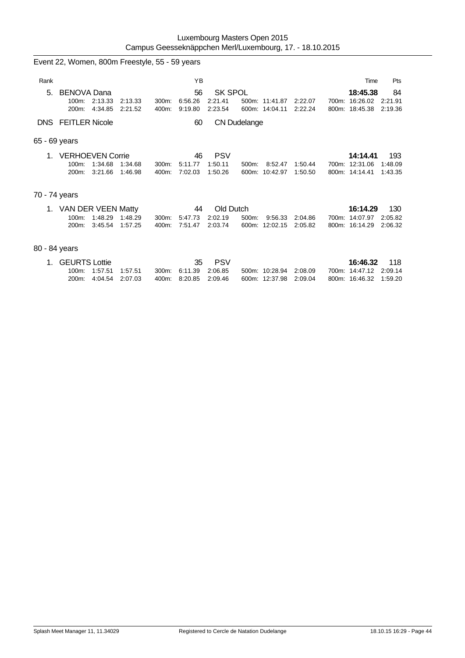|                                                     | Event 22, Women, 800m Freestyle, 55 - 59 years  |                    |                    |                |                          |                                      |                                  |         |                    |       |                                              |                           |
|-----------------------------------------------------|-------------------------------------------------|--------------------|--------------------|----------------|--------------------------|--------------------------------------|----------------------------------|---------|--------------------|-------|----------------------------------------------|---------------------------|
| Rank                                                |                                                 |                    |                    |                | YB                       |                                      |                                  |         |                    |       | Time                                         | Pts                       |
| 5.                                                  | <b>BENOVA Dana</b><br>100m:<br>$200m$ :         | 2:13.33<br>4:34.85 | 2:13.33<br>2:21.52 | 300m.<br>400m: | 56<br>6:56.26<br>9:19.80 | <b>SK SPOL</b><br>2:21.41<br>2:23.54 | 500m: 11:41.87<br>600m: 14:04.11 |         | 2:22.07<br>2:22.24 | 700m: | 18:45.38<br>16:26.02<br>800m: 18:45.38       | 84<br>2:21.91<br>2:19.36  |
| <b>FEITLER Nicole</b><br>DNS.<br>60<br>CN Dudelange |                                                 |                    |                    |                |                          |                                      |                                  |         |                    |       |                                              |                           |
|                                                     | 65 - 69 years                                   |                    |                    |                |                          |                                      |                                  |         |                    |       |                                              |                           |
| $\mathbf 1$                                         | <b>VERHOEVEN Corrie</b><br>$100m$ :<br>$200m$ : | 1:34.68<br>3:21.66 | 1:34.68<br>1:46.98 | 300m:<br>400m: | 46<br>5:11.77<br>7:02.03 | <b>PSV</b><br>1:50.11<br>1:50.26     | 500m:<br>600m: 10:42.97          | 8:52.47 | 1:50.44<br>1:50.50 |       | 14:14.41<br>700m: 12:31.06<br>800m: 14:14.41 | 193<br>1:48.09<br>1:43.35 |
| 70 - 74 years                                       |                                                 |                    |                    |                |                          |                                      |                                  |         |                    |       |                                              |                           |
| 1.                                                  | VAN DER VEEN Matty<br>$100m$ :<br>$200m$ :      | 1:48.29<br>3:45.54 | 1:48.29<br>1:57.25 | 300m:<br>400m: | 44<br>5:47.73<br>7:51.47 | Old Dutch<br>2:02.19<br>2:03.74      | 500m:<br>600m: 12:02.15          | 9:56.33 | 2:04.86<br>2:05.82 |       | 16:14.29<br>700m: 14:07.97<br>800m: 16:14.29 | 130<br>2:05.82<br>2:06.32 |
| 80 - 84 years                                       |                                                 |                    |                    |                |                          |                                      |                                  |         |                    |       |                                              |                           |

| 1. GEURTS Lottie |                       |  |                       | 35 PSV |                        |  | 16:46.32 118           |  |
|------------------|-----------------------|--|-----------------------|--------|------------------------|--|------------------------|--|
|                  | 100m: 1:57.51 1:57.51 |  | 300m 6.11.39 2.06.85  |        | 500m: 10:28.94 2:08.09 |  | 700m: 14:47.12 2:09.14 |  |
|                  | 200m: 4:04.54 2:07.03 |  | 400m: 8:20.85 2:09.46 |        | 600m: 12:37.98 2:09.04 |  | 800m: 16:46.32 1:59.20 |  |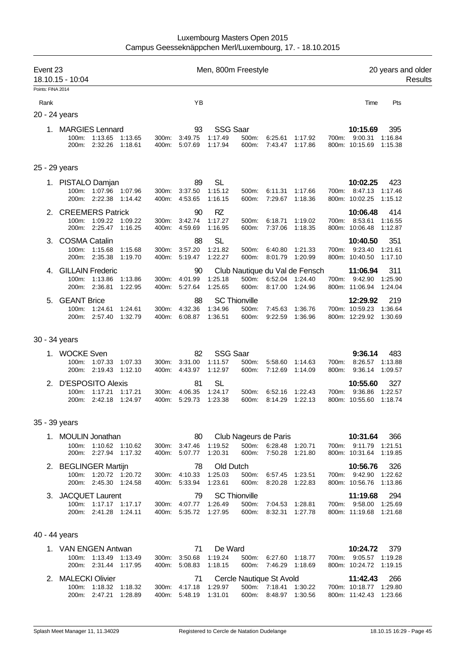| Event 23 | 18.10.15 - 10:04<br>Points: FINA 2014                                                  |                |                                      | Men, 800m Freestyle                                                    |                                                |                    |                |                                                              | 20 years and older        | Results |
|----------|----------------------------------------------------------------------------------------|----------------|--------------------------------------|------------------------------------------------------------------------|------------------------------------------------|--------------------|----------------|--------------------------------------------------------------|---------------------------|---------|
| Rank     |                                                                                        |                | YB                                   |                                                                        |                                                |                    |                | Time                                                         | Pts                       |         |
|          | 20 - 24 years                                                                          |                |                                      |                                                                        |                                                |                    |                |                                                              |                           |         |
|          | 1. MARGIES Lennard<br>100m: 1:13.65<br>1:13.65<br>200m: 2:32.26<br>1:18.61             | 300m:<br>400m: | 93<br>3:49.75<br>5:07.69             | <b>SSG Saar</b><br>1:17.49<br>500m:<br>1:17.94<br>600m:                | 6:25.61<br>7:43.47                             | 1:17.92<br>1:17.86 |                | 10:15.69<br>700m: 9:00.31<br>800m: 10:15.69                  | 395<br>1:16.84<br>1:15.38 |         |
|          | 25 - 29 years                                                                          |                |                                      |                                                                        |                                                |                    |                |                                                              |                           |         |
|          | 1. PISTALO Damjan<br>1:07.96 1:07.96<br>100m:<br>2:22.38<br>200m:<br>1:14.42           | 300m:<br>400m: | 89<br>3:37.50<br>4:53.65             | <b>SL</b><br>1:15.12<br>500m:<br>1:16.15<br>600m:                      | 6:11.31<br>7:29.67                             | 1:17.66<br>1:18.36 | 700m:          | 10:02.25<br>8:47.13<br>800m: 10:02.25                        | 423<br>1:17.46<br>1:15.12 |         |
|          | <b>CREEMERS Patrick</b><br>100m: 1:09.22<br>1:09.22<br>200m: 2:25.47<br>1:16.25        | 300m:<br>400m: | 90<br>3:42.74<br>4:59.69             | <b>RZ</b><br>1:17.27<br>500m:<br>1:16.95<br>600m:                      | 6:18.71<br>7:37.06                             | 1:19.02<br>1:18.35 |                | 10:06.48<br>700m: 8:53.61<br>800m: 10:06.48                  | 414<br>1:16.55<br>1:12.87 |         |
| 3.       | <b>COSMA Catalin</b><br>1:15.68<br>100m:<br>1:15.68<br>200m: 2:35.38<br>1:19.70        | 300m:<br>400m: | 88<br>3:57.20<br>5:19.47             | <b>SL</b><br>1:21.82<br>500m:<br>1:22.27<br>600m:                      | 6:40.80<br>8:01.79                             | 1:21.33<br>1:20.99 |                | 10:40.50<br>700m: 9:23.40<br>800m: 10:40.50                  | 351<br>1:21.61<br>1:17.10 |         |
| 4.       | <b>GILLAIN Frederic</b><br>100m: 1:13.86<br>1:13.86<br>200m: 2:36.81<br>1:22.95        | 300m:          | 90<br>4:01.99<br>400m: 5:27.64       | Club Nautique du Val de Fensch<br>1:25.18<br>500m:<br>1:25.65<br>600m: | 6:52.04<br>8:17.00                             | 1:24.40<br>1:24.96 |                | 11:06.94<br>700m: 9:42.90<br>800m: 11:06.94                  | 311<br>1:25.90<br>1:24.04 |         |
| 5.       | <b>GEANT Brice</b><br>1:24.61<br>100m:<br>1:24.61<br>200m: 2:57.40<br>1:32.79          | 300m:          | 88<br>4:32.36<br>400m: 6:08.87       | <b>SC Thionville</b><br>1:34.96<br>500m:<br>1:36.51<br>600m:           | 7:45.63<br>9:22.59                             | 1:36.76<br>1:36.96 |                | 12:29.92<br>700m: 10:59.23<br>800m: 12:29.92 1:30.69         | 219<br>1:36.64            |         |
|          | 30 - 34 years                                                                          |                |                                      |                                                                        |                                                |                    |                |                                                              |                           |         |
| 1.       | <b>WOCKE Sven</b><br>1:07.33<br>100m:<br>1:07.33<br>200m: 2:19.43<br>1:12.10           | 300m:<br>400m: | 82<br>3:31.00<br>4:43.97             | <b>SSG Saar</b><br>1:11.57<br>500m:<br>1:12.97<br>600m:                | 5:58.60<br>7:12.69                             | 1:14.63<br>1:14.09 | 700m:<br>800m: | 9:36.14<br>8:26.57<br>9:36.14                                | 483<br>1:13.88<br>1:09.57 |         |
| 2.       | <b>D'ESPOSITO Alexis</b><br>1:17.21<br>1:17.21<br>100m:<br>200m:<br>2:42.18<br>1:24.97 | 300m:<br>400m: | 81<br>4:06.35<br>5.29.73             | <b>SL</b><br>1:24.17<br>500m:<br>1:23.38<br>600m:                      | 6:52.16<br>8:14.29                             | 1:22.43<br>1.22.13 | 700m:          | 10:55.60<br>9:36.86<br>800m: 10:55.60                        | 327<br>1:22.57<br>1:18.74 |         |
|          | 35 - 39 years                                                                          |                |                                      |                                                                        |                                                |                    |                |                                                              |                           |         |
|          | 1. MOULIN Jonathan<br>100m: 1:10.62 1:10.62<br>200m: 2:27.94 1:17.32                   |                | 80<br>300m: 3:47.46<br>400m: 5:07.77 | Club Nageurs de Paris<br>1:19.52<br>600m:<br>1:20.31                   | 500m: 6:28.48<br>7:50.28                       | 1:20.71<br>1:21.80 |                | 10:31.64<br>700m: 9:11.79 1:21.51<br>800m: 10:31.64 1:19.85  | 366                       |         |
|          | 2. BEGLINGER Martijn<br>100m: 1:20.72 1:20.72<br>200m: 2:45.30 1:24.58                 | 300m:          | 78<br>4:10.33<br>400m: 5:33.94       | Old Dutch<br>1:25.03<br>500m:<br>1:23.61<br>600m:                      | 6:57.45<br>8:20.28                             | 1:23.51<br>1:22.83 |                | 10:56.76<br>700m: 9:42.90 1:22.62<br>800m: 10:56.76 1:13.86  | 326                       |         |
|          | 3. JACQUET Laurent<br>100m: 1:17.17 1:17.17<br>200m: 2:41.28<br>1:24.11                |                | 79<br>300m: 4:07.77<br>400m: 5:35.72 | <b>SC Thionville</b><br>1:26.49<br>500m:<br>1:27.95<br>600m:           | 7:04.53<br>8:32.31                             | 1:28.81<br>1:27.78 |                | 11:19.68<br>700m: 9:58.00 1:25.69<br>800m: 11:19.68 1:21.68  | 294                       |         |
|          | 40 - 44 years                                                                          |                |                                      |                                                                        |                                                |                    |                |                                                              |                           |         |
|          | 1. VAN ENGEN Antwan<br>100m: 1:13.49 1:13.49<br>200m: 2:31.44 1:17.95                  | 300m:          | 71<br>3:50.68<br>400m: 5:08.83       | De Ward<br>1:19.24<br>500m:<br>1:18.15<br>600m:                        | 6.27.60 1:18.77<br>7:46.29 1:18.69             |                    |                | 10:24.72<br>700m: 9:05.57 1:19.28<br>800m: 10:24.72 1:19.15  | 379                       |         |
|          | 2. MALECKI Olivier<br>100m: 1:18.32 1:18.32<br>200m: 2:47.21<br>1:28.89                |                | 71<br>300m: 4:17.18<br>400m: 5:48.19 | Cercle Nautique St Avold<br>1:29.97<br>1:31.01                         | 500m: 7:18.41 1:30.22<br>600m: 8:48.97 1:30.56 |                    |                | 11:42.43<br>700m: 10:18.77 1:29.80<br>800m: 11:42.43 1:23.66 | 266                       |         |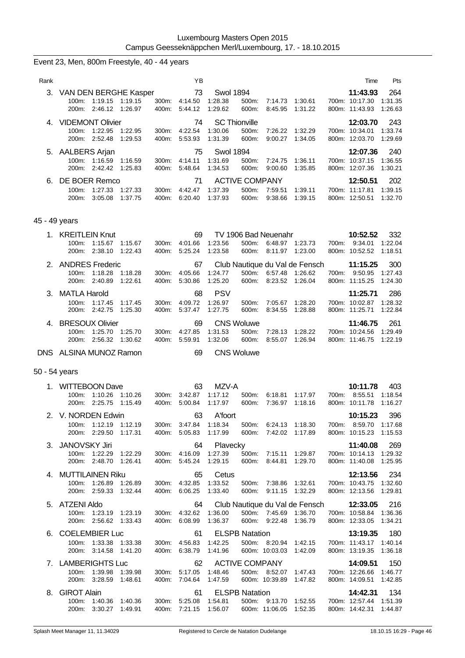# Event 23, Men, 800m Freestyle, 40 - 44 years

| Rank |                         |         |         |                  | ΥB      |                  |                       |         |         | Time           | <b>Pts</b> |
|------|-------------------------|---------|---------|------------------|---------|------------------|-----------------------|---------|---------|----------------|------------|
| 3.   | VAN DEN BERGHE Kasper   |         |         |                  | 73      | <b>Swol 1894</b> |                       |         |         | 11:43.93       | 264        |
|      | $100m$ :                | 1:19.15 | 1:19.15 | 300 <sub>m</sub> | 4:14.50 | 1:28.38          | 500m:                 | 7:14.73 | 1:30.61 | 700m: 10:17.30 | 1:31.35    |
|      | $200m$ :                | 2:46.12 | 1:26.97 | 400m:            | 5:44.12 | 1:29.62          | 600m:                 | 8:45.95 | 1:31.22 | 800m: 11:43.93 | 1:26.63    |
|      | <b>VIDEMONT Olivier</b> |         |         |                  | 74      |                  | <b>SC Thionville</b>  |         |         | 12:03.70       | 243        |
|      | 100m:                   | 1:22.95 | 1:22.95 | 300m.            | 4:22.54 | 1:30.06          | 500m:                 | 7:26.22 | 1:32.29 | 700m: 10:34.01 | 1:33.74    |
|      | 200m:                   | 2:52.48 | 1:29.53 | 400m:            | 5:53.93 | 1:31.39          | 600m:                 | 9:00.27 | 1:34.05 | 800m: 12:03.70 | 1:29.69    |
|      | 5. AALBERS Arjan        |         |         |                  | 75      | Swol 1894        |                       |         |         | 12:07.36       | 240        |
|      | 100m:                   | 1:16.59 | 1:16.59 | $300m$ :         | 4:14.11 | 1:31.69          | $500m$ :              | 7:24.75 | 1:36.11 | 700m: 10:37.15 | 1:36.55    |
|      | 200m:                   | 2:42.42 | 1:25.83 | 400m:            | 5:48.64 | 1:34.53          | 600m:                 | 9:00.60 | 1:35.85 | 800m: 12:07.36 | 1:30.21    |
| 6.   | DE BOER Remco           |         |         |                  | 71      |                  | <b>ACTIVE COMPANY</b> |         |         | 12:50.51       | 202        |
|      | $100m$ :                | 1:27.33 | 1:27.33 | $300m$ :         | 4:42.47 | 1:37.39          | 500m:                 | 7:59.51 | 1:39.11 | 700m: 11:17.81 | 1:39.15    |
|      | 200m:                   | 3:05.08 | 1:37.75 | 400m:            | 6:20.40 | 1:37.93          | 600m:                 | 9:38.66 | 1:39.15 | 800m: 12:50.51 | 1:32.70    |

### 45 - 49 years

| <b>KREITLEIN Knut</b>  |                    |                    |                | 69                 |                    | TV 1906 Bad Neuenahr |                    |                                |       | 10:52.52                  | 332                |
|------------------------|--------------------|--------------------|----------------|--------------------|--------------------|----------------------|--------------------|--------------------------------|-------|---------------------------|--------------------|
| $100m$ :<br>200m:      | 1:15.67<br>2:38.10 | 1:15.67<br>1:22.43 | 300m.<br>400m: | 4:01.66<br>5:25.24 | 1:23.56<br>1:23.58 | 500m:<br>600m:       | 6:48.97<br>8:11.97 | 1:23.73<br>1:23.00             | 700m: | 9:34.01<br>800m: 10:52.52 | 1:22.04<br>1:18.51 |
| 2. ANDRES Frederic     |                    |                    |                | 67                 |                    |                      |                    | Club Nautique du Val de Fensch |       | 11:15.25                  | 300                |
| $100m$ :               | 1:18.28            | 1:18.28            | 300m.          | 4:05.66            | 1:24.77            | 500m:                | 6:57.48            | 1:26.62                        | 700m: | 9:50.95                   | 1:27.43            |
| 200m:                  | 2:40.89            | 1:22.61            | 400m:          | 5:30.86            | 1:25.20            | 600m:                | 8:23.52            | 1:26.04                        |       | 800m: 11:15.25            | 1:24.30            |
| 3. MATLA Harold        |                    |                    |                | 68                 | <b>PSV</b>         |                      |                    |                                |       | 11:25.71                  | 286                |
| $100m$ :               | 1:17.45            | 1:17.45            | $300m$ :       | 4:09.72            | 1:26.97            | $500m$ :             | 7:05.67            | 1:28.20                        |       | 700m: 10:02.87            | 1:28.32            |
| 200m:                  | 2:42.75            | 1:25.30            | 400m:          | 5:37.47            | 1:27.75            | 600m:                | 8:34.55            | 1:28.88                        |       | 800m: 11:25.71            | 1:22.84            |
| 4. BRESOUX Olivier     |                    |                    |                | 69                 |                    | <b>CNS Woluwe</b>    |                    |                                |       | 11:46.75                  | 261                |
| $100m$ :               | 1:25.70            | 1:25.70            | $300m$ :       | 4:27.85            | 1:31.53            | $500m$ :             | 7:28.13            | 1:28.22                        |       | 700m: 10:24.56            | 1:29.49            |
| 200m:                  | 2:56.32            | 1:30.62            | 400m:          | 5:59.91            | 1:32.06            | 600m:                | 8:55.07            | 1:26.94                        |       | 800m: 11:46.75            | 1:22.19            |
| DNS ALSINA MUNOZ Ramon |                    |                    |                | 69                 |                    | <b>CNS Woluwe</b>    |                    |                                |       |                           |                    |

# 50 - 54 years

| 1. | <b>WITTEBOON Dave</b> |                       |         |       | 63            | MZV-A    |                       |                 |                                                    |       | 10:11.78       | 403     |
|----|-----------------------|-----------------------|---------|-------|---------------|----------|-----------------------|-----------------|----------------------------------------------------|-------|----------------|---------|
|    |                       | 100m: 1:10.26 1:10.26 |         |       | 300m: 3:42.87 | 1:17.12  | 500m:                 | 6:18.81         | 1:17.97                                            |       | 700m: 8:55.51  | 1:18.54 |
|    | 200 <sub>m</sub> :    | 2:25.75               | 1:15.49 | 400m: | 5:00.84       | 1:17.97  | 600m:                 | 7:36.97         | 1:18.16                                            |       | 800m: 10:11.78 | 1:16.27 |
|    | 2. V. NORDEN Edwin    |                       |         |       | 63            | A'foort  |                       |                 |                                                    |       | 10:15.23       | 396     |
|    | $100m$ :              | 1:12.19               | 1:12.19 |       | 300m: 3:47.84 | 1:18.34  | 500m:                 | 6:24.13 1:18.30 |                                                    | 700m: | 8:59.70        | 1:17.68 |
|    | 200m:                 | 2:29.50               | 1:17.31 | 400m: | 5:05.83       | 1:17.99  | 600m:                 | 7:42.02         | 1:17.89                                            |       | 800m: 10:15.23 | 1:15.53 |
|    | 3. JANOVSKY Jiri      |                       |         |       | 64            | Plavecky |                       |                 |                                                    |       | 11:40.08       | 269     |
|    |                       | 100m: 1:22.29         | 1:22.29 |       | 300m: 4:16.09 | 1:27.39  |                       |                 | 500m: 7:15.11  1:29.87  700m: 10:14.13             |       |                | 1:29.32 |
|    | 200m:                 | 2:48.70               | 1:26.41 | 400m: | 5:45.24       | 1:29.15  | 600m:                 | 8:44.81         | 1:29.70                                            |       | 800m: 11:40.08 | 1:25.95 |
|    | 4. MUTTILAINEN Riku   |                       |         |       | 65            | Cetus    |                       |                 |                                                    |       | 12:13.56       | 234     |
|    | 100m:                 | 1:26.89               | 1:26.89 | 300m: | 4:32.85       | 1:33.52  | 500m:                 | 7:38.86         | 1:32.61                                            |       | 700m: 10:43.75 | 1:32.60 |
|    | 200m:                 | 2:59.33               | 1:32.44 | 400m: | 6:06.25       | 1:33.40  | 600m:                 | 9:11.15         | 1:32.29                                            |       | 800m: 12:13.56 | 1:29.81 |
|    |                       |                       |         |       |               |          |                       |                 |                                                    |       |                |         |
|    | 5. ATZENI Aldo        |                       |         |       | 64            |          |                       |                 |                                                    |       |                | 216     |
|    | $100m$ :              | 1:23.19               | 1:23.19 | 300m: | 4:32.62       | 1:36.00  |                       | 500m: 7:45.69   | Club Nautique du Val de Fensch 12:33.05<br>1:36.70 |       | 700m: 10:58.84 | 1:36.36 |
|    | 200m:                 | 2:56.62               | 1:33.43 | 400m: | 6:08.99       | 1:36.37  | 600m:                 | 9:22.48         | 1:36.79                                            |       | 800m: 12:33.05 | 1:34.21 |
| 6. | <b>COELEMBIER Luc</b> |                       |         |       | 61            |          | <b>ELSPB Natation</b> |                 |                                                    |       | 13:19.35       | 180     |
|    | $100m$ :              | 1:33.38               | 1:33.38 | 300m: | 4:56.83       | 1:42.25  | 500m:                 | 8:20.94 1:42.15 |                                                    |       | 700m: 11:43.17 | 1:40.14 |
|    | 200m:                 | 3:14.58               | 1:41.20 | 400m: | 6:38.79       | 1:41.96  |                       | 600m: 10:03.03  | 1:42.09                                            |       | 800m: 13:19.35 | 1:36.18 |
|    | 7. LAMBERIGHTS Luc    |                       |         |       | 62            |          | ACTIVE COMPANY        |                 |                                                    |       | 14:09.51       | 150     |
|    | $100m$ :              | 1:39.98               | 1:39.98 |       | 300m: 5:17.05 | 1:48.46  | 500m:                 | 8:52.07         | 1:47.43                                            |       | 700m: 12:26.66 | 1:46.77 |
|    | 200m:                 | 3:28.59               | 1:48.61 | 400m: | 7:04.64       | 1:47.59  |                       | 600m: 10:39.89  | 1:47.82                                            |       | 800m: 14:09.51 | 1:42.85 |
| 8. | <b>GIROT Alain</b>    |                       |         |       | 61            |          | <b>ELSPB Natation</b> |                 |                                                    |       | 14:42.31       | - 134   |
|    |                       | 100m: 1:40.36         | 1:40.36 |       | 300m: 5:25.08 | 1:54.81  |                       | 500m: 9:13.70   | 1:52.55                                            |       | 700m: 12:57.44 | 1:51.39 |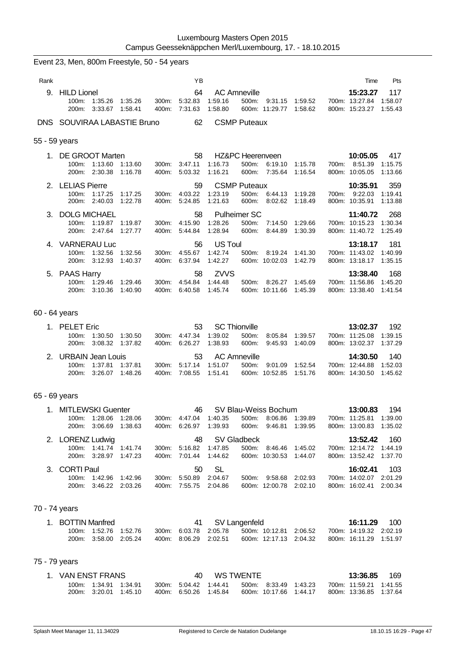|               | Event 23, Men, 800m Freestyle, 50 - 54 years                    |                                                |                |                                                      |                                      |                                                                |                    |                                    |                                                                  |                           |
|---------------|-----------------------------------------------------------------|------------------------------------------------|----------------|------------------------------------------------------|--------------------------------------|----------------------------------------------------------------|--------------------|------------------------------------|------------------------------------------------------------------|---------------------------|
| Rank          |                                                                 |                                                |                | YB                                                   |                                      |                                                                |                    |                                    | Time                                                             | Pts                       |
|               | 9. HILD Lionel<br>100m:<br>1:35.26<br>200m:<br>3:33.67          | 1:35.26<br>1:58.41                             | 300m:<br>400m: | 64<br>5:32.83<br>7:31.63                             | 1:59.16<br>1:58.80                   | <b>AC Amneville</b><br>500m:<br>600m: 11:29.77 1:58.62         |                    | 9:31.15 1:59.52                    | 15:23.27<br>700m: 13:27.84<br>800m: 15:23.27                     | 117<br>1:58.07<br>1.55.43 |
|               | DNS SOUVIRAA LABASTIE Bruno                                     |                                                |                | 62                                                   |                                      | <b>CSMP Puteaux</b>                                            |                    |                                    |                                                                  |                           |
| 55 - 59 years |                                                                 |                                                |                |                                                      |                                      |                                                                |                    |                                    |                                                                  |                           |
| 1.            | <b>DE GROOT Marten</b><br>100m: 1:13.60<br>200m: 2:30.38        | 1:13.60<br>1:16.78                             | 300m:<br>400m: | 58<br>3:47.11<br>5:03.32                             | 1:16.73<br>1:16.21                   | <b>HZ&amp;PC Heerenveen</b><br>500m:<br>600m: 7:35.64          | 6:19.10            | 1:15.78<br>1:16.54                 | 10:05.05<br>700m: 8:51.39<br>800m: 10:05.05                      | 417<br>1:15.75<br>1:13.66 |
|               | 2. LELIAS Pierre<br>100m:<br>1:17.25<br>200m: 2:40.03           | 1:17.25<br>1:22.78                             | 300m:          | 59<br>4:03.22<br>400m: 5:24.85                       | 1:23.19<br>1:21.63                   | <b>CSMP Puteaux</b><br>500m:<br>600m:                          | 6:44.13<br>8:02.62 | 1:19.28<br>1:18.49                 | 10:35.91<br>700m: 9:22.03<br>800m: 10:35.91                      | 359<br>1:19.41<br>1:13.88 |
|               | 3. DOLG MICHAEL<br>100m:<br>1:19.87<br>200m: 2:47.64            | 1:19.87<br>1:27.77                             | 300m:          | 58<br>4:15.90<br>400m: 5:44.84                       | 1:28.26<br>1:28.94                   | <b>Pulheimer SC</b><br>500m:<br>600m:                          | 7:14.50<br>8:44.89 | 1:29.66<br>1:30.39                 | 11:40.72<br>700m: 10:15.23<br>800m: 11:40.72                     | 268<br>1:30.34<br>1:25.49 |
|               | 4. VARNERAU Luc<br>100m:<br>1:32.56<br>200m:<br>3:12.93         | 1:32.56<br>1:40.37                             | 300m:<br>400m: | 56<br>4:55.67<br>6:37.94                             | <b>US Toul</b><br>1:42.74<br>1:42.27 | 500m:<br>600m: 10:02.03                                        | 8:19.24            | 1:41.30<br>1:42.79                 | 13:18.17<br>700m: 11:43.02<br>800m: 13:18.17                     | 181<br>1:40.99<br>1:35.15 |
|               | 5. PAAS Harry<br>100m: 1:29.46<br>200m: 3:10.36                 | 1:29.46<br>1:40.90                             | 300m:<br>400m: | 58<br>4:54.84 1:44.48<br>6:40.58                     | <b>ZVVS</b><br>1:45.74               | 500m: 8:26.27 1:45.69<br>600m: 10:11.66                        |                    | 1:45.39                            | 13:38.40<br>700m: 11:56.86<br>800m: 13:38.40                     | 168<br>1:45.20<br>1:41.54 |
| 60 - 64 years |                                                                 |                                                |                |                                                      |                                      |                                                                |                    |                                    |                                                                  |                           |
|               | 1. PELET Eric<br>1:30.50<br>100m:<br>200m: 3:08.32 1:37.82      | 1:30.50                                        | 300m:          | 53<br>4:47.34<br>400m: 6:26.27                       | 1:39.02<br>1:38.93                   | <b>SC Thionville</b><br>500m:<br>600m:                         |                    | 8:05.84 1:39.57<br>9:45.93 1:40.09 | 13:02.37<br>700m: 11:25.08<br>800m: 13:02.37                     | 192<br>1:39.15<br>1:37.29 |
|               | 2. URBAIN Jean Louis<br>100m:<br>1:37.81<br>200m:               | 1:37.81<br>3:26.07 1:48.26                     | 300m:<br>400m: | 53<br>5:17.14<br>7:08.55                             | 1:51.07<br>1:51.41                   | <b>AC Amneville</b><br>500m:<br>600m: 10:52.85                 | 9:01.09            | 1:52.54<br>1:51.76                 | 14:30.50<br>700m: 12:44.88<br>800m: 14:30.50                     | 140<br>1:52.03<br>1:45.62 |
| 65 - 69 years |                                                                 |                                                |                |                                                      |                                      |                                                                |                    |                                    |                                                                  |                           |
|               | 1. MITLEWSKI Guenter                                            | 100m: 1:28.06 1:28.06<br>200m: 3:06.69 1:38.63 |                | 300m: 4:47.04 1:40.35<br>400m: 6:26.97               | 1:39.93                              | 46 SV Blau-Weiss Bochum<br>500m: 8.06.86 1:39.89<br>600m:      |                    | 9:46.81 1:39.95                    | 13:00.83 194<br>700m: 11:25.81 1:39.00<br>800m: 13:00.83 1:35.02 |                           |
|               | 2. LORENZ Ludwig<br>200m: 3:28.97 1:47.23                       | 100m: 1:41.74 1:41.74                          |                | 48<br>300m: 5:16.82 1:47.85<br>400m: 7:01.44         | 1:44.62                              | SV Gladbeck<br>500m: 8:46.46 1:45.02<br>600m: 10:30.53 1:44.07 |                    |                                    | 13:52.42<br>700m: 12:14.72 1:44.19<br>800m: 13:52.42 1:37.70     | 160                       |
|               | 3. CORTI Paul<br>100m: 1:42.96 1:42.96<br>200m: 3:46.22 2:03.26 |                                                |                | 50<br>300m: 5:50.89<br>400m: 7:55.75 2:04.86         | <b>SL</b><br>2:04.67                 | 500m: 9:58.68 2:02.93<br>600m: 12:00.78 2:02.10                |                    |                                    | 16:02.41<br>700m: 14:02.07 2:01.29<br>800m: 16:02.41 2:00.34     | 103                       |
| 70 - 74 years |                                                                 |                                                |                |                                                      |                                      |                                                                |                    |                                    |                                                                  |                           |
|               | 1. BOTTIN Manfred                                               | 100m: 1:52.76 1:52.76<br>200m: 3:58.00 2:05.24 |                | 41<br>300m: 6:03.78 2:05.78<br>400m: 8:06.29 2:02.51 |                                      | SV Langenfeld<br>600m: 12:17.13 2:04.32                        |                    | 500m: 10:12.81 2:06.52             | 16:11.29<br>700m: 14:19.32 2:02.19<br>800m: 16:11.29 1:51.97     | 100                       |

# 75 - 79 years

| 1. VAN ENST FRANS |                                                |  | 40.                                            | WS TWENTE |                                                 |  | 13:36.85                                         | - 169 |
|-------------------|------------------------------------------------|--|------------------------------------------------|-----------|-------------------------------------------------|--|--------------------------------------------------|-------|
|                   | 100m: 1:34.91 1:34.91<br>200m: 3:20.01 1:45.10 |  | 300 m 5:04.42 1:44.41<br>400m: 6:50.26 1:45.84 |           | 500m: 8:33.49 1:43.23<br>600m: 10:17.66 1:44.17 |  | 700m: 11:59.21 1:41.55<br>800m: 13:36.85 1:37.64 |       |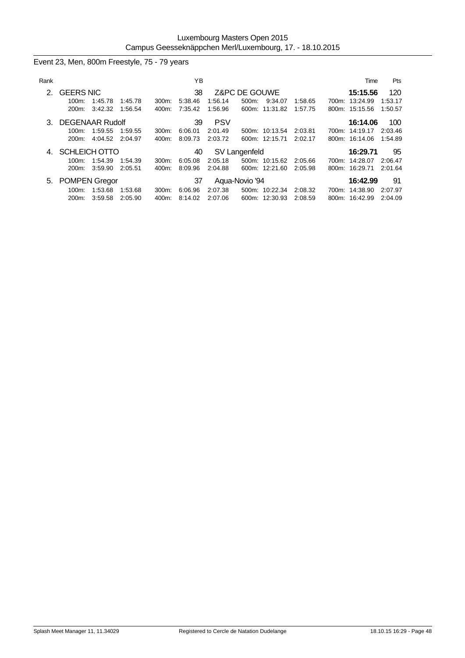## Event 23, Men, 800m Freestyle, 75 - 79 years

| Rank |                                                |                            |                    |                   | ΥB                       |                                  |                        |                                  |                    | Time                                         | <b>Pts</b>                |
|------|------------------------------------------------|----------------------------|--------------------|-------------------|--------------------------|----------------------------------|------------------------|----------------------------------|--------------------|----------------------------------------------|---------------------------|
| 2.   | <b>GEERS NIC</b><br>100m:<br>200m:             | 1:45.78<br>3:42.32         | 1:45.78<br>1:56.54 | $300m$ :<br>400m: | 38<br>5:38.46<br>7:35.42 | 1:56.14<br>1:56.96               | Z&PC DE GOUWE<br>500m: | 9:34.07<br>600m: 11:31.82        | 1:58.65<br>1:57.75 | 15:15.56<br>700m: 13:24.99<br>800m: 15:15.56 | 120<br>1:53.17<br>1:50.57 |
| 3.   | <b>DEGENAAR Rudolf</b><br>$100m$ :<br>$200m$ : | 1:59.55<br>4:04.52 2:04.97 | 1:59.55            | 300m:<br>400m:    | 39<br>6:06.01<br>8:09.73 | <b>PSV</b><br>2:01.49<br>2:03.72 |                        | 500m: 10:13.54<br>600m: 12:15.71 | 2:03.81<br>2:02.17 | 16:14.06<br>700m: 14:19.17<br>800m: 16:14.06 | 100<br>2:03.46<br>1:54.89 |
| 4.   | SCHLEICH OTTO<br>$100m$ :<br>200m:             | 1:54.39<br>3:59.90         | 1:54.39<br>2:05.51 | 300m:<br>400m:    | 40<br>6:05.08<br>8:09.96 | 2:05.18<br>2:04.88               | SV Langenfeld          | 500m: 10:15.62<br>600m: 12:21.60 | 2:05.66<br>2:05.98 | 16:29.71<br>700m: 14:28.07<br>800m: 16:29.71 | 95<br>2:06.47<br>2:01.64  |
|      | 5. POMPEN Gregor<br>$100m$ :<br>200m:          | 1:53.68<br>3:59.58         | 1:53.68<br>2:05.90 | 300m:<br>400m:    | 37<br>6:06.96<br>8:14.02 | 2:07.38<br>2:07.06               | Agua-Novio '94         | 500m: 10:22.34<br>600m: 12:30.93 | 2:08.32<br>2:08.59 | 16:42.99<br>700m: 14:38.90<br>800m: 16:42.99 | 91<br>2:07.97<br>2:04.09  |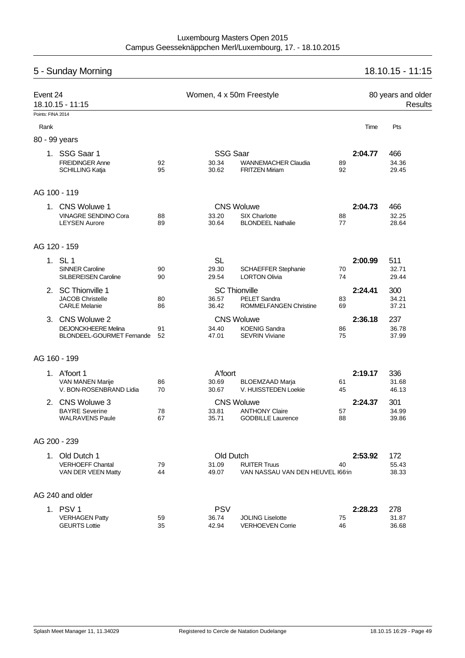| 18.10.15 - 11:15<br>5 - Sunday Morning                                                              |                                                                |          |                 |                                                         |          |         |                |  |  |  |  |
|-----------------------------------------------------------------------------------------------------|----------------------------------------------------------------|----------|-----------------|---------------------------------------------------------|----------|---------|----------------|--|--|--|--|
| Event 24<br>Women, 4 x 50m Freestyle<br>80 years and older<br>18.10.15 - 11:15<br>Points: FINA 2014 |                                                                |          |                 |                                                         |          |         |                |  |  |  |  |
|                                                                                                     |                                                                |          |                 |                                                         |          |         |                |  |  |  |  |
| Rank                                                                                                |                                                                |          |                 |                                                         |          | Time    | Pts            |  |  |  |  |
|                                                                                                     | 80 - 99 years                                                  |          |                 |                                                         |          |         |                |  |  |  |  |
|                                                                                                     | 1. SSG Saar 1                                                  |          | <b>SSG Saar</b> |                                                         |          | 2:04.77 | 466            |  |  |  |  |
|                                                                                                     | <b>FREIDINGER Anne</b><br><b>SCHILLING Katja</b>               | 92<br>95 | 30.34<br>30.62  | <b>WANNEMACHER Claudia</b><br><b>FRITZEN Miriam</b>     | 89<br>92 |         | 34.36<br>29.45 |  |  |  |  |
|                                                                                                     | AG 100 - 119                                                   |          |                 |                                                         |          |         |                |  |  |  |  |
| 1.                                                                                                  | <b>CNS Woluwe 1</b>                                            |          |                 | <b>CNS Woluwe</b>                                       |          | 2:04.73 | 466            |  |  |  |  |
|                                                                                                     | <b>VINAGRE SENDINO Cora</b><br><b>LEYSEN Aurore</b>            | 88<br>89 | 33.20<br>30.64  | SIX Charlotte<br><b>BLONDEEL Nathalie</b>               | 88<br>77 |         | 32.25<br>28.64 |  |  |  |  |
|                                                                                                     | AG 120 - 159                                                   |          |                 |                                                         |          |         |                |  |  |  |  |
|                                                                                                     | 1. SL 1                                                        |          | <b>SL</b>       |                                                         |          | 2:00.99 | 511            |  |  |  |  |
|                                                                                                     | <b>SINNER Caroline</b><br><b>SILBEREISEN Caroline</b>          | 90<br>90 | 29.30<br>29.54  | <b>SCHAEFFER Stephanie</b><br><b>LORTON Olivia</b>      | 70<br>74 |         | 32.71<br>29.44 |  |  |  |  |
| 2.                                                                                                  | <b>SC Thionville 1</b>                                         |          |                 | <b>SC Thionville</b>                                    |          | 2:24.41 | 300            |  |  |  |  |
|                                                                                                     | <b>JACOB Christelle</b><br><b>CARLE Melanie</b>                | 80<br>86 | 36.57<br>36.42  | <b>PELET Sandra</b><br><b>ROMMELFANGEN Christine</b>    | 83<br>69 |         | 34.21<br>37.21 |  |  |  |  |
| 3.                                                                                                  | CNS Woluwe 2                                                   |          |                 | <b>CNS Woluwe</b>                                       |          | 2:36.18 | 237            |  |  |  |  |
|                                                                                                     | <b>DEJONCKHEERE Melina</b><br><b>BLONDEEL-GOURMET Fernande</b> | 91<br>52 | 34.40<br>47.01  | <b>KOENIG Sandra</b><br><b>SEVRIN Viviane</b>           | 86<br>75 |         | 36.78<br>37.99 |  |  |  |  |
|                                                                                                     | AG 160 - 199                                                   |          |                 |                                                         |          |         |                |  |  |  |  |
|                                                                                                     | 1. A'foort 1                                                   |          | A'foort         |                                                         |          | 2:19.17 | 336            |  |  |  |  |
|                                                                                                     | VAN MANEN Marije<br>V. BON-ROSENBRAND Lidia                    | 86<br>70 | 30.69<br>30.67  | <b>BLOEMZAAD Marja</b><br>V. HUISSTEDEN Loekie          | 61<br>45 |         | 31.68<br>46.13 |  |  |  |  |
|                                                                                                     | 2. CNS Woluwe 3                                                |          |                 | <b>CNS Woluwe</b>                                       |          | 2:24.37 | 301            |  |  |  |  |
|                                                                                                     | <b>BAYRE Severine</b><br><b>WALRAVENS Paule</b>                | 78<br>67 | 33.81<br>35.71  | <b>ANTHONY Claire</b><br><b>GODBILLE Laurence</b>       | 57<br>88 |         | 34.99<br>39.86 |  |  |  |  |
|                                                                                                     | AG 200 - 239                                                   |          |                 |                                                         |          |         |                |  |  |  |  |
|                                                                                                     | 1. Old Dutch 1                                                 |          | Old Dutch       |                                                         |          | 2:53.92 | 172            |  |  |  |  |
|                                                                                                     | <b>VERHOEFF Chantal</b><br>VAN DER VEEN Matty                  | 79<br>44 | 31.09<br>49.07  | <b>RUITER Truus</b><br>VAN NASSAU VAN DEN HEUVEL 166'in | 40       |         | 55.43<br>38.33 |  |  |  |  |
|                                                                                                     | AG 240 and older                                               |          |                 |                                                         |          |         |                |  |  |  |  |
|                                                                                                     | 1. PSV 1                                                       |          | <b>PSV</b>      |                                                         |          | 2:28.23 | 278            |  |  |  |  |
|                                                                                                     | <b>VERHAGEN Patty</b><br><b>GEURTS Lottie</b>                  | 59<br>35 | 36.74<br>42.94  | <b>JOLING Liselotte</b><br><b>VERHOEVEN Corrie</b>      | 75<br>46 |         | 31.87<br>36.68 |  |  |  |  |
|                                                                                                     |                                                                |          |                 |                                                         |          |         |                |  |  |  |  |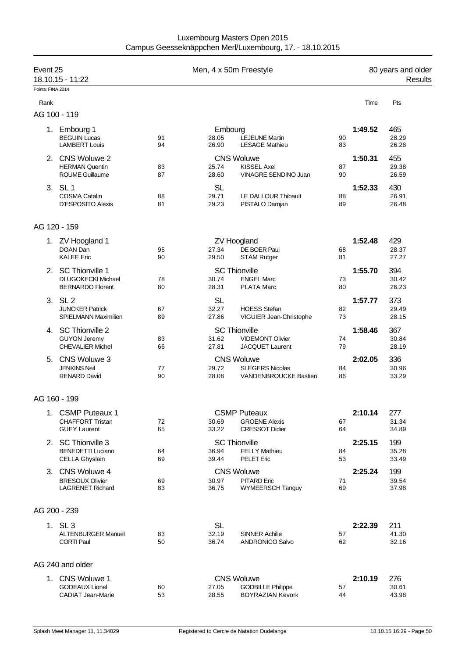| Luxembourg Masters Open 2015                             |
|----------------------------------------------------------|
| Campus Geesseknäppchen Merl/Luxembourg, 17. - 18.10.2015 |

| Event 25<br>18.10.15 - 11:22 |                                                      |          | Men, 4 x 50m Freestyle |                                            |          | 80 years and older<br>Results |                |  |
|------------------------------|------------------------------------------------------|----------|------------------------|--------------------------------------------|----------|-------------------------------|----------------|--|
| Points: FINA 2014            |                                                      |          |                        |                                            |          |                               |                |  |
| Rank                         |                                                      |          |                        |                                            |          | Time                          | Pts            |  |
|                              | AG 100 - 119                                         |          |                        |                                            |          |                               |                |  |
|                              | 1. Embourg 1                                         |          | Embourg                |                                            |          | 1:49.52                       | 465            |  |
|                              | <b>BEGUIN Lucas</b>                                  | 91       | 28.05                  | <b>LEJEUNE Martin</b>                      | 90       |                               | 28.29          |  |
|                              | <b>LAMBERT Louis</b>                                 | 94       | 26.90                  | <b>LESAGE Mathieu</b>                      | 83       |                               | 26.28          |  |
|                              | 2. CNS Woluwe 2                                      |          |                        | <b>CNS Woluwe</b>                          |          | 1:50.31                       | 455            |  |
|                              | <b>HERMAN Quentin</b><br><b>ROUME Guillaume</b>      | 83<br>87 | 25.74<br>28.60         | <b>KISSEL Axel</b><br>VINAGRE SENDINO Juan | 87<br>90 |                               | 29.38<br>26.59 |  |
|                              |                                                      |          |                        |                                            |          |                               |                |  |
|                              | 3. SL 1<br><b>COSMA Catalin</b>                      | 88       | <b>SL</b><br>29.71     | LE DALLOUR Thibault                        | 88       | 1:52.33                       | 430<br>26.91   |  |
|                              | <b>D'ESPOSITO Alexis</b>                             | 81       | 29.23                  | PISTALO Damjan                             | 89       |                               | 26.48          |  |
|                              |                                                      |          |                        |                                            |          |                               |                |  |
|                              | AG 120 - 159                                         |          |                        |                                            |          |                               |                |  |
|                              | 1. ZV Hoogland 1                                     |          |                        | <b>ZV Hoogland</b>                         |          | 1:52.48                       | 429            |  |
|                              | DOAN Dan                                             | 95       | 27.34                  | DE BOER Paul                               | 68       |                               | 28.37          |  |
|                              | <b>KALEE Eric</b>                                    | 90       | 29.50                  | <b>STAM Rutger</b>                         | 81       |                               | 27.27          |  |
|                              | 2. SC Thionville 1                                   |          |                        | <b>SC Thionville</b>                       |          | 1:55.70                       | 394            |  |
|                              | <b>DLUGOKECKI Michael</b><br><b>BERNARDO Florent</b> | 78<br>80 | 30.74<br>28.31         | <b>ENGEL Marc</b><br><b>PLATA Marc</b>     | 73<br>80 |                               | 30.42<br>26.23 |  |
|                              |                                                      |          |                        |                                            |          |                               |                |  |
|                              | 3. SL 2<br><b>JUNCKER Patrick</b>                    | 67       | <b>SL</b><br>32.27     | <b>HOESS Stefan</b>                        | 82       | 1:57.77                       | 373<br>29.49   |  |
|                              | <b>SPIELMANN Maximilien</b>                          | 89       | 27.86                  | VIGUIER Jean-Christophe                    | 73       |                               | 28.15          |  |
|                              | 4. SC Thionville 2                                   |          |                        | <b>SC Thionville</b>                       |          | 1:58.46                       | 367            |  |
|                              | <b>GUYON Jeremy</b>                                  | 83       | 31.62                  | <b>VIDEMONT Olivier</b>                    | 74       |                               | 30.84          |  |
|                              | <b>CHEVALIER Michel</b>                              | 66       | 27.81                  | <b>JACQUET Laurent</b>                     | 79       |                               | 28.19          |  |
| 5.                           | CNS Woluwe 3                                         |          |                        | <b>CNS Woluwe</b>                          |          | 2:02.05                       | 336            |  |
|                              | <b>JENKINS Neil</b>                                  | 77       | 29.72                  | <b>SLEGERS Nicolas</b>                     | 84       |                               | 30.96          |  |
|                              | <b>RENARD David</b>                                  | 90       | 28.08                  | VANDENBROUCKE Bastien                      | 86       |                               | 33.29          |  |
|                              | AG 160 - 199                                         |          |                        |                                            |          |                               |                |  |
|                              | 1. CSMP Puteaux 1                                    |          |                        | <b>CSMP Puteaux</b>                        |          | 2:10.14                       | 277            |  |
|                              | <b>CHAFFORT Tristan</b>                              | 72       | 30.69                  | <b>GROENE Alexis</b>                       | 67       |                               | 31.34          |  |
|                              | <b>GUEY Laurent</b>                                  | 65       | 33.22                  | <b>CRESSOT Didier</b>                      | 64       |                               | 34.89          |  |
|                              | 2. SC Thionville 3                                   |          |                        | <b>SC Thionville</b>                       |          | 2:25.15                       | 199            |  |
|                              | <b>BENEDETTI Luciano</b>                             | 64       | 36.94                  | <b>FELLY Mathieu</b>                       | 84       |                               | 35.28          |  |
|                              | CELLA Ghyslain                                       | 69       | 39.44                  | <b>PELET Eric</b>                          | 53       |                               | 33.49          |  |
|                              | 3. CNS Woluwe 4                                      |          |                        | <b>CNS Woluwe</b>                          |          | 2:25.24                       | 199            |  |
|                              | <b>BRESOUX Olivier</b><br><b>LAGRENET Richard</b>    | 69<br>83 | 30.97<br>36.75         | <b>PITARD Eric</b><br>WYMEERSCH Tanguy     | 71<br>69 |                               | 39.54<br>37.98 |  |
|                              |                                                      |          |                        |                                            |          |                               |                |  |
|                              | AG 200 - 239                                         |          |                        |                                            |          |                               |                |  |
|                              | 1. SL 3                                              |          | <b>SL</b>              |                                            |          | 2:22.39                       | 211            |  |
|                              | <b>ALTENBURGER Manuel</b>                            | 83       | 32.19                  | <b>SINNER Achille</b>                      | 57       |                               | 41.30          |  |
|                              | <b>CORTI Paul</b>                                    | 50       | 36.74                  | <b>ANDRONICO Salvo</b>                     | 62       |                               | 32.16          |  |
|                              | AG 240 and older                                     |          |                        |                                            |          |                               |                |  |
|                              | 1. CNS Woluwe 1                                      |          |                        | <b>CNS Woluwe</b>                          |          | 2:10.19                       | 276            |  |
|                              | <b>GODEAUX Lionel</b>                                | 60       | 27.05                  | <b>GODBILLE Philippe</b>                   | 57       |                               | 30.61          |  |
|                              | <b>CADIAT Jean-Marie</b>                             | 53       | 28.55                  | <b>BOYRAZIAN Kevork</b>                    | 44       |                               | 43.98          |  |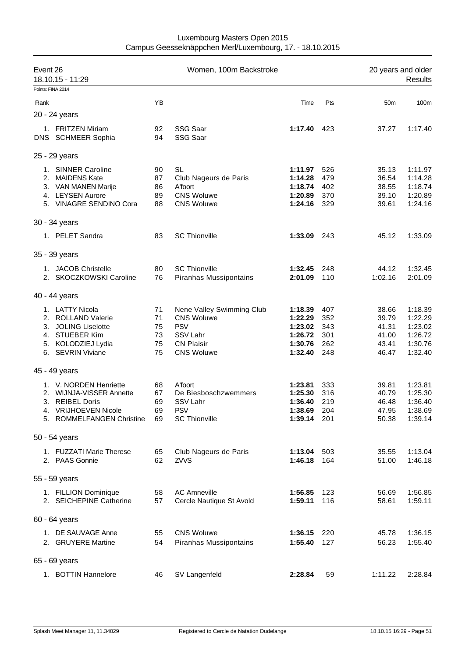| Event 26<br>18.10.15 - 11:29 |                                                                                                                            |                                  | Women, 100m Backstroke                                                                                             | 20 years and older<br><b>Results</b>                           |                                        |                                                    |                                                                |
|------------------------------|----------------------------------------------------------------------------------------------------------------------------|----------------------------------|--------------------------------------------------------------------------------------------------------------------|----------------------------------------------------------------|----------------------------------------|----------------------------------------------------|----------------------------------------------------------------|
| Points: FINA 2014            |                                                                                                                            |                                  |                                                                                                                    |                                                                |                                        |                                                    |                                                                |
| Rank                         |                                                                                                                            | ΥB                               |                                                                                                                    | Time                                                           | Pts                                    | 50 <sub>m</sub>                                    | 100m                                                           |
|                              | 20 - 24 years                                                                                                              |                                  |                                                                                                                    |                                                                |                                        |                                                    |                                                                |
|                              | 1. FRITZEN Miriam<br>DNS SCHMEER Sophia                                                                                    | 92<br>94                         | <b>SSG Saar</b><br><b>SSG Saar</b>                                                                                 | 1:17.40 423                                                    |                                        | 37.27                                              | 1:17.40                                                        |
|                              | 25 - 29 years                                                                                                              |                                  |                                                                                                                    |                                                                |                                        |                                                    |                                                                |
|                              | 1. SINNER Caroline<br>2. MAIDENS Kate<br>3. VAN MANEN Marije<br>4. LEYSEN Aurore<br>5. VINAGRE SENDINO Cora                | 90<br>87<br>86<br>89<br>88       | SL<br>Club Nageurs de Paris<br>A'foort<br><b>CNS Woluwe</b><br><b>CNS Woluwe</b>                                   | 1:11.97<br>1:14.28<br>1:18.74<br>1:20.89<br>1:24.16            | 526<br>479<br>402<br>370<br>329        | 35.13<br>36.54<br>38.55<br>39.10<br>39.61          | 1:11.97<br>1:14.28<br>1:18.74<br>1:20.89<br>1:24.16            |
|                              | 30 - 34 years                                                                                                              |                                  |                                                                                                                    |                                                                |                                        |                                                    |                                                                |
|                              | 1. PELET Sandra                                                                                                            | 83                               | <b>SC Thionville</b>                                                                                               | 1:33.09 243                                                    |                                        | 45.12                                              | 1:33.09                                                        |
|                              | 35 - 39 years                                                                                                              |                                  |                                                                                                                    |                                                                |                                        |                                                    |                                                                |
|                              | 1. JACOB Christelle<br>2. SKOCZKOWSKI Caroline                                                                             | 80<br>76                         | <b>SC Thionville</b><br>Piranhas Mussipontains                                                                     | 1:32.45<br>2:01.09                                             | 248<br>110                             | 44.12<br>1:02.16                                   | 1:32.45<br>2:01.09                                             |
|                              | 40 - 44 years                                                                                                              |                                  |                                                                                                                    |                                                                |                                        |                                                    |                                                                |
|                              | 1. LATTY Nicola<br>2. ROLLAND Valerie<br>3. JOLING Liselotte<br>4. STUEBER Kim<br>5. KOLODZIEJ Lydia<br>6. SEVRIN Viviane  | 71<br>71<br>75<br>73<br>75<br>75 | Nene Valley Swimming Club<br><b>CNS Woluwe</b><br><b>PSV</b><br>SSV Lahr<br><b>CN Plaisir</b><br><b>CNS Woluwe</b> | 1:18.39<br>1:22.29<br>1:23.02<br>1:26.72<br>1:30.76<br>1:32.40 | 407<br>352<br>343<br>301<br>262<br>248 | 38.66<br>39.79<br>41.31<br>41.00<br>43.41<br>46.47 | 1:18.39<br>1:22.29<br>1:23.02<br>1:26.72<br>1:30.76<br>1:32.40 |
|                              | 45 - 49 years                                                                                                              |                                  |                                                                                                                    |                                                                |                                        |                                                    |                                                                |
|                              | 1. V. NORDEN Henriette<br>2. WIJNJA-VISSER Annette<br>3. REIBEL Doris<br>4. VRIJHOEVEN Nicole<br>5. ROMMELFANGEN Christine | 68<br>67<br>69<br>69<br>69       | A'foort<br>De Biesboschzwemmers<br>SSV Lahr<br><b>PSV</b><br><b>SC Thionville</b>                                  | 1:23.81<br>1:25.30<br>1:36.40<br>1:38.69 204<br>1:39.14 201    | 333<br>316<br>219                      | 39.81<br>40.79<br>46.48<br>47.95<br>50.38          | 1:23.81<br>1:25.30<br>1:36.40<br>1:38.69<br>1:39.14            |
|                              | 50 - 54 years                                                                                                              |                                  |                                                                                                                    |                                                                |                                        |                                                    |                                                                |
|                              | 1. FUZZATI Marie Therese<br>2. PAAS Gonnie                                                                                 | 65<br>62                         | Club Nageurs de Paris<br>ZVVS                                                                                      | 1:13.04<br>1:46.18                                             | 503<br>164                             | 35.55<br>51.00                                     | 1:13.04<br>1:46.18                                             |
|                              | 55 - 59 years                                                                                                              |                                  |                                                                                                                    |                                                                |                                        |                                                    |                                                                |
|                              | 1. FILLION Dominique<br>2. SEICHEPINE Catherine                                                                            | 58<br>57                         | <b>AC Amneville</b><br>Cercle Nautique St Avold                                                                    | 1:56.85<br>1:59.11                                             | 123<br>116                             | 56.69<br>58.61                                     | 1:56.85<br>1:59.11                                             |
|                              | 60 - 64 years                                                                                                              |                                  |                                                                                                                    |                                                                |                                        |                                                    |                                                                |
|                              | 1. DE SAUVAGE Anne<br>2. GRUYERE Martine                                                                                   | 55<br>54                         | <b>CNS Woluwe</b><br>Piranhas Mussipontains                                                                        | 1:36.15<br>1:55.40                                             | 220<br>127                             | 45.78<br>56.23                                     | 1:36.15<br>1:55.40                                             |
|                              | 65 - 69 years                                                                                                              |                                  |                                                                                                                    |                                                                |                                        |                                                    |                                                                |
|                              | 1. BOTTIN Hannelore                                                                                                        | 46                               | SV Langenfeld                                                                                                      | 2:28.84                                                        | 59                                     | 1:11.22                                            | 2:28.84                                                        |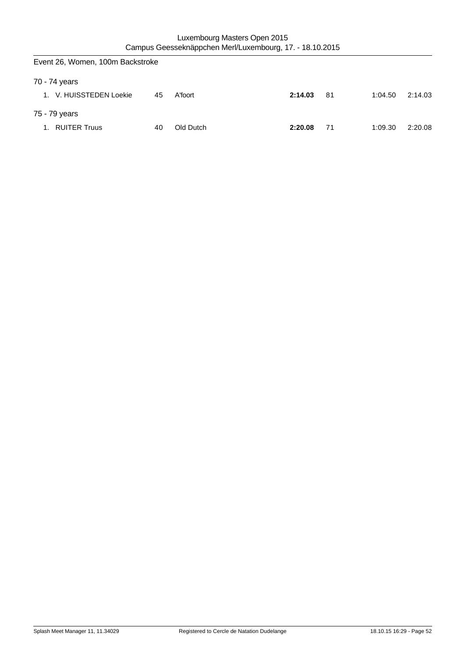| Event 26, Women, 100m Backstroke |    |           |         |     |         |         |
|----------------------------------|----|-----------|---------|-----|---------|---------|
| 70 - 74 years                    |    |           |         |     |         |         |
| 1. V. HUISSTEDEN Loekie          | 45 | A'foort   | 2:14.03 | -81 | 1:04.50 | 2:14.03 |
| 75 - 79 years                    |    |           |         |     |         |         |
| <b>RUITER Truus</b><br>1.        | 40 | Old Dutch | 2:20.08 | 71  | 1:09.30 | 2:20.08 |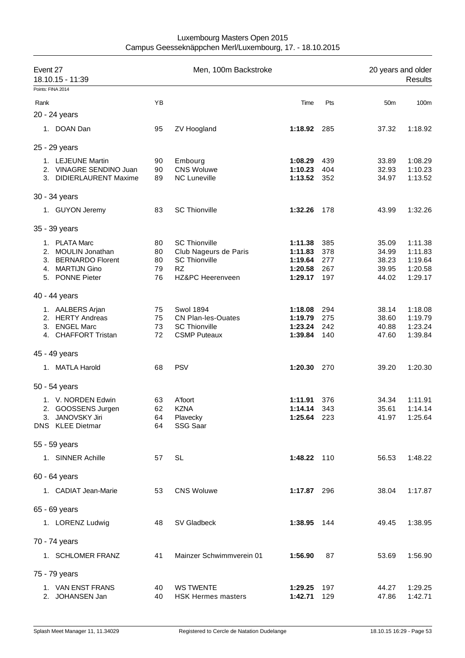| Event 27 | 18.10.15 - 11:39        |    | Men, 100m Backstroke      |             |     | 20 years and older | <b>Results</b> |
|----------|-------------------------|----|---------------------------|-------------|-----|--------------------|----------------|
|          | Points: FINA 2014       |    |                           |             |     |                    |                |
| Rank     |                         | YB |                           | Time        | Pts | 50 <sub>m</sub>    | 100m           |
|          | 20 - 24 years           |    |                           |             |     |                    |                |
|          | 1. DOAN Dan             | 95 | ZV Hoogland               | 1:18.92 285 |     | 37.32              | 1:18.92        |
|          | 25 - 29 years           |    |                           |             |     |                    |                |
|          | 1. LEJEUNE Martin       | 90 | Embourg                   | 1:08.29     | 439 | 33.89              | 1:08.29        |
|          | 2. VINAGRE SENDINO Juan | 90 | <b>CNS Woluwe</b>         | 1:10.23     | 404 | 32.93              | 1:10.23        |
|          | 3. DIDIERLAURENT Maxime | 89 | <b>NC Luneville</b>       | 1:13.52     | 352 | 34.97              | 1:13.52        |
|          | 30 - 34 years           |    |                           |             |     |                    |                |
|          | 1. GUYON Jeremy         | 83 | <b>SC Thionville</b>      | 1:32.26     | 178 | 43.99              | 1:32.26        |
|          | 35 - 39 years           |    |                           |             |     |                    |                |
|          | 1. PLATA Marc           | 80 | <b>SC Thionville</b>      | 1:11.38     | 385 | 35.09              | 1:11.38        |
|          | 2. MOULIN Jonathan      | 80 | Club Nageurs de Paris     | 1:11.83     | 378 | 34.99              | 1:11.83        |
|          | 3. BERNARDO Florent     | 80 | <b>SC Thionville</b>      | 1:19.64     | 277 | 38.23              | 1:19.64        |
|          | 4. MARTIJN Gino         | 79 | <b>RZ</b>                 | 1:20.58     | 267 | 39.95              | 1:20.58        |
|          | 5. PONNE Pieter         | 76 | HZ&PC Heerenveen          | 1:29.17     | 197 | 44.02              | 1:29.17        |
|          | 40 - 44 years           |    |                           |             |     |                    |                |
|          | 1. AALBERS Arjan        | 75 | <b>Swol 1894</b>          | 1:18.08     | 294 | 38.14              | 1:18.08        |
|          | 2. HERTY Andreas        | 75 | CN Plan-les-Ouates        | 1:19.79     | 275 | 38.60              | 1:19.79        |
|          | 3. ENGEL Marc           | 73 | <b>SC Thionville</b>      | 1:23.24     | 242 | 40.88              | 1:23.24        |
|          | 4. CHAFFORT Tristan     | 72 | <b>CSMP Puteaux</b>       | 1:39.84     | 140 | 47.60              | 1:39.84        |
|          | 45 - 49 years           |    |                           |             |     |                    |                |
|          | 1. MATLA Harold         | 68 | <b>PSV</b>                | 1:20.30     | 270 | 39.20              | 1:20.30        |
|          | 50 - 54 years           |    |                           |             |     |                    |                |
|          | 1. V. NORDEN Edwin      | 63 | A'foort                   | 1:11.91     | 376 | 34.34              | 1:11.91        |
|          | 2. GOOSSENS Jurgen      | 62 | <b>KZNA</b>               | 1:14.14 343 |     | 35.61              | 1:14.14        |
|          | 3. JANOVSKY Jiri        | 64 | Plavecky                  | 1:25.64 223 |     | 41.97              | 1:25.64        |
|          | DNS KLEE Dietmar        | 64 | SSG Saar                  |             |     |                    |                |
|          | 55 - 59 years           |    |                           |             |     |                    |                |
|          | 1. SINNER Achille       | 57 | SL                        | 1:48.22 110 |     | 56.53              | 1:48.22        |
|          | 60 - 64 years           |    |                           |             |     |                    |                |
|          | 1. CADIAT Jean-Marie    | 53 | <b>CNS Woluwe</b>         | 1:17.87 296 |     | 38.04              | 1:17.87        |
|          | 65 - 69 years           |    |                           |             |     |                    |                |
|          | 1. LORENZ Ludwig        | 48 | SV Gladbeck               | 1:38.95 144 |     | 49.45              | 1:38.95        |
|          |                         |    |                           |             |     |                    |                |
|          | 70 - 74 years           |    |                           |             |     |                    |                |
|          | 1. SCHLOMER FRANZ       | 41 | Mainzer Schwimmverein 01  | 1:56.90     | 87  | 53.69              | 1:56.90        |
|          | 75 - 79 years           |    |                           |             |     |                    |                |
|          | 1. VAN ENST FRANS       | 40 | <b>WS TWENTE</b>          | 1:29.25     | 197 | 44.27              | 1:29.25        |
|          | 2. JOHANSEN Jan         | 40 | <b>HSK Hermes masters</b> | 1:42.71     | 129 | 47.86              | 1:42.71        |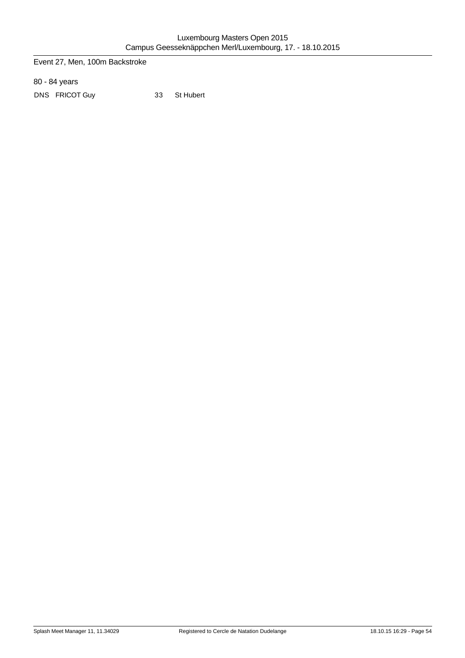Event 27, Men, 100m Backstroke

80 - 84 years

DNS FRICOT Guy 33 St Hubert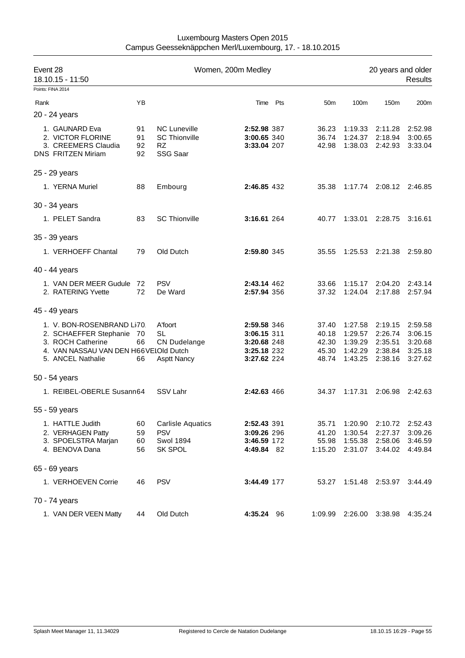| Event 28<br>18.10.15 - 11:50                                                                                                            |                      |                                                                   |                                                                         | Women, 200m Medley |                                           |                                                     |                                                     |                                                     |
|-----------------------------------------------------------------------------------------------------------------------------------------|----------------------|-------------------------------------------------------------------|-------------------------------------------------------------------------|--------------------|-------------------------------------------|-----------------------------------------------------|-----------------------------------------------------|-----------------------------------------------------|
| Points: FINA 2014                                                                                                                       |                      |                                                                   |                                                                         |                    |                                           |                                                     |                                                     |                                                     |
| Rank                                                                                                                                    | YB                   |                                                                   | Time Pts                                                                |                    | 50 <sub>m</sub>                           | 100m                                                | 150m                                                | 200m                                                |
| 20 - 24 years                                                                                                                           |                      |                                                                   |                                                                         |                    |                                           |                                                     |                                                     |                                                     |
| 1. GAUNARD Eva<br>2. VICTOR FLORINE<br>3. CREEMERS Claudia<br><b>DNS FRITZEN Miriam</b>                                                 | 91<br>91<br>92<br>92 | <b>NC Luneville</b><br><b>SC Thionville</b><br>RZ.<br>SSG Saar    | 2:52.98 387<br>3:00.65 340<br>3:33.04 207                               |                    | 36.23<br>36.74<br>42.98                   | 1:19.33<br>1:24.37<br>1:38.03                       | 2:11.28<br>2:18.94<br>2:42.93                       | 2:52.98<br>3:00.65<br>3:33.04                       |
| 25 - 29 years                                                                                                                           |                      |                                                                   |                                                                         |                    |                                           |                                                     |                                                     |                                                     |
| 1. YERNA Muriel                                                                                                                         | 88                   | Embourg                                                           | 2:46.85 432                                                             |                    | 35.38                                     |                                                     | 1:17.74 2:08.12                                     | 2:46.85                                             |
| 30 - 34 years                                                                                                                           |                      |                                                                   |                                                                         |                    |                                           |                                                     |                                                     |                                                     |
| 1. PELET Sandra                                                                                                                         | 83                   | <b>SC Thionville</b>                                              | 3:16.61 264                                                             |                    | 40.77                                     | 1:33.01                                             | 2:28.75                                             | 3:16.61                                             |
| 35 - 39 years                                                                                                                           |                      |                                                                   |                                                                         |                    |                                           |                                                     |                                                     |                                                     |
| 1. VERHOEFF Chantal                                                                                                                     | 79                   | Old Dutch                                                         | 2:59.80 345                                                             |                    | 35.55                                     | 1:25.53 2:21.38                                     |                                                     | 2:59.80                                             |
| 40 - 44 years                                                                                                                           |                      |                                                                   |                                                                         |                    |                                           |                                                     |                                                     |                                                     |
| 1. VAN DER MEER Gudule 72<br>2. RATERING Yvette                                                                                         | 72                   | <b>PSV</b><br>De Ward                                             | 2:43.14 462<br>2:57.94 356                                              |                    | 33.66<br>37.32                            | 1:15.17<br>1:24.04                                  | 2:04.20<br>2:17.88                                  | 2:43.14<br>2:57.94                                  |
| 45 - 49 years                                                                                                                           |                      |                                                                   |                                                                         |                    |                                           |                                                     |                                                     |                                                     |
| 1. V. BON-ROSENBRAND Li70.<br>2. SCHAEFFER Stephanie<br>3. ROCH Catherine<br>4. VAN NASSAU VAN DEN H66VELOId Dutch<br>5. ANCEL Nathalie | - 70<br>66<br>66     | A'foort<br><b>SL</b><br><b>CN Dudelange</b><br><b>Asptt Nancy</b> | 2:59.58 346<br>3:06.15 311<br>3:20.68 248<br>3:25.18 232<br>3:27.62 224 |                    | 37.40<br>40.18<br>42.30<br>45.30<br>48.74 | 1:27.58<br>1:29.57<br>1:39.29<br>1:42.29<br>1:43.25 | 2:19.15<br>2:26.74<br>2:35.51<br>2:38.84<br>2:38.16 | 2:59.58<br>3:06.15<br>3:20.68<br>3:25.18<br>3:27.62 |
| 50 - 54 years                                                                                                                           |                      |                                                                   |                                                                         |                    |                                           |                                                     |                                                     |                                                     |
| 1. REIBEL-OBERLE Susann64                                                                                                               |                      | SSV Lahr                                                          | 2:42.63 466                                                             |                    | 34.37                                     | 1:17.31                                             | 2:06.98                                             | 2:42.63                                             |
| 55 - 59 years                                                                                                                           |                      |                                                                   |                                                                         |                    |                                           |                                                     |                                                     |                                                     |
| 1. HATTLE Judith<br>2. VERHAGEN Patty<br>3. SPOELSTRA Marjan<br>4. BENOVA Dana                                                          | 60<br>59<br>60<br>56 | <b>Carlisle Aquatics</b><br><b>PSV</b><br>Swol 1894<br>SK SPOL    | 2:52.43 391<br>3:09.26 296<br>3:46.59 172<br>4:49.84 82                 |                    | 35.71<br>41.20<br>55.98<br>1:15.20        | 1:20.90<br>1:30.54<br>1:55.38<br>2:31.07            | 2:10.72<br>2:27.37<br>2:58.06<br>3:44.02            | 2:52.43<br>3:09.26<br>3:46.59<br>4:49.84            |
| 65 - 69 years                                                                                                                           |                      |                                                                   |                                                                         |                    |                                           |                                                     |                                                     |                                                     |
| 1. VERHOEVEN Corrie                                                                                                                     | 46                   | <b>PSV</b>                                                        | 3:44.49 177                                                             |                    | 53.27                                     |                                                     | 1:51.48 2:53.97                                     | 3:44.49                                             |
| 70 - 74 years                                                                                                                           |                      |                                                                   |                                                                         |                    |                                           |                                                     |                                                     |                                                     |
| 1. VAN DER VEEN Matty                                                                                                                   | 44                   | Old Dutch                                                         | 4:35.24 96                                                              |                    | 1:09.99                                   | 2:26.00                                             | 3:38.98                                             | 4:35.24                                             |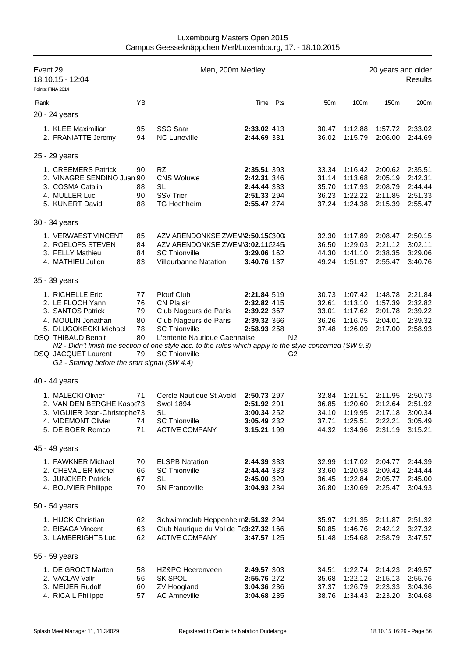| Luxembourg Masters Open 2015                             |
|----------------------------------------------------------|
| Campus Geesseknäppchen Merl/Luxembourg, 17. - 18.10.2015 |

| Event 29<br>18.10.15 - 12:04                                                                                                                                                                                   |                                        | Men, 200m Medley                                                                                                                                                                                                                                                                      |                                                                         |     |                                                                   |                                                     | 20 years and older<br>Results                       |                                                     |  |  |
|----------------------------------------------------------------------------------------------------------------------------------------------------------------------------------------------------------------|----------------------------------------|---------------------------------------------------------------------------------------------------------------------------------------------------------------------------------------------------------------------------------------------------------------------------------------|-------------------------------------------------------------------------|-----|-------------------------------------------------------------------|-----------------------------------------------------|-----------------------------------------------------|-----------------------------------------------------|--|--|
| Points: FINA 2014<br>Rank                                                                                                                                                                                      | YB                                     |                                                                                                                                                                                                                                                                                       | Time                                                                    | Pts | 50 <sub>m</sub>                                                   | 100m                                                | 150m                                                | 200m                                                |  |  |
| 20 - 24 years                                                                                                                                                                                                  |                                        |                                                                                                                                                                                                                                                                                       |                                                                         |     |                                                                   |                                                     |                                                     |                                                     |  |  |
|                                                                                                                                                                                                                |                                        |                                                                                                                                                                                                                                                                                       |                                                                         |     |                                                                   |                                                     |                                                     |                                                     |  |  |
| 1. KLEE Maximilian<br>2. FRANIATTE Jeremy                                                                                                                                                                      | 95<br>94                               | <b>SSG Saar</b><br><b>NC Luneville</b>                                                                                                                                                                                                                                                | 2:33.02 413<br>2:44.69 331                                              |     | 30.47<br>36.02                                                    | 1:12.88<br>1:15.79                                  | 1:57.72<br>2:06.00                                  | 2:33.02<br>2:44.69                                  |  |  |
| 25 - 29 years                                                                                                                                                                                                  |                                        |                                                                                                                                                                                                                                                                                       |                                                                         |     |                                                                   |                                                     |                                                     |                                                     |  |  |
| 1. CREEMERS Patrick<br>2. VINAGRE SENDINO Juan 90<br>3. COSMA Catalin<br>4. MULLER Luc<br>5. KUNERT David                                                                                                      | 90<br>88<br>90<br>88                   | <b>RZ</b><br><b>CNS Woluwe</b><br><b>SL</b><br><b>SSV Trier</b><br><b>TG Hochheim</b>                                                                                                                                                                                                 | 2:35.51 393<br>2:42.31 346<br>2:44.44 333<br>2:51.33 294<br>2:55.47 274 |     | 33.34<br>31.14<br>35.70<br>36.23<br>37.24                         | 1:16.42<br>1:13.68<br>1:17.93<br>1:22.22<br>1:24.38 | 2:00.62<br>2:05.19<br>2:08.79<br>2:11.85<br>2:15.39 | 2:35.51<br>2:42.31<br>2:44.44<br>2:51.33<br>2:55.47 |  |  |
| 30 - 34 years                                                                                                                                                                                                  |                                        |                                                                                                                                                                                                                                                                                       |                                                                         |     |                                                                   |                                                     |                                                     |                                                     |  |  |
| 1. VERWAEST VINCENT<br>2. ROELOFS STEVEN<br>3. FELLY Mathieu<br>4. MATHIEU Julien                                                                                                                              | 85<br>84<br>84<br>83                   | AZV ARENDONKSE ZWEM2:50.15C300<br>AZV ARENDONKSE ZWEM\3:02.11C245i<br><b>SC Thionville</b><br><b>Villeurbanne Natation</b>                                                                                                                                                            | 3:29.06 162<br>3:40.76 137                                              |     | 32.30<br>36.50<br>44.30<br>49.24                                  | 1:17.89<br>1:29.03<br>1:41.10<br>1:51.97            | 2:08.47<br>2:21.12<br>2:38.35<br>2:55.47            | 2:50.15<br>3:02.11<br>3:29.06<br>3:40.76            |  |  |
| 35 - 39 years                                                                                                                                                                                                  |                                        |                                                                                                                                                                                                                                                                                       |                                                                         |     |                                                                   |                                                     |                                                     |                                                     |  |  |
| 1. RICHELLE Eric<br>2. LE FLOCH Yann<br>3. SANTOS Patrick<br>4. MOULIN Jonathan<br>5. DLUGOKECKI Michael<br><b>DSQ THIBAUD Benoit</b><br>DSQ JACQUET Laurent<br>G2 - Starting before the start signal (SW 4.4) | 77<br>76<br>79<br>80<br>78<br>80<br>79 | <b>Plouf Club</b><br><b>CN Plaisir</b><br>Club Nageurs de Paris<br>Club Nageurs de Paris<br><b>SC Thionville</b><br>L'entente Nautique Caennaise<br>N2 - Didn't finish the section of one style acc. to the rules which apply to the style concerned (SW 9.3)<br><b>SC Thionville</b> | 2:21.84 519<br>2:32.82 415<br>2:39.22 367<br>2:39.32 366<br>2:58.93 258 |     | 30.73<br>32.61<br>33.01<br>36.26<br>37.48<br>N <sub>2</sub><br>G2 | 1:07.42<br>1:13.10<br>1:17.62<br>1:16.75<br>1:26.09 | 1:48.78<br>1:57.39<br>2:01.78<br>2:04.01<br>2:17.00 | 2:21.84<br>2:32.82<br>2:39.22<br>2:39.32<br>2:58.93 |  |  |
| 40 - 44 years                                                                                                                                                                                                  |                                        |                                                                                                                                                                                                                                                                                       |                                                                         |     |                                                                   |                                                     |                                                     |                                                     |  |  |
| 1. MALECKI Olivier<br>2. VAN DEN BERGHE Kaspe73<br>3. VIGUIER Jean-Christophe73<br>4. VIDEMONT Olivier<br>5. DE BOER Remco                                                                                     | 71<br>74<br>71                         | Cercle Nautique St Avold<br><b>Swol 1894</b><br>SL<br><b>SC Thionville</b><br><b>ACTIVE COMPANY</b>                                                                                                                                                                                   | 2:50.73 297<br>2:51.92 291<br>3:00.34 252<br>3:05.49 232<br>3:15.21 199 |     | 32.84<br>36.85<br>34.10<br>37.71<br>44.32                         | 1:21.51<br>1:20.60<br>1:19.95<br>1:25.51<br>1:34.96 | 2:11.95<br>2:12.64<br>2:17.18<br>2:22.21<br>2:31.19 | 2:50.73<br>2:51.92<br>3:00.34<br>3:05.49<br>3:15.21 |  |  |
| 45 - 49 years                                                                                                                                                                                                  |                                        |                                                                                                                                                                                                                                                                                       |                                                                         |     |                                                                   |                                                     |                                                     |                                                     |  |  |
| 1. FAWKNER Michael<br>2. CHEVALIER Michel<br>3. JUNCKER Patrick<br>4. BOUVIER Philippe                                                                                                                         | 70<br>66<br>67<br>70                   | <b>ELSPB Natation</b><br><b>SC Thionville</b><br><b>SL</b><br><b>SN Francoville</b>                                                                                                                                                                                                   | 2:44.39 333<br>2:44.44 333<br>2:45.00 329<br>3:04.93 234                |     | 32.99<br>33.60<br>36.45<br>36.80                                  | 1:17.02<br>1:20.58<br>1:22.84<br>1:30.69            | 2:04.77<br>2:09.42<br>2:05.77<br>2:25.47            | 2:44.39<br>2:44.44<br>2:45.00<br>3:04.93            |  |  |
| 50 - 54 years                                                                                                                                                                                                  |                                        |                                                                                                                                                                                                                                                                                       |                                                                         |     |                                                                   |                                                     |                                                     |                                                     |  |  |
| 1. HUCK Christian<br>2. BISAGA Vincent<br>3. LAMBERIGHTS Luc                                                                                                                                                   | 62<br>63<br>62                         | Schwimmclub Heppenheim2:51.32 294<br>Club Nautique du Val de Fe3:27.32 166<br><b>ACTIVE COMPANY</b>                                                                                                                                                                                   | 3:47.57 125                                                             |     | 35.97<br>50.85<br>51.48                                           | 1:21.35<br>1:46.76<br>1:54.68                       | 2:11.87<br>2:42.12<br>2:58.79                       | 2:51.32<br>3:27.32<br>3:47.57                       |  |  |
| 55 - 59 years                                                                                                                                                                                                  |                                        |                                                                                                                                                                                                                                                                                       |                                                                         |     |                                                                   |                                                     |                                                     |                                                     |  |  |
| 1. DE GROOT Marten<br>2. VACLAV Valtr<br>3. MEIJER Rudolf<br>4. RICAIL Philippe                                                                                                                                | 58<br>56<br>60<br>57                   | HZ&PC Heerenveen<br><b>SK SPOL</b><br>ZV Hoogland<br><b>AC Amneville</b>                                                                                                                                                                                                              | 2:49.57 303<br>2:55.76 272<br>3:04.36 236<br>3:04.68 235                |     | 34.51<br>35.68<br>37.37<br>38.76                                  | 1:22.74<br>1:22.12<br>1:26.79<br>1:34.43            | 2:14.23<br>2:15.13<br>2:23.33<br>2:23.20            | 2:49.57<br>2:55.76<br>3:04.36<br>3:04.68            |  |  |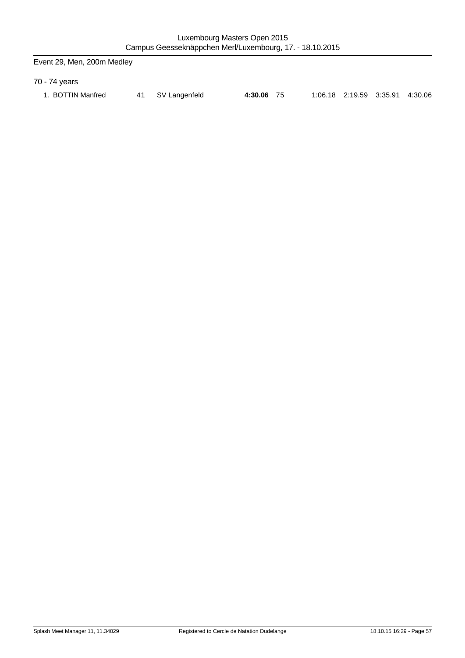Event 29, Men, 200m Medley

70 - 74 years

| BOTTIN Manfred | 41 SV Langenfeld | 4:30.06 75 | 1:06.18 2:19.59 3:35.91 4:30.06 |  |
|----------------|------------------|------------|---------------------------------|--|
|                |                  |            |                                 |  |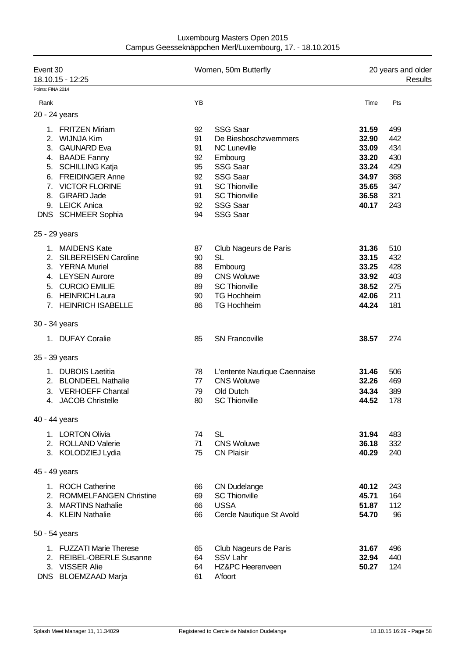| Event 30<br>18.10.15 - 12:25 |                                                                                                                                                                    |                                        | Women, 50m Butterfly                                                                                                                   | 20 years and older<br>Results                               |                                               |  |
|------------------------------|--------------------------------------------------------------------------------------------------------------------------------------------------------------------|----------------------------------------|----------------------------------------------------------------------------------------------------------------------------------------|-------------------------------------------------------------|-----------------------------------------------|--|
| Points: FINA 2014            |                                                                                                                                                                    |                                        |                                                                                                                                        |                                                             |                                               |  |
| Rank                         |                                                                                                                                                                    | YB                                     |                                                                                                                                        | Time                                                        | Pts                                           |  |
|                              | 20 - 24 years                                                                                                                                                      |                                        |                                                                                                                                        |                                                             |                                               |  |
| 2 <sup>1</sup>               | 1. FRITZEN Miriam<br><b>WIJNJA Kim</b><br>3. GAUNARD Eva<br>4. BAADE Fanny<br>5. SCHILLING Katja                                                                   | 92<br>91<br>91<br>92<br>95             | <b>SSG Saar</b><br>De Biesboschzwemmers<br><b>NC Luneville</b><br>Embourg<br><b>SSG Saar</b>                                           | 31.59<br>32.90<br>33.09<br>33.20<br>33.24                   | 499<br>442<br>434<br>430<br>429               |  |
| 8.                           | 6. FREIDINGER Anne<br>7. VICTOR FLORINE<br><b>GIRARD Jade</b><br>9. LEICK Anica<br>DNS SCHMEER Sophia                                                              | 92<br>91<br>91<br>92<br>94             | <b>SSG Saar</b><br><b>SC Thionville</b><br><b>SC Thionville</b><br><b>SSG Saar</b><br><b>SSG Saar</b>                                  | 34.97<br>35.65<br>36.58<br>40.17                            | 368<br>347<br>321<br>243                      |  |
|                              | 25 - 29 years                                                                                                                                                      |                                        |                                                                                                                                        |                                                             |                                               |  |
| 2.<br>3.<br>5.<br>6.         | 1. MAIDENS Kate<br><b>SILBEREISEN Caroline</b><br><b>YERNA Muriel</b><br>4. LEYSEN Aurore<br><b>CURCIO EMILIE</b><br><b>HEINRICH Laura</b><br>7. HEINRICH ISABELLE | 87<br>90<br>88<br>89<br>89<br>90<br>86 | Club Nageurs de Paris<br><b>SL</b><br>Embourg<br><b>CNS Woluwe</b><br><b>SC Thionville</b><br><b>TG Hochheim</b><br><b>TG Hochheim</b> | 31.36<br>33.15<br>33.25<br>33.92<br>38.52<br>42.06<br>44.24 | 510<br>432<br>428<br>403<br>275<br>211<br>181 |  |
|                              | 30 - 34 years                                                                                                                                                      |                                        |                                                                                                                                        |                                                             |                                               |  |
|                              | 1. DUFAY Coralie                                                                                                                                                   | 85                                     | <b>SN Francoville</b>                                                                                                                  | 38.57                                                       | 274                                           |  |
|                              | 35 - 39 years                                                                                                                                                      |                                        |                                                                                                                                        |                                                             |                                               |  |
| 2.<br>3.<br>4.               | 1. DUBOIS Laetitia<br><b>BLONDEEL Nathalie</b><br><b>VERHOEFF Chantal</b><br><b>JACOB Christelle</b>                                                               | 78<br>77<br>79<br>80                   | L'entente Nautique Caennaise<br><b>CNS Woluwe</b><br>Old Dutch<br><b>SC Thionville</b>                                                 | 31.46<br>32.26<br>34.34<br>44.52                            | 506<br>469<br>389<br>178                      |  |
|                              | 40 - 44 years                                                                                                                                                      |                                        |                                                                                                                                        |                                                             |                                               |  |
|                              | 1. LORTON Olivia<br>2. ROLLAND Valerie<br>3. KOLODZIEJ Lydia                                                                                                       | 74<br>71<br>75                         | <b>SL</b><br><b>CNS Woluwe</b><br><b>CN Plaisir</b>                                                                                    | 31.94<br>36.18<br>40.29                                     | 483<br>332<br>240                             |  |
|                              | 45 - 49 years                                                                                                                                                      |                                        |                                                                                                                                        |                                                             |                                               |  |
|                              | 1. ROCH Catherine<br>2. ROMMELFANGEN Christine<br>3. MARTINS Nathalie<br>4. KLEIN Nathalie                                                                         | 66<br>69<br>66<br>66                   | <b>CN Dudelange</b><br><b>SC Thionville</b><br><b>USSA</b><br>Cercle Nautique St Avold                                                 | 40.12<br>45.71<br>51.87<br>54.70                            | 243<br>164<br>112<br>96                       |  |
|                              | 50 - 54 years                                                                                                                                                      |                                        |                                                                                                                                        |                                                             |                                               |  |
|                              | 1. FUZZATI Marie Therese<br>2. REIBEL-OBERLE Susanne<br>3. VISSER Alie<br>DNS BLOEMZAAD Marja                                                                      | 65<br>64<br>64<br>61                   | Club Nageurs de Paris<br>SSV Lahr<br><b>HZ&amp;PC Heerenveen</b><br>A'foort                                                            | 31.67<br>32.94<br>50.27                                     | 496<br>440<br>124                             |  |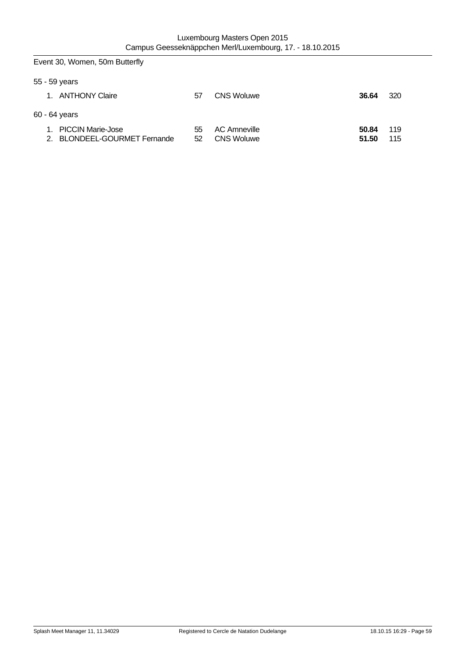|    | Event 30, Women, 50m Butterfly                           |          |                                          |                |            |
|----|----------------------------------------------------------|----------|------------------------------------------|----------------|------------|
|    | 55 - 59 years                                            |          |                                          |                |            |
|    | 1. ANTHONY Claire                                        | 57       | <b>CNS Woluwe</b>                        | 36.64          | 320        |
|    | 60 - 64 years                                            |          |                                          |                |            |
| 1. | <b>PICCIN Marie-Jose</b><br>2. BLONDEEL-GOURMET Fernande | 55<br>52 | <b>AC Amneville</b><br><b>CNS Woluwe</b> | 50.84<br>51.50 | 119<br>115 |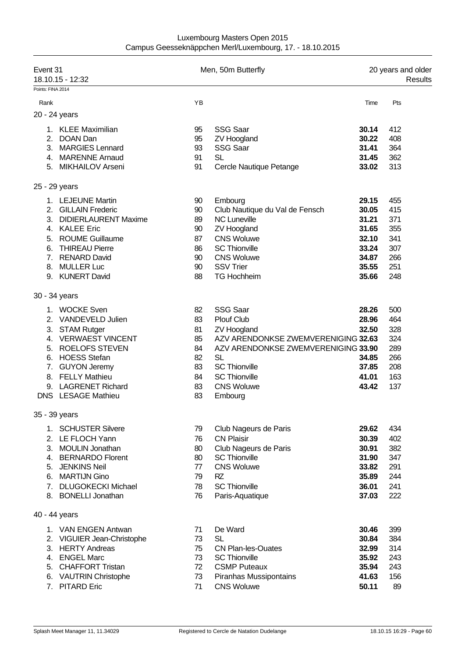| Luxembourg Masters Open 2015                             |  |
|----------------------------------------------------------|--|
| Campus Geesseknäppchen Merl/Luxembourg, 17. - 18.10.2015 |  |

| Event 31<br>18.10.15 - 12:32 |                             |    | Men, 50m Butterfly                  | 20 years and older<br>Results |     |  |
|------------------------------|-----------------------------|----|-------------------------------------|-------------------------------|-----|--|
| Points: FINA 2014<br>Rank    |                             | YB |                                     | Time                          | Pts |  |
|                              |                             |    |                                     |                               |     |  |
|                              | 20 - 24 years               |    |                                     |                               |     |  |
| 1.                           | <b>KLEE Maximilian</b>      | 95 | <b>SSG Saar</b>                     | 30.14                         | 412 |  |
| 2.                           | DOAN Dan                    | 95 | <b>ZV Hoogland</b>                  | 30.22                         | 408 |  |
| 3.                           | <b>MARGIES Lennard</b>      | 93 | <b>SSG Saar</b>                     | 31.41                         | 364 |  |
| 4.                           | <b>MARENNE Arnaud</b>       | 91 | <b>SL</b>                           | 31.45                         | 362 |  |
|                              | 5. MIKHAILOV Arseni         | 91 | Cercle Nautique Petange             | 33.02                         | 313 |  |
| 25 - 29 years                |                             |    |                                     |                               |     |  |
|                              | 1. LEJEUNE Martin           | 90 | Embourg                             | 29.15                         | 455 |  |
| 2.                           | <b>GILLAIN Frederic</b>     | 90 | Club Nautique du Val de Fensch      | 30.05                         | 415 |  |
| 3.                           | <b>DIDIERLAURENT Maxime</b> | 89 | <b>NC Luneville</b>                 | 31.21                         | 371 |  |
| 4.                           | <b>KALEE Eric</b>           | 90 | <b>ZV Hoogland</b>                  | 31.65                         | 355 |  |
| 5.                           | <b>ROUME Guillaume</b>      | 87 | <b>CNS Woluwe</b>                   | 32.10                         | 341 |  |
| 6.                           | <b>THIREAU Pierre</b>       | 86 | <b>SC Thionville</b>                | 33.24                         | 307 |  |
| 7.                           | <b>RENARD David</b>         | 90 | <b>CNS Woluwe</b>                   | 34.87                         | 266 |  |
| 8.                           | <b>MULLER Luc</b>           | 90 | <b>SSV Trier</b>                    | 35.55                         | 251 |  |
| 9.                           | <b>KUNERT David</b>         | 88 | <b>TG Hochheim</b>                  | 35.66                         | 248 |  |
|                              | 30 - 34 years               |    |                                     |                               |     |  |
|                              | 1. WOCKE Sven               | 82 | <b>SSG Saar</b>                     | 28.26                         | 500 |  |
| 2.                           | <b>VANDEVELD Julien</b>     | 83 | <b>Plouf Club</b>                   | 28.96                         | 464 |  |
| 3.                           | <b>STAM Rutger</b>          | 81 | <b>ZV Hoogland</b>                  | 32.50                         | 328 |  |
| 4.                           | <b>VERWAEST VINCENT</b>     | 85 | AZV ARENDONKSE ZWEMVERENIGING 32.63 |                               | 324 |  |
| 5.                           | <b>ROELOFS STEVEN</b>       | 84 | AZV ARENDONKSE ZWEMVERENIGING 33.90 |                               | 289 |  |
| 6.                           | <b>HOESS Stefan</b>         | 82 | <b>SL</b>                           | 34.85                         | 266 |  |
| 7.                           | <b>GUYON Jeremy</b>         | 83 | <b>SC Thionville</b>                | 37.85                         | 208 |  |
| 8.                           | <b>FELLY Mathieu</b>        | 84 | <b>SC Thionville</b>                | 41.01                         | 163 |  |
| 9.                           | <b>LAGRENET Richard</b>     | 83 | <b>CNS Woluwe</b>                   | 43.42                         | 137 |  |
| <b>DNS</b>                   | <b>LESAGE Mathieu</b>       | 83 | Embourg                             |                               |     |  |
|                              | 35 - 39 years               |    |                                     |                               |     |  |
|                              | 1. SCHUSTER Silvere         | 79 | Club Nageurs de Paris               | 29.62                         | 434 |  |
|                              | 2. LE FLOCH Yann            | 76 | <b>CN Plaisir</b>                   | 30.39                         | 402 |  |
| 3.                           | <b>MOULIN Jonathan</b>      | 80 | Club Nageurs de Paris               | 30.91                         | 382 |  |
|                              | 4. BERNARDO Florent         | 80 | <b>SC Thionville</b>                | 31.90                         | 347 |  |
|                              | 5. JENKINS Neil             | 77 | <b>CNS Woluwe</b>                   | 33.82                         | 291 |  |
| 6.                           | <b>MARTIJN Gino</b>         | 79 | <b>RZ</b>                           | 35.89                         | 244 |  |
|                              | 7. DLUGOKECKI Michael       | 78 | <b>SC Thionville</b>                | 36.01                         | 241 |  |
| 8.                           | <b>BONELLI Jonathan</b>     | 76 | Paris-Aquatique                     | 37.03                         | 222 |  |
|                              | 40 - 44 years               |    |                                     |                               |     |  |
|                              | 1. VAN ENGEN Antwan         | 71 | De Ward                             | 30.46                         | 399 |  |
|                              | 2. VIGUIER Jean-Christophe  | 73 | <b>SL</b>                           | 30.84                         | 384 |  |
| 3.                           | <b>HERTY Andreas</b>        | 75 | <b>CN Plan-les-Ouates</b>           | 32.99                         | 314 |  |
| 4.                           | <b>ENGEL Marc</b>           | 73 | <b>SC Thionville</b>                | 35.92                         | 243 |  |
| 5.                           | <b>CHAFFORT Tristan</b>     | 72 | <b>CSMP Puteaux</b>                 | 35.94                         | 243 |  |
|                              | 6. VAUTRIN Christophe       | 73 | Piranhas Mussipontains              | 41.63                         | 156 |  |
|                              | 7. PITARD Eric              | 71 | <b>CNS Woluwe</b>                   | 50.11                         | 89  |  |
|                              |                             |    |                                     |                               |     |  |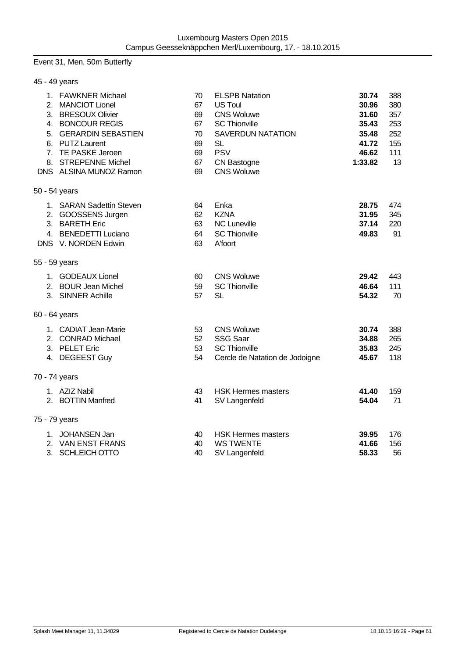## Event 31, Men, 50m Butterfly

| 45 - 49 years |                                                                                                                                                                                                      |                                                    |                                                                                                                                                                                 |                                                                        |                                                     |
|---------------|------------------------------------------------------------------------------------------------------------------------------------------------------------------------------------------------------|----------------------------------------------------|---------------------------------------------------------------------------------------------------------------------------------------------------------------------------------|------------------------------------------------------------------------|-----------------------------------------------------|
|               | 1. FAWKNER Michael<br>2. MANCIOT Lionel<br>3. BRESOUX Olivier<br>4. BONCOUR REGIS<br>5. GERARDIN SEBASTIEN<br>6. PUTZ Laurent<br>7. TE PASKE Jeroen<br>8. STREPENNE Michel<br>DNS ALSINA MUNOZ Ramon | 70<br>67<br>69<br>67<br>70<br>69<br>69<br>67<br>69 | <b>ELSPB Natation</b><br><b>US Toul</b><br><b>CNS Woluwe</b><br><b>SC Thionville</b><br><b>SAVERDUN NATATION</b><br><b>SL</b><br><b>PSV</b><br>CN Bastogne<br><b>CNS Woluwe</b> | 30.74<br>30.96<br>31.60<br>35.43<br>35.48<br>41.72<br>46.62<br>1:33.82 | 388<br>380<br>357<br>253<br>252<br>155<br>111<br>13 |
| 50 - 54 years |                                                                                                                                                                                                      |                                                    |                                                                                                                                                                                 |                                                                        |                                                     |
|               | 1. SARAN Sadettin Steven<br>2. GOOSSENS Jurgen<br>3. BARETH Eric<br>4. BENEDETTI Luciano<br>DNS V. NORDEN Edwin                                                                                      | 64<br>62<br>63<br>64<br>63                         | Enka<br><b>KZNA</b><br><b>NC Luneville</b><br><b>SC Thionville</b><br>A'foort                                                                                                   | 28.75<br>31.95<br>37.14<br>49.83                                       | 474<br>345<br>220<br>91                             |
| 55 - 59 years |                                                                                                                                                                                                      |                                                    |                                                                                                                                                                                 |                                                                        |                                                     |
|               | 1. GODEAUX Lionel<br>2. BOUR Jean Michel<br>3. SINNER Achille                                                                                                                                        | 60<br>59<br>57                                     | <b>CNS Woluwe</b><br><b>SC Thionville</b><br><b>SL</b>                                                                                                                          | 29.42<br>46.64<br>54.32                                                | 443<br>111<br>70                                    |
| 60 - 64 years |                                                                                                                                                                                                      |                                                    |                                                                                                                                                                                 |                                                                        |                                                     |
|               | 1. CADIAT Jean-Marie<br>2. CONRAD Michael<br>3. PELET Eric<br>4. DEGEEST Guy                                                                                                                         | 53<br>52<br>53<br>54                               | <b>CNS Woluwe</b><br><b>SSG Saar</b><br><b>SC Thionville</b><br>Cercle de Natation de Jodoigne                                                                                  | 30.74<br>34.88<br>35.83<br>45.67                                       | 388<br>265<br>245<br>118                            |
| 70 - 74 years |                                                                                                                                                                                                      |                                                    |                                                                                                                                                                                 |                                                                        |                                                     |
|               | 1. AZIZ Nabil<br>2. BOTTIN Manfred                                                                                                                                                                   | 43<br>41                                           | <b>HSK Hermes masters</b><br>SV Langenfeld                                                                                                                                      | 41.40<br>54.04                                                         | 159<br>71                                           |
| 75 - 79 years |                                                                                                                                                                                                      |                                                    |                                                                                                                                                                                 |                                                                        |                                                     |
|               | 1. JOHANSEN Jan<br>2. VAN ENST FRANS<br>3. SCHLEICH OTTO                                                                                                                                             | 40<br>40<br>40                                     | <b>HSK Hermes masters</b><br><b>WS TWENTE</b><br>SV Langenfeld                                                                                                                  | 39.95<br>41.66<br>58.33                                                | 176<br>156<br>56                                    |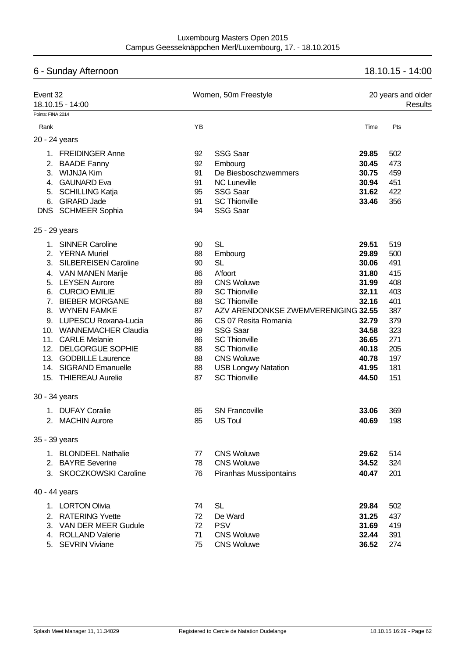# 6 - Sunday Afternoon 18.10.15 - 14:00 Event 32 **Event 32** Momen, 50m Freestyle 20 years and older 18.10.15 - 14:00 Results Points: FINA 2014 Rank Time Pts 20 - 24 years 1. FREIDINGER Anne 92 SSG Saar **29.85** 502 2. BAADE Fanny 92 Embourg **30.45** 473 3. WIJNJA Kim 91 De Biesboschzwemmers **30.75** 459 4. GAUNARD Eva 91 NC Luneville **30.94** 451 5. SCHILLING Katja 95 SSG Saar **31.62** 422 6. GIRARD Jade 91 SC Thionville **33.46** 356 DNS SCHMEER Sophia 94 SSG Saar 25 - 29 years 1. SINNER Caroline 90 SL **29.51** 519 2. YERNA Muriel 88 Embourg **29.89** 500 3. SILBEREISEN Caroline 90 SL **30.06** 491 4. VAN MANEN Marije 86 A'foort **31.80** 415 5. LEYSEN Aurore 89 CNS Woluwe **31.99** 408 6. CURCIO EMILIE 89 SC Thionville **32.11** 403 7. BIEBER MORGANE 88 SC Thionville **32.16** 401 8. WYNEN FAMKE 87 AZV ARENDONKSE ZWEMVERENIGING **32.55** 387 9. LUPESCU Roxana-Lucia 86 CS 07 Resita Romania **32.79** 379 10. WANNEMACHER Claudia 89 SSG Saar **34.58** 323 11. CARLE Melanie 86 SC Thionville **36.65** 271 12. DELGORGUE SOPHIE 88 SC Thionville **40.18** 205 13. GODBILLE Laurence 88 CNS Woluwe **40.78** 197 14. SIGRAND Emanuelle 88 USB Longwy Natation **41.95** 181 15. THIEREAU Aurelie 87 SC Thionville **44.50** 151 30 - 34 years 1. DUFAY Coralie 85 SN Francoville **33.06** 369 2. MACHIN Aurore 85 US Toul **40.69** 198 35 - 39 years 1. BLONDEEL Nathalie 77 CNS Woluwe **29.62** 514 2. BAYRE Severine 78 CNS Woluwe **34.52** 324 3. SKOCZKOWSKI Caroline 76 Piranhas Mussipontains **40.47** 201 40 - 44 years 1. LORTON Olivia 74 SL **29.84** 502 2. RATERING Yvette 72 De Ward **31.25** 437 3. VAN DER MEER Gudule 72 PSV **31.69** 419 4. ROLLAND Valerie 71 CNS Woluwe **32.44** 391 5. SEVRIN Viviane 75 CNS Woluwe **36.52** 274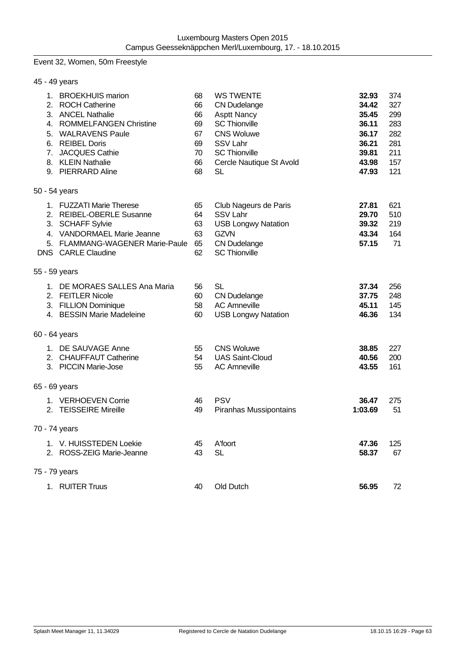## Event 32, Women, 50m Freestyle

|  | 45 - 49 years                                                                                                                                                                                      |                                                    |                                                                                                                                                                                         |                                                                               |                                                             |
|--|----------------------------------------------------------------------------------------------------------------------------------------------------------------------------------------------------|----------------------------------------------------|-----------------------------------------------------------------------------------------------------------------------------------------------------------------------------------------|-------------------------------------------------------------------------------|-------------------------------------------------------------|
|  | 1. BROEKHUIS marion<br>2. ROCH Catherine<br>3. ANCEL Nathalie<br>4. ROMMELFANGEN Christine<br>5. WALRAVENS Paule<br>6. REIBEL Doris<br>7. JACQUES Cathie<br>8. KLEIN Nathalie<br>9. PIERRARD Aline | 68<br>66<br>66<br>69<br>67<br>69<br>70<br>66<br>68 | <b>WS TWENTE</b><br><b>CN Dudelange</b><br><b>Asptt Nancy</b><br><b>SC Thionville</b><br><b>CNS Woluwe</b><br><b>SSV Lahr</b><br><b>SC Thionville</b><br>Cercle Nautique St Avold<br>SL | 32.93<br>34.42<br>35.45<br>36.11<br>36.17<br>36.21<br>39.81<br>43.98<br>47.93 | 374<br>327<br>299<br>283<br>282<br>281<br>211<br>157<br>121 |
|  | 50 - 54 years                                                                                                                                                                                      |                                                    |                                                                                                                                                                                         |                                                                               |                                                             |
|  | 1. FUZZATI Marie Therese<br>2. REIBEL-OBERLE Susanne<br>3. SCHAFF Sylvie<br>4. VANDORMAEL Marie Jeanne<br>5. FLAMMANG-WAGENER Marie-Paule<br><b>DNS</b> CARLE Claudine                             | 65<br>64<br>63<br>63<br>65<br>62                   | Club Nageurs de Paris<br><b>SSV Lahr</b><br><b>USB Longwy Natation</b><br><b>GZVN</b><br><b>CN Dudelange</b><br><b>SC Thionville</b>                                                    | 27.81<br>29.70<br>39.32<br>43.34<br>57.15                                     | 621<br>510<br>219<br>164<br>71                              |
|  | 55 - 59 years                                                                                                                                                                                      |                                                    |                                                                                                                                                                                         |                                                                               |                                                             |
|  | 1. DE MORAES SALLES Ana Maria<br>2. FEITLER Nicole<br>3. FILLION Dominique<br>4. BESSIN Marie Madeleine                                                                                            | 56<br>60<br>58<br>60                               | SL<br><b>CN Dudelange</b><br><b>AC Amneville</b><br><b>USB Longwy Natation</b>                                                                                                          | 37.34<br>37.75<br>45.11<br>46.36                                              | 256<br>248<br>145<br>134                                    |
|  | 60 - 64 years                                                                                                                                                                                      |                                                    |                                                                                                                                                                                         |                                                                               |                                                             |
|  | 1. DE SAUVAGE Anne<br>2. CHAUFFAUT Catherine<br>3. PICCIN Marie-Jose                                                                                                                               | 55<br>54<br>55                                     | <b>CNS Woluwe</b><br><b>UAS Saint-Cloud</b><br><b>AC Amneville</b>                                                                                                                      | 38.85<br>40.56<br>43.55                                                       | 227<br>200<br>161                                           |
|  | 65 - 69 years                                                                                                                                                                                      |                                                    |                                                                                                                                                                                         |                                                                               |                                                             |
|  | 1. VERHOEVEN Corrie<br>2. TEISSEIRE Mireille                                                                                                                                                       | 46<br>49                                           | <b>PSV</b><br><b>Piranhas Mussipontains</b>                                                                                                                                             | 36.47<br>1:03.69                                                              | 275<br>51                                                   |
|  | 70 - 74 years                                                                                                                                                                                      |                                                    |                                                                                                                                                                                         |                                                                               |                                                             |
|  | 1. V. HUISSTEDEN Loekie<br>2. ROSS-ZEIG Marie-Jeanne                                                                                                                                               | 45<br>43                                           | A'foort<br><b>SL</b>                                                                                                                                                                    | 47.36<br>58.37                                                                | 125<br>67                                                   |
|  | 75 - 79 years                                                                                                                                                                                      |                                                    |                                                                                                                                                                                         |                                                                               |                                                             |
|  | 1. RUITER Truus                                                                                                                                                                                    | 40                                                 | Old Dutch                                                                                                                                                                               | 56.95                                                                         | 72                                                          |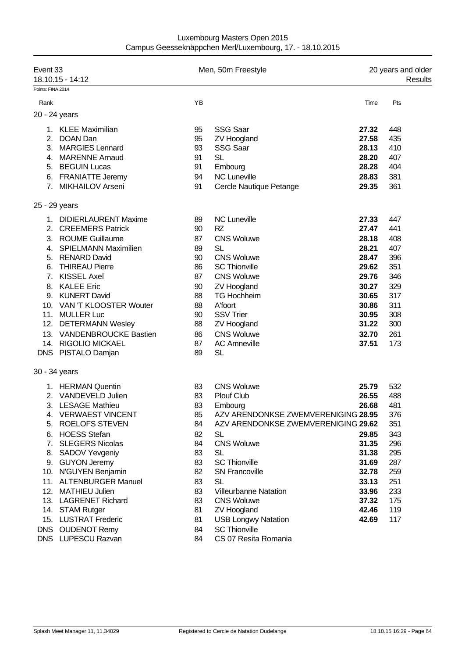| Luxembourg Masters Open 2015                             |  |
|----------------------------------------------------------|--|
| Campus Geesseknäppchen Merl/Luxembourg, 17. - 18.10.2015 |  |

| Event 33          | 18.10.15 - 14:12            |    | Men, 50m Freestyle                  |       | 20 years and older<br>Results |
|-------------------|-----------------------------|----|-------------------------------------|-------|-------------------------------|
| Points: FINA 2014 |                             |    |                                     |       |                               |
| Rank              |                             | YB |                                     | Time  | Pts                           |
|                   | 20 - 24 years               |    |                                     |       |                               |
|                   | 1. KLEE Maximilian          | 95 | <b>SSG Saar</b>                     | 27.32 | 448                           |
|                   | 2. DOAN Dan                 | 95 | <b>ZV Hoogland</b>                  | 27.58 | 435                           |
| 3.                | <b>MARGIES Lennard</b>      | 93 | <b>SSG Saar</b>                     | 28.13 | 410                           |
|                   | 4. MARENNE Arnaud           | 91 | <b>SL</b>                           | 28.20 | 407                           |
|                   | 5. BEGUIN Lucas             | 91 | Embourg                             | 28.28 | 404                           |
| 6.                | <b>FRANIATTE Jeremy</b>     | 94 | <b>NC Luneville</b>                 | 28.83 | 381                           |
|                   | 7. MIKHAILOV Arseni         | 91 | Cercle Nautique Petange             | 29.35 | 361                           |
|                   | 25 - 29 years               |    |                                     |       |                               |
|                   | 1. DIDIERLAURENT Maxime     | 89 | <b>NC Luneville</b>                 | 27.33 | 447                           |
| 2.                | <b>CREEMERS Patrick</b>     | 90 | RZ                                  | 27.47 | 441                           |
| 3.                | <b>ROUME Guillaume</b>      | 87 | <b>CNS Woluwe</b>                   | 28.18 | 408                           |
| 4.                | <b>SPIELMANN Maximilien</b> | 89 | <b>SL</b>                           | 28.21 | 407                           |
| 5.                | <b>RENARD David</b>         | 90 | <b>CNS Woluwe</b>                   | 28.47 | 396                           |
| 6.                | <b>THIREAU Pierre</b>       | 86 | <b>SC Thionville</b>                | 29.62 | 351                           |
| 7.                | <b>KISSEL Axel</b>          | 87 | <b>CNS Woluwe</b>                   | 29.76 | 346                           |
| 8.                | <b>KALEE Eric</b>           | 90 | <b>ZV Hoogland</b>                  | 30.27 | 329                           |
| 9.                | <b>KUNERT David</b>         | 88 | <b>TG Hochheim</b>                  | 30.65 | 317                           |
|                   | 10. VAN 'T KLOOSTER Wouter  | 88 | A'foort                             | 30.86 | 311                           |
|                   | 11. MULLER Luc              | 90 | <b>SSV Trier</b>                    | 30.95 | 308                           |
|                   | 12. DETERMANN Wesley        | 88 | <b>ZV Hoogland</b>                  | 31.22 | 300                           |
|                   | 13. VANDENBROUCKE Bastien   | 86 | <b>CNS Woluwe</b>                   | 32.70 | 261                           |
|                   | 14. RIGOLIO MICKAEL         | 87 | <b>AC Amneville</b>                 | 37.51 | 173                           |
|                   | DNS PISTALO Damjan          | 89 | <b>SL</b>                           |       |                               |
|                   | 30 - 34 years               |    |                                     |       |                               |
|                   | 1. HERMAN Quentin           | 83 | <b>CNS Woluwe</b>                   | 25.79 | 532                           |
| 2.                | VANDEVELD Julien            | 83 | <b>Plouf Club</b>                   | 26.55 | 488                           |
|                   | 3. LESAGE Mathieu           | 83 | Embourg                             | 26.68 | 481                           |
| 4.                | <b>VERWAEST VINCENT</b>     | 85 | AZV ARENDONKSE ZWEMVERENIGING 28.95 |       | 376                           |
| 5.                | <b>ROELOFS STEVEN</b>       | 84 | AZV ARENDONKSE ZWEMVERENIGING 29.62 |       | 351                           |
| 6.                | <b>HOESS Stefan</b>         | 82 | <b>SL</b>                           | 29.85 | 343                           |
| 7.                | <b>SLEGERS Nicolas</b>      | 84 | <b>CNS Woluwe</b>                   | 31.35 | 296                           |
| 8.                | SADOV Yevgeniy              | 83 | <b>SL</b>                           | 31.38 | 295                           |
|                   | 9. GUYON Jeremy             | 83 | <b>SC Thionville</b>                | 31.69 | 287                           |
|                   | 10. N'GUYEN Benjamin        | 82 | <b>SN Francoville</b>               | 32.78 | 259                           |
|                   | 11. ALTENBURGER Manuel      | 83 | <b>SL</b>                           | 33.13 | 251                           |
| 12.               | <b>MATHIEU Julien</b>       | 83 | <b>Villeurbanne Natation</b>        | 33.96 | 233                           |
|                   | 13. LAGRENET Richard        | 83 | <b>CNS Woluwe</b>                   | 37.32 | 175                           |
|                   | 14. STAM Rutger             | 81 | <b>ZV Hoogland</b>                  | 42.46 | 119                           |
| 15.               | <b>LUSTRAT Frederic</b>     | 81 | <b>USB Longwy Natation</b>          | 42.69 | 117                           |
| <b>DNS</b>        | <b>OUDENOT Remy</b>         | 84 | <b>SC Thionville</b>                |       |                               |
|                   | DNS LUPESCU Razvan          | 84 | CS 07 Resita Romania                |       |                               |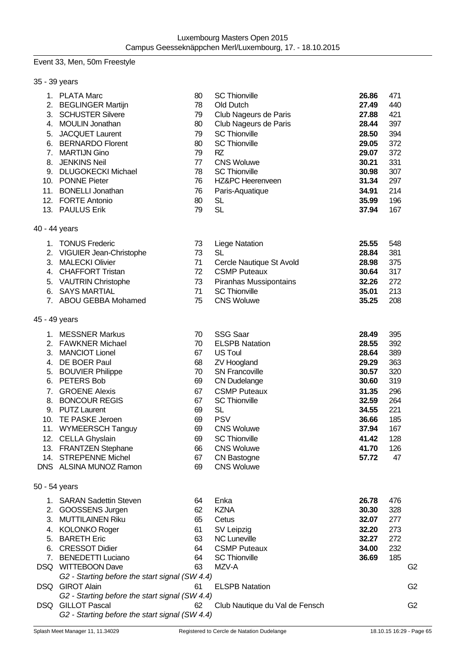## Event 33, Men, 50m Freestyle

| 35 - 39 years |  |
|---------------|--|
|---------------|--|

| 1.<br>5.<br>6.<br>7.<br>8. | <b>PLATA Marc</b><br>2. BEGLINGER Martijn<br>3. SCHUSTER Silvere<br>4. MOULIN Jonathan<br><b>JACQUET Laurent</b><br><b>BERNARDO Florent</b><br><b>MARTIJN Gino</b><br><b>JENKINS Neil</b><br>9. DLUGOKECKI Michael<br>10. PONNE Pieter<br>11. BONELLI Jonathan<br>12. FORTE Antonio                                                       | 80<br>78<br>79<br>80<br>79<br>80<br>79<br>77<br>78<br>76<br>76<br>80                   | <b>SC Thionville</b><br>Old Dutch<br>Club Nageurs de Paris<br>Club Nageurs de Paris<br><b>SC Thionville</b><br><b>SC Thionville</b><br>RZ<br><b>CNS Woluwe</b><br><b>SC Thionville</b><br>HZ&PC Heerenveen<br>Paris-Aquatique<br><b>SL</b>                                                                              | 26.86<br>27.49<br>27.88<br>28.44<br>28.50<br>29.05<br>29.07<br>30.21<br>30.98<br>31.34<br>34.91<br>35.99                   | 471<br>440<br>421<br>397<br>394<br>372<br>372<br>331<br>307<br>297<br>214<br>196              |                |
|----------------------------|-------------------------------------------------------------------------------------------------------------------------------------------------------------------------------------------------------------------------------------------------------------------------------------------------------------------------------------------|----------------------------------------------------------------------------------------|-------------------------------------------------------------------------------------------------------------------------------------------------------------------------------------------------------------------------------------------------------------------------------------------------------------------------|----------------------------------------------------------------------------------------------------------------------------|-----------------------------------------------------------------------------------------------|----------------|
| 40 - 44 years              | 13. PAULUS Erik                                                                                                                                                                                                                                                                                                                           | 79                                                                                     | <b>SL</b>                                                                                                                                                                                                                                                                                                               | 37.94                                                                                                                      | 167                                                                                           |                |
|                            | 1. TONUS Frederic<br>2. VIGUIER Jean-Christophe<br>3. MALECKI Olivier<br>4. CHAFFORT Tristan<br>5. VAUTRIN Christophe<br>6. SAYS MARTIAL<br>7. ABOU GEBBA Mohamed                                                                                                                                                                         | 73<br>73<br>71<br>72<br>73<br>71<br>75                                                 | <b>Liege Natation</b><br><b>SL</b><br>Cercle Nautique St Avold<br><b>CSMP Puteaux</b><br><b>Piranhas Mussipontains</b><br><b>SC Thionville</b><br><b>CNS Woluwe</b>                                                                                                                                                     | 25.55<br>28.84<br>28.98<br>30.64<br>32.26<br>35.01<br>35.25                                                                | 548<br>381<br>375<br>317<br>272<br>213<br>208                                                 |                |
| 45 - 49 years              |                                                                                                                                                                                                                                                                                                                                           |                                                                                        |                                                                                                                                                                                                                                                                                                                         |                                                                                                                            |                                                                                               |                |
| 7.<br>8.<br>10.<br>14.     | 1. MESSNER Markus<br>2. FAWKNER Michael<br>3. MANCIOT Lionel<br>4. DE BOER Paul<br>5. BOUVIER Philippe<br>6. PETERS Bob<br><b>GROENE Alexis</b><br><b>BONCOUR REGIS</b><br>9. PUTZ Laurent<br>TE PASKE Jeroen<br>11. WYMEERSCH Tanguy<br>12. CELLA Ghyslain<br>13. FRANTZEN Stephane<br><b>STREPENNE Michel</b><br>DNS ALSINA MUNOZ Ramon | 70<br>70<br>67<br>68<br>70<br>69<br>67<br>67<br>69<br>69<br>69<br>69<br>66<br>67<br>69 | <b>SSG Saar</b><br><b>ELSPB Natation</b><br><b>US Toul</b><br><b>ZV Hoogland</b><br><b>SN Francoville</b><br><b>CN Dudelange</b><br><b>CSMP Puteaux</b><br><b>SC Thionville</b><br><b>SL</b><br><b>PSV</b><br><b>CNS Woluwe</b><br><b>SC Thionville</b><br><b>CNS Woluwe</b><br><b>CN Bastogne</b><br><b>CNS Woluwe</b> | 28.49<br>28.55<br>28.64<br>29.29<br>30.57<br>30.60<br>31.35<br>32.59<br>34.55<br>36.66<br>37.94<br>41.42<br>41.70<br>57.72 | 395<br>392<br>389<br>363<br>320<br>319<br>296<br>264<br>221<br>185<br>167<br>128<br>126<br>47 |                |
| 50 - 54 years              |                                                                                                                                                                                                                                                                                                                                           |                                                                                        |                                                                                                                                                                                                                                                                                                                         |                                                                                                                            |                                                                                               |                |
| 2.<br>3.<br>5.<br>7.       | 1. SARAN Sadettin Steven<br>GOOSSENS Jurgen<br><b>MUTTILAINEN Riku</b><br>4. KOLONKO Roger<br><b>BARETH Eric</b><br>6. CRESSOT Didier<br><b>BENEDETTI Luciano</b><br>DSQ WITTEBOON Dave<br>G2 - Starting before the start signal (SW 4.4)                                                                                                 | 64<br>62<br>65<br>61<br>63<br>64<br>64<br>63                                           | Enka<br><b>KZNA</b><br>Cetus<br>SV Leipzig<br><b>NC Luneville</b><br><b>CSMP Puteaux</b><br><b>SC Thionville</b><br>MZV-A                                                                                                                                                                                               | 26.78<br>30.30<br>32.07<br>32.20<br>32.27<br>34.00<br>36.69                                                                | 476<br>328<br>277<br>273<br>272<br>232<br>185                                                 | G2             |
|                            | DSQ GIROT Alain<br>G2 - Starting before the start signal (SW 4.4)                                                                                                                                                                                                                                                                         | 61                                                                                     | <b>ELSPB Natation</b>                                                                                                                                                                                                                                                                                                   |                                                                                                                            |                                                                                               | G <sub>2</sub> |
|                            | DSQ GILLOT Pascal<br>G2 - Starting before the start signal (SW 4.4)                                                                                                                                                                                                                                                                       | 62                                                                                     | Club Nautique du Val de Fensch                                                                                                                                                                                                                                                                                          |                                                                                                                            |                                                                                               | G <sub>2</sub> |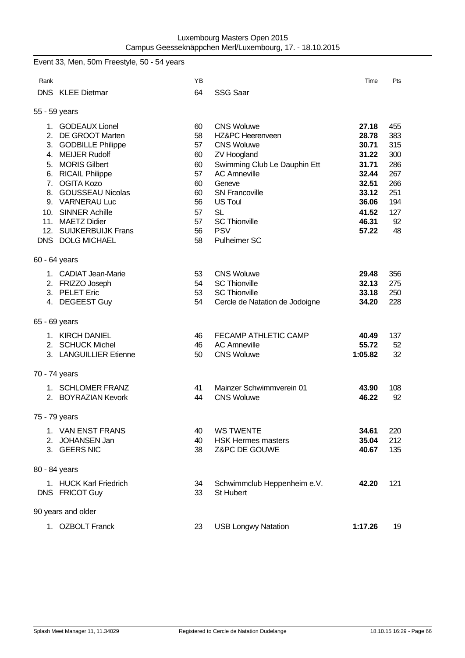|               | Event 33, Men, 50m Freestyle, 50 - 54 years |          |                                   |                |           |
|---------------|---------------------------------------------|----------|-----------------------------------|----------------|-----------|
| Rank          |                                             | YB       |                                   | Time           | Pts       |
|               | <b>DNS</b> KLEE Dietmar                     | 64       | <b>SSG Saar</b>                   |                |           |
| 55 - 59 years |                                             |          |                                   |                |           |
|               | 1. GODEAUX Lionel                           | 60       | <b>CNS Woluwe</b>                 | 27.18          | 455       |
|               | 2. DE GROOT Marten                          | 58       | HZ&PC Heerenveen                  | 28.78          | 383       |
|               | 3. GODBILLE Philippe                        | 57       | <b>CNS Woluwe</b>                 | 30.71          | 315       |
|               | 4. MEIJER Rudolf                            | 60       | <b>ZV Hoogland</b>                | 31.22          | 300       |
|               | 5. MORIS Gilbert                            | 60       | Swimming Club Le Dauphin Ett      | 31.71          | 286       |
|               | 6. RICAIL Philippe                          | 57       | <b>AC Amneville</b>               | 32.44          | 267       |
|               | 7. OGITA Kozo                               | 60       | Geneve                            | 32.51          | 266       |
|               | 8. GOUSSEAU Nicolas                         | 60       | <b>SN Francoville</b>             | 33.12          | 251       |
|               | 9. VARNERAU Luc                             | 56       | <b>US Toul</b>                    | 36.06          | 194       |
|               | 10. SINNER Achille<br>11. MAETZ Didier      | 57<br>57 | <b>SL</b><br><b>SC Thionville</b> | 41.52<br>46.31 | 127<br>92 |
|               | 12. SUIJKERBUIJK Frans                      | 56       | <b>PSV</b>                        | 57.22          | 48        |
|               | DNS DOLG MICHAEL                            | 58       | <b>Pulheimer SC</b>               |                |           |
|               |                                             |          |                                   |                |           |
| 60 - 64 years |                                             |          |                                   |                |           |
|               | 1. CADIAT Jean-Marie                        | 53       | <b>CNS Woluwe</b>                 | 29.48          | 356       |
|               | 2. FRIZZO Joseph                            | 54       | <b>SC Thionville</b>              | 32.13          | 275       |
|               | 3. PELET Eric                               | 53       | <b>SC Thionville</b>              | 33.18          | 250       |
|               | 4. DEGEEST Guy                              | 54       | Cercle de Natation de Jodoigne    | 34.20          | 228       |
| 65 - 69 years |                                             |          |                                   |                |           |
|               |                                             |          | FECAMP ATHLETIC CAMP              |                |           |
|               | 1. KIRCH DANIEL<br>2. SCHUCK Michel         | 46<br>46 | <b>AC Amneville</b>               | 40.49<br>55.72 | 137<br>52 |
|               | 3. LANGUILLIER Etienne                      | 50       | <b>CNS Woluwe</b>                 | 1:05.82        | 32        |
|               |                                             |          |                                   |                |           |
| 70 - 74 years |                                             |          |                                   |                |           |
|               | 1. SCHLOMER FRANZ                           | 41       | Mainzer Schwimmverein 01          | 43.90          | 108       |
| 2.            | <b>BOYRAZIAN Kevork</b>                     | 44       | <b>CNS Woluwe</b>                 | 46.22          | 92        |
|               |                                             |          |                                   |                |           |
| 75 - 79 years |                                             |          |                                   |                |           |
|               | 1. VAN ENST FRANS                           | 40       | <b>WS TWENTE</b>                  | 34.61          | 220       |
|               | 2. JOHANSEN Jan                             | 40       | <b>HSK Hermes masters</b>         | 35.04          | 212       |
|               | 3. GEERS NIC                                | 38       | Z&PC DE GOUWE                     | 40.67          | 135       |
| 80 - 84 years |                                             |          |                                   |                |           |
|               | 1. HUCK Karl Friedrich                      | 34       | Schwimmclub Heppenheim e.V.       | 42.20          | 121       |
|               | DNS FRICOT Guy                              | 33       | St Hubert                         |                |           |
|               |                                             |          |                                   |                |           |
|               | 90 years and older                          |          |                                   |                |           |
|               | 1. OZBOLT Franck                            | 23       | <b>USB Longwy Natation</b>        | 1:17.26        | 19        |
|               |                                             |          |                                   |                |           |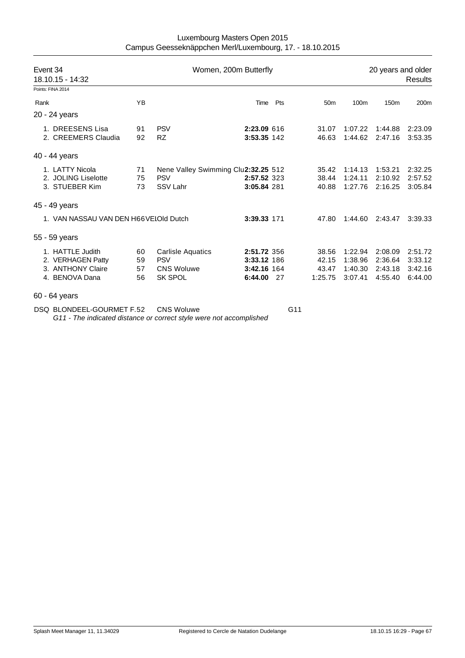| Luxembourg Masters Open 2015                             |
|----------------------------------------------------------|
| Campus Geesseknäppchen Merl/Luxembourg, 17. - 18.10.2015 |

| Event 34<br>18.10.15 - 14:32 |                                                                              | Women, 200m Butterfly |                                                                               |                                                      |     |                                    | 20 years and older<br><b>Results</b>     |                                          |                                          |  |
|------------------------------|------------------------------------------------------------------------------|-----------------------|-------------------------------------------------------------------------------|------------------------------------------------------|-----|------------------------------------|------------------------------------------|------------------------------------------|------------------------------------------|--|
|                              | Points: FINA 2014                                                            |                       |                                                                               |                                                      |     |                                    |                                          |                                          |                                          |  |
| Rank                         |                                                                              | <b>YB</b>             |                                                                               | Time                                                 | Pts | 50 <sub>m</sub>                    | 100m                                     | 150 <sub>m</sub>                         | 200m                                     |  |
|                              | 20 - 24 years                                                                |                       |                                                                               |                                                      |     |                                    |                                          |                                          |                                          |  |
|                              | 1. DREESENS Lisa<br>2. CREEMERS Claudia                                      | 91<br>92              | <b>PSV</b><br><b>RZ</b>                                                       | 2:23.09 616<br>3:53.35 142                           |     | 31.07<br>46.63                     | 1:07.22<br>1:44.62                       | 1:44.88<br>2:47.16                       | 2:23.09<br>3:53.35                       |  |
|                              | 40 - 44 years                                                                |                       |                                                                               |                                                      |     |                                    |                                          |                                          |                                          |  |
|                              | 1. LATTY Nicola<br>2. JOLING Liselotte<br>3. STUEBER Kim                     | 71<br>75<br>73        | Nene Valley Swimming Clu2:32.25 512<br><b>PSV</b><br>SSV Lahr                 | 2:57.52 323<br>3:05.84 281                           |     | 35.42<br>38.44<br>40.88            | 1:14.13<br>1:24.11<br>1:27.76            | 1:53.21<br>2:10.92<br>2:16.25            | 2:32.25<br>2:57.52<br>3:05.84            |  |
|                              | 45 - 49 years                                                                |                       |                                                                               |                                                      |     |                                    |                                          |                                          |                                          |  |
|                              | 1. VAN NASSAU VAN DEN H66VELOId Dutch                                        |                       |                                                                               | 3:39.33 171                                          |     | 47.80                              | 1:44.60                                  | 2:43.47                                  | 3:39.33                                  |  |
|                              | 55 - 59 years                                                                |                       |                                                                               |                                                      |     |                                    |                                          |                                          |                                          |  |
|                              | 1. HATTLE Judith<br>2. VERHAGEN Patty<br>3. ANTHONY Claire<br>4. BENOVA Dana | 60<br>59<br>57<br>56  | <b>Carlisle Aquatics</b><br><b>PSV</b><br><b>CNS Woluwe</b><br><b>SK SPOL</b> | 2:51.72 356<br>3:33.12 186<br>3:42.16 164<br>6:44.00 | 27  | 38.56<br>42.15<br>43.47<br>1:25.75 | 1:22.94<br>1:38.96<br>1:40.30<br>3:07.41 | 2:08.09<br>2:36.64<br>2:43.18<br>4:55.40 | 2:51.72<br>3:33.12<br>3:42.16<br>6:44.00 |  |
|                              | 60 - 64 years                                                                |                       |                                                                               |                                                      |     |                                    |                                          |                                          |                                          |  |
|                              | DSQ BLONDEEL-GOURMET F.52                                                    |                       | <b>CNS Woluwe</b>                                                             |                                                      | G11 |                                    |                                          |                                          |                                          |  |

*G11 - The indicated distance or correct style were not accomplished*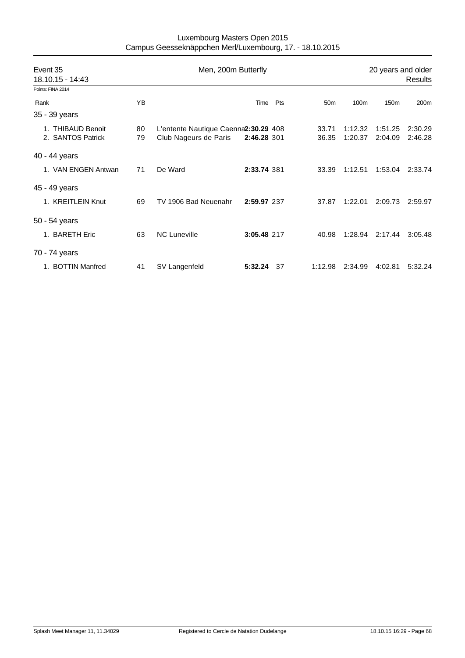| Event 35<br>18.10.15 - 14:43           |          | Men, 200m Butterfly                                           | 20 years and older<br><b>Results</b> |     |                 |                    |                    |                    |
|----------------------------------------|----------|---------------------------------------------------------------|--------------------------------------|-----|-----------------|--------------------|--------------------|--------------------|
| Points: FINA 2014                      |          |                                                               |                                      |     |                 |                    |                    |                    |
| Rank                                   | ΥB       |                                                               | Time                                 | Pts | 50 <sub>m</sub> | 100m               | 150 <sub>m</sub>   | 200m               |
| 35 - 39 years                          |          |                                                               |                                      |     |                 |                    |                    |                    |
| 1. THIBAUD Benoit<br>2. SANTOS Patrick | 80<br>79 | L'entente Nautique Caenna2:30.29 408<br>Club Nageurs de Paris | 2:46.28 301                          |     | 33.71<br>36.35  | 1:12.32<br>1:20.37 | 1:51.25<br>2:04.09 | 2:30.29<br>2:46.28 |
| 40 - 44 years                          |          |                                                               |                                      |     |                 |                    |                    |                    |
| 1. VAN ENGEN Antwan                    | 71       | De Ward                                                       | 2:33.74 381                          |     | 33.39           | 1:12.51            | 1:53.04            | 2:33.74            |
| 45 - 49 years                          |          |                                                               |                                      |     |                 |                    |                    |                    |
| 1. KREITLEIN Knut                      | 69       | TV 1906 Bad Neuenahr                                          | 2:59.97 237                          |     | 37.87           | 1:22.01            | 2:09.73            | 2:59.97            |
| 50 - 54 years                          |          |                                                               |                                      |     |                 |                    |                    |                    |
| 1. BARETH Eric                         | 63       | <b>NC Luneville</b>                                           | 3:05.48 217                          |     | 40.98           | 1:28.94            | 2:17.44            | 3:05.48            |
| 70 - 74 years                          |          |                                                               |                                      |     |                 |                    |                    |                    |
| 1. BOTTIN Manfred                      | 41       | SV Langenfeld                                                 | 5:32.24                              | 37  | 1:12.98         | 2:34.99            | 4:02.81            | 5:32.24            |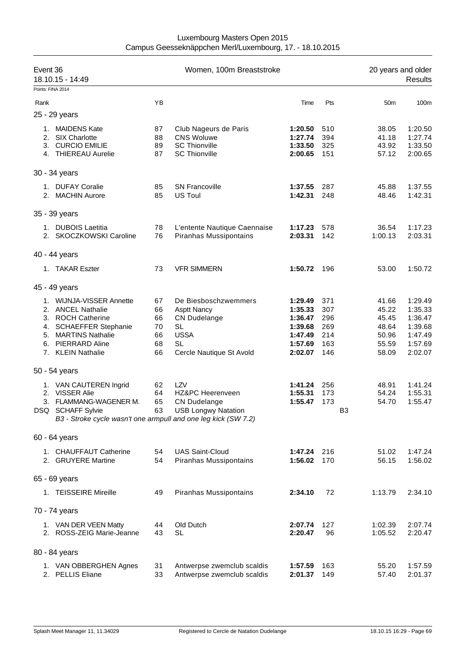| Event 36<br>18.10.15 - 14:49 |                                                                                                                                                               |                                        | Women, 100m Breaststroke                                                                                                        |                                                                           | 20 years and older<br>Results                 |                                                             |                                                                           |
|------------------------------|---------------------------------------------------------------------------------------------------------------------------------------------------------------|----------------------------------------|---------------------------------------------------------------------------------------------------------------------------------|---------------------------------------------------------------------------|-----------------------------------------------|-------------------------------------------------------------|---------------------------------------------------------------------------|
|                              | Points: FINA 2014                                                                                                                                             |                                        |                                                                                                                                 |                                                                           |                                               |                                                             |                                                                           |
| Rank                         |                                                                                                                                                               | YB                                     |                                                                                                                                 | Time                                                                      | Pts                                           | 50 <sub>m</sub>                                             | 100m                                                                      |
|                              | 25 - 29 years                                                                                                                                                 |                                        |                                                                                                                                 |                                                                           |                                               |                                                             |                                                                           |
|                              | 1. MAIDENS Kate<br>2. SIX Charlotte<br>3. CURCIO EMILIE<br>4. THIEREAU Aurelie                                                                                | 87<br>88<br>89<br>87                   | Club Nageurs de Paris<br><b>CNS Woluwe</b><br><b>SC Thionville</b><br><b>SC Thionville</b>                                      | 1:20.50<br>1:27.74<br>1:33.50<br>2:00.65                                  | 510<br>394<br>325<br>151                      | 38.05<br>41.18<br>43.92<br>57.12                            | 1:20.50<br>1:27.74<br>1:33.50<br>2:00.65                                  |
|                              | 30 - 34 years                                                                                                                                                 |                                        |                                                                                                                                 |                                                                           |                                               |                                                             |                                                                           |
|                              | 1. DUFAY Coralie                                                                                                                                              | 85                                     | <b>SN Francoville</b>                                                                                                           | 1:37.55                                                                   | 287                                           | 45.88                                                       | 1:37.55                                                                   |
|                              | 2. MACHIN Aurore                                                                                                                                              | 85                                     | US Toul                                                                                                                         | 1:42.31                                                                   | 248                                           | 48.46                                                       | 1:42.31                                                                   |
|                              | 35 - 39 years                                                                                                                                                 |                                        |                                                                                                                                 |                                                                           |                                               |                                                             |                                                                           |
|                              | 1. DUBOIS Laetitia<br>2. SKOCZKOWSKI Caroline                                                                                                                 | 78<br>76                               | L'entente Nautique Caennaise<br>Piranhas Mussipontains                                                                          | 1:17.23<br>2:03.31                                                        | 578<br>142                                    | 36.54<br>1:00.13                                            | 1:17.23<br>2:03.31                                                        |
|                              | 40 - 44 years                                                                                                                                                 |                                        |                                                                                                                                 |                                                                           |                                               |                                                             |                                                                           |
|                              | 1. TAKAR Eszter                                                                                                                                               | 73                                     | <b>VFR SIMMERN</b>                                                                                                              | 1:50.72                                                                   | 196                                           | 53.00                                                       | 1:50.72                                                                   |
|                              | 45 - 49 years                                                                                                                                                 |                                        |                                                                                                                                 |                                                                           |                                               |                                                             |                                                                           |
|                              | 1. WIJNJA-VISSER Annette<br>2. ANCEL Nathalie<br>3. ROCH Catherine<br>4. SCHAEFFER Stephanie<br>5. MARTINS Nathalie<br>6. PIERRARD Aline<br>7. KLEIN Nathalie | 67<br>66<br>66<br>70<br>66<br>68<br>66 | De Biesboschzwemmers<br><b>Asptt Nancy</b><br><b>CN Dudelange</b><br>SL<br><b>USSA</b><br><b>SL</b><br>Cercle Nautique St Avold | 1:29.49<br>1:35.33<br>1:36.47<br>1:39.68<br>1:47.49<br>1:57.69<br>2:02.07 | 371<br>307<br>296<br>269<br>214<br>163<br>146 | 41.66<br>45.22<br>45.45<br>48.64<br>50.96<br>55.59<br>58.09 | 1:29.49<br>1:35.33<br>1:36.47<br>1:39.68<br>1:47.49<br>1:57.69<br>2:02.07 |
|                              | 50 - 54 years                                                                                                                                                 |                                        |                                                                                                                                 |                                                                           |                                               |                                                             |                                                                           |
|                              | 1. VAN CAUTEREN Ingrid<br>2. VISSER Alie<br>3. FLAMMANG-WAGENER M.<br>DSQ SCHAFF Sylvie<br>B3 - Stroke cycle wasn't one armpull and one leg kick (SW 7.2)     | 62<br>64<br>65                         | LZV<br>HZ&PC Heerenveen<br><b>CN Dudelange</b><br>63 USB Longwy Natation                                                        | 1:41.24<br>1:55.31<br>1:55.47                                             | 256<br>173<br>173                             | 48.91<br>54.24<br>54.70<br>B <sub>3</sub>                   | 1:41.24<br>1:55.31<br>1:55.47                                             |
|                              | 60 - 64 years                                                                                                                                                 |                                        |                                                                                                                                 |                                                                           |                                               |                                                             |                                                                           |
|                              | 1. CHAUFFAUT Catherine<br>2. GRUYERE Martine                                                                                                                  | 54<br>54                               | <b>UAS Saint-Cloud</b><br>Piranhas Mussipontains                                                                                | 1:47.24<br>1:56.02                                                        | 216<br>170                                    | 51.02<br>56.15                                              | 1:47.24<br>1:56.02                                                        |
|                              | 65 - 69 years                                                                                                                                                 |                                        |                                                                                                                                 |                                                                           |                                               |                                                             |                                                                           |
|                              | 1. TEISSEIRE Mireille                                                                                                                                         | 49                                     | Piranhas Mussipontains                                                                                                          | 2:34.10                                                                   | 72                                            | 1:13.79                                                     | 2:34.10                                                                   |
|                              | 70 - 74 years                                                                                                                                                 |                                        |                                                                                                                                 |                                                                           |                                               |                                                             |                                                                           |
|                              | 1. VAN DER VEEN Matty<br>2. ROSS-ZEIG Marie-Jeanne                                                                                                            | 44<br>43                               | Old Dutch<br>SL                                                                                                                 | 2:07.74<br>2:20.47                                                        | 127<br>96                                     | 1:02.39<br>1:05.52                                          | 2:07.74<br>2:20.47                                                        |
|                              | 80 - 84 years                                                                                                                                                 |                                        |                                                                                                                                 |                                                                           |                                               |                                                             |                                                                           |
|                              | 1. VAN OBBERGHEN Agnes<br>2. PELLIS Eliane                                                                                                                    | 31<br>33                               | Antwerpse zwemclub scaldis<br>Antwerpse zwemclub scaldis                                                                        | 1:57.59<br>2:01.37                                                        | 163<br>149                                    | 55.20<br>57.40                                              | 1:57.59<br>2:01.37                                                        |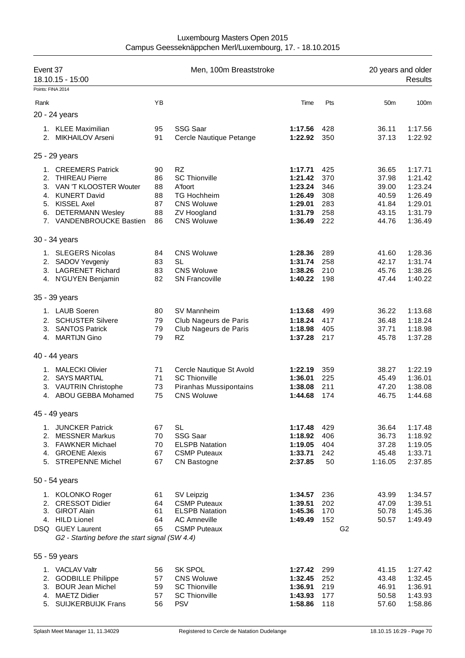| Event 37<br>18.10.15 - 15:00<br>Points: FINA 2014 |                                                                                                                                                                       | Men, 100m Breaststroke                 |                                                                                                                                    |                                                                           |                                               |                | 20 years and older<br>Results                               |                                                                           |  |
|---------------------------------------------------|-----------------------------------------------------------------------------------------------------------------------------------------------------------------------|----------------------------------------|------------------------------------------------------------------------------------------------------------------------------------|---------------------------------------------------------------------------|-----------------------------------------------|----------------|-------------------------------------------------------------|---------------------------------------------------------------------------|--|
| Rank                                              |                                                                                                                                                                       | YB                                     |                                                                                                                                    | Time                                                                      | Pts                                           |                | 50 <sub>m</sub>                                             | 100m                                                                      |  |
|                                                   | 20 - 24 years                                                                                                                                                         |                                        |                                                                                                                                    |                                                                           |                                               |                |                                                             |                                                                           |  |
|                                                   | 1. KLEE Maximilian<br>2. MIKHAILOV Arseni                                                                                                                             | 95<br>91                               | <b>SSG Saar</b><br>Cercle Nautique Petange                                                                                         | 1:17.56<br>1:22.92                                                        | 428<br>350                                    |                | 36.11<br>37.13                                              | 1:17.56<br>1:22.92                                                        |  |
|                                                   | 25 - 29 years                                                                                                                                                         |                                        |                                                                                                                                    |                                                                           |                                               |                |                                                             |                                                                           |  |
| 2.<br>6.                                          | 1. CREEMERS Patrick<br><b>THIREAU Pierre</b><br>3. VAN 'T KLOOSTER Wouter<br>4. KUNERT David<br>5. KISSEL Axel<br><b>DETERMANN Wesley</b><br>7. VANDENBROUCKE Bastien | 90<br>86<br>88<br>88<br>87<br>88<br>86 | <b>RZ</b><br><b>SC Thionville</b><br>A'foort<br><b>TG Hochheim</b><br><b>CNS Woluwe</b><br><b>ZV Hoogland</b><br><b>CNS Woluwe</b> | 1:17.71<br>1:21.42<br>1:23.24<br>1:26.49<br>1:29.01<br>1:31.79<br>1:36.49 | 425<br>370<br>346<br>308<br>283<br>258<br>222 |                | 36.65<br>37.98<br>39.00<br>40.59<br>41.84<br>43.15<br>44.76 | 1:17.71<br>1:21.42<br>1:23.24<br>1:26.49<br>1:29.01<br>1:31.79<br>1:36.49 |  |
|                                                   | 30 - 34 years                                                                                                                                                         |                                        |                                                                                                                                    |                                                                           |                                               |                |                                                             |                                                                           |  |
| 2.<br>3.                                          | 1. SLEGERS Nicolas<br>SADOV Yevgeniy<br><b>LAGRENET Richard</b><br>4. N'GUYEN Benjamin                                                                                | 84<br>83<br>83<br>82                   | <b>CNS Woluwe</b><br>SL<br><b>CNS Woluwe</b><br><b>SN Francoville</b>                                                              | 1:28.36<br>1:31.74<br>1:38.26<br>1:40.22                                  | 289<br>258<br>210<br>198                      |                | 41.60<br>42.17<br>45.76<br>47.44                            | 1:28.36<br>1:31.74<br>1:38.26<br>1:40.22                                  |  |
|                                                   | 35 - 39 years                                                                                                                                                         |                                        |                                                                                                                                    |                                                                           |                                               |                |                                                             |                                                                           |  |
| 2.<br>3.                                          | 1. LAUB Soeren<br><b>SCHUSTER Silvere</b><br><b>SANTOS Patrick</b><br>4. MARTIJN Gino                                                                                 | 80<br>79<br>79<br>79                   | SV Mannheim<br>Club Nageurs de Paris<br>Club Nageurs de Paris<br><b>RZ</b>                                                         | 1:13.68<br>1:18.24<br>1:18.98<br>1:37.28                                  | 499<br>417<br>405<br>217                      |                | 36.22<br>36.48<br>37.71<br>45.78                            | 1:13.68<br>1:18.24<br>1:18.98<br>1:37.28                                  |  |
|                                                   | 40 - 44 years                                                                                                                                                         |                                        |                                                                                                                                    |                                                                           |                                               |                |                                                             |                                                                           |  |
| 1.<br>2.<br>4.                                    | <b>MALECKI Olivier</b><br><b>SAYS MARTIAL</b><br>3. VAUTRIN Christophe<br>ABOU GEBBA Mohamed                                                                          | 71<br>71<br>73<br>75                   | Cercle Nautique St Avold<br><b>SC Thionville</b><br>Piranhas Mussipontains<br><b>CNS Woluwe</b>                                    | 1:22.19<br>1:36.01<br>1:38.08<br>1:44.68                                  | 359<br>225<br>211<br>174                      |                | 38.27<br>45.49<br>47.20<br>46.75                            | 1:22.19<br>1:36.01<br>1:38.08<br>1:44.68                                  |  |
|                                                   | 45 - 49 years                                                                                                                                                         |                                        |                                                                                                                                    |                                                                           |                                               |                |                                                             |                                                                           |  |
|                                                   | 1. JUNCKER Patrick<br>2. MESSNER Markus<br>3. FAWKNER Michael<br>4. GROENE Alexis<br>5. STREPENNE Michel                                                              | 67<br>70<br>70<br>67<br>67             | <b>SL</b><br><b>SSG Saar</b><br><b>ELSPB Natation</b><br><b>CSMP Puteaux</b><br>CN Bastogne                                        | 1:17.48<br>1:18.92<br>1:19.05<br>1:33.71<br>2:37.85                       | 429<br>406<br>404<br>242<br>50                |                | 36.64<br>36.73<br>37.28<br>45.48<br>1:16.05                 | 1:17.48<br>1:18.92<br>1:19.05<br>1:33.71<br>2:37.85                       |  |
|                                                   | 50 - 54 years                                                                                                                                                         |                                        |                                                                                                                                    |                                                                           |                                               |                |                                                             |                                                                           |  |
|                                                   | 1. KOLONKO Roger<br>2. CRESSOT Didier<br>3. GIROT Alain<br>4. HILD Lionel<br>DSQ GUEY Laurent<br>G2 - Starting before the start signal (SW 4.4)                       | 61<br>64<br>61<br>64<br>65             | SV Leipzig<br><b>CSMP Puteaux</b><br><b>ELSPB Natation</b><br><b>AC Amneville</b><br><b>CSMP Puteaux</b>                           | 1:34.57<br>1:39.51<br>1:45.36<br>1:49.49                                  | 236<br>202<br>170<br>152                      | G <sub>2</sub> | 43.99<br>47.09<br>50.78<br>50.57                            | 1:34.57<br>1:39.51<br>1:45.36<br>1:49.49                                  |  |
|                                                   | 55 - 59 years                                                                                                                                                         |                                        |                                                                                                                                    |                                                                           |                                               |                |                                                             |                                                                           |  |
|                                                   | 1. VACLAV Valtr<br>2. GODBILLE Philippe<br>3. BOUR Jean Michel<br>4. MAETZ Didier<br>5. SUIJKERBUIJK Frans                                                            | 56<br>57<br>59<br>57<br>56             | <b>SK SPOL</b><br><b>CNS Woluwe</b><br><b>SC Thionville</b><br><b>SC Thionville</b><br><b>PSV</b>                                  | 1:27.42<br>1:32.45<br>1:36.91<br>1:43.93<br>1:58.86                       | 299<br>252<br>219<br>177<br>118               |                | 41.15<br>43.48<br>46.91<br>50.58<br>57.60                   | 1:27.42<br>1:32.45<br>1:36.91<br>1:43.93<br>1:58.86                       |  |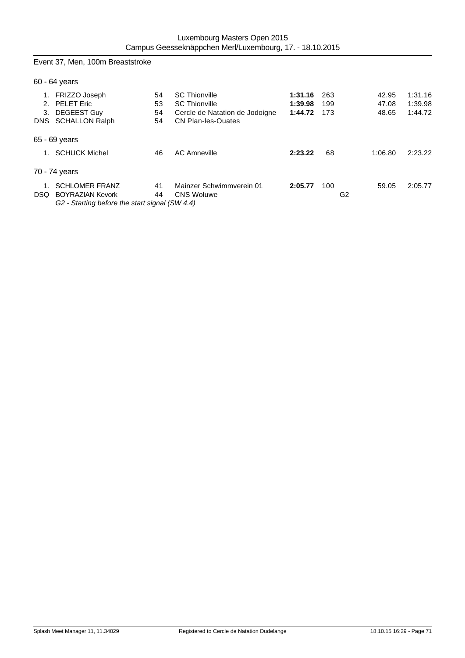Event 37, Men, 100m Breaststroke

60 - 64 years

|    | 1. FRIZZO Joseph                                                                                                              | 54 | <b>SC Thionville</b>           | 1:31.16 | -263 | 42.95   | 1:31.16 |
|----|-------------------------------------------------------------------------------------------------------------------------------|----|--------------------------------|---------|------|---------|---------|
|    | 2. PELET Eric                                                                                                                 | 53 | <b>SC Thionville</b>           | 1:39.98 | 199  | 47.08   | 1:39.98 |
| 3. | DEGEEST Guy                                                                                                                   | 54 | Cercle de Natation de Jodoigne | 1:44.72 | 173  | 48.65   | 1:44.72 |
|    | DNS SCHALLON Ralph                                                                                                            | 54 | <b>CN Plan-les-Ouates</b>      |         |      |         |         |
|    | 65 - 69 years                                                                                                                 |    |                                |         |      |         |         |
|    | <b>SCHUCK Michel</b>                                                                                                          | 46 | <b>AC Amneville</b>            | 2:23.22 | 68   | 1:06.80 | 2:23.22 |
|    | 70 - 74 years                                                                                                                 |    |                                |         |      |         |         |
| 1. | <b>SCHLOMER FRANZ</b>                                                                                                         | 41 | Mainzer Schwimmverein 01       | 2:05.77 | 100  | 59.05   | 2:05.77 |
|    | <b>DSQ BOYRAZIAN Kevork</b>                                                                                                   | 44 | <b>CNS Woluwe</b>              |         |      | G2      |         |
|    | $\bigcap_{i=1}^n$ $\bigcap_{i=1}^n$ $\bigcup_{i=1}^n$ $\bigcap_{i=1}^n$ $\bigcap_{i=1}^n$ $\bigcap_{i=1}^n$ $\bigcap_{i=1}^n$ |    |                                |         |      |         |         |

*G2 - Starting before the start signal (SW 4.4)*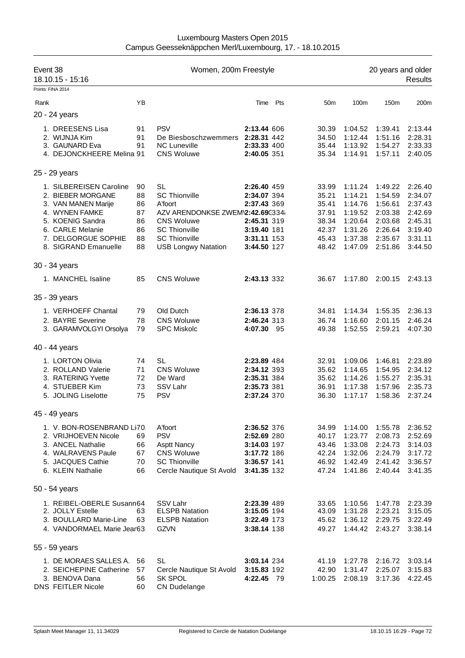| Event 38<br>18.10.15 - 15:16 |    | Women, 200m Freestyle            |             |     |                 | 20 years and older<br><b>Results</b> |                 |         |  |  |
|------------------------------|----|----------------------------------|-------------|-----|-----------------|--------------------------------------|-----------------|---------|--|--|
| Points: FINA 2014            |    |                                  |             |     |                 |                                      |                 |         |  |  |
| Rank                         | YB |                                  | Time        | Pts | 50 <sub>m</sub> | 100m                                 | 150m            | 200m    |  |  |
| 20 - 24 years                |    |                                  |             |     |                 |                                      |                 |         |  |  |
| 1. DREESENS Lisa             | 91 | <b>PSV</b>                       | 2:13.44 606 |     | 30.39           | 1:04.52                              | 1:39.41         | 2:13.44 |  |  |
| 2. WIJNJA Kim                | 91 | De Biesboschzwemmers 2:28.31 442 |             |     | 34.50           | 1:12.44                              | 1:51.16         | 2:28.31 |  |  |
| 3. GAUNARD Eva               | 91 | <b>NC Luneville</b>              | 2:33.33 400 |     | 35.44           | 1:13.92                              | 1:54.27         | 2:33.33 |  |  |
| 4. DEJONCKHEERE Melina 91    |    | <b>CNS Woluwe</b>                | 2:40.05 351 |     | 35.34           | 1:14.91                              | 1:57.11         | 2:40.05 |  |  |
| 25 - 29 years                |    |                                  |             |     |                 |                                      |                 |         |  |  |
| 1. SILBEREISEN Caroline      | 90 | <b>SL</b>                        | 2:26.40 459 |     | 33.99           | 1:11.24                              | 1:49.22         | 2:26.40 |  |  |
| 2. BIEBER MORGANE            | 88 | <b>SC Thionville</b>             | 2:34.07 394 |     | 35.21           | 1:14.21                              | 1:54.59         | 2:34.07 |  |  |
| 3. VAN MANEN Marije          | 86 | A'foort                          | 2:37.43 369 |     | 35.41           | 1:14.76                              | 1:56.61         | 2:37.43 |  |  |
| 4. WYNEN FAMKE               | 87 | AZV ARENDONKSE ZWEM\2:42.69C334i |             |     | 37.91           | 1:19.52                              | 2:03.38         | 2:42.69 |  |  |
| 5. KOENIG Sandra             | 86 | <b>CNS Woluwe</b>                | 2:45.31 319 |     | 38.34           | 1:20.64                              | 2:03.68         | 2:45.31 |  |  |
| 6. CARLE Melanie             | 86 | <b>SC Thionville</b>             | 3:19.40 181 |     | 42.37           | 1:31.26                              | 2:26.64         | 3:19.40 |  |  |
| 7. DELGORGUE SOPHIE          | 88 | <b>SC Thionville</b>             | 3:31.11 153 |     | 45.43           | 1:37.38                              | 2:35.67         | 3:31.11 |  |  |
| 8. SIGRAND Emanuelle         | 88 | <b>USB Longwy Natation</b>       | 3:44.50 127 |     | 48.42           | 1:47.09                              | 2:51.86         | 3:44.50 |  |  |
| 30 - 34 years                |    |                                  |             |     |                 |                                      |                 |         |  |  |
| 1. MANCHEL Isaline           | 85 | <b>CNS Woluwe</b>                | 2:43.13 332 |     | 36.67           |                                      | 1:17.80 2:00.15 | 2:43.13 |  |  |
| 35 - 39 years                |    |                                  |             |     |                 |                                      |                 |         |  |  |
| 1. VERHOEFF Chantal          | 79 | Old Dutch                        | 2:36.13 378 |     | 34.81           | 1:14.34                              | 1:55.35         | 2:36.13 |  |  |
| 2. BAYRE Severine            | 78 | <b>CNS Woluwe</b>                | 2:46.24 313 |     | 36.74           | 1:16.60                              | 2:01.15         | 2:46.24 |  |  |
| 3. GARAMVOLGYI Orsolya       | 79 | <b>SPC Miskolc</b>               | 4:07.30 95  |     | 49.38           | 1:52.55                              | 2:59.21         | 4:07.30 |  |  |
| 40 - 44 years                |    |                                  |             |     |                 |                                      |                 |         |  |  |
| 1. LORTON Olivia             | 74 | SL                               | 2:23.89 484 |     | 32.91           | 1:09.06                              | 1:46.81         | 2:23.89 |  |  |
| 2. ROLLAND Valerie           | 71 | <b>CNS Woluwe</b>                | 2:34.12 393 |     | 35.62           | 1:14.65                              | 1:54.95         | 2:34.12 |  |  |
| 3. RATERING Yvette           | 72 | De Ward                          | 2:35.31 384 |     | 35.62           | 1:14.26                              | 1:55.27         | 2:35.31 |  |  |
| 4. STUEBER Kim               | 73 | SSV Lahr                         | 2:35.73 381 |     | 36.91           | 1:17.38                              | 1:57.96         | 2:35.73 |  |  |
| 5. JOLING Liselotte          | 75 | <b>PSV</b>                       | 2:37.24 370 |     | 36.30           | 1:17.17                              | 1:58.36         | 2:37.24 |  |  |
| 45 - 49 years                |    |                                  |             |     |                 |                                      |                 |         |  |  |
| 1. V. BON-ROSENBRAND LI70    |    | A'foort                          | 2:36.52 376 |     | 34.99           | 1:14.00                              | 1:55.78         | 2:36.52 |  |  |
| 2. VRIJHOEVEN Nicole         | 69 | <b>PSV</b>                       | 2:52.69 280 |     | 40.17           | 1:23.77                              | 2:08.73         | 2:52.69 |  |  |
| 3. ANCEL Nathalie            | 66 | <b>Asptt Nancy</b>               | 3:14.03 197 |     | 43.46           | 1:33.08                              | 2:24.73         | 3:14.03 |  |  |
| 4. WALRAVENS Paule           | 67 | <b>CNS Woluwe</b>                | 3:17.72 186 |     | 42.24           | 1:32.06                              | 2:24.79         | 3:17.72 |  |  |
| 5. JACQUES Cathie            | 70 | <b>SC Thionville</b>             | 3:36.57 141 |     | 46.92           | 1:42.49                              | 2:41.42         | 3:36.57 |  |  |
| 6. KLEIN Nathalie            | 66 | Cercle Nautique St Avold         | 3:41.35 132 |     | 47.24           | 1:41.86                              | 2:40.44         | 3:41.35 |  |  |
| 50 - 54 years                |    |                                  |             |     |                 |                                      |                 |         |  |  |
| 1. REIBEL-OBERLE Susann64    |    | SSV Lahr                         | 2:23.39 489 |     | 33.65           | 1:10.56                              | 1:47.78         | 2:23.39 |  |  |
| 2. JOLLY Estelle             | 63 | <b>ELSPB Natation</b>            | 3:15.05 194 |     | 43.09           | 1:31.28                              | 2:23.21         | 3:15.05 |  |  |
| 3. BOULLARD Marie-Line       | 63 | <b>ELSPB Natation</b>            | 3:22.49 173 |     | 45.62           | 1:36.12                              | 2:29.75         | 3:22.49 |  |  |
| 4. VANDORMAEL Marie Jear63   |    | <b>GZVN</b>                      | 3:38.14 138 |     | 49.27           | 1:44.42                              | 2:43.27         | 3:38.14 |  |  |
| 55 - 59 years                |    |                                  |             |     |                 |                                      |                 |         |  |  |
| 1. DE MORAES SALLES A.       | 56 | <b>SL</b>                        | 3:03.14 234 |     | 41.19           | 1:27.78                              | 2:16.72         | 3:03.14 |  |  |
| 2. SEICHEPINE Catherine      | 57 | Cercle Nautique St Avold         | 3:15.83 192 |     | 42.90           | 1:31.47                              | 2:25.07         | 3:15.83 |  |  |
| 3. BENOVA Dana               | 56 | SK SPOL                          | 4:22.45 79  |     | 1:00.25         |                                      | 2:08.19 3:17.36 | 4:22.45 |  |  |
| DNS FEITLER Nicole           | 60 | <b>CN Dudelange</b>              |             |     |                 |                                      |                 |         |  |  |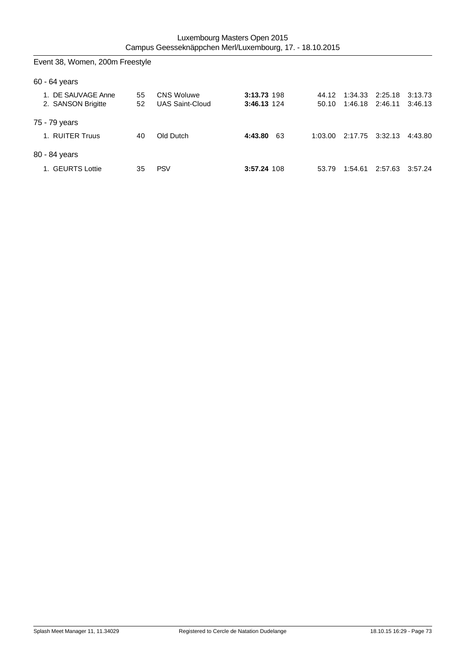| Event 38, Women, 200m Freestyle          |          |                                             |                            |                |                    |                    |                    |
|------------------------------------------|----------|---------------------------------------------|----------------------------|----------------|--------------------|--------------------|--------------------|
| $60 - 64$ years                          |          |                                             |                            |                |                    |                    |                    |
| 1. DE SAUVAGE Anne<br>2. SANSON Brigitte | 55<br>52 | <b>CNS Woluwe</b><br><b>UAS Saint-Cloud</b> | 3:13.73 198<br>3:46.13 124 | 44.12<br>50.10 | 1:34.33<br>1:46.18 | 2:25.18<br>2:46.11 | 3:13.73<br>3:46.13 |
| 75 - 79 years                            |          |                                             |                            |                |                    |                    |                    |
| 1. RUITER Truus                          | 40       | Old Dutch                                   | 4:43.80<br>63              | 1:03.00        | 2:17.75            | 3:32.13            | 4:43.80            |
| 80 - 84 years                            |          |                                             |                            |                |                    |                    |                    |
| 1. GEURTS Lottie                         | 35       | <b>PSV</b>                                  | 3:57.24 108                | 53.79          | 1:54.61            | 2:57.63            | 3:57.24            |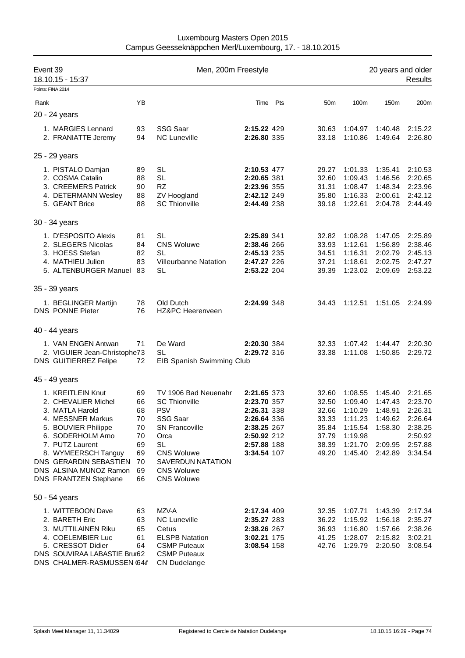| Event 39          | 18.10.15 - 15:37                                                                                                                                                                                                                                    |                                                                | Men, 200m Freestyle                                                                                                                                                                                      |                                                                                                                      |     |                                                                      |                                                                                      | 20 years and older                                                        | Results                                                                              |
|-------------------|-----------------------------------------------------------------------------------------------------------------------------------------------------------------------------------------------------------------------------------------------------|----------------------------------------------------------------|----------------------------------------------------------------------------------------------------------------------------------------------------------------------------------------------------------|----------------------------------------------------------------------------------------------------------------------|-----|----------------------------------------------------------------------|--------------------------------------------------------------------------------------|---------------------------------------------------------------------------|--------------------------------------------------------------------------------------|
| Points: FINA 2014 |                                                                                                                                                                                                                                                     |                                                                |                                                                                                                                                                                                          |                                                                                                                      |     |                                                                      |                                                                                      |                                                                           |                                                                                      |
| Rank              |                                                                                                                                                                                                                                                     | YB                                                             |                                                                                                                                                                                                          | Time                                                                                                                 | Pts | 50 <sub>m</sub>                                                      | 100m                                                                                 | 150m                                                                      | 200m                                                                                 |
| 20 - 24 years     |                                                                                                                                                                                                                                                     |                                                                |                                                                                                                                                                                                          |                                                                                                                      |     |                                                                      |                                                                                      |                                                                           |                                                                                      |
|                   | 1. MARGIES Lennard<br>2. FRANIATTE Jeremy                                                                                                                                                                                                           | 93<br>94                                                       | <b>SSG Saar</b><br><b>NC Luneville</b>                                                                                                                                                                   | 2:15.22 429<br>2:26.80 335                                                                                           |     | 30.63<br>33.18                                                       | 1:04.97<br>1:10.86                                                                   | 1:40.48<br>1:49.64                                                        | 2:15.22<br>2:26.80                                                                   |
| 25 - 29 years     |                                                                                                                                                                                                                                                     |                                                                |                                                                                                                                                                                                          |                                                                                                                      |     |                                                                      |                                                                                      |                                                                           |                                                                                      |
|                   | 1. PISTALO Damjan<br>2. COSMA Catalin<br>3. CREEMERS Patrick<br>4. DETERMANN Wesley<br>5. GEANT Brice                                                                                                                                               | 89<br>88<br>90<br>88<br>88                                     | <b>SL</b><br><b>SL</b><br><b>RZ</b><br>ZV Hoogland<br><b>SC Thionville</b>                                                                                                                               | 2:10.53 477<br>2:20.65 381<br>2:23.96 355<br>2:42.12 249<br>2:44.49 238                                              |     | 29.27<br>32.60<br>31.31<br>35.80<br>39.18                            | 1:01.33<br>1:09.43<br>1:08.47<br>1:16.33<br>1:22.61                                  | 1:35.41<br>1:46.56<br>1:48.34<br>2:00.61<br>2:04.78                       | 2:10.53<br>2:20.65<br>2:23.96<br>2:42.12<br>2:44.49                                  |
| 30 - 34 years     |                                                                                                                                                                                                                                                     |                                                                |                                                                                                                                                                                                          |                                                                                                                      |     |                                                                      |                                                                                      |                                                                           |                                                                                      |
|                   | 1. D'ESPOSITO Alexis<br>2. SLEGERS Nicolas<br>3. HOESS Stefan<br>4. MATHIEU Julien<br>5. ALTENBURGER Manuel 83                                                                                                                                      | 81<br>84<br>82<br>83                                           | <b>SL</b><br><b>CNS Woluwe</b><br><b>SL</b><br><b>Villeurbanne Natation</b><br><b>SL</b>                                                                                                                 | 2:25.89 341<br>2:38.46 266<br>2:45.13 235<br>2:47.27 226<br>2:53.22 204                                              |     | 32.82<br>33.93<br>34.51<br>37.21<br>39.39                            | 1:08.28<br>1:12.61<br>1:16.31<br>1:18.61<br>1:23.02                                  | 1:47.05<br>1:56.89<br>2:02.79<br>2:02.75<br>2:09.69                       | 2:25.89<br>2:38.46<br>2:45.13<br>2:47.27<br>2:53.22                                  |
| 35 - 39 years     |                                                                                                                                                                                                                                                     |                                                                |                                                                                                                                                                                                          |                                                                                                                      |     |                                                                      |                                                                                      |                                                                           |                                                                                      |
|                   | 1. BEGLINGER Martijn<br>DNS PONNE Pieter                                                                                                                                                                                                            | 78<br>76                                                       | Old Dutch<br>HZ&PC Heerenveen                                                                                                                                                                            | 2:24.99 348                                                                                                          |     | 34.43                                                                | 1:12.51                                                                              | 1:51.05                                                                   | 2:24.99                                                                              |
| 40 - 44 years     |                                                                                                                                                                                                                                                     |                                                                |                                                                                                                                                                                                          |                                                                                                                      |     |                                                                      |                                                                                      |                                                                           |                                                                                      |
|                   | 1. VAN ENGEN Antwan<br>2. VIGUIER Jean-Christophe73<br><b>DNS GUITIERREZ Felipe</b>                                                                                                                                                                 | 71<br>72                                                       | De Ward<br><b>SL</b><br>EIB Spanish Swimming Club                                                                                                                                                        | 2:20.30 384<br>2:29.72 316                                                                                           |     | 32.33<br>33.38                                                       | 1:07.42<br>1:11.08                                                                   | 1:44.47<br>1:50.85                                                        | 2:20.30<br>2:29.72                                                                   |
| 45 - 49 years     |                                                                                                                                                                                                                                                     |                                                                |                                                                                                                                                                                                          |                                                                                                                      |     |                                                                      |                                                                                      |                                                                           |                                                                                      |
|                   | 1. KREITLEIN Knut<br>2. CHEVALIER Michel<br>3. MATLA Harold<br>4. MESSNER Markus<br>5. BOUVIER Philippe<br>6. SODERHOLM Arno<br>7. PUTZ Laurent<br>8. WYMEERSCH Tanguy<br>DNS GERARDIN SEBASTIEN<br>DNS ALSINA MUNOZ Ramon<br>DNS FRANTZEN Stephane | 69<br>66<br>68<br>70<br>70<br>70<br>69<br>69<br>70<br>69<br>66 | TV 1906 Bad Neuenahr<br><b>SC Thionville</b><br><b>PSV</b><br>SSG Saar<br><b>SN Francoville</b><br>Orca<br><b>SL</b><br><b>CNS Woluwe</b><br>SAVERDUN NATATION<br><b>CNS Woluwe</b><br><b>CNS Woluwe</b> | 2:21.65 373<br>2:23.70 357<br>2:26.31 338<br>2:26.64 336<br>2:38.25 267<br>2:50.92 212<br>2:57.88 188<br>3:34.54 107 |     | 32.60<br>32.50<br>32.66<br>33.33<br>35.84<br>37.79<br>38.39<br>49.20 | 1:08.55<br>1:09.40<br>1:10.29<br>1:11.23<br>1:15.54<br>1:19.98<br>1:21.70<br>1:45.40 | 1:45.40<br>1:47.43<br>1:48.91<br>1:49.62<br>1:58.30<br>2:09.95<br>2:42.89 | 2:21.65<br>2:23.70<br>2:26.31<br>2:26.64<br>2:38.25<br>2:50.92<br>2:57.88<br>3:34.54 |
| 50 - 54 years     |                                                                                                                                                                                                                                                     |                                                                |                                                                                                                                                                                                          |                                                                                                                      |     |                                                                      |                                                                                      |                                                                           |                                                                                      |
|                   | 1. WITTEBOON Dave<br>2. BARETH Eric<br>3. MUTTILAINEN Riku<br>4. COELEMBIER Luc<br>5. CRESSOT Didier<br>DNS SOUVIRAA LABASTIE Brur62                                                                                                                | 63<br>63<br>65<br>61<br>64                                     | MZV-A<br><b>NC Luneville</b><br>Cetus<br><b>ELSPB Natation</b><br><b>CSMP Puteaux</b><br><b>CSMP Puteaux</b>                                                                                             | 2:17.34 409<br>2:35.27 283<br>2:38.26 267<br>3:02.21 175<br>3:08.54 158                                              |     | 32.35<br>36.22<br>36.93<br>41.25<br>42.76                            | 1:07.71<br>1:15.92<br>1:16.80<br>1:28.07<br>1:29.79                                  | 1:43.39<br>1:56.18<br>1:57.66<br>2:15.82<br>2:20.50                       | 2:17.34<br>2:35.27<br>2:38.26<br>3:02.21<br>3:08.54                                  |

## Luxembourg Masters Open 2015 Campus Geesseknäppchen Merl/Luxembourg, 17. - 18.10.2015

DNS CHALMER-RASMUSSEN 64 f CN Dudelange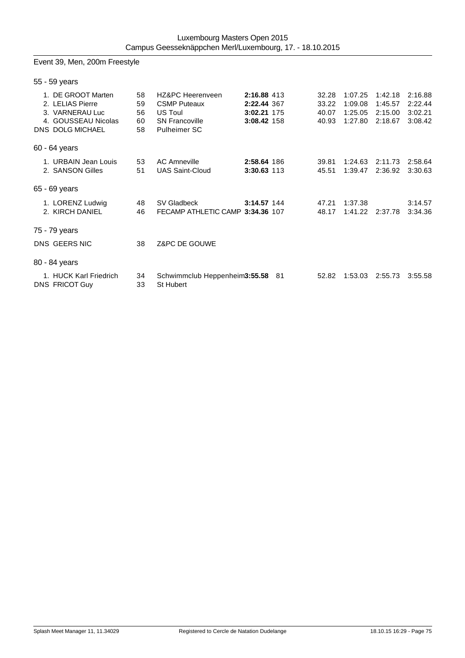## Event 39, Men, 200m Freestyle

| 55 - 59 years   |                                                                                                             |                            |                                                                                                    |                                                          |                                  |                                          |                                          |                                          |
|-----------------|-------------------------------------------------------------------------------------------------------------|----------------------------|----------------------------------------------------------------------------------------------------|----------------------------------------------------------|----------------------------------|------------------------------------------|------------------------------------------|------------------------------------------|
|                 | 1. DE GROOT Marten<br>2. LELIAS Pierre<br>3. VARNERAU Luc<br>4. GOUSSEAU Nicolas<br><b>DNS DOLG MICHAEL</b> | 58<br>59<br>56<br>60<br>58 | HZ&PC Heerenveen<br><b>CSMP Puteaux</b><br>US Toul<br><b>SN Francoville</b><br><b>Pulheimer SC</b> | 2:16.88 413<br>2:22.44 367<br>3:02.21 175<br>3:08.42 158 | 32.28<br>33.22<br>40.07<br>40.93 | 1:07.25<br>1:09.08<br>1:25.05<br>1:27.80 | 1:42.18<br>1:45.57<br>2:15.00<br>2:18.67 | 2:16.88<br>2:22.44<br>3:02.21<br>3:08.42 |
| $60 - 64$ years |                                                                                                             |                            |                                                                                                    |                                                          |                                  |                                          |                                          |                                          |
|                 | 1. URBAIN Jean Louis<br>2. SANSON Gilles                                                                    | 53<br>51                   | <b>AC Amneville</b><br><b>UAS Saint-Cloud</b>                                                      | 2:58.64 186<br>3:30.63 113                               | 39.81<br>45.51                   | 1:24.63<br>1:39.47                       | 2:11.73<br>2:36.92                       | 2:58.64<br>3:30.63                       |
| 65 - 69 years   |                                                                                                             |                            |                                                                                                    |                                                          |                                  |                                          |                                          |                                          |
|                 | 1. LORENZ Ludwig<br>2. KIRCH DANIEL                                                                         | 48<br>46                   | SV Gladbeck<br>FECAMP ATHLETIC CAMP 3:34.36 107                                                    | 3:14.57 144                                              | 47.21<br>48.17                   | 1:37.38<br>1:41.22                       | 2:37.78                                  | 3:14.57<br>3:34.36                       |
| 75 - 79 years   |                                                                                                             |                            |                                                                                                    |                                                          |                                  |                                          |                                          |                                          |
|                 | DNS GEERS NIC                                                                                               | 38                         | Z&PC DE GOUWE                                                                                      |                                                          |                                  |                                          |                                          |                                          |
| 80 - 84 years   |                                                                                                             |                            |                                                                                                    |                                                          |                                  |                                          |                                          |                                          |
|                 | 1. HUCK Karl Friedrich<br><b>DNS FRICOT Guy</b>                                                             | 34<br>33                   | Schwimmclub Heppenheim3:55.58 81<br>St Hubert                                                      |                                                          | 52.82                            | 1:53.03                                  | 2:55.73                                  | 3:55.58                                  |
|                 |                                                                                                             |                            |                                                                                                    |                                                          |                                  |                                          |                                          |                                          |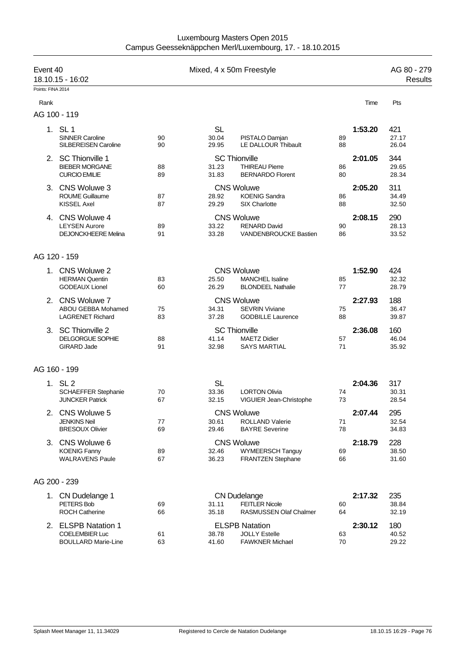| Luxembourg Masters Open 2015                             |  |
|----------------------------------------------------------|--|
| Campus Geesseknäppchen Merl/Luxembourg, 17. - 18.10.2015 |  |

| Event 40<br>Points: FINA 2014 | 18.10.15 - 16:02                                                           |          | Mixed, 4 x 50m Freestyle    |                                                                               |          |         | AG 80 - 279<br>Results |
|-------------------------------|----------------------------------------------------------------------------|----------|-----------------------------|-------------------------------------------------------------------------------|----------|---------|------------------------|
| Rank                          |                                                                            |          |                             |                                                                               |          | Time    | Pts                    |
|                               | AG 100 - 119                                                               |          |                             |                                                                               |          |         |                        |
|                               | 1. SL 1<br><b>SINNER Caroline</b><br><b>SILBEREISEN Caroline</b>           | 90<br>90 | <b>SL</b><br>30.04<br>29.95 | PISTALO Damjan<br>LE DALLOUR Thibault                                         | 89<br>88 | 1:53.20 | 421<br>27.17<br>26.04  |
|                               | 2. SC Thionville 1<br><b>BIEBER MORGANE</b><br><b>CURCIO EMILIE</b>        | 88<br>89 | 31.23<br>31.83              | <b>SC Thionville</b><br><b>THIREAU Pierre</b><br><b>BERNARDO Florent</b>      | 86<br>80 | 2:01.05 | 344<br>29.65<br>28.34  |
|                               | 3. CNS Woluwe 3<br><b>ROUME Guillaume</b><br><b>KISSEL Axel</b>            | 87<br>87 | 28.92<br>29.29              | <b>CNS Woluwe</b><br><b>KOENIG Sandra</b><br>SIX Charlotte                    | 86<br>88 | 2:05.20 | 311<br>34.49<br>32.50  |
|                               | 4. CNS Woluwe 4<br><b>LEYSEN Aurore</b><br><b>DEJONCKHEERE Melina</b>      | 89<br>91 | 33.22<br>33.28              | <b>CNS Woluwe</b><br><b>RENARD David</b><br>VANDENBROUCKE Bastien             | 90<br>86 | 2:08.15 | 290<br>28.13<br>33.52  |
|                               | AG 120 - 159                                                               |          |                             |                                                                               |          |         |                        |
|                               | 1. CNS Woluwe 2<br><b>HERMAN Quentin</b><br><b>GODEAUX Lionel</b>          | 83<br>60 | 25.50<br>26.29              | <b>CNS Woluwe</b><br><b>MANCHEL Isaline</b><br><b>BLONDEEL Nathalie</b>       | 85<br>77 | 1:52.90 | 424<br>32.32<br>28.79  |
|                               | 2. CNS Woluwe 7<br>ABOU GEBBA Mohamed<br><b>LAGRENET Richard</b>           | 75<br>83 | 34.31<br>37.28              | <b>CNS Woluwe</b><br><b>SEVRIN Viviane</b><br><b>GODBILLE Laurence</b>        | 75<br>88 | 2:27.93 | 188<br>36.47<br>39.87  |
|                               | 3. SC Thionville 2<br><b>DELGORGUE SOPHIE</b><br><b>GIRARD Jade</b>        | 88<br>91 | 41.14<br>32.98              | <b>SC Thionville</b><br><b>MAETZ Didier</b><br><b>SAYS MARTIAL</b>            | 57<br>71 | 2:36.08 | 160<br>46.04<br>35.92  |
|                               | AG 160 - 199                                                               |          |                             |                                                                               |          |         |                        |
|                               | 1. SL 2<br>SCHAEFFER Stephanie<br><b>JUNCKER Patrick</b>                   | 70<br>67 | <b>SL</b><br>33.36<br>32.15 | <b>LORTON Olivia</b><br>VIGUIER Jean-Christophe                               | 74<br>73 | 2:04.36 | 317<br>30.31<br>28.54  |
| 2.                            | CNS Woluwe 5<br><b>JENKINS Neil</b><br><b>BRESOUX Olivier</b>              | 77<br>69 | 30.61<br>29.46              | <b>CNS Woluwe</b><br><b>ROLLAND Valerie</b><br><b>BAYRE Severine</b>          | 71<br>78 | 2:07.44 | 295<br>32.54<br>34.83  |
|                               | 3. CNS Woluwe 6<br><b>KOENIG Fanny</b><br><b>WALRAVENS Paule</b>           | 89<br>67 | 32.46<br>36.23              | <b>CNS Woluwe</b><br><b>WYMEERSCH Tanguy</b><br><b>FRANTZEN Stephane</b>      | 69<br>66 | 2:18.79 | 228<br>38.50<br>31.60  |
|                               | AG 200 - 239                                                               |          |                             |                                                                               |          |         |                        |
|                               | 1. CN Dudelange 1<br>PETERS Bob<br><b>ROCH Catherine</b>                   | 69<br>66 | 31.11<br>35.18              | <b>CN Dudelange</b><br><b>FEITLER Nicole</b><br><b>RASMUSSEN Olaf Chalmer</b> | 60<br>64 | 2:17.32 | 235<br>38.84<br>32.19  |
|                               | 2. ELSPB Natation 1<br><b>COELEMBIER Luc</b><br><b>BOULLARD Marie-Line</b> | 61<br>63 | 38.78<br>41.60              | <b>ELSPB Natation</b><br><b>JOLLY Estelle</b><br><b>FAWKNER Michael</b>       | 63<br>70 | 2:30.12 | 180<br>40.52<br>29.22  |
|                               |                                                                            |          |                             |                                                                               |          |         |                        |